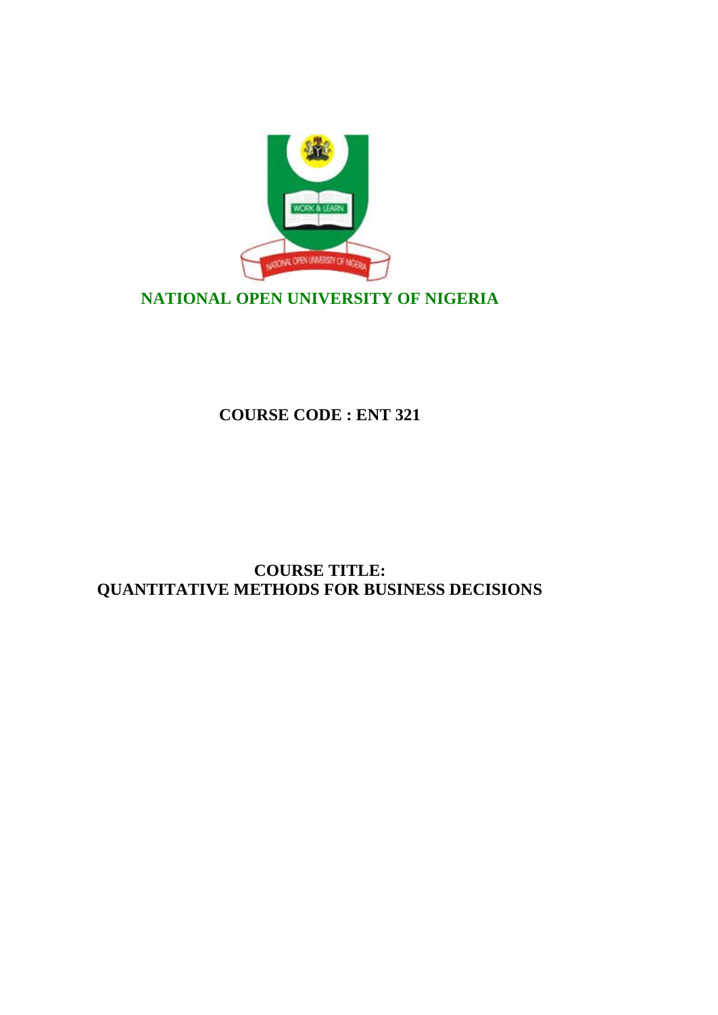

# **NATIONAL OPEN UNIVERSITY OF NIGERIA**

**COURSE CODE : ENT 321**

# **COURSE TITLE: QUANTITATIVE METHODS FOR BUSINESS DECISIONS**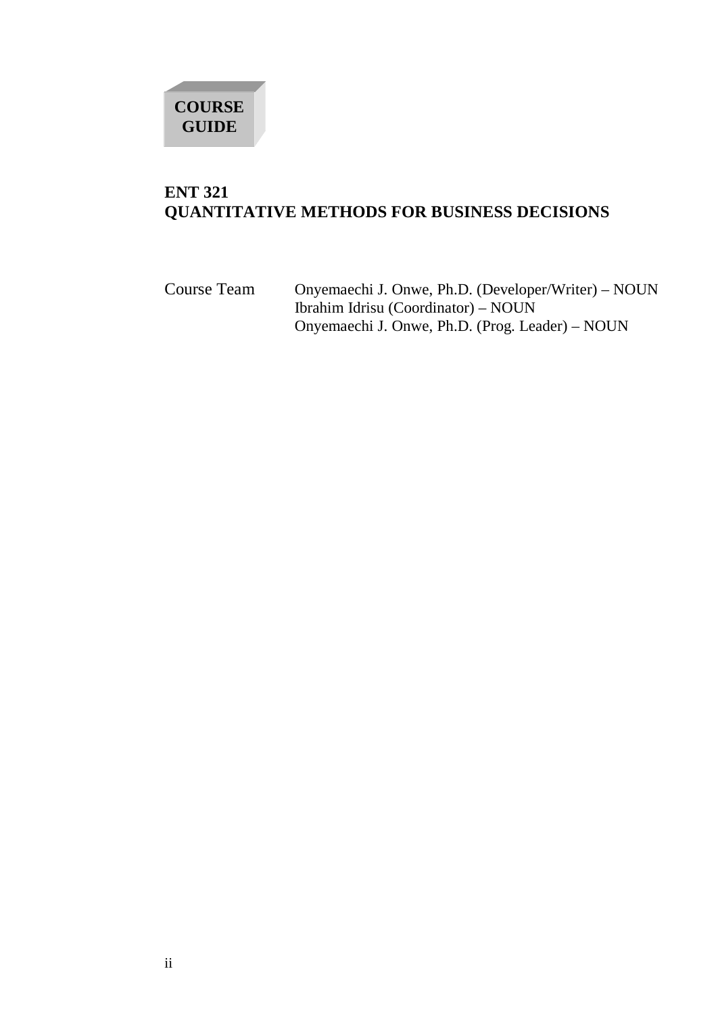# **COURSE GUIDE**

# **ENT 321 QUANTITATIVE METHODS FOR BUSINESS DECISIONS**

Course Team Onyemaechi J. Onwe, Ph.D. (Developer/Writer) – NOUN Ibrahim Idrisu (Coordinator) – NOUN Onyemaechi J. Onwe, Ph.D. (Prog. Leader) – NOUN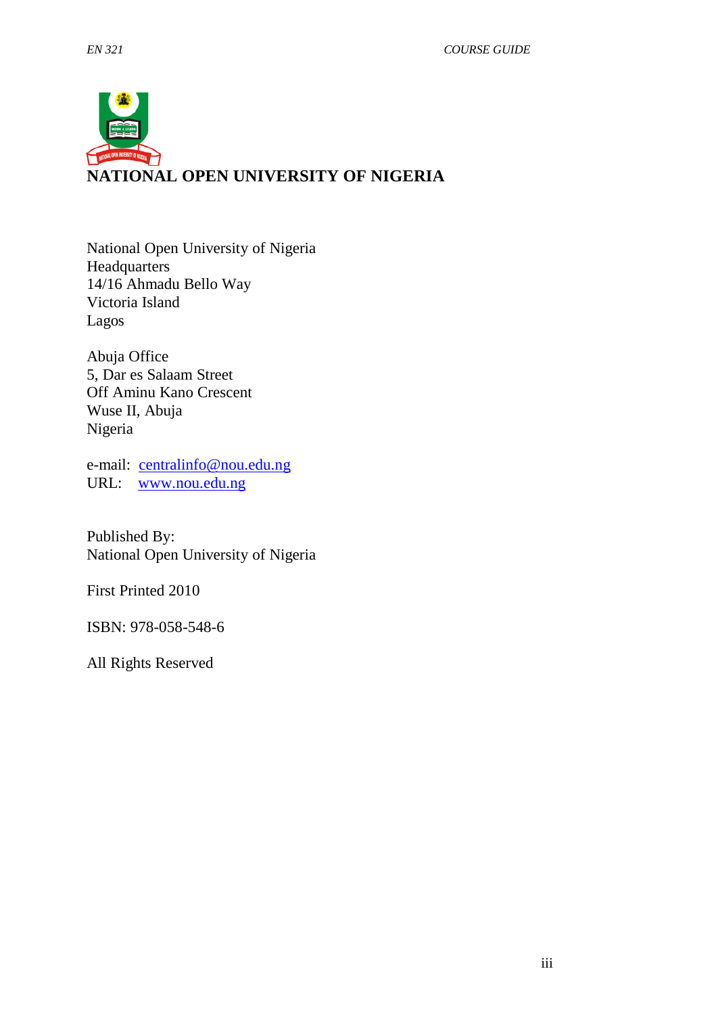

National Open University of Nigeria **Headquarters** 14/16 Ahmadu Bello Way Victoria Island Lagos

Abuja Office 5, Dar es Salaam Street Off Aminu Kano Crescent Wuse II, Abuja Nigeria

e-mail: [centralinfo@nou.edu.ng](mailto:centralinfo@nou.edu.ng) URL: [www.nou.edu.ng](http://www.nou.edu.ng/)

Published By: National Open University of Nigeria

First Printed 2010

ISBN: 978-058-548-6

All Rights Reserved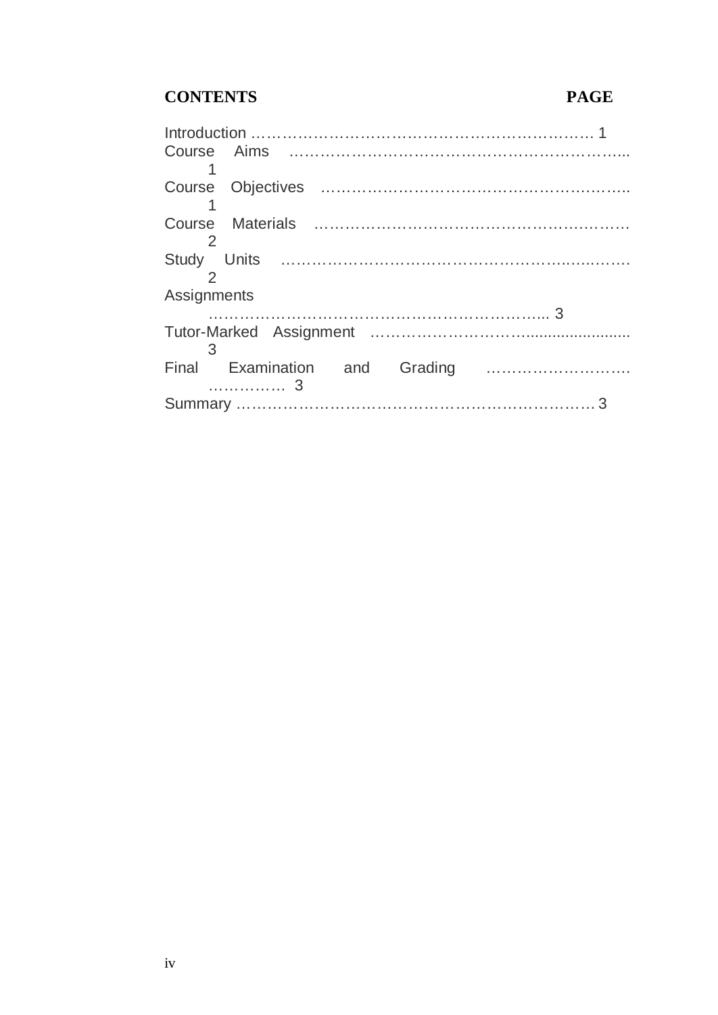# **CONTENTS PAGE**

| Assignments                           |  |
|---------------------------------------|--|
|                                       |  |
|                                       |  |
| $\sim$ 3                              |  |
| Final Examination and Grading         |  |
| $\ldots$ $\ldots$ $\ldots$ $\ldots$ 3 |  |
|                                       |  |
|                                       |  |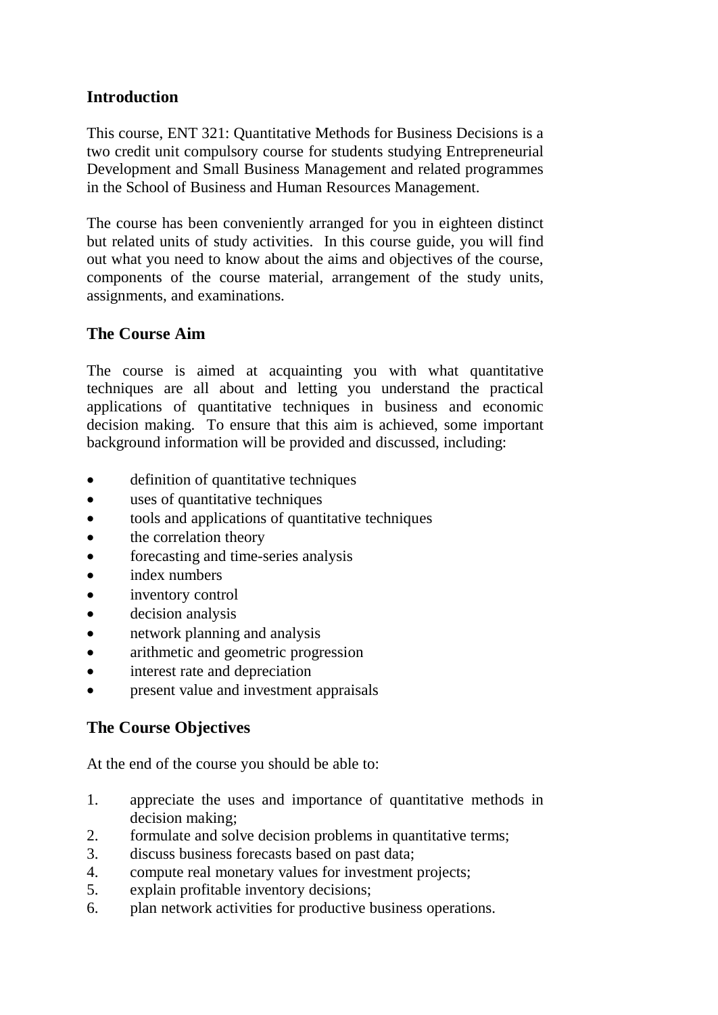# **Introduction**

This course, ENT 321: Quantitative Methods for Business Decisions is a two credit unit compulsory course for students studying Entrepreneurial Development and Small Business Management and related programmes in the School of Business and Human Resources Management.

The course has been conveniently arranged for you in eighteen distinct but related units of study activities. In this course guide, you will find out what you need to know about the aims and objectives of the course, components of the course material, arrangement of the study units, assignments, and examinations.

# **The Course Aim**

The course is aimed at acquainting you with what quantitative techniques are all about and letting you understand the practical applications of quantitative techniques in business and economic decision making. To ensure that this aim is achieved, some important background information will be provided and discussed, including:

- definition of quantitative techniques
- uses of quantitative techniques
- tools and applications of quantitative techniques
- the correlation theory
- forecasting and time-series analysis
- index numbers
- inventory control
- decision analysis
- network planning and analysis
- arithmetic and geometric progression
- interest rate and depreciation
- present value and investment appraisals

# **The Course Objectives**

At the end of the course you should be able to:

- 1. appreciate the uses and importance of quantitative methods in decision making;
- 2. formulate and solve decision problems in quantitative terms;
- 3. discuss business forecasts based on past data;
- 4. compute real monetary values for investment projects;
- 5. explain profitable inventory decisions;
- 6. plan network activities for productive business operations.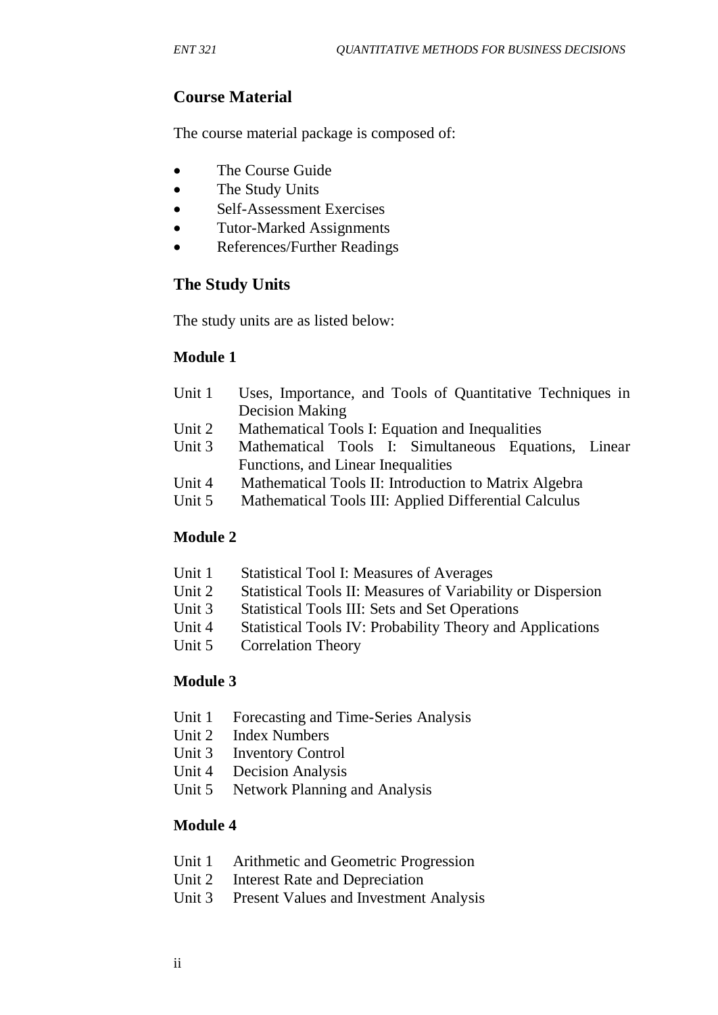# **Course Material**

The course material package is composed of:

- The Course Guide
- The Study Units
- Self-Assessment Exercises
- Tutor-Marked Assignments
- References/Further Readings

# **The Study Units**

The study units are as listed below:

# **Module 1**

- Unit 1 Uses, Importance, and Tools of Quantitative Techniques in Decision Making
- Unit 2 Mathematical Tools I: Equation and Inequalities
- Unit 3 Mathematical Tools I: Simultaneous Equations, Linear Functions, and Linear Inequalities
- Unit 4 Mathematical Tools II: Introduction to Matrix Algebra
- Unit 5 Mathematical Tools III: Applied Differential Calculus

# **Module 2**

- Unit 1 Statistical Tool I: Measures of Averages
- Unit 2 Statistical Tools II: Measures of Variability or Dispersion
- Unit 3 Statistical Tools III: Sets and Set Operations
- Unit 4 Statistical Tools IV: Probability Theory and Applications
- Unit 5 Correlation Theory

# **Module 3**

- Unit 1 Forecasting and Time-Series Analysis
- Unit 2 Index Numbers
- Unit 3 Inventory Control
- Unit 4 Decision Analysis
- Unit 5 Network Planning and Analysis

# **Module 4**

- Unit 1 Arithmetic and Geometric Progression
- Unit 2 Interest Rate and Depreciation
- Unit 3 Present Values and Investment Analysis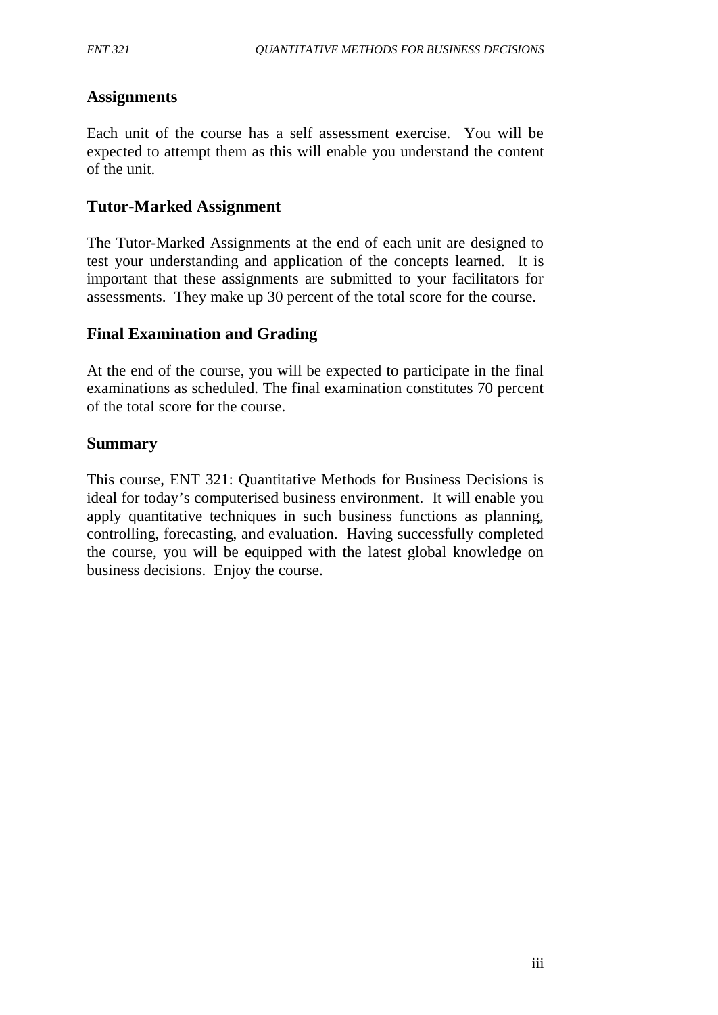# **Assignments**

Each unit of the course has a self assessment exercise. You will be expected to attempt them as this will enable you understand the content of the unit.

# **Tutor-Marked Assignment**

The Tutor-Marked Assignments at the end of each unit are designed to test your understanding and application of the concepts learned. It is important that these assignments are submitted to your facilitators for assessments. They make up 30 percent of the total score for the course.

# **Final Examination and Grading**

At the end of the course, you will be expected to participate in the final examinations as scheduled. The final examination constitutes 70 percent of the total score for the course.

# **Summary**

This course, ENT 321: Quantitative Methods for Business Decisions is ideal for today's computerised business environment. It will enable you apply quantitative techniques in such business functions as planning, controlling, forecasting, and evaluation. Having successfully completed the course, you will be equipped with the latest global knowledge on business decisions. Enjoy the course.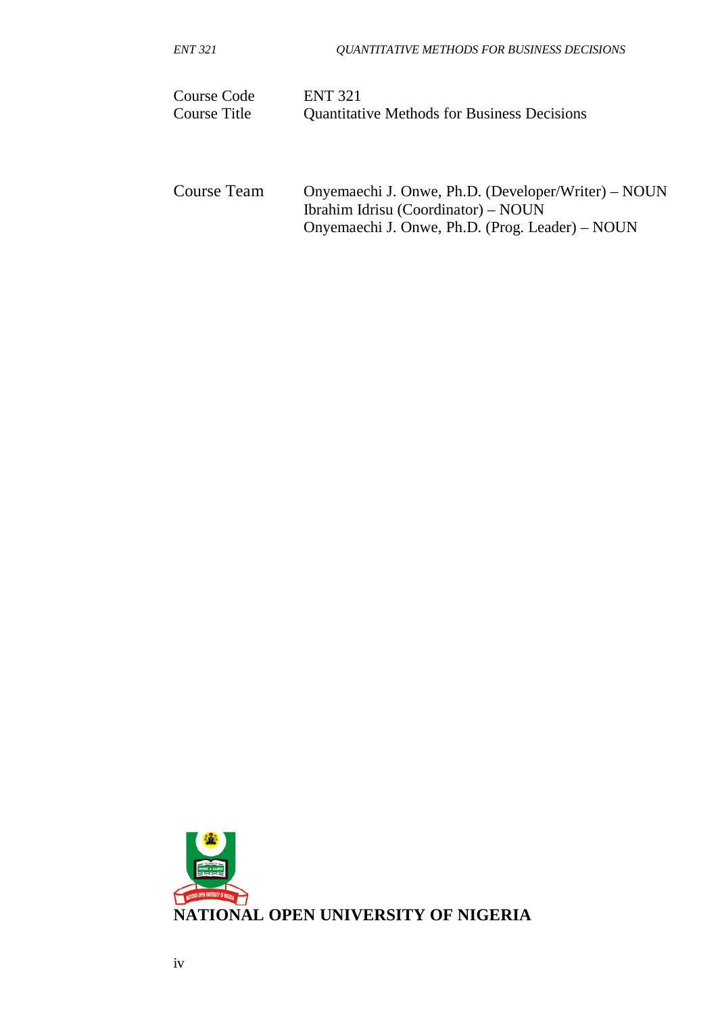| ENT 321 | <b>QUANTITATIVE METHODS FOR BUSINESS DECISIONS</b> |
|---------|----------------------------------------------------|
|         |                                                    |

| Course Code  | <b>ENT 321</b>                                     |
|--------------|----------------------------------------------------|
| Course Title | <b>Quantitative Methods for Business Decisions</b> |

Course Team Onyemaechi J. Onwe, Ph.D. (Developer/Writer) – NOUN Ibrahim Idrisu (Coordinator) – NOUN Onyemaechi J. Onwe, Ph.D. (Prog. Leader) – NOUN

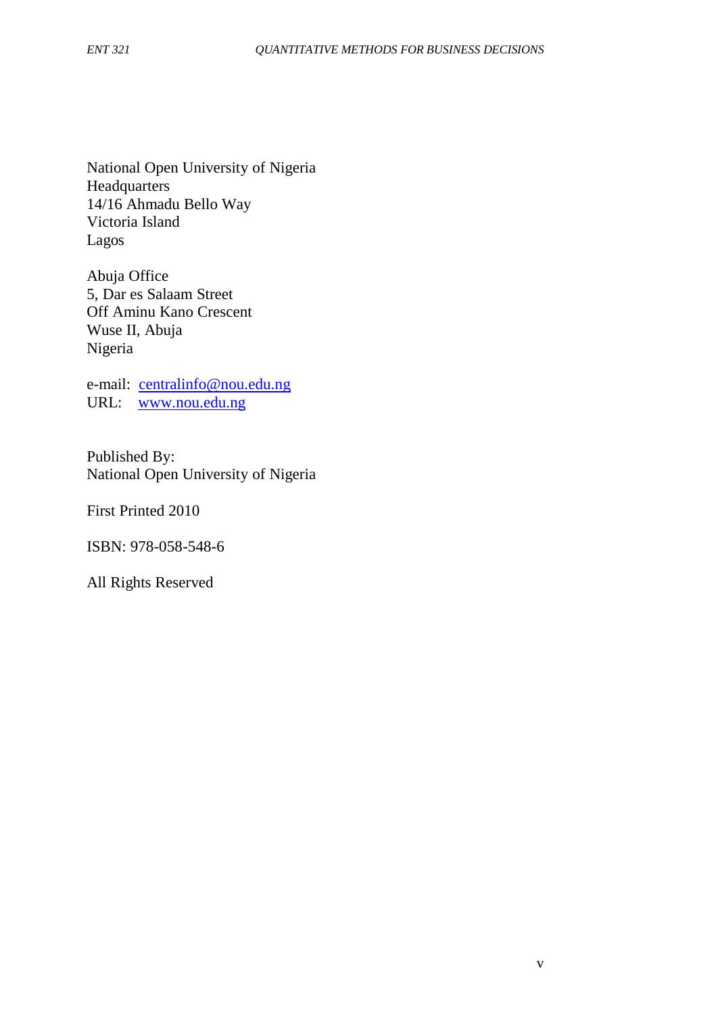National Open University of Nigeria **Headquarters** 14/16 Ahmadu Bello Way Victoria Island Lagos

Abuja Office 5, Dar es Salaam Street Off Aminu Kano Crescent Wuse II, Abuja Nigeria

e-mail: [centralinfo@nou.edu.ng](mailto:centralinfo@nou.edu.ng) URL: [www.nou.edu.ng](http://www.nou.edu.ng/)

Published By: National Open University of Nigeria

First Printed 2010

ISBN: 978-058-548-6

All Rights Reserved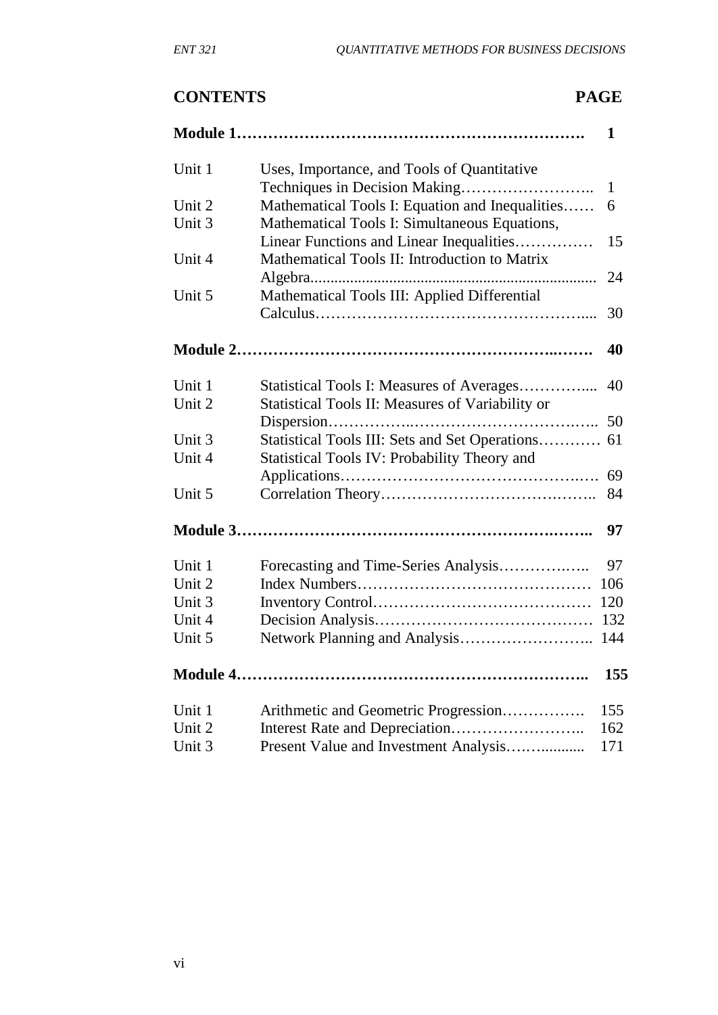# **CONTENTS PAGE**

|        |                                                  | 1            |
|--------|--------------------------------------------------|--------------|
| Unit 1 | Uses, Importance, and Tools of Quantitative      |              |
|        |                                                  | $\mathbf{1}$ |
| Unit 2 | Mathematical Tools I: Equation and Inequalities  | 6            |
| Unit 3 | Mathematical Tools I: Simultaneous Equations,    |              |
|        | Linear Functions and Linear Inequalities         | 15           |
| Unit 4 | Mathematical Tools II: Introduction to Matrix    |              |
|        |                                                  | 24           |
| Unit 5 | Mathematical Tools III: Applied Differential     |              |
|        |                                                  | 30           |
|        |                                                  | 40           |
| Unit 1 | Statistical Tools I: Measures of Averages        | 40           |
| Unit 2 | Statistical Tools II: Measures of Variability or |              |
|        |                                                  | 50           |
| Unit 3 | Statistical Tools III: Sets and Set Operations   | 61           |
| Unit 4 | Statistical Tools IV: Probability Theory and     |              |
|        |                                                  | 69           |
| Unit 5 |                                                  | 84           |
|        |                                                  | 97           |
| Unit 1 | Forecasting and Time-Series Analysis             | 97           |
| Unit 2 |                                                  | 106          |
| Unit 3 |                                                  | 120          |
| Unit 4 |                                                  | 132          |
| Unit 5 |                                                  | 144          |
|        |                                                  | 155          |
| Unit 1 | Arithmetic and Geometric Progression             | 155          |
| Unit 2 |                                                  | 162          |
| Unit 3 | Present Value and Investment Analysis            | 171          |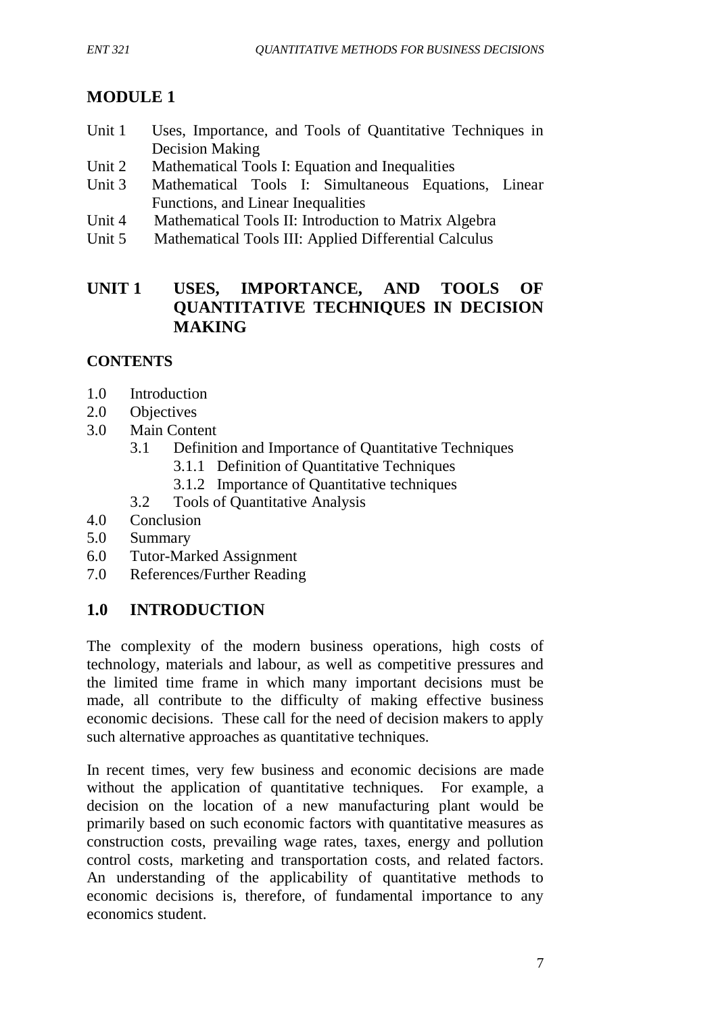# **MODULE 1**

- Unit 1 Uses, Importance, and Tools of Quantitative Techniques in Decision Making
- Unit 2 Mathematical Tools I: Equation and Inequalities
- Unit 3 Mathematical Tools I: Simultaneous Equations, Linear Functions, and Linear Inequalities
- Unit 4 Mathematical Tools II: Introduction to Matrix Algebra
- Unit 5 Mathematical Tools III: Applied Differential Calculus

# **UNIT 1 USES, IMPORTANCE, AND TOOLS OF QUANTITATIVE TECHNIQUES IN DECISION MAKING**

# **CONTENTS**

- 1.0 Introduction
- 2.0 Objectives
- 3.0 Main Content
	- 3.1 Definition and Importance of Quantitative Techniques
		- 3.1.1 Definition of Quantitative Techniques
		- 3.1.2 Importance of Quantitative techniques
	- 3.2 Tools of Quantitative Analysis
- 4.0 Conclusion
- 5.0 Summary
- 6.0 Tutor-Marked Assignment
- 7.0 References/Further Reading

# **1.0 INTRODUCTION**

The complexity of the modern business operations, high costs of technology, materials and labour, as well as competitive pressures and the limited time frame in which many important decisions must be made, all contribute to the difficulty of making effective business economic decisions. These call for the need of decision makers to apply such alternative approaches as quantitative techniques.

In recent times, very few business and economic decisions are made without the application of quantitative techniques. For example, a decision on the location of a new manufacturing plant would be primarily based on such economic factors with quantitative measures as construction costs, prevailing wage rates, taxes, energy and pollution control costs, marketing and transportation costs, and related factors. An understanding of the applicability of quantitative methods to economic decisions is, therefore, of fundamental importance to any economics student.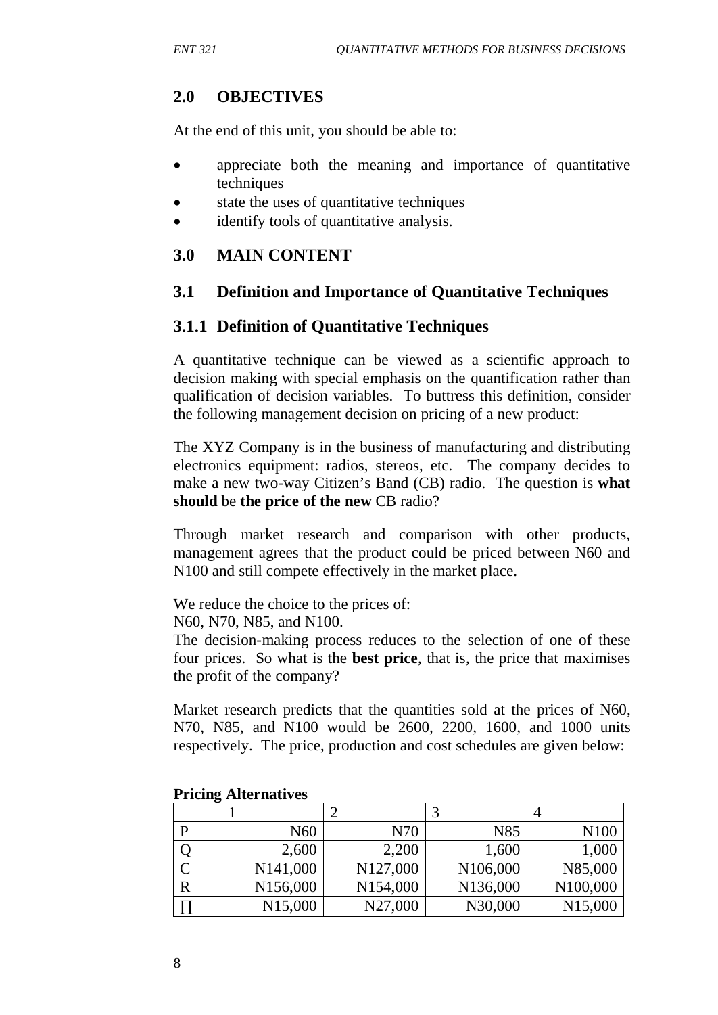# **2.0 OBJECTIVES**

At the end of this unit, you should be able to:

- appreciate both the meaning and importance of quantitative techniques
- state the uses of quantitative techniques
- identify tools of quantitative analysis.

# **3.0 MAIN CONTENT**

# **3.1 Definition and Importance of Quantitative Techniques**

# **3.1.1 Definition of Quantitative Techniques**

A quantitative technique can be viewed as a scientific approach to decision making with special emphasis on the quantification rather than qualification of decision variables. To buttress this definition, consider the following management decision on pricing of a new product:

The XYZ Company is in the business of manufacturing and distributing electronics equipment: radios, stereos, etc. The company decides to make a new two-way Citizen's Band (CB) radio. The question is **what should** be **the price of the new** CB radio?

Through market research and comparison with other products, management agrees that the product could be priced between N60 and N100 and still compete effectively in the market place.

We reduce the choice to the prices of:

N60, N70, N85, and N100.

The decision-making process reduces to the selection of one of these four prices. So what is the **best price**, that is, the price that maximises the profit of the company?

Market research predicts that the quantities sold at the prices of N60, N70, N85, and N100 would be 2600, 2200, 1600, and 1000 units respectively. The price, production and cost schedules are given below:

| $\epsilon$  |                       |          |                 |                  |
|-------------|-----------------------|----------|-----------------|------------------|
| P           | N <sub>60</sub>       | N70      | N <sub>85</sub> | N <sub>100</sub> |
|             | 2,600                 | 2,200    | 1,600           | 1,000            |
|             | N <sub>141</sub> ,000 | N127,000 | N106,000        | N85,000          |
| $\mathbf R$ | N156,000              | N154,000 | N136,000        | N100,000         |
|             | N15,000               | N27,000  | N30,000         | N15,000          |

**Pricing Alternatives**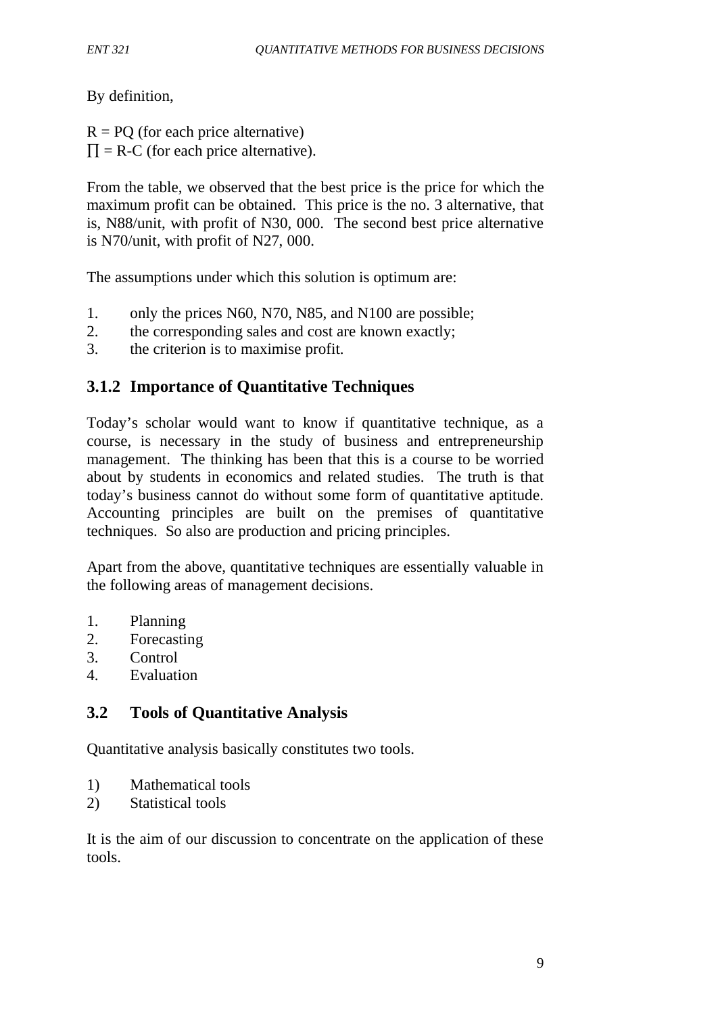By definition,

 $R = PQ$  (for each price alternative)  $\Pi = R-C$  (for each price alternative).

From the table, we observed that the best price is the price for which the maximum profit can be obtained. This price is the no. 3 alternative, that is, N88/unit, with profit of N30, 000. The second best price alternative is N70/unit, with profit of N27, 000.

The assumptions under which this solution is optimum are:

- 1. only the prices N60, N70, N85, and N100 are possible;
- 2. the corresponding sales and cost are known exactly;
- 3. the criterion is to maximise profit.

# **3.1.2 Importance of Quantitative Techniques**

Today's scholar would want to know if quantitative technique, as a course, is necessary in the study of business and entrepreneurship management. The thinking has been that this is a course to be worried about by students in economics and related studies. The truth is that today's business cannot do without some form of quantitative aptitude. Accounting principles are built on the premises of quantitative techniques. So also are production and pricing principles.

Apart from the above, quantitative techniques are essentially valuable in the following areas of management decisions.

- 1. Planning
- 2. Forecasting
- 3. Control
- 4. Evaluation

# **3.2 Tools of Quantitative Analysis**

Quantitative analysis basically constitutes two tools.

- 1) Mathematical tools
- 2) Statistical tools

It is the aim of our discussion to concentrate on the application of these tools.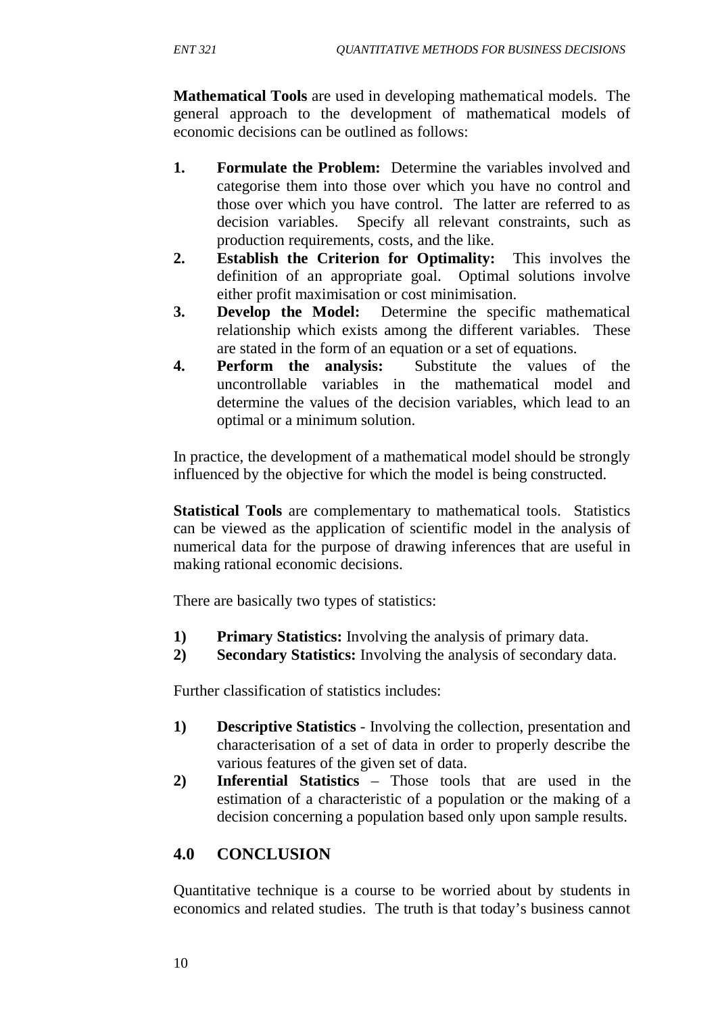**Mathematical Tools** are used in developing mathematical models. The general approach to the development of mathematical models of economic decisions can be outlined as follows:

- **1. Formulate the Problem:** Determine the variables involved and categorise them into those over which you have no control and those over which you have control. The latter are referred to as decision variables. Specify all relevant constraints, such as production requirements, costs, and the like.
- **2. Establish the Criterion for Optimality:** This involves the definition of an appropriate goal. Optimal solutions involve either profit maximisation or cost minimisation.
- **3. Develop the Model:** Determine the specific mathematical relationship which exists among the different variables. These are stated in the form of an equation or a set of equations.
- **4. Perform the analysis:** Substitute the values of the uncontrollable variables in the mathematical model and determine the values of the decision variables, which lead to an optimal or a minimum solution.

In practice, the development of a mathematical model should be strongly influenced by the objective for which the model is being constructed.

**Statistical Tools** are complementary to mathematical tools. Statistics can be viewed as the application of scientific model in the analysis of numerical data for the purpose of drawing inferences that are useful in making rational economic decisions.

There are basically two types of statistics:

- **1) Primary Statistics:** Involving the analysis of primary data.
- **2) Secondary Statistics:** Involving the analysis of secondary data.

Further classification of statistics includes:

- **1) Descriptive Statistics**  Involving the collection, presentation and characterisation of a set of data in order to properly describe the various features of the given set of data.
- **2) Inferential Statistics** Those tools that are used in the estimation of a characteristic of a population or the making of a decision concerning a population based only upon sample results.

# **4.0 CONCLUSION**

Quantitative technique is a course to be worried about by students in economics and related studies. The truth is that today's business cannot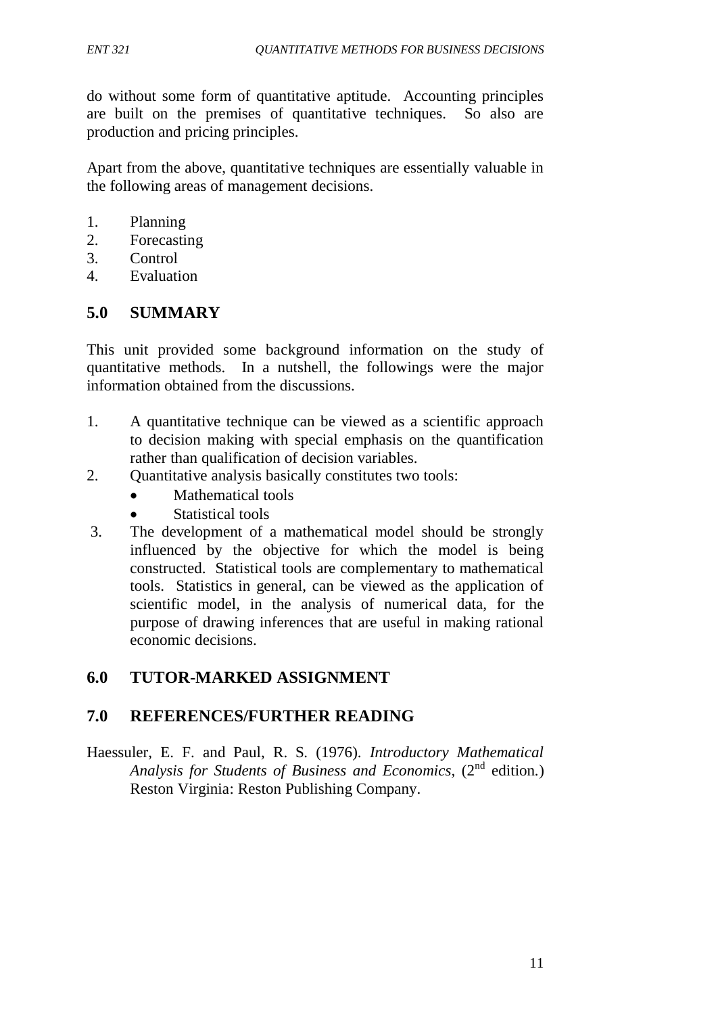do without some form of quantitative aptitude. Accounting principles are built on the premises of quantitative techniques. So also are production and pricing principles.

Apart from the above, quantitative techniques are essentially valuable in the following areas of management decisions.

- 1. Planning
- 2. Forecasting
- 3. Control
- 4. Evaluation

# **5.0 SUMMARY**

This unit provided some background information on the study of quantitative methods. In a nutshell, the followings were the major information obtained from the discussions.

- 1. A quantitative technique can be viewed as a scientific approach to decision making with special emphasis on the quantification rather than qualification of decision variables.
- 2. Quantitative analysis basically constitutes two tools:
	- Mathematical tools
	- Statistical tools
- 3. The development of a mathematical model should be strongly influenced by the objective for which the model is being constructed. Statistical tools are complementary to mathematical tools. Statistics in general, can be viewed as the application of scientific model, in the analysis of numerical data, for the purpose of drawing inferences that are useful in making rational economic decisions.

# **6.0 TUTOR-MARKED ASSIGNMENT**

# **7.0 REFERENCES/FURTHER READING**

Haessuler, E. F. and Paul, R. S. (1976). *Introductory Mathematical* Analysis for Students of Business and Economics, (2<sup>nd</sup> edition.) Reston Virginia: Reston Publishing Company.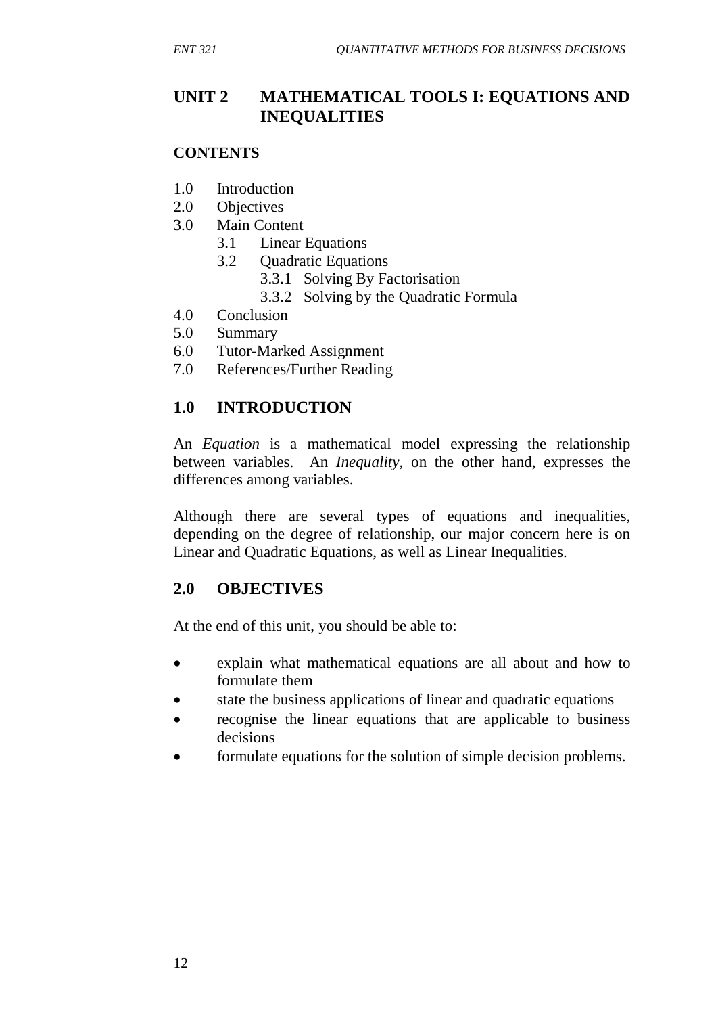# **UNIT 2 MATHEMATICAL TOOLS I: EQUATIONS AND INEQUALITIES**

#### **CONTENTS**

- 1.0 Introduction
- 2.0 Objectives
- 3.0 Main Content
	- 3.1 Linear Equations
	- 3.2 Quadratic Equations
		- 3.3.1 Solving By Factorisation
		- 3.3.2 Solving by the Quadratic Formula
- 4.0 Conclusion
- 5.0 Summary
- 6.0 Tutor-Marked Assignment
- 7.0 References/Further Reading

# **1.0 INTRODUCTION**

An *Equation* is a mathematical model expressing the relationship between variables. An *Inequality,* on the other hand, expresses the differences among variables.

Although there are several types of equations and inequalities, depending on the degree of relationship, our major concern here is on Linear and Quadratic Equations, as well as Linear Inequalities.

# **2.0 OBJECTIVES**

At the end of this unit, you should be able to:

- explain what mathematical equations are all about and how to formulate them
- state the business applications of linear and quadratic equations
- recognise the linear equations that are applicable to business decisions
- formulate equations for the solution of simple decision problems.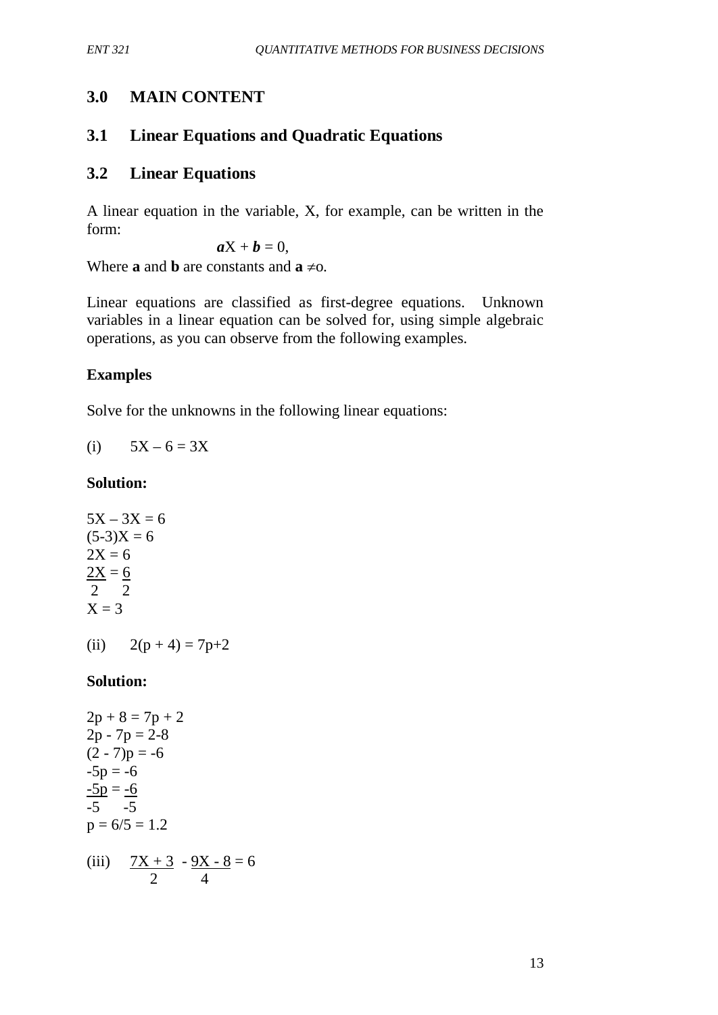# **3.0 MAIN CONTENT**

# **3.1 Linear Equations and Quadratic Equations**

# **3.2 Linear Equations**

A linear equation in the variable, X, for example, can be written in the form:

$$
\boldsymbol{a} \mathbf{X} + \boldsymbol{b} = 0,
$$

Where **a** and **b** are constants and  $\mathbf{a} \neq 0$ .

Linear equations are classified as first-degree equations. Unknown variables in a linear equation can be solved for, using simple algebraic operations, as you can observe from the following examples.

# **Examples**

Solve for the unknowns in the following linear equations:

(i)  $5X - 6 = 3X$ 

## **Solution:**

 $5X - 3X = 6$  $(5-3)X = 6$  $2X = 6$  $2X = 6$ 2 2  $X = 3$ 

(ii)  $2(p+4) = 7p+2$ 

# **Solution:**

$$
2p + 8 = 7p + 2
$$
  
\n
$$
2p - 7p = 2-8
$$
  
\n
$$
(2 - 7)p = -6
$$
  
\n
$$
-5p = -6
$$
  
\n
$$
-5p = -6
$$
  
\n
$$
-5 - 5
$$
  
\n
$$
p = 6/5 = 1.2
$$
  
\n(iii) 
$$
\frac{7X + 3}{2} - \frac{9X - 8}{4} = 6
$$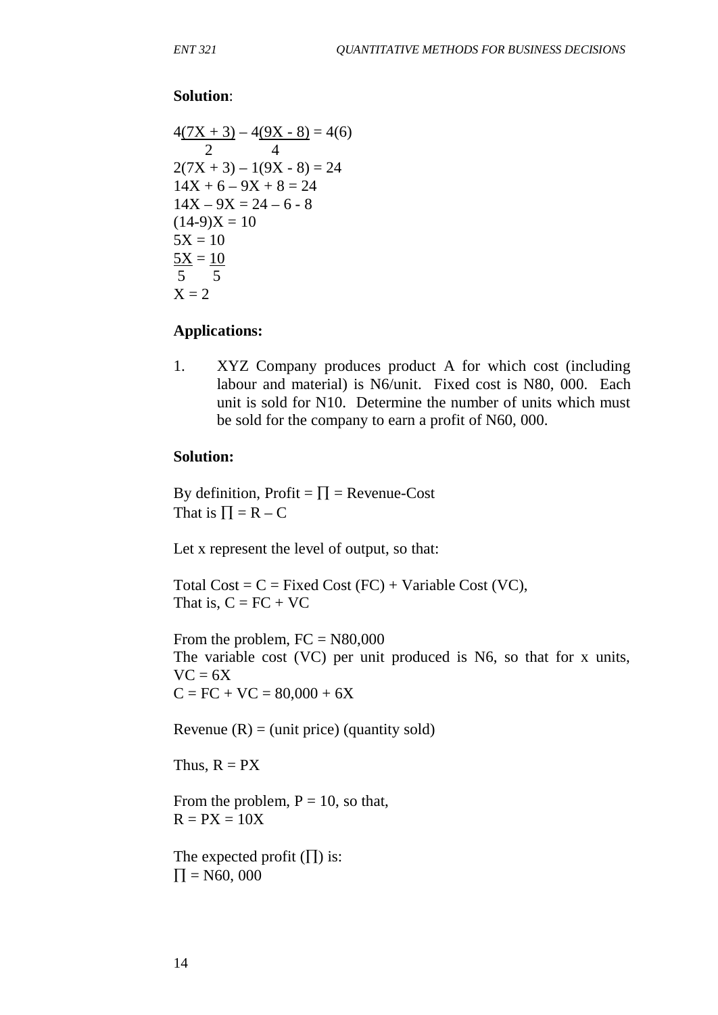#### **Solution**:

$$
4(7X + 3) - 4(9X - 8) = 4(6)
$$
  
\n2 (7X + 3) - 1(9X - 8) = 24  
\n14X + 6 - 9X + 8 = 24  
\n14X - 9X = 24 - 6 - 8  
\n(14-9)X = 10  
\n5X = 10  
\n5X = 10  
\n5X = 2

#### **Applications:**

1. XYZ Company produces product A for which cost (including labour and material) is N6/unit. Fixed cost is N80, 000. Each unit is sold for N10. Determine the number of units which must be sold for the company to earn a profit of N60, 000.

#### **Solution:**

By definition, Profit =  $\Pi$  = Revenue-Cost That is  $\Pi = R - C$ 

Let x represent the level of output, so that:

Total Cost =  $C$  = Fixed Cost (FC) + Variable Cost (VC), That is,  $C = FC + VC$ 

From the problem,  $FC = N80,000$ The variable cost (VC) per unit produced is N6, so that for x units,  $VC = 6X$  $C = FC + VC = 80,000 + 6X$ 

Revenue  $(R) = (unit price)$  (quantity sold)

Thus,  $R = PX$ 

From the problem,  $P = 10$ , so that,  $R = PX = 10X$ 

The expected profit  $(\Pi)$  is:  $\Pi = N60, 000$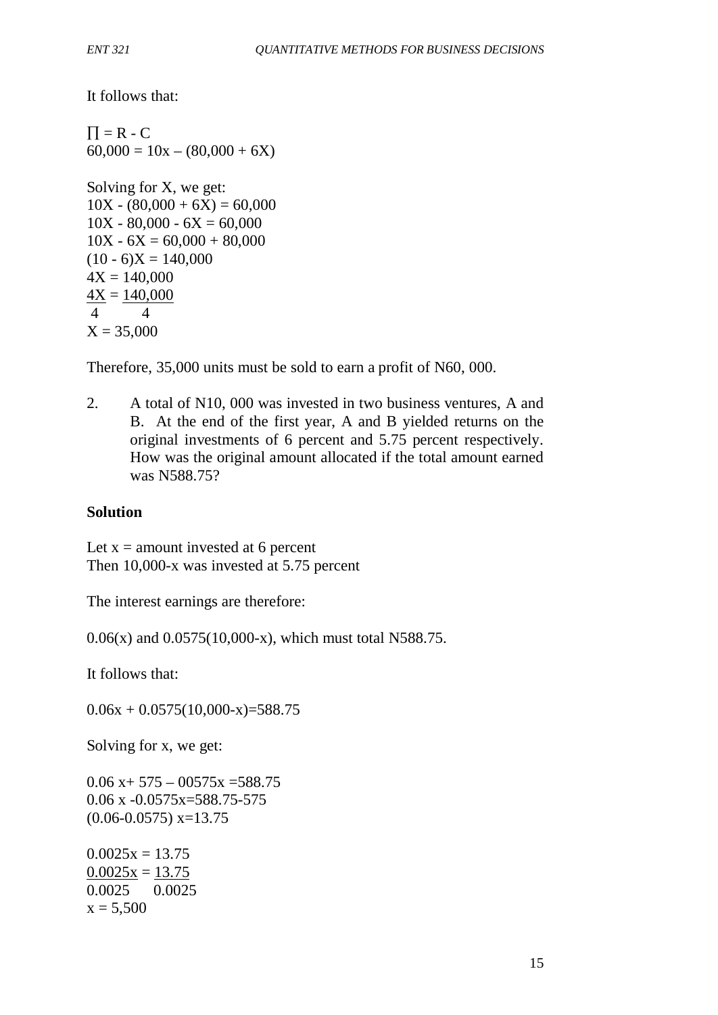It follows that:

 $\Pi = R - C$  $60,000 = 10x - (80,000 + 6X)$ Solving for X, we get:  $10X - (80,000 + 6X) = 60,000$  $10X - 80,000 - 6X = 60,000$  $10X - 6X = 60,000 + 80,000$  $(10 - 6)X = 140,000$  $4X = 140,000$  $4X = 140,000$ 4 4  $X = 35,000$ 

Therefore, 35,000 units must be sold to earn a profit of N60, 000.

2. A total of N10, 000 was invested in two business ventures, A and B. At the end of the first year, A and B yielded returns on the original investments of 6 percent and 5.75 percent respectively. How was the original amount allocated if the total amount earned was N588.75?

### **Solution**

Let  $x =$  amount invested at 6 percent Then 10,000-x was invested at 5.75 percent

The interest earnings are therefore:

0.06(x) and 0.0575(10,000-x), which must total N588.75.

It follows that:

 $0.06x + 0.0575(10,000-x) = 588.75$ 

Solving for x, we get:

 $0.06 x+ 575 - 00575x = 588.75$  $0.06$  x  $-0.0575x=588.75-575$  $(0.06 - 0.0575)$  x=13.75

 $0.0025x = 13.75$  $0.0025x = 13.75$ 0.0025 0.0025  $x = 5,500$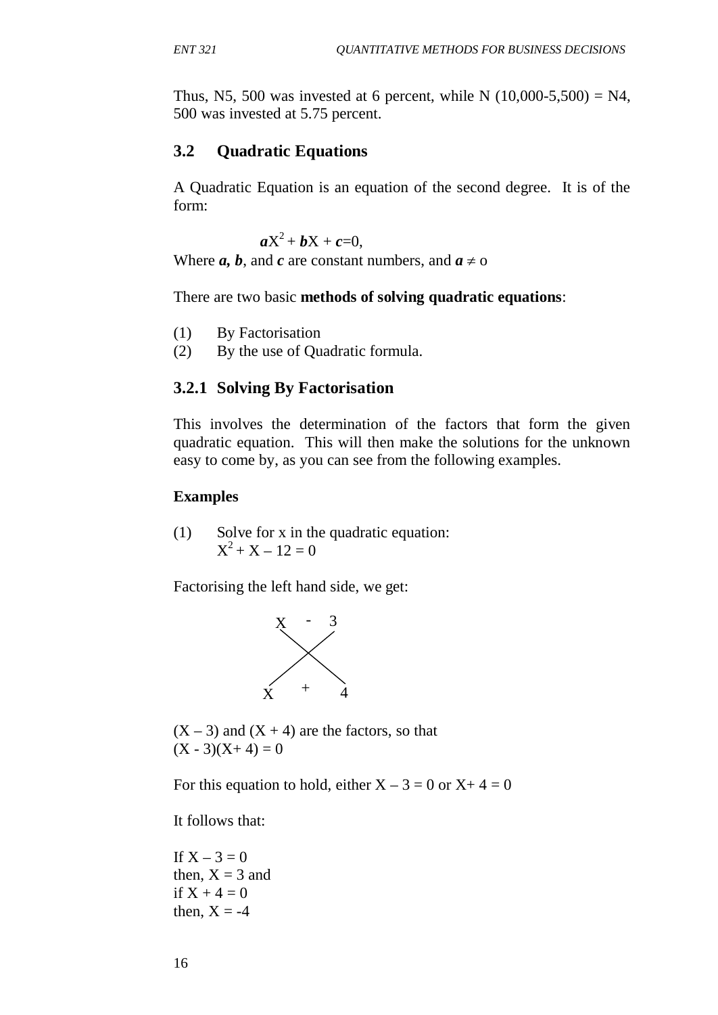Thus, N5, 500 was invested at 6 percent, while N  $(10,000-5,500) = N4$ , 500 was invested at 5.75 percent.

## **3.2 Quadratic Equations**

A Quadratic Equation is an equation of the second degree. It is of the form:

 $aX^2 + bX + c = 0$ ,

Where *a*, *b*, and *c* are constant numbers, and  $a \neq 0$ 

There are two basic **methods of solving quadratic equations**:

- (1) By Factorisation
- (2) By the use of Quadratic formula.

# **3.2.1 Solving By Factorisation**

This involves the determination of the factors that form the given quadratic equation. This will then make the solutions for the unknown easy to come by, as you can see from the following examples.

### **Examples**

(1) Solve for x in the quadratic equation:  $X^2 + X - 12 = 0$ 

Factorising the left hand side, we get:



 $(X - 3)$  and  $(X + 4)$  are the factors, so that  $(X - 3)(X + 4) = 0$ 

For this equation to hold, either  $X - 3 = 0$  or  $X + 4 = 0$ 

It follows that:

If  $X - 3 = 0$ then,  $X = 3$  and if  $X + 4 = 0$ then,  $X = -4$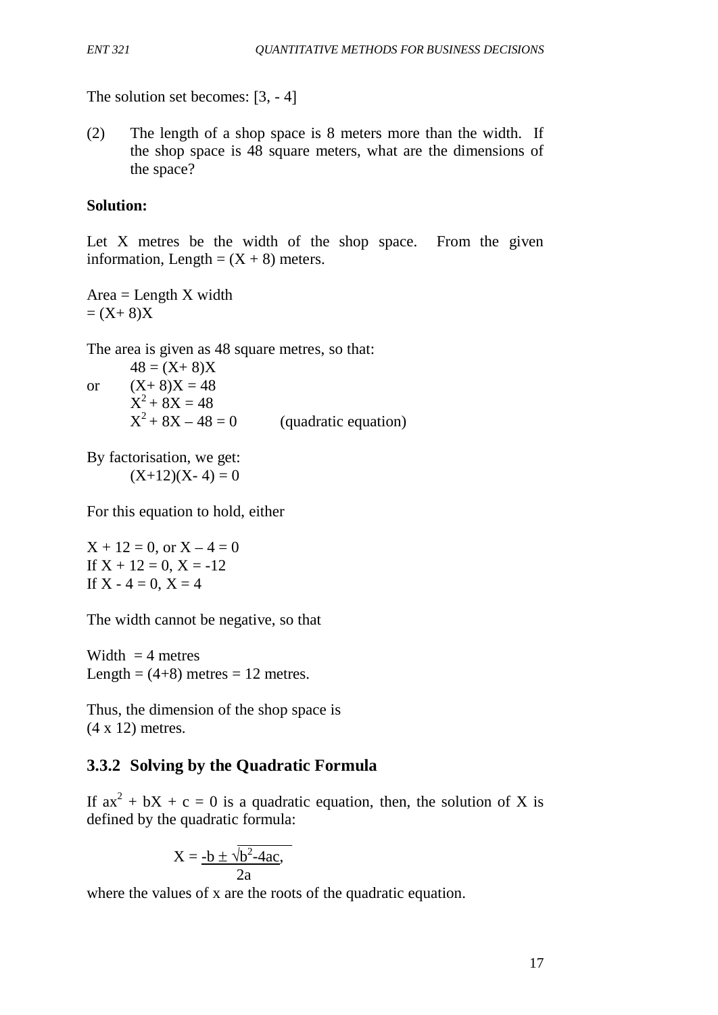The solution set becomes: [3, - 4]

(2) The length of a shop space is 8 meters more than the width. If the shop space is 48 square meters, what are the dimensions of the space?

## **Solution:**

Let X metres be the width of the shop space. From the given information, Length =  $(X + 8)$  meters.

 $Area = Length X width$  $=(X+8)X$ 

The area is given as 48 square metres, so that:

 $48 = (X + 8)X$ or  $(X+8)X = 48$  $X^2 + 8X = 48$  $X^2 + 8X - 48 = 0$  (quadratic equation)

By factorisation, we get:  $(X+12)(X-4) = 0$ 

For this equation to hold, either

 $X + 12 = 0$ , or  $X - 4 = 0$ If  $X + 12 = 0$ ,  $X = -12$ If  $X - 4 = 0$ ,  $X = 4$ 

The width cannot be negative, so that

Width  $=$  4 metres Length =  $(4+8)$  metres = 12 metres.

Thus, the dimension of the shop space is (4 x 12) metres.

# **3.3.2 Solving by the Quadratic Formula**

If  $ax^2 + bX + c = 0$  is a quadratic equation, then, the solution of X is defined by the quadratic formula:

$$
X = \frac{-b \pm \sqrt{b^2 - 4ac}}{2a},
$$

where the values of x are the roots of the quadratic equation.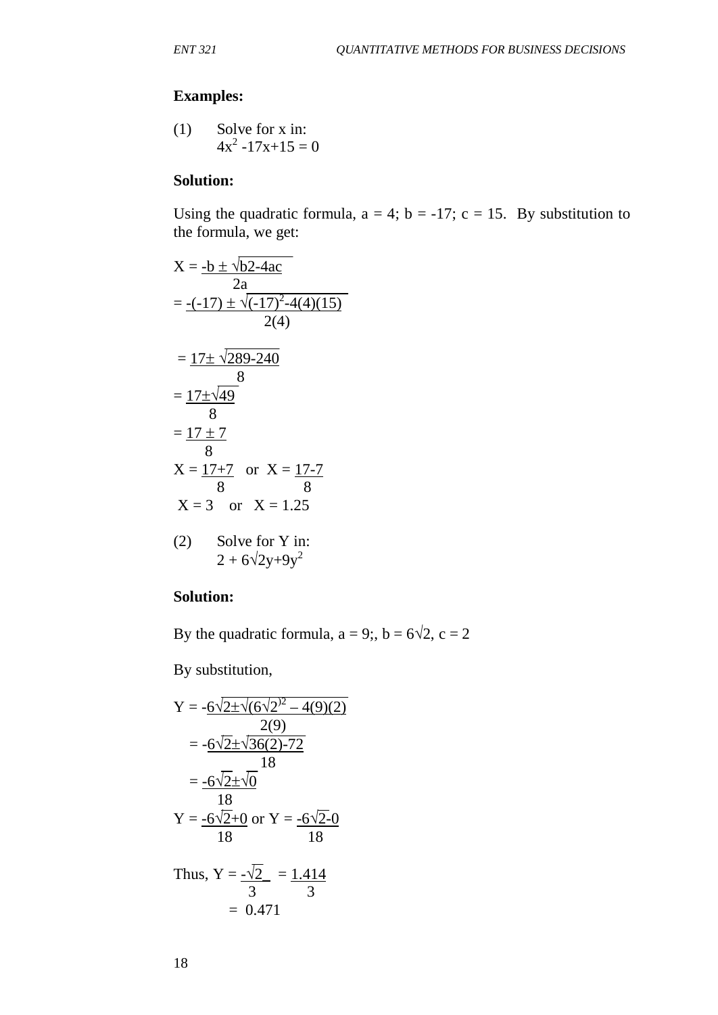# **Examples:**

(1) Solve for x in:  
 
$$
4x^2 - 17x + 15 = 0
$$

#### **Solution:**

Using the quadratic formula,  $a = 4$ ;  $b = -17$ ;  $c = 15$ . By substitution to the formula, we get:

$$
X = \frac{-b \pm \sqrt{b2 - 4ac}}{2a}
$$
  
=  $\frac{-(-17) \pm \sqrt{(-17)^2 - 4(4)(15)}}{2(4)}$   
=  $\frac{17 \pm \sqrt{289 - 240}}{8}$   
=  $\frac{17 \pm \sqrt{49}}{8}$   
 $X = \frac{17 \pm 7}{8}$  or  $X = \frac{17 - 7}{8}$   
 $X = 3$  or  $X = 1.25$   
(2) Solve for Y in:  
 $2 + 6\sqrt{2y + 9y^2}$ 

#### **Solution:**

By the quadratic formula,  $a = 9$ ;,  $b = 6\sqrt{2}$ ,  $c = 2$ 

By substitution,

Y = 
$$
-6\sqrt{2\pm\sqrt{(6\sqrt{2})^2 - 4(9)(2)}}
$$
  
\n=  $-6\sqrt{2\pm\sqrt{36(2)-72}}$   
\n=  $-6\sqrt{2\pm\sqrt{0}}$   
\n18  
\nY =  $-6\sqrt{2+0}$  or Y =  $-6\sqrt{2-0}$   
\n18  
\n18

Thus,  $Y = \frac{-1}{2} = \frac{1.414}{3}$  3 3  $= 0.471$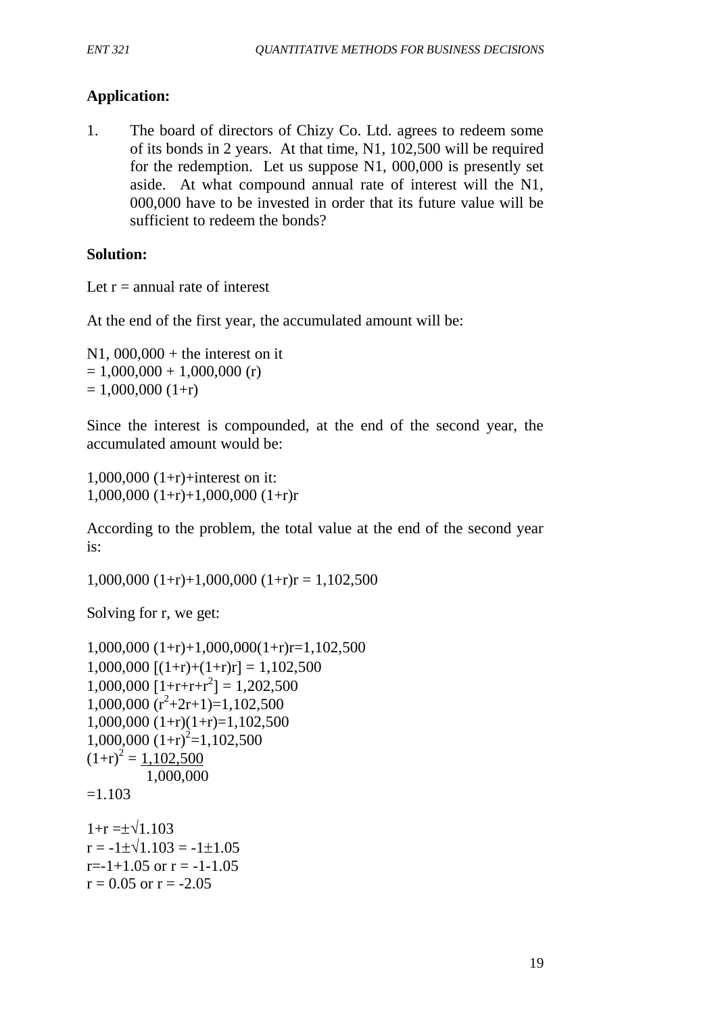# **Application:**

1. The board of directors of Chizy Co. Ltd. agrees to redeem some of its bonds in 2 years. At that time, N1, 102,500 will be required for the redemption. Let us suppose N1, 000,000 is presently set aside. At what compound annual rate of interest will the N1, 000,000 have to be invested in order that its future value will be sufficient to redeem the bonds?

# **Solution:**

Let  $r =$  annual rate of interest

At the end of the first year, the accumulated amount will be:

 $N1, 000, 000 +$  the interest on it  $= 1,000,000 + 1,000,000$  (r)  $= 1,000,000$  (1+r)

Since the interest is compounded, at the end of the second year, the accumulated amount would be:

1,000,000 (1+r)+interest on it: 1,000,000 (1+r)+1,000,000 (1+r)r

According to the problem, the total value at the end of the second year is:

 $1,000,000$   $(1+r)+1,000,000$   $(1+r)r = 1,102,500$ 

Solving for r, we get:

```
1,000,000 (1+r)+1,000,000(1+r)r=1,102,500
1,000,000 [(1+r)+(1+r)r] = 1,102,5001,000,000 [1+r+r+r^2] = 1,202,5001,000,000 (r^2+2r+1)=1,102,5001,000,000 (1+r)(1+r)=1,102,5001,000,000 (1+r)^2=1,102,500(1+r)^2 = 1,102,500 1,000,000
=1.1031+r = \pm \sqrt{1.103}r = -1 \pm \sqrt{1.103} = -1 \pm 1.05r=-1+1.05 or r=-1-1.05r = 0.05 or r = -2.05
```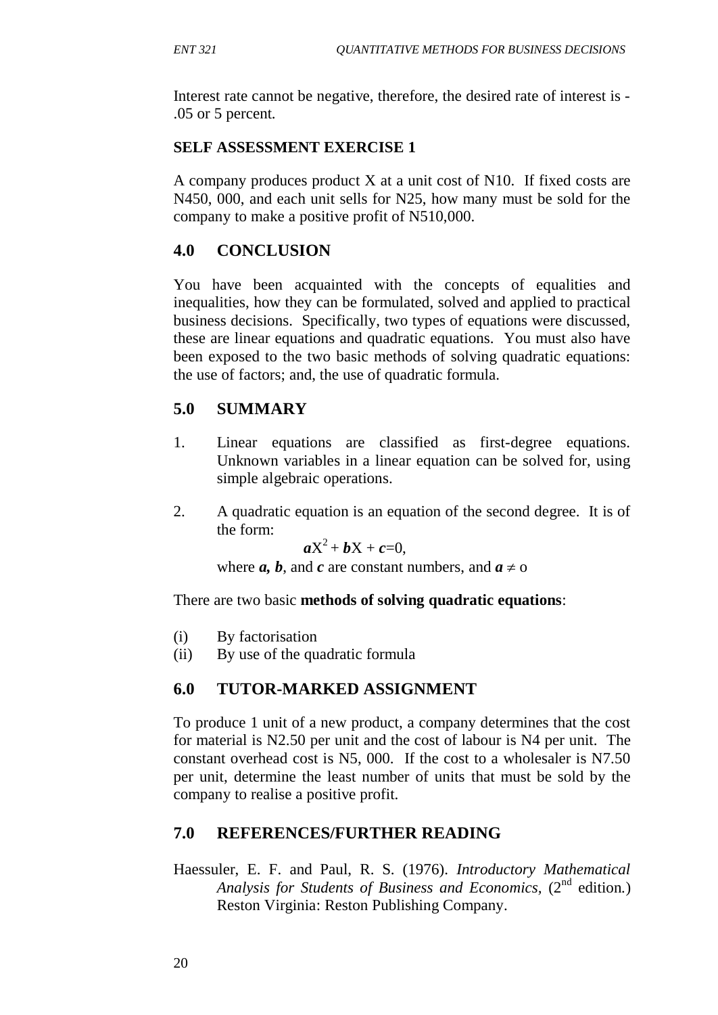Interest rate cannot be negative, therefore, the desired rate of interest is - .05 or 5 percent.

## **SELF ASSESSMENT EXERCISE 1**

A company produces product X at a unit cost of N10. If fixed costs are N450, 000, and each unit sells for N25, how many must be sold for the company to make a positive profit of N510,000.

# **4.0 CONCLUSION**

You have been acquainted with the concepts of equalities and inequalities, how they can be formulated, solved and applied to practical business decisions. Specifically, two types of equations were discussed, these are linear equations and quadratic equations. You must also have been exposed to the two basic methods of solving quadratic equations: the use of factors; and, the use of quadratic formula.

# **5.0 SUMMARY**

- 1. Linear equations are classified as first-degree equations. Unknown variables in a linear equation can be solved for, using simple algebraic operations.
- 2. A quadratic equation is an equation of the second degree. It is of the form:

 $aX^2 + bX + c = 0$ ,

where *a*, *b*, and *c* are constant numbers, and  $a \neq 0$ 

There are two basic **methods of solving quadratic equations**:

- (i) By factorisation
- (ii) By use of the quadratic formula

# **6.0 TUTOR-MARKED ASSIGNMENT**

To produce 1 unit of a new product, a company determines that the cost for material is N2.50 per unit and the cost of labour is N4 per unit. The constant overhead cost is N5, 000. If the cost to a wholesaler is N7.50 per unit, determine the least number of units that must be sold by the company to realise a positive profit.

# **7.0 REFERENCES/FURTHER READING**

Haessuler, E. F. and Paul, R. S. (1976). *Introductory Mathematical* Analysis for Students of Business and Economics, (2<sup>nd</sup> edition.) Reston Virginia: Reston Publishing Company.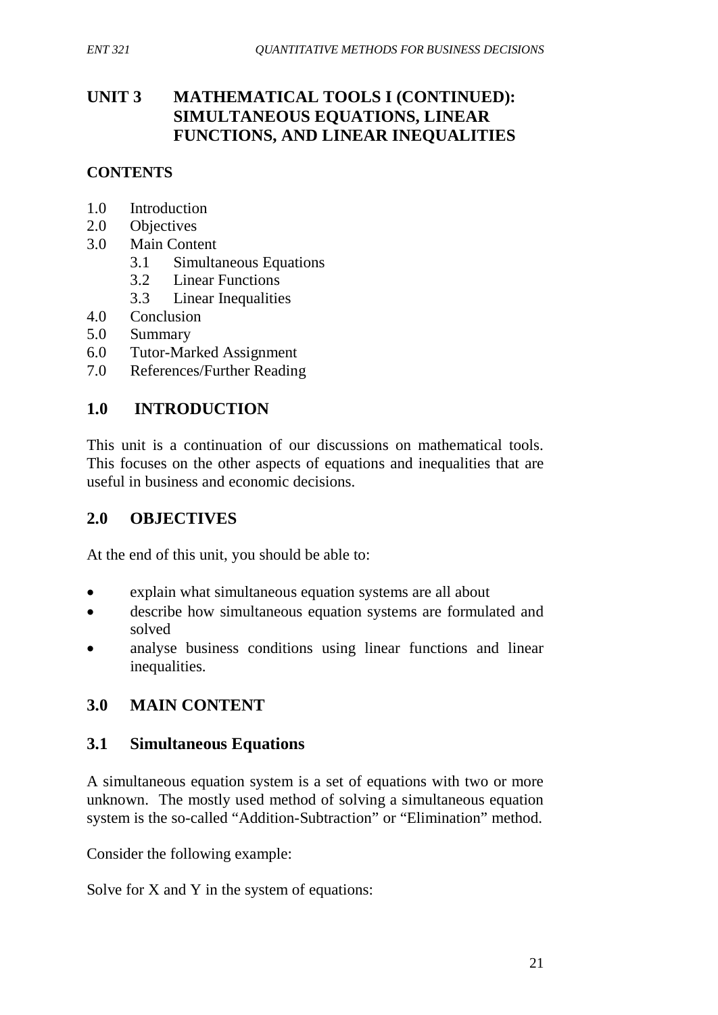# **UNIT 3 MATHEMATICAL TOOLS I (CONTINUED): SIMULTANEOUS EQUATIONS, LINEAR FUNCTIONS, AND LINEAR INEQUALITIES**

# **CONTENTS**

- 1.0 Introduction
- 2.0 Objectives
- 3.0 Main Content
	- 3.1 Simultaneous Equations
	- 3.2 Linear Functions
	- 3.3 Linear Inequalities
- 4.0 Conclusion
- 5.0 Summary
- 6.0 Tutor-Marked Assignment
- 7.0 References/Further Reading

# **1.0 INTRODUCTION**

This unit is a continuation of our discussions on mathematical tools. This focuses on the other aspects of equations and inequalities that are useful in business and economic decisions.

# **2.0 OBJECTIVES**

At the end of this unit, you should be able to:

- explain what simultaneous equation systems are all about
- describe how simultaneous equation systems are formulated and solved
- analyse business conditions using linear functions and linear inequalities.

# **3.0 MAIN CONTENT**

# **3.1 Simultaneous Equations**

A simultaneous equation system is a set of equations with two or more unknown. The mostly used method of solving a simultaneous equation system is the so-called "Addition-Subtraction" or "Elimination" method.

Consider the following example:

Solve for X and Y in the system of equations: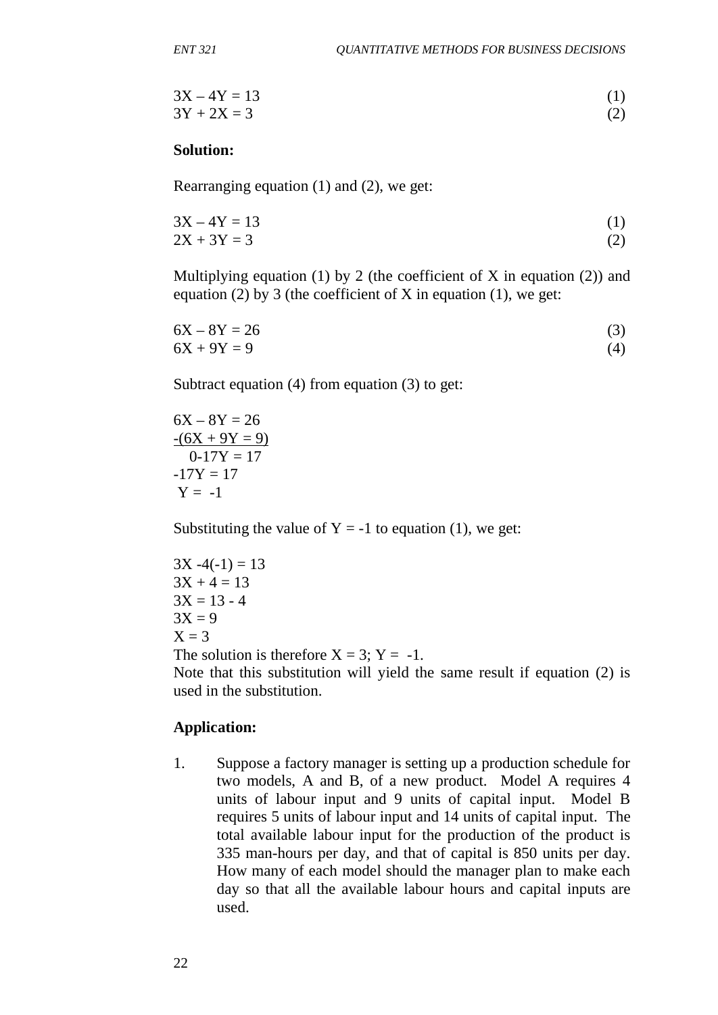$$
3X - 4Y = 13
$$
  
3Y + 2X = 3 (2)

#### **Solution:**

Rearranging equation (1) and (2), we get:

$$
3X - 4Y = 13
$$
  
2X + 3Y = 3 (2)

Multiplying equation (1) by 2 (the coefficient of X in equation (2)) and equation (2) by 3 (the coefficient of X in equation (1), we get:

 $6X - 8Y = 26$  (3)  $6X + 9Y = 9$  (4)

Subtract equation (4) from equation (3) to get:

 $6X - 8Y = 26$  $-(6X + 9Y = 9)$  $0-17Y = 17$  $-17Y = 17$  $Y = -1$ 

Substituting the value of  $Y = -1$  to equation (1), we get:

$$
3X - 4(-1) = 13
$$
  
\n
$$
3X + 4 = 13
$$
  
\n
$$
3X = 13 - 4
$$
  
\n
$$
3X = 9
$$
  
\n
$$
X = 3
$$
  
\nThe solution is therefore  $X = 3$ ;  $Y = -1$ .  
\nNote that this substitution will yield the same result if equation (2)

Note that this substitution will yield the same result if equation (2) is used in the substitution.

#### **Application:**

1. Suppose a factory manager is setting up a production schedule for two models, A and B, of a new product. Model A requires 4 units of labour input and 9 units of capital input. Model B requires 5 units of labour input and 14 units of capital input. The total available labour input for the production of the product is 335 man-hours per day, and that of capital is 850 units per day. How many of each model should the manager plan to make each day so that all the available labour hours and capital inputs are used.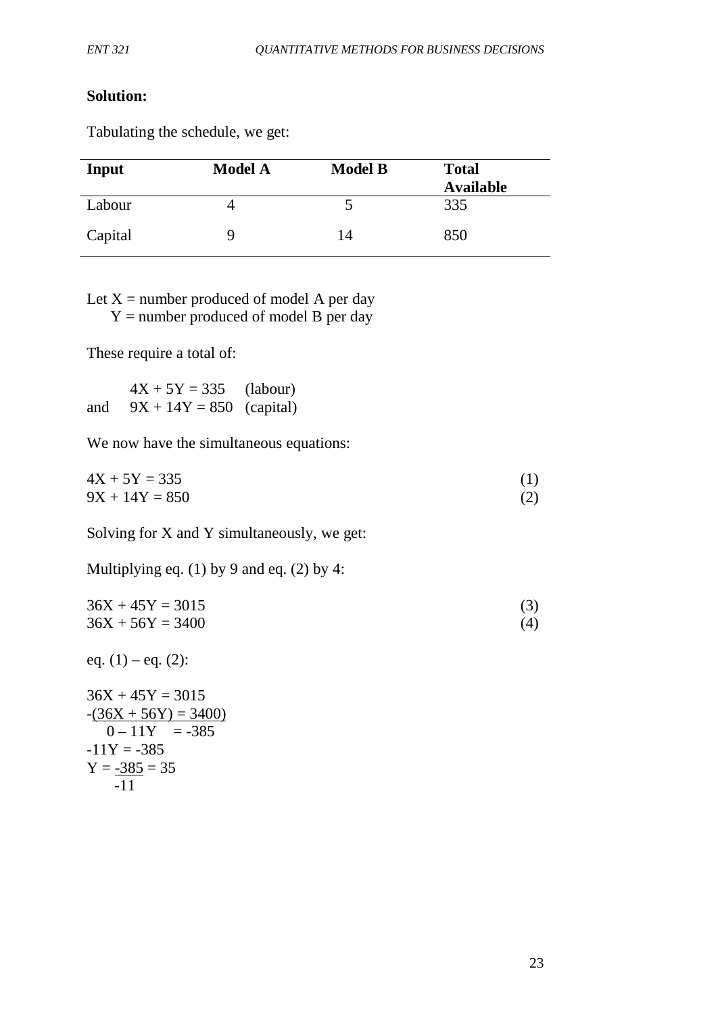### **Solution:**

Tabulating the schedule, we get:

| Input   | <b>Model A</b> | <b>Model B</b> | <b>Total</b>     |
|---------|----------------|----------------|------------------|
|         |                |                | <b>Available</b> |
| Labour  |                |                | 335              |
| Capital | Q              | 14             | 850              |

Let  $X =$  number produced of model A per day  $Y =$  number produced of model B per day

These require a total of:

 $4X + 5Y = 335$  (labour) and  $9X + 14Y = 850$  (capital)

We now have the simultaneous equations:

 $4X + 5Y = 335$  (1)  $9X + 14Y = 850$  (2)

Solving for X and Y simultaneously, we get:

Multiplying eq.  $(1)$  by 9 and eq.  $(2)$  by 4:

 $36X + 45Y = 3015$  (3)  $36X + 56Y = 3400$  (4)

eq.  $(1)$  – eq.  $(2)$ :

 $36X + 45Y = 3015$  $-(36X + 56Y) = 3400$  $0 - 11Y = -385$  $-11Y = -385$  $Y = -385 = 35$ -11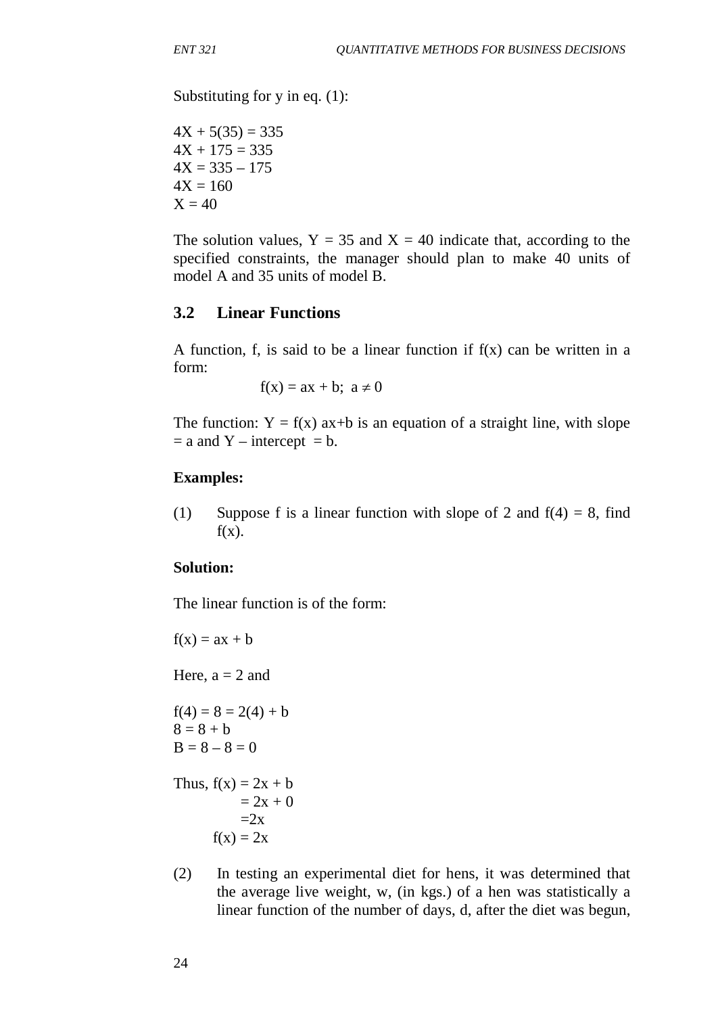Substituting for y in eq. (1):

 $4X + 5(35) = 335$  $4X + 175 = 335$  $4X = 335 - 175$  $4X = 160$  $X = 40$ 

The solution values,  $Y = 35$  and  $X = 40$  indicate that, according to the specified constraints, the manager should plan to make 40 units of model A and 35 units of model B.

## **3.2 Linear Functions**

A function, f, is said to be a linear function if  $f(x)$  can be written in a form:

 $f(x) = ax + b$ ;  $a \ne 0$ 

The function:  $Y = f(x)$  ax+b is an equation of a straight line, with slope  $=$  a and Y – intercept  $=$  b.

#### **Examples:**

(1) Suppose f is a linear function with slope of 2 and  $f(4) = 8$ , find  $f(x)$ .

### **Solution:**

The linear function is of the form:

```
f(x) = ax + bHere, a = 2 and
f(4) = 8 = 2(4) + b
```
 $8 = 8 + b$  $B = 8 - 8 = 0$ 

Thus,  $f(x) = 2x + b$  $= 2x + 0$  $=2x$  $f(x) = 2x$ 

(2) In testing an experimental diet for hens, it was determined that the average live weight, w, (in kgs.) of a hen was statistically a linear function of the number of days, d, after the diet was begun,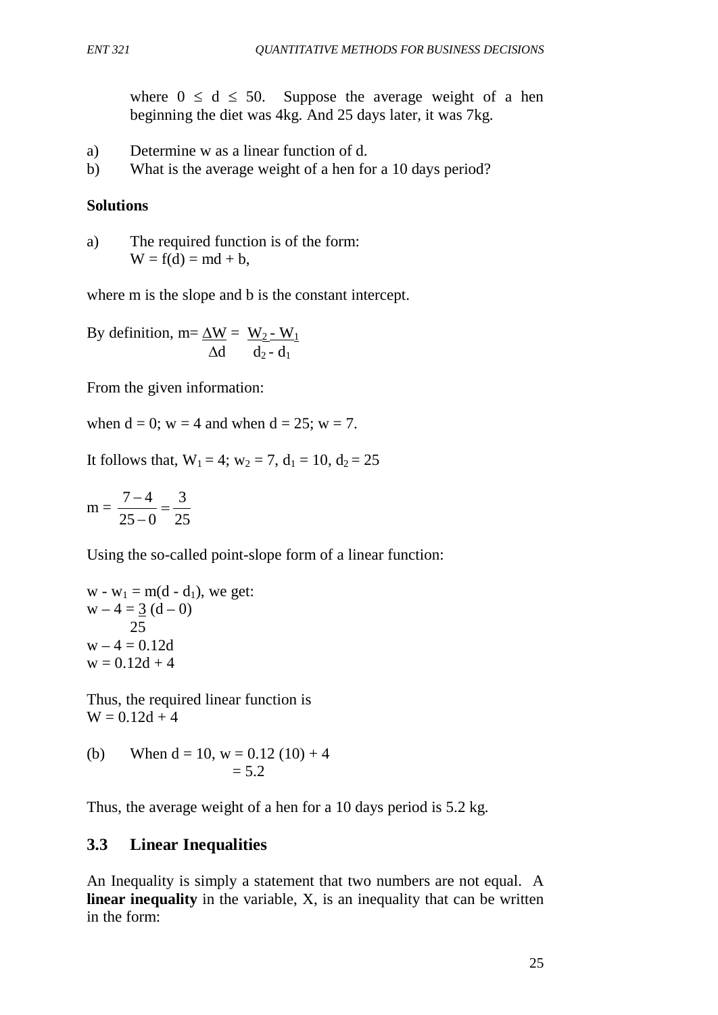where  $0 \le d \le 50$ . Suppose the average weight of a hen beginning the diet was 4kg. And 25 days later, it was 7kg.

- a) Determine w as a linear function of d.
- b) What is the average weight of a hen for a 10 days period?

## **Solutions**

a) The required function is of the form:  $W = f(d) = md + b$ ,

where m is the slope and b is the constant intercept.

By definition, m=
$$
\frac{\Delta W}{\Delta d} = \frac{W_2 - W_1}{d_2 - d_1}
$$

From the given information:

when  $d = 0$ ;  $w = 4$  and when  $d = 25$ ;  $w = 7$ .

It follows that,  $W_1 = 4$ ;  $w_2 = 7$ ,  $d_1 = 10$ ,  $d_2 = 25$ 

$$
m = \frac{7-4}{25-0} = \frac{3}{25}
$$

Using the so-called point-slope form of a linear function:

w - w<sub>1</sub> = m(d - d<sub>1</sub>), we get:  
w - 4 = 
$$
\underline{3}
$$
 (d - 0)  
25  
w - 4 = 0.12d  
w = 0.12d + 4

Thus, the required linear function is  $W = 0.12d + 4$ 

(b) When 
$$
d = 10
$$
,  $w = 0.12 (10) + 4$   
= 5.2

Thus, the average weight of a hen for a 10 days period is 5.2 kg.

# **3.3 Linear Inequalities**

An Inequality is simply a statement that two numbers are not equal. A **linear inequality** in the variable, X, is an inequality that can be written in the form: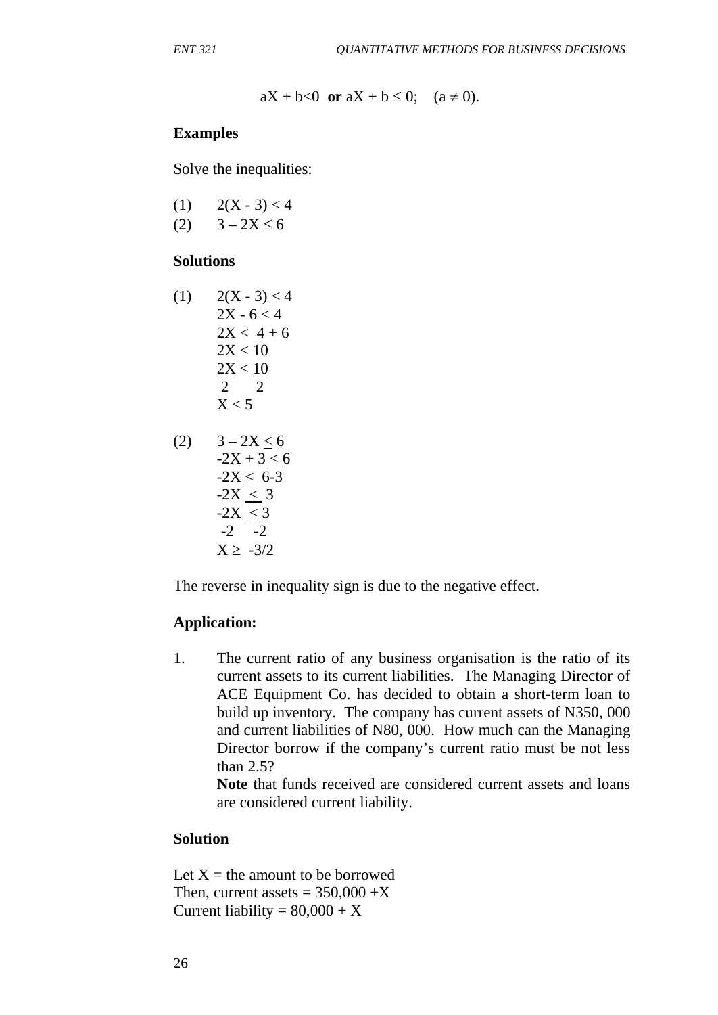$aX + b < 0$  or  $aX + b \le 0$ ;  $(a \ne 0)$ .

#### **Examples**

Solve the inequalities:

| (1) | $2(X - 3) < 4$ |
|-----|----------------|
| (2) | $3 - 2X \le 6$ |

#### **Solutions**

 $(1)$   $2(X - 3) < 4$  $2X - 6 < 4$  $2X < 4 + 6$  $2X < 10$  $2X < 10$  2 2  $X < 5$ 

(2) 
$$
3-2X \le 6
$$
  
\n $-2X + 3 \le 6$   
\n $-2X \le 6-3$   
\n $-2X \le 3$   
\n $-2X \le 3$   
\n $-2$   
\n $-2$   
\n $X \ge -3/2$ 

The reverse in inequality sign is due to the negative effect.

#### **Application:**

1. The current ratio of any business organisation is the ratio of its current assets to its current liabilities. The Managing Director of ACE Equipment Co. has decided to obtain a short-term loan to build up inventory. The company has current assets of N350, 000 and current liabilities of N80, 000. How much can the Managing Director borrow if the company's current ratio must be not less than 2.5?

**Note** that funds received are considered current assets and loans are considered current liability.

### **Solution**

Let  $X =$  the amount to be borrowed Then, current assets  $= 350,000 + X$ Current liability =  $80,000 + X$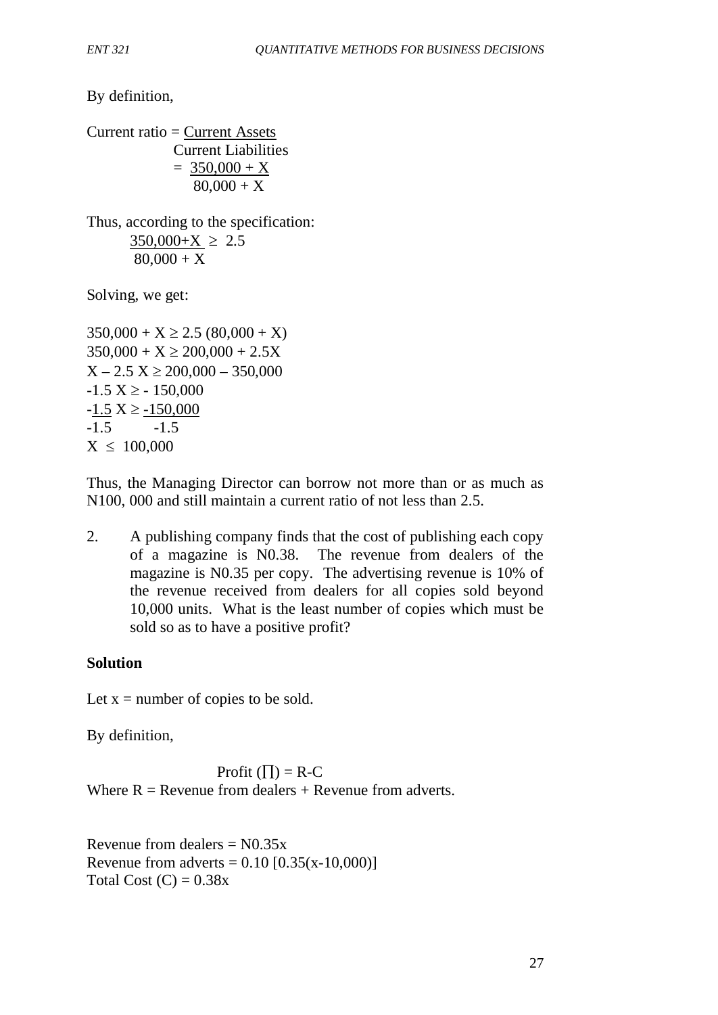By definition,

Current ratio = Current Assets Current Liabilities  $= 350,000 + X$  $80,000 + X$ 

Thus, according to the specification:  $350,000+X \geq 2.5$  $80,000 + X$ 

Solving, we get:

 $350,000 + X \ge 2.5 (80,000 + X)$  $350,000 + X \ge 200,000 + 2.5X$  $X - 2.5 X \ge 200,000 - 350,000$  $-1.5$  X  $\geq$   $-150,000$  $-1.5$  X  $\ge -150,000$  $-1.5$   $-1.5$  $X \le 100,000$ 

Thus, the Managing Director can borrow not more than or as much as N100, 000 and still maintain a current ratio of not less than 2.5.

2. A publishing company finds that the cost of publishing each copy of a magazine is N0.38. The revenue from dealers of the magazine is N0.35 per copy. The advertising revenue is 10% of the revenue received from dealers for all copies sold beyond 10,000 units. What is the least number of copies which must be sold so as to have a positive profit?

# **Solution**

Let  $x =$  number of copies to be sold.

By definition,

Profit  $(\Pi) = R-C$ Where  $R =$  Revenue from dealers  $+$  Revenue from adverts.

Revenue from dealers  $= N0.35x$ Revenue from adverts =  $0.10$  [ $0.35(x-10,000)$ ] Total Cost  $(C) = 0.38x$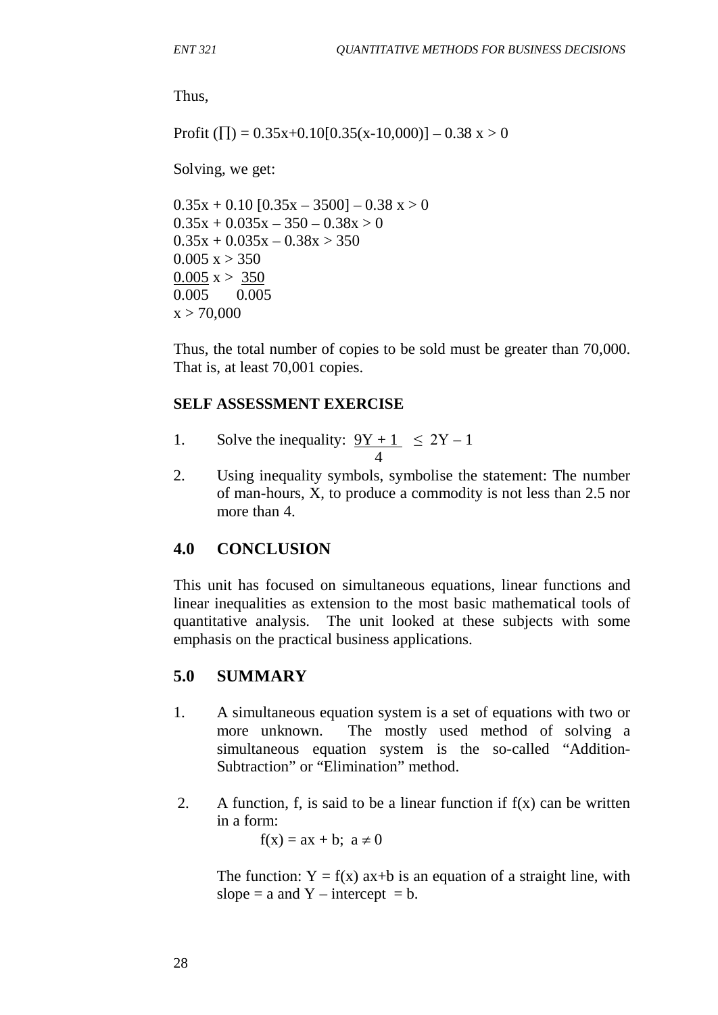Thus,

Profit ( $\Pi$ ) = 0.35x+0.10[0.35(x-10,000)] – 0.38 x > 0

Solving, we get:

 $0.35x + 0.10$  [0.35x – 3500] – 0.38 x > 0  $0.35x + 0.035x - 350 - 0.38x > 0$  $0.35x + 0.035x - 0.38x > 350$  $0.005 x > 350$  $0.005 x > 350$ 0.005 0.005  $x > 70,000$ 

Thus, the total number of copies to be sold must be greater than 70,000. That is, at least 70,001 copies.

#### **SELF ASSESSMENT EXERCISE**

1. Solve the inequality:  $9Y + 1 \leq 2Y - 1$ 4

2. Using inequality symbols, symbolise the statement: The number of man-hours, X, to produce a commodity is not less than 2.5 nor more than 4.

### **4.0 CONCLUSION**

This unit has focused on simultaneous equations, linear functions and linear inequalities as extension to the most basic mathematical tools of quantitative analysis. The unit looked at these subjects with some emphasis on the practical business applications.

### **5.0 SUMMARY**

- 1. A simultaneous equation system is a set of equations with two or more unknown. The mostly used method of solving a simultaneous equation system is the so-called "Addition-Subtraction" or "Elimination" method.
- 2. A function, f, is said to be a linear function if  $f(x)$  can be written in a form:

 $f(x) = ax + b$ ;  $a \ne 0$ 

The function:  $Y = f(x)$  ax+b is an equation of a straight line, with slope = a and  $Y$  – intercept = b.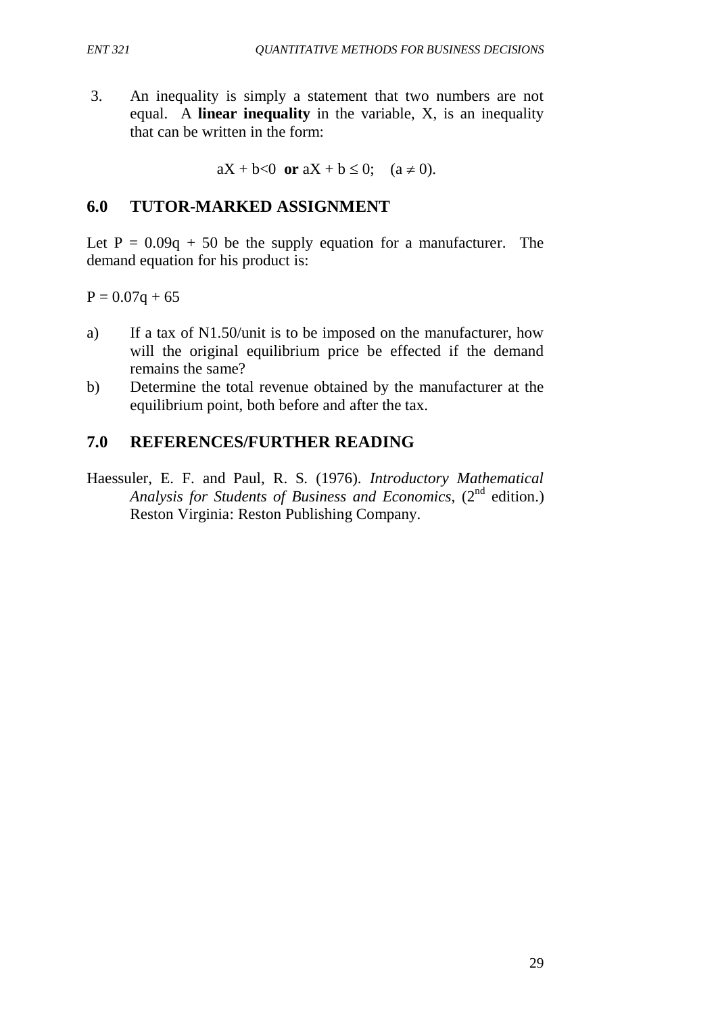3. An inequality is simply a statement that two numbers are not equal. A **linear inequality** in the variable, X, is an inequality that can be written in the form:

 $aX + b < 0$  or  $aX + b \le 0$ ;  $(a \ne 0)$ .

# **6.0 TUTOR-MARKED ASSIGNMENT**

Let  $P = 0.09q + 50$  be the supply equation for a manufacturer. The demand equation for his product is:

 $P = 0.07q + 65$ 

- a) If a tax of N1.50/unit is to be imposed on the manufacturer, how will the original equilibrium price be effected if the demand remains the same?
- b) Determine the total revenue obtained by the manufacturer at the equilibrium point, both before and after the tax.

# **7.0 REFERENCES/FURTHER READING**

Haessuler, E. F. and Paul, R. S. (1976). *Introductory Mathematical* Analysis for Students of Business and Economics, (2<sup>nd</sup> edition.) Reston Virginia: Reston Publishing Company.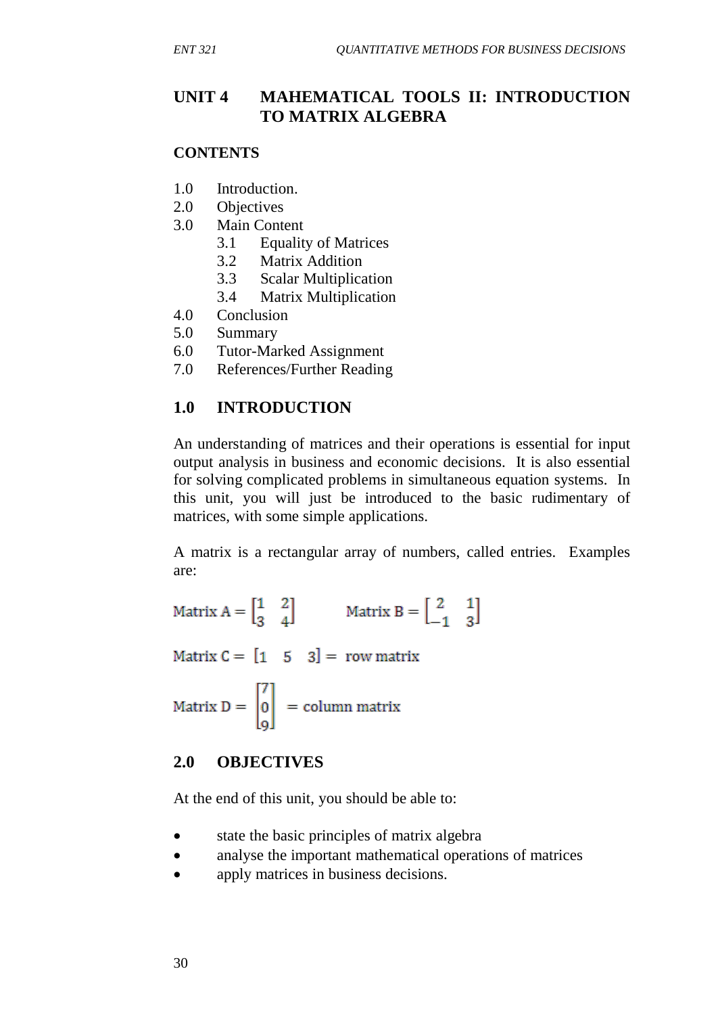# **UNIT 4 MAHEMATICAL TOOLS II: INTRODUCTION TO MATRIX ALGEBRA**

### **CONTENTS**

- 1.0 Introduction.
- 2.0 Objectives
- 3.0 Main Content
	- 3.1 Equality of Matrices
	- 3.2 Matrix Addition
	- 3.3 Scalar Multiplication
	- 3.4 Matrix Multiplication
- 4.0 Conclusion
- 5.0 Summary
- 6.0 Tutor-Marked Assignment
- 7.0 References/Further Reading

## **1.0 INTRODUCTION**

An understanding of matrices and their operations is essential for input output analysis in business and economic decisions. It is also essential for solving complicated problems in simultaneous equation systems. In this unit, you will just be introduced to the basic rudimentary of matrices, with some simple applications.

A matrix is a rectangular array of numbers, called entries. Examples are:

Matrix  $A = \begin{bmatrix} 1 & 2 \\ 3 & 4 \end{bmatrix}$  Matrix  $B = \begin{bmatrix} 2 & 1 \\ -1 & 3 \end{bmatrix}$ 

Matrix  $C = \begin{bmatrix} 1 & 5 & 3 \end{bmatrix} = row matrix$ 

Matrix  $D = \begin{bmatrix} 7 \\ 0 \\ 0 \end{bmatrix}$  = column matrix

### **2.0 OBJECTIVES**

At the end of this unit, you should be able to:

- state the basic principles of matrix algebra
- analyse the important mathematical operations of matrices
- apply matrices in business decisions.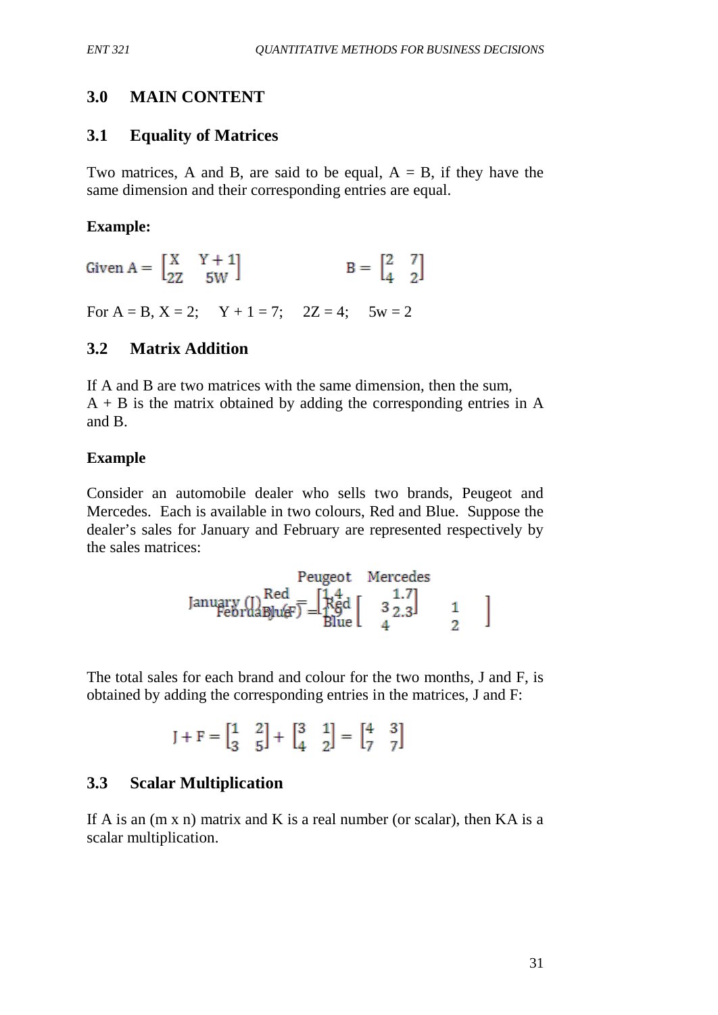# **3.0 MAIN CONTENT**

## **3.1 Equality of Matrices**

Two matrices, A and B, are said to be equal,  $A = B$ , if they have the same dimension and their corresponding entries are equal.

#### **Example:**

Given  $A = \begin{bmatrix} X & Y+1 \\ 2Z & 5W \end{bmatrix}$   $B = \begin{bmatrix} 2 & 7 \\ 4 & 2 \end{bmatrix}$ 

For  $A = B$ ,  $X = 2$ ;  $Y + 1 = 7$ ;  $2Z = 4$ ;  $5w = 2$ 

# **3.2 Matrix Addition**

If A and B are two matrices with the same dimension, then the sum,  $A + B$  is the matrix obtained by adding the corresponding entries in A and B.

### **Example**

Consider an automobile dealer who sells two brands, Peugeot and Mercedes. Each is available in two colours, Red and Blue. Suppose the dealer's sales for January and February are represented respectively by the sales matrices:

$$
\text{Peugeot } \text{Mercedes} \\ \text{January} \begin{array}{c} \text{Red} \\ \text{FebruaB} \\ \text{PebruaB} \\ \text{Blue} \end{array} = \begin{bmatrix} 1.4 \\ 1.8 \\ 1.8 \\ 1.0 \end{bmatrix} \begin{bmatrix} 1.7 \\ 3 & 2.3 \end{bmatrix} \begin{bmatrix} 1 \\ 3 \\ 2 \end{bmatrix}
$$

The total sales for each brand and colour for the two months, J and F, is obtained by adding the corresponding entries in the matrices, J and F:

$$
J+F=\begin{bmatrix}1&2\\3&5\end{bmatrix}+\begin{bmatrix}3&1\\4&2\end{bmatrix}=\begin{bmatrix}4&3\\7&7\end{bmatrix}
$$

# **3.3 Scalar Multiplication**

If A is an  $(m \times n)$  matrix and K is a real number (or scalar), then KA is a scalar multiplication.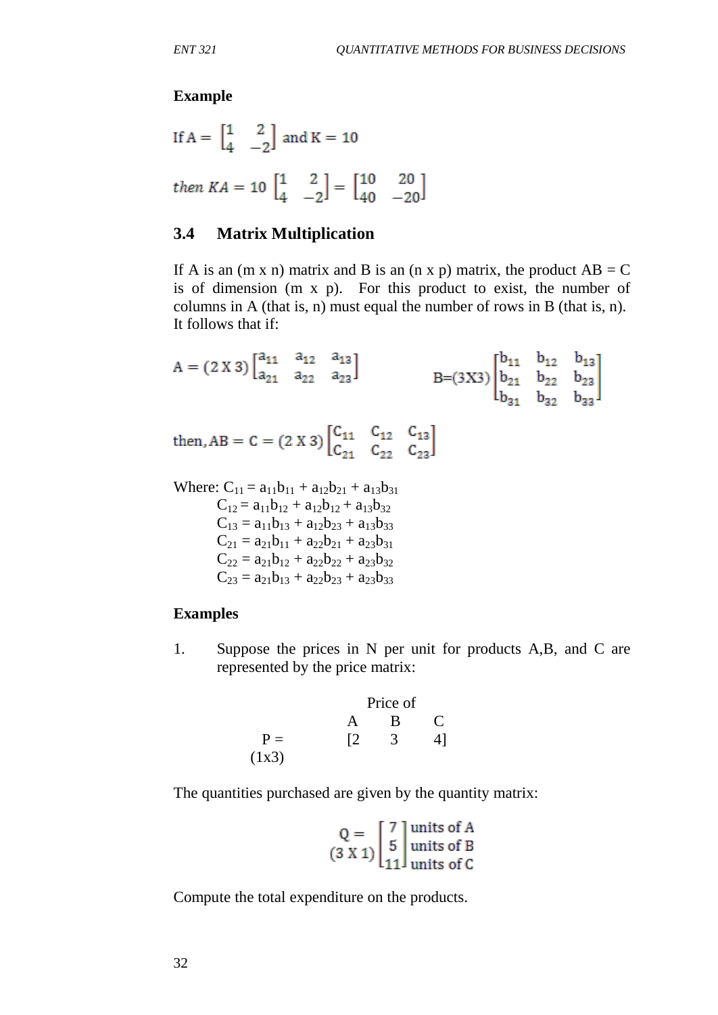#### **Example**

If 
$$
A = \begin{bmatrix} 1 & 2 \\ 4 & -2 \end{bmatrix}
$$
 and  $K = 10$   
then  $KA = 10 \begin{bmatrix} 1 & 2 \\ 4 & -2 \end{bmatrix} = \begin{bmatrix} 10 & 20 \\ 40 & -20 \end{bmatrix}$ 

### **3.4 Matrix Multiplication**

If A is an  $(m x n)$  matrix and B is an  $(n x p)$  matrix, the product  $AB = C$ is of dimension (m x p). For this product to exist, the number of columns in A (that is, n) must equal the number of rows in B (that is, n). It follows that if:

 $A = (2 X 3) \begin{bmatrix} a_{11} & a_{12} & a_{13} \\ a_{21} & a_{22} & a_{23} \end{bmatrix}$ B=(3X3)  $\begin{bmatrix} b_{11} & b_{12} & b_{13} \ b_{21} & b_{22} & b_{23} \ b_{31} & b_{32} & b_{33} \end{bmatrix}$ then, AB = C = (2 X 3)  $\begin{bmatrix} C_{11} & C_{12} & C_{13} \\ C_{21} & C_{22} & C_{23} \end{bmatrix}$ 

Where:  $C_{11} = a_{11}b_{11} + a_{12}b_{21} + a_{13}b_{31}$  $C_{12} = a_{11}b_{12} + a_{12}b_{12} + a_{13}b_{32}$  $C_{13} = a_{11}b_{13} + a_{12}b_{23} + a_{13}b_{33}$  $C_{21} = a_{21}b_{11} + a_{22}b_{21} + a_{23}b_{31}$  $C_{22} = a_{21}b_{12} + a_{22}b_{22} + a_{23}b_{32}$  $C_{23} = a_{21}b_{13} + a_{22}b_{23} + a_{23}b_{33}$ 

#### **Examples**

1. Suppose the prices in N per unit for products A,B, and C are represented by the price matrix:

 Price of A B C  $P =$   $[2 \t 3 \t 4]$  $(1x3)$ 

The quantities purchased are given by the quantity matrix:

$$
Q = \begin{bmatrix} 7 \\ 5 \\ 11 \end{bmatrix}
$$
 units of B  
units of B  
units of C

Compute the total expenditure on the products.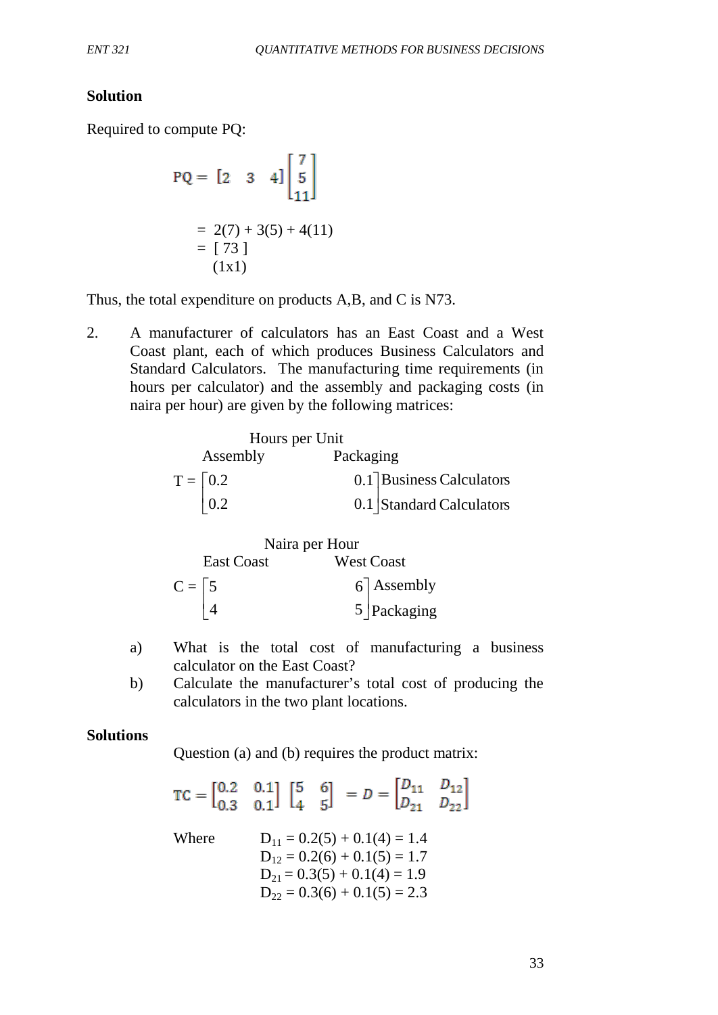## **Solution**

Required to compute PQ:

PQ = 
$$
\begin{bmatrix} 2 & 3 & 4 \end{bmatrix} \begin{bmatrix} 7 \\ 5 \\ 11 \end{bmatrix}
$$
  
= 2(7) + 3(5) + 4(11)  
=  $\begin{bmatrix} 73 \\ 1 \end{bmatrix}$   
(1x1)

Thus, the total expenditure on products A,B, and C is N73.

2. A manufacturer of calculators has an East Coast and a West Coast plant, each of which produces Business Calculators and Standard Calculators. The manufacturing time requirements (in hours per calculator) and the assembly and packaging costs (in naira per hour) are given by the following matrices:

| Hours per Unit         |                          |  |  |
|------------------------|--------------------------|--|--|
| Assembly               | Packaging                |  |  |
| $T = \left[0.2\right]$ | 0.1 Business Calculators |  |  |
| $\vert 0.2 \vert$      | 0.1 Standard Calculators |  |  |



- a) What is the total cost of manufacturing a business calculator on the East Coast?
- b) Calculate the manufacturer's total cost of producing the calculators in the two plant locations.

#### **Solutions**

Question (a) and (b) requires the product matrix:

|       | $TC = \begin{bmatrix} 0.2 & 0.1 \\ 0.3 & 0.1 \end{bmatrix} \begin{bmatrix} 5 & 6 \\ 4 & 5 \end{bmatrix} = D = \begin{bmatrix} D_{11} & D_{12} \\ D_{21} & D_{22} \end{bmatrix}$ |  |
|-------|---------------------------------------------------------------------------------------------------------------------------------------------------------------------------------|--|
| Where | $D_{11} = 0.2(5) + 0.1(4) = 1.4$<br>$D_{12} = 0.2(6) + 0.1(5) = 1.7$<br>$D_{21} = 0.3(5) + 0.1(4) = 1.9$<br>$D_{22} = 0.3(6) + 0.1(5) = 2.3$                                    |  |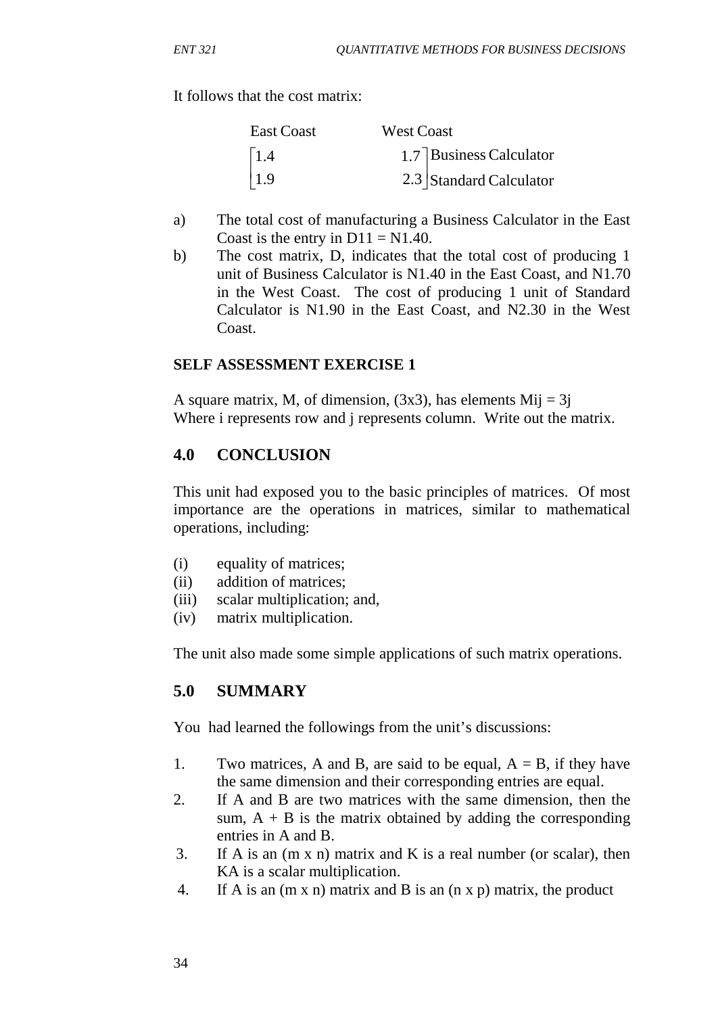It follows that the cost matrix:

| <b>East Coast</b> | <b>West Coast</b>       |
|-------------------|-------------------------|
| $\vert$ 1.4       | 1.7 Business Calculator |
| $\vert$ 1.9       | 2.3 Standard Calculator |

- a) The total cost of manufacturing a Business Calculator in the East Coast is the entry in  $D11 = N1.40$ .
- b) The cost matrix, D, indicates that the total cost of producing 1 unit of Business Calculator is N1.40 in the East Coast, and N1.70 in the West Coast. The cost of producing 1 unit of Standard Calculator is N1.90 in the East Coast, and N2.30 in the West Coast.

## **SELF ASSESSMENT EXERCISE 1**

A square matrix, M, of dimension,  $(3x3)$ , has elements Mij = 3j Where i represents row and i represents column. Write out the matrix.

## **4.0 CONCLUSION**

This unit had exposed you to the basic principles of matrices. Of most importance are the operations in matrices, similar to mathematical operations, including:

- (i) equality of matrices;
- (ii) addition of matrices;
- (iii) scalar multiplication; and,
- (iv) matrix multiplication.

The unit also made some simple applications of such matrix operations.

## **5.0 SUMMARY**

You had learned the followings from the unit's discussions:

- 1. Two matrices, A and B, are said to be equal,  $A = B$ , if they have the same dimension and their corresponding entries are equal.
- 2. If A and B are two matrices with the same dimension, then the sum,  $A + B$  is the matrix obtained by adding the corresponding entries in A and B.
- 3. If A is an (m x n) matrix and K is a real number (or scalar), then KA is a scalar multiplication.
- 4. If A is an (m x n) matrix and B is an (n x p) matrix, the product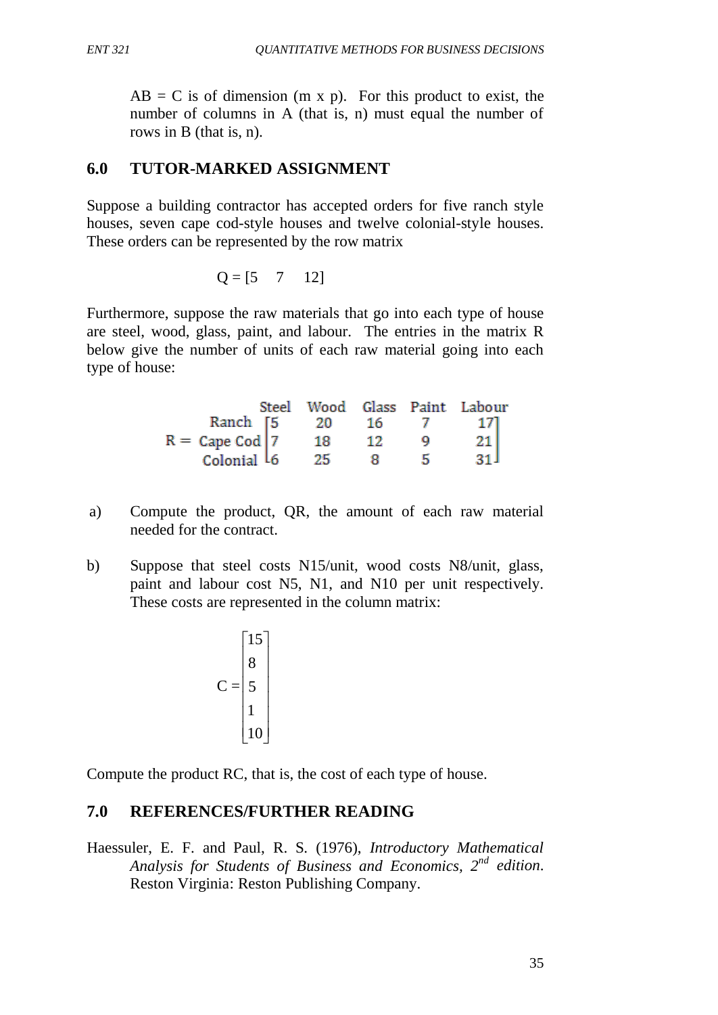$AB = C$  is of dimension (m x p). For this product to exist, the number of columns in A (that is, n) must equal the number of rows in B (that is, n).

# **6.0 TUTOR-MARKED ASSIGNMENT**

Suppose a building contractor has accepted orders for five ranch style houses, seven cape cod-style houses and twelve colonial-style houses. These orders can be represented by the row matrix

$$
Q = [5 \quad 7 \quad 12]
$$

Furthermore, suppose the raw materials that go into each type of house are steel, wood, glass, paint, and labour. The entries in the matrix R below give the number of units of each raw material going into each type of house:

|                                      |     |    |   | Steel Wood Glass Paint Labour |
|--------------------------------------|-----|----|---|-------------------------------|
| Ranch [5]                            | -20 | 16 |   | 171                           |
| $R = \text{Cape } \text{Cod} \mid 7$ | 18. | 12 | о | $\overline{21}$               |
| Colonial L6                          | 25  |    | ь | 21 I                          |

- a) Compute the product, QR, the amount of each raw material needed for the contract.
- b) Suppose that steel costs N15/unit, wood costs N8/unit, glass, paint and labour cost N5, N1, and N10 per unit respectively. These costs are represented in the column matrix:

$$
C = \begin{bmatrix} 15 \\ 8 \\ 5 \\ 1 \\ 10 \end{bmatrix}
$$

Compute the product RC, that is, the cost of each type of house.

# **7.0 REFERENCES/FURTHER READING**

Haessuler, E. F. and Paul, R. S. (1976), *Introductory Mathematical Analysis for Students of Business and Economics, 2nd edition*. Reston Virginia: Reston Publishing Company.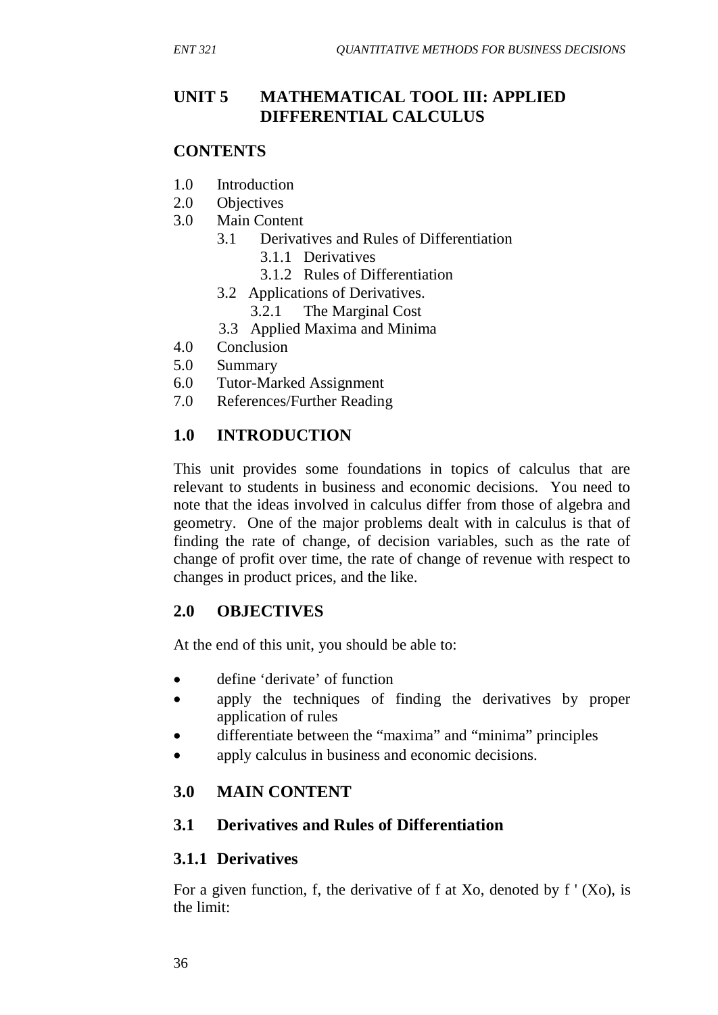# **UNIT 5 MATHEMATICAL TOOL III: APPLIED DIFFERENTIAL CALCULUS**

#### **CONTENTS**

- 1.0 Introduction
- 2.0 Objectives
- 3.0 Main Content
	- 3.1 Derivatives and Rules of Differentiation
		- 3.1.1 Derivatives
		- 3.1.2 Rules of Differentiation
	- 3.2 Applications of Derivatives.
		- 3.2.1 The Marginal Cost
	- 3.3 Applied Maxima and Minima
- 4.0 Conclusion
- 5.0 Summary
- 6.0 Tutor-Marked Assignment
- 7.0 References/Further Reading

## **1.0 INTRODUCTION**

This unit provides some foundations in topics of calculus that are relevant to students in business and economic decisions. You need to note that the ideas involved in calculus differ from those of algebra and geometry. One of the major problems dealt with in calculus is that of finding the rate of change, of decision variables, such as the rate of change of profit over time, the rate of change of revenue with respect to changes in product prices, and the like.

## **2.0 OBJECTIVES**

At the end of this unit, you should be able to:

- define 'derivate' of function
- apply the techniques of finding the derivatives by proper application of rules
- differentiate between the "maxima" and "minima" principles
- apply calculus in business and economic decisions.

## **3.0 MAIN CONTENT**

## **3.1 Derivatives and Rules of Differentiation**

## **3.1.1 Derivatives**

For a given function, f, the derivative of f at Xo, denoted by  $f'(X_0)$ , is the limit: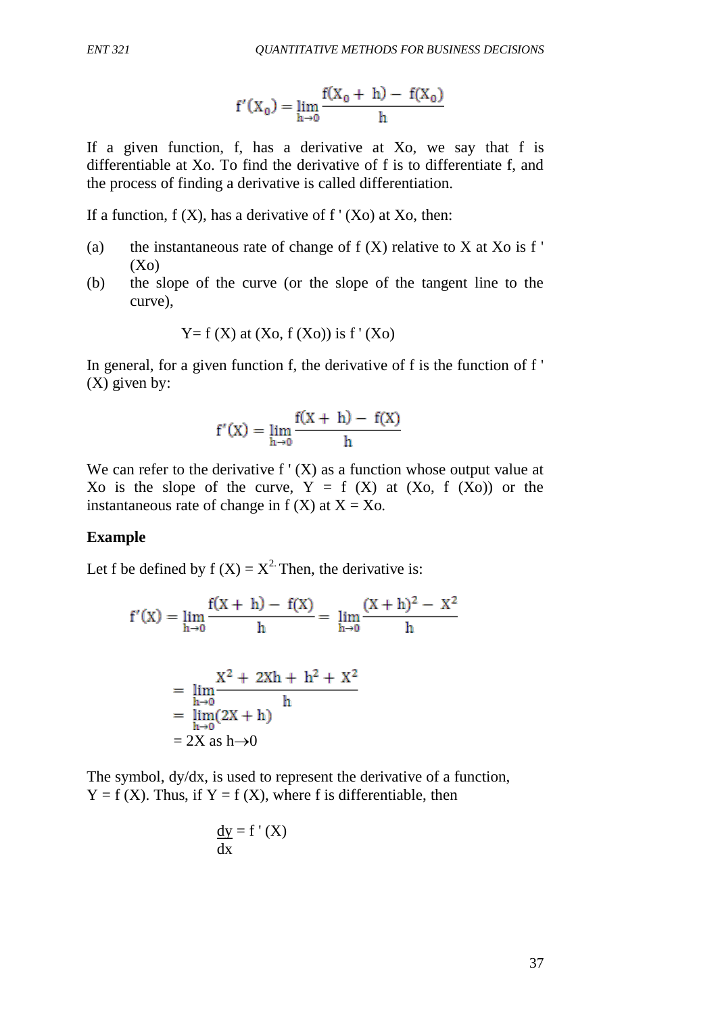$$
f'(X_0) = \lim_{h \to 0} \frac{f(X_0 + h) - f(X_0)}{h}
$$

If a given function, f, has a derivative at Xo, we say that f is differentiable at Xo. To find the derivative of f is to differentiate f, and the process of finding a derivative is called differentiation.

If a function,  $f(X)$ , has a derivative of  $f'(X_0)$  at Xo, then:

- (a) the instantaneous rate of change of  $f(X)$  relative to X at Xo is f '  $(X<sub>0</sub>)$
- (b) the slope of the curve (or the slope of the tangent line to the curve),

$$
Y = f(X)
$$
 at  $(X_0, f(X_0))$  is  $f'(X_0)$ 

In general, for a given function f, the derivative of f is the function of f ' (X) given by:

$$
f'(X) = \lim_{h \to 0} \frac{f(X+h) - f(X)}{h}
$$

We can refer to the derivative  $f'(X)$  as a function whose output value at Xo is the slope of the curve,  $Y = f(X)$  at  $(Xo, f(Xo))$  or the instantaneous rate of change in  $f(X)$  at  $X = X_0$ .

#### **Example**

Let f be defined by  $f(X) = X^2$ . Then, the derivative is:

$$
f'(X) = \lim_{h \to 0} \frac{f(X+h) - f(X)}{h} = \lim_{h \to 0} \frac{(X+h)^2 - X^2}{h}
$$

$$
X^2 + 2Xh + h^2 + X^2
$$

$$
= \lim_{h\to 0} \frac{X^2 + 2Xh + h^2 + X}{h}
$$
  
=  $\lim_{h\to 0} (2X + h)$   
= 2X as h $\to 0$ 

The symbol, dy/dx, is used to represent the derivative of a function,  $Y = f(X)$ . Thus, if  $Y = f(X)$ , where f is differentiable, then

$$
\frac{dy}{dx} = f'(X)
$$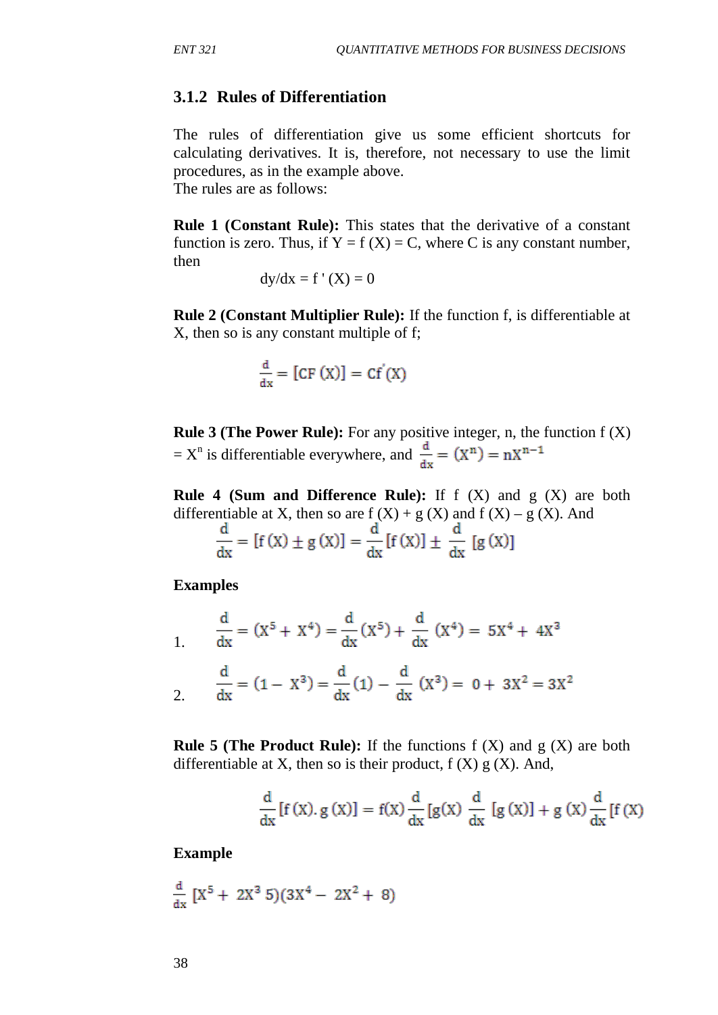then

## **3.1.2 Rules of Differentiation**

The rules of differentiation give us some efficient shortcuts for calculating derivatives. It is, therefore, not necessary to use the limit procedures, as in the example above. The rules are as follows:

**Rule 1 (Constant Rule):** This states that the derivative of a constant function is zero. Thus, if  $Y = f(X) = C$ , where C is any constant number,

$$
dy/dx = f'(X) = 0
$$

**Rule 2 (Constant Multiplier Rule):** If the function f, is differentiable at X, then so is any constant multiple of f;

$$
\frac{d}{dx} = [CF(X)] = Cf'(X)
$$

**Rule 3 (The Power Rule):** For any positive integer, n, the function f (X) =  $X^n$  is differentiable everywhere, and  $\frac{d}{dx} = (X^n) = nX^{n-1}$ 

**Rule 4 (Sum and Difference Rule):** If f (X) and g (X) are both differentiable at X, then so are  $f(X) + g(X)$  and  $f(X) - g(X)$ . And

$$
\frac{d}{dx} = [f(x) \pm g(x)] = \frac{d}{dx}[f(x)] \pm \frac{d}{dx}[g(x)]
$$

**Examples**

$$
\frac{d}{dx} = (X^5 + X^4) = \frac{d}{dx}(X^5) + \frac{d}{dx}(X^4) = 5X^4 + 4X^3
$$

$$
\frac{d}{dx} = (1 - X^3) = \frac{d}{dx}(1) - \frac{d}{dx}(X^3) = 0 + 3X^2 = 3X^2
$$

**Rule 5 (The Product Rule):** If the functions  $f(X)$  and  $g(X)$  are both differentiable at X, then so is their product,  $f(X)g(X)$ . And,

$$
\frac{d}{dx}[f(x), g(x)] = f(x)\frac{d}{dx}[g(x)\frac{d}{dx}[g(x)] + g(x)\frac{d}{dx}[f(x)]
$$

**Example**

$$
\frac{d}{dx}\left[X^5+2X^3\ 5\right)(3X^4-2X^2+8)
$$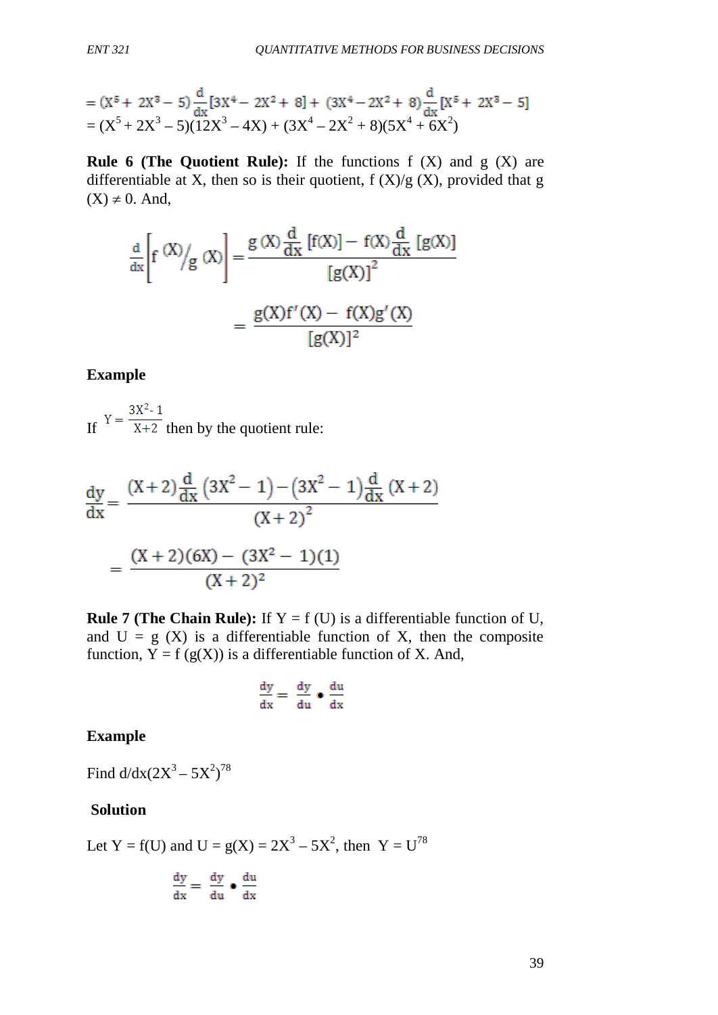= 
$$
(X^5 + 2X^3 - 5)\frac{d}{dx}[3X^4 - 2X^2 + 8] + (3X^4 - 2X^2 + 8)\frac{d}{dx}[X^5 + 2X^3 - 5]
$$
  
=  $(X^5 + 2X^3 - 5)(12X^3 - 4X) + (3X^4 - 2X^2 + 8)(5X^4 + 6X^2)$ 

**Rule 6 (The Quotient Rule):** If the functions f (X) and g (X) are differentiable at X, then so is their quotient,  $f(X)/g(X)$ , provided that g  $(X) \neq 0$ . And,

$$
\frac{d}{dx} \left[ f \stackrel{(X)}{\sim} / g \stackrel{(X)}{\sim} \right] = \frac{g \stackrel{(X)}{dx} \frac{d}{dx} [f(X)] - f(X) \frac{d}{dx} [g(X)]}{[g(X)]^2}
$$
\n
$$
= \frac{g(X)f'(X) - f(X)g'(X)}{[g(X)]^2}
$$

#### **Example**

If  $Y = \frac{3X^2 - 1}{X + 2}$  then by the quotient rule:

$$
\frac{dy}{dx} = \frac{(X+2)\frac{d}{dx}(3X^2-1) - (3X^2-1)\frac{d}{dx}(X+2)}{(X+2)^2}
$$

$$
= \frac{(X+2)(6X) - (3X^2-1)(1)}{(X+2)^2}
$$

**Rule 7 (The Chain Rule):** If  $Y = f(U)$  is a differentiable function of U, and  $U = g(X)$  is a differentiable function of X, then the composite function,  $Y = f(g(X))$  is a differentiable function of X. And,

$$
\frac{dy}{dx} = \frac{dy}{du} \bullet \frac{du}{dx}
$$

**Example**

Find  $d/dx(2X^3 - 5X^2)^{78}$ 

#### **Solution**

Let Y = f(U) and U =  $g(X) = 2X^3 - 5X^2$ , then Y = U<sup>78</sup>

$$
\frac{dy}{dx} = \frac{dy}{du} \bullet \frac{du}{dx}
$$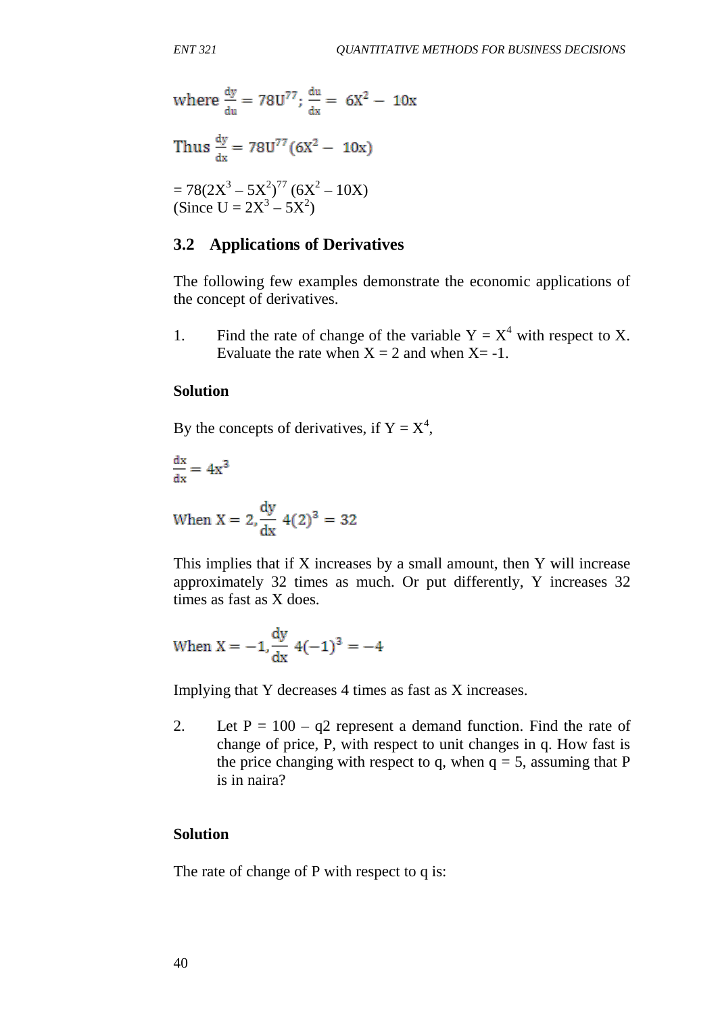where 
$$
\frac{dy}{du} = 78U^{77}
$$
;  $\frac{du}{dx} = 6X^2 - 10x$   
Thus  $\frac{dy}{dx} = 78U^{77}(6X^2 - 10x)$ 

$$
= 78(2X^3 - 5X^2)^{77} (6X^2 - 10X)
$$
  
(Since U = 2X<sup>3</sup> - 5X<sup>2</sup>)

## **3.2 Applications of Derivatives**

The following few examples demonstrate the economic applications of the concept of derivatives.

1. Find the rate of change of the variable  $Y = X^4$  with respect to X. Evaluate the rate when  $X = 2$  and when  $X = -1$ .

## **Solution**

By the concepts of derivatives, if  $Y = X^4$ ,

$$
\frac{\mathrm{dx}}{\mathrm{dx}} = 4x^3
$$

When 
$$
X = 2
$$
,  $\frac{dy}{dx} = 4(2)^3 = 32$ 

This implies that if X increases by a small amount, then Y will increase approximately 32 times as much. Or put differently, Y increases 32 times as fast as X does.

When 
$$
X = -1
$$
,  $\frac{dy}{dx} = 4(-1)^3 = -4$ 

Implying that Y decreases 4 times as fast as X increases.

2. Let  $P = 100 - q2$  represent a demand function. Find the rate of change of price, P, with respect to unit changes in q. How fast is the price changing with respect to q, when  $q = 5$ , assuming that P is in naira?

#### **Solution**

The rate of change of P with respect to q is: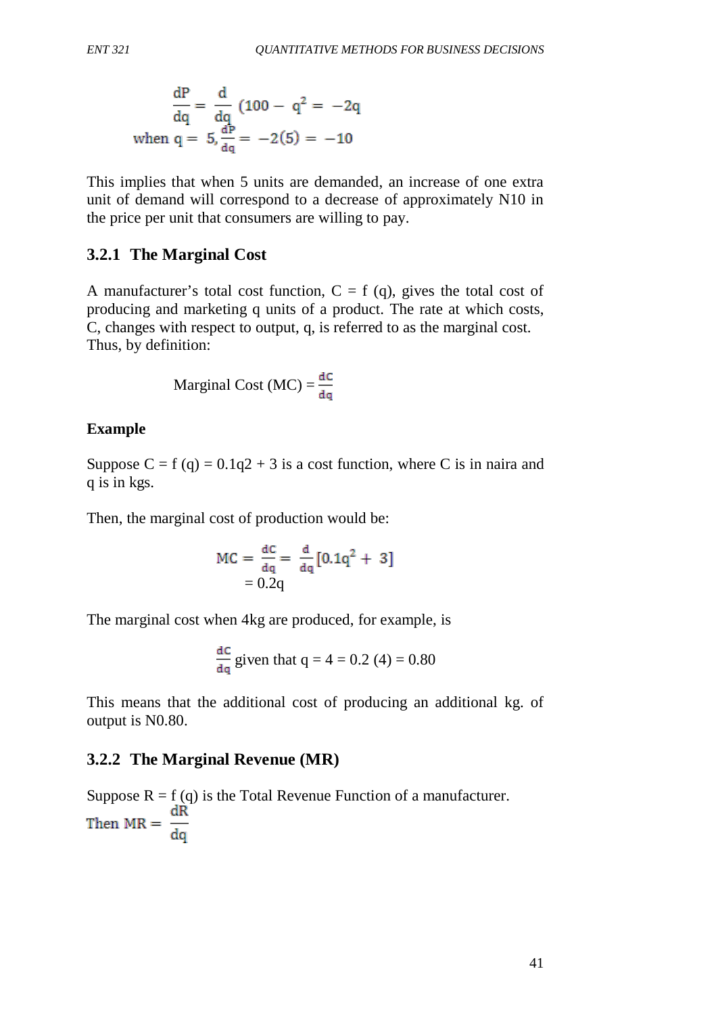$$
\frac{dP}{dq} = \frac{d}{dq} (100 - q^2 = -2q
$$
  
when q = 5,  $\frac{dP}{dq} = -2(5) = -10$ 

This implies that when 5 units are demanded, an increase of one extra unit of demand will correspond to a decrease of approximately N10 in the price per unit that consumers are willing to pay.

## **3.2.1 The Marginal Cost**

A manufacturer's total cost function,  $C = f(q)$ , gives the total cost of producing and marketing q units of a product. The rate at which costs, C, changes with respect to output, q, is referred to as the marginal cost. Thus, by definition:

Marginal Cost (MC) = 
$$
\frac{dC}{dq}
$$

## **Example**

Suppose  $C = f(q) = 0.1q^2 + 3$  is a cost function, where C is in naira and q is in kgs.

Then, the marginal cost of production would be:

$$
MC = \frac{dC}{dq} = \frac{d}{dq} [0.1q^2 + 3]
$$

$$
= 0.2q
$$

The marginal cost when 4kg are produced, for example, is

$$
\frac{dC}{dq}
$$
 given that  $q = 4 = 0.2$  (4) = 0.80

This means that the additional cost of producing an additional kg. of output is N0.80.

## **3.2.2 The Marginal Revenue (MR)**

Suppose  $R = f(q)$  is the Total Revenue Function of a manufacturer. dR Then  $MR = \frac{dR}{dq}$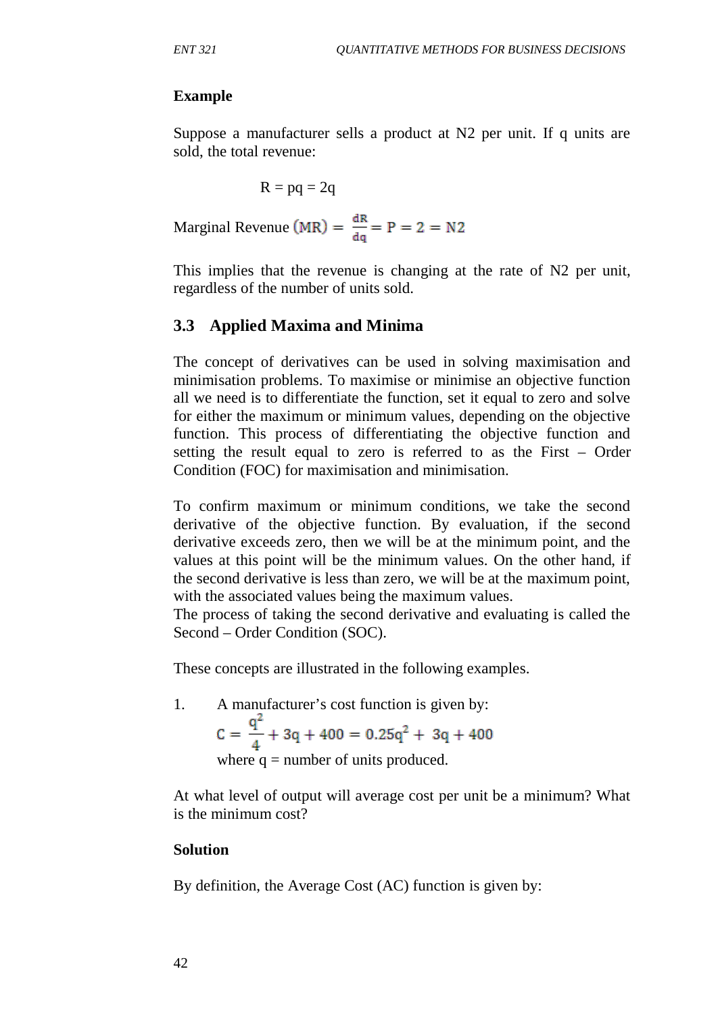## **Example**

Suppose a manufacturer sells a product at N2 per unit. If q units are sold, the total revenue:

$$
R = pq = 2q
$$

Marginal Revenue (MR) =  $\frac{dR}{da}$  = P = 2 = N2

This implies that the revenue is changing at the rate of N2 per unit, regardless of the number of units sold.

## **3.3 Applied Maxima and Minima**

The concept of derivatives can be used in solving maximisation and minimisation problems. To maximise or minimise an objective function all we need is to differentiate the function, set it equal to zero and solve for either the maximum or minimum values, depending on the objective function. This process of differentiating the objective function and setting the result equal to zero is referred to as the First – Order Condition (FOC) for maximisation and minimisation.

To confirm maximum or minimum conditions, we take the second derivative of the objective function. By evaluation, if the second derivative exceeds zero, then we will be at the minimum point, and the values at this point will be the minimum values. On the other hand, if the second derivative is less than zero, we will be at the maximum point, with the associated values being the maximum values.

The process of taking the second derivative and evaluating is called the Second – Order Condition (SOC).

These concepts are illustrated in the following examples.

1. A manufacturer's cost function is given by:<br>  $C = \frac{q^2}{4} + 3q + 400 = 0.25q^2 + 3q + 400$ where  $q =$  number of units produced.

At what level of output will average cost per unit be a minimum? What is the minimum cost?

## **Solution**

By definition, the Average Cost (AC) function is given by: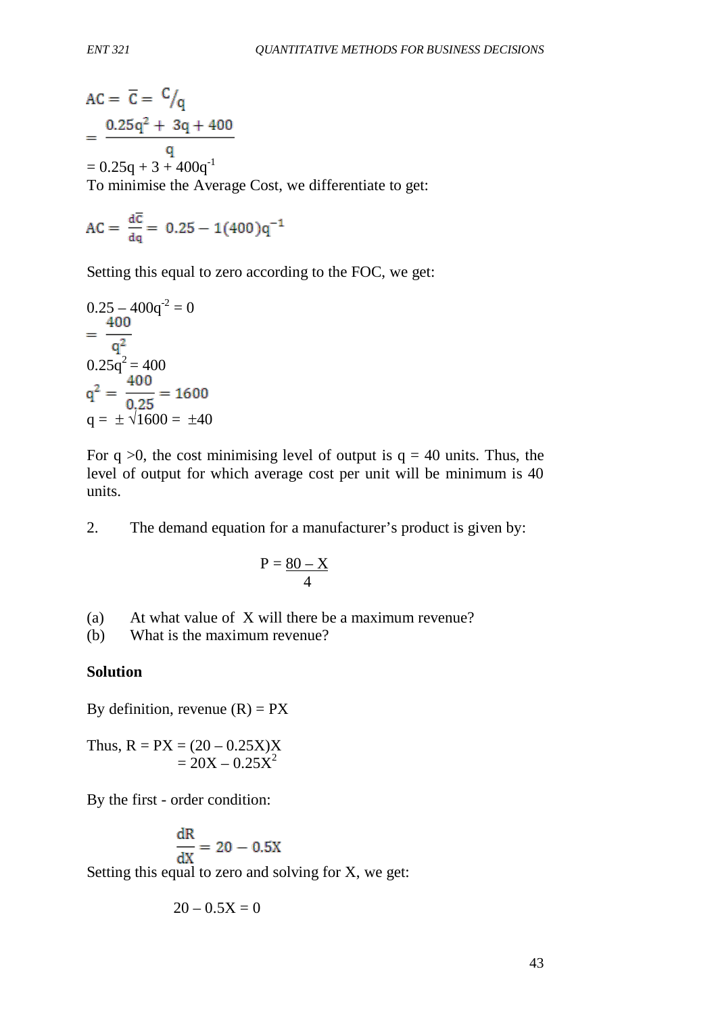$$
AC = \overline{C} = \frac{C}{q}
$$
  
= 
$$
\frac{0.25q^2 + 3q + 400}{q}
$$
  
= 0.25q + 3 + 400q<sup>-1</sup>  
To minimise the Average Cost, we differentiate to get:

$$
AC = \frac{d\overline{c}}{dq} = 0.25 - 1(400)q^{-1}
$$

Setting this equal to zero according to the FOC, we get:

$$
0.25 - 400q^{2} = 0
$$
  
=  $\frac{400}{q^{2}}$   

$$
0.25q^{2} = 400
$$
  

$$
q^{2} = \frac{400}{0.25} = 1600
$$
  

$$
q = \pm \sqrt{1600} = \pm 40
$$

For  $q > 0$ , the cost minimising level of output is  $q = 40$  units. Thus, the level of output for which average cost per unit will be minimum is 40 units.

2. The demand equation for a manufacturer's product is given by:

$$
P = \frac{80 - X}{4}
$$

- (a) At what value of X will there be a maximum revenue?
- (b) What is the maximum revenue?

## **Solution**

By definition, revenue  $(R) = PX$ 

Thus,  $R = PX = (20 - 0.25X)X$  $= 20X - 0.25X^2$ 

By the first - order condition:

$$
\frac{dR}{dX} = 20 - 0.5X
$$

Setting this equal to zero and solving for X, we get:

$$
20-0.5X=0
$$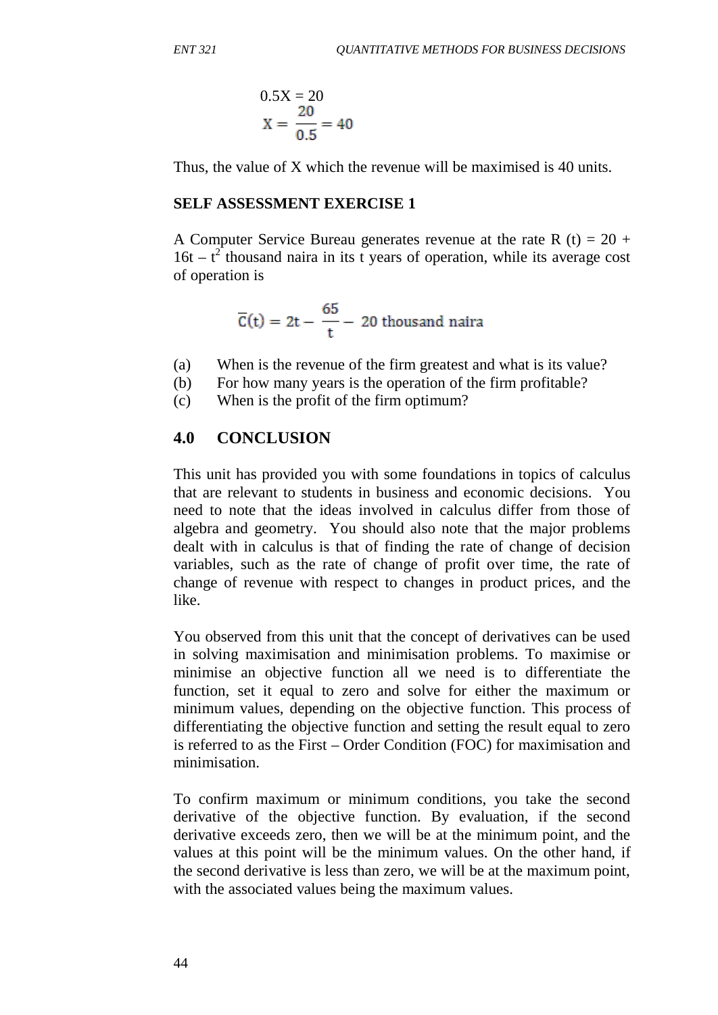$$
0.5X = 20
$$
  

$$
X = \frac{20}{0.5} = 40
$$

Thus, the value of X which the revenue will be maximised is 40 units.

## **SELF ASSESSMENT EXERCISE 1**

A Computer Service Bureau generates revenue at the rate R  $(t) = 20 +$  $16t - t^2$  thousand naira in its t years of operation, while its average cost of operation is

$$
\overline{C}(t) = 2t - \frac{65}{t} - 20
$$
 thousand naira

- (a) When is the revenue of the firm greatest and what is its value?
- (b) For how many years is the operation of the firm profitable?
- (c) When is the profit of the firm optimum?

# **4.0 CONCLUSION**

This unit has provided you with some foundations in topics of calculus that are relevant to students in business and economic decisions. You need to note that the ideas involved in calculus differ from those of algebra and geometry. You should also note that the major problems dealt with in calculus is that of finding the rate of change of decision variables, such as the rate of change of profit over time, the rate of change of revenue with respect to changes in product prices, and the like.

You observed from this unit that the concept of derivatives can be used in solving maximisation and minimisation problems. To maximise or minimise an objective function all we need is to differentiate the function, set it equal to zero and solve for either the maximum or minimum values, depending on the objective function. This process of differentiating the objective function and setting the result equal to zero is referred to as the First – Order Condition (FOC) for maximisation and minimisation.

To confirm maximum or minimum conditions, you take the second derivative of the objective function. By evaluation, if the second derivative exceeds zero, then we will be at the minimum point, and the values at this point will be the minimum values. On the other hand, if the second derivative is less than zero, we will be at the maximum point, with the associated values being the maximum values.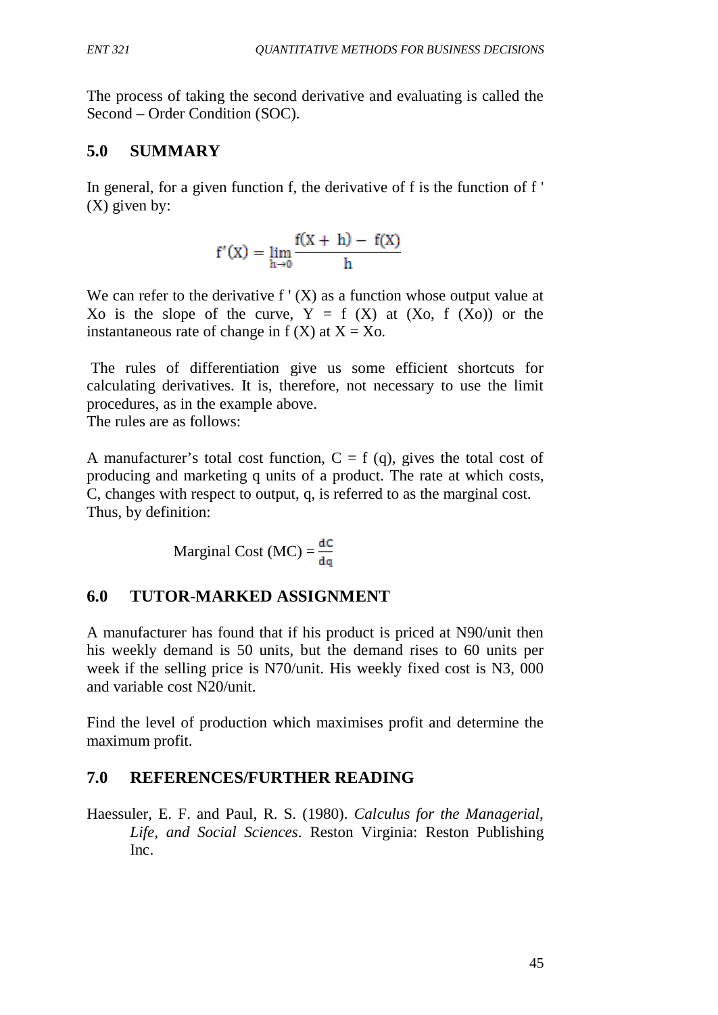The process of taking the second derivative and evaluating is called the Second – Order Condition (SOC).

# **5.0 SUMMARY**

In general, for a given function f, the derivative of f is the function of f ' (X) given by:

$$
f'(X) = \lim_{h \to 0} \frac{f(X+h) - f(X)}{h}
$$

We can refer to the derivative  $f'(X)$  as a function whose output value at Xo is the slope of the curve,  $Y = f(X)$  at  $(Xo, f(Xo))$  or the instantaneous rate of change in  $f(X)$  at  $X = X_0$ .

The rules of differentiation give us some efficient shortcuts for calculating derivatives. It is, therefore, not necessary to use the limit procedures, as in the example above.

The rules are as follows:

A manufacturer's total cost function,  $C = f(q)$ , gives the total cost of producing and marketing q units of a product. The rate at which costs, C, changes with respect to output, q, is referred to as the marginal cost. Thus, by definition:

Marginal Cost (MC) = 
$$
\frac{dC}{dq}
$$

# **6.0 TUTOR-MARKED ASSIGNMENT**

A manufacturer has found that if his product is priced at N90/unit then his weekly demand is 50 units, but the demand rises to 60 units per week if the selling price is N70/unit. His weekly fixed cost is N3, 000 and variable cost N20/unit.

Find the level of production which maximises profit and determine the maximum profit.

# **7.0 REFERENCES/FURTHER READING**

Haessuler, E. F. and Paul, R. S. (1980). *Calculus for the Managerial, Life, and Social Sciences*. Reston Virginia: Reston Publishing Inc.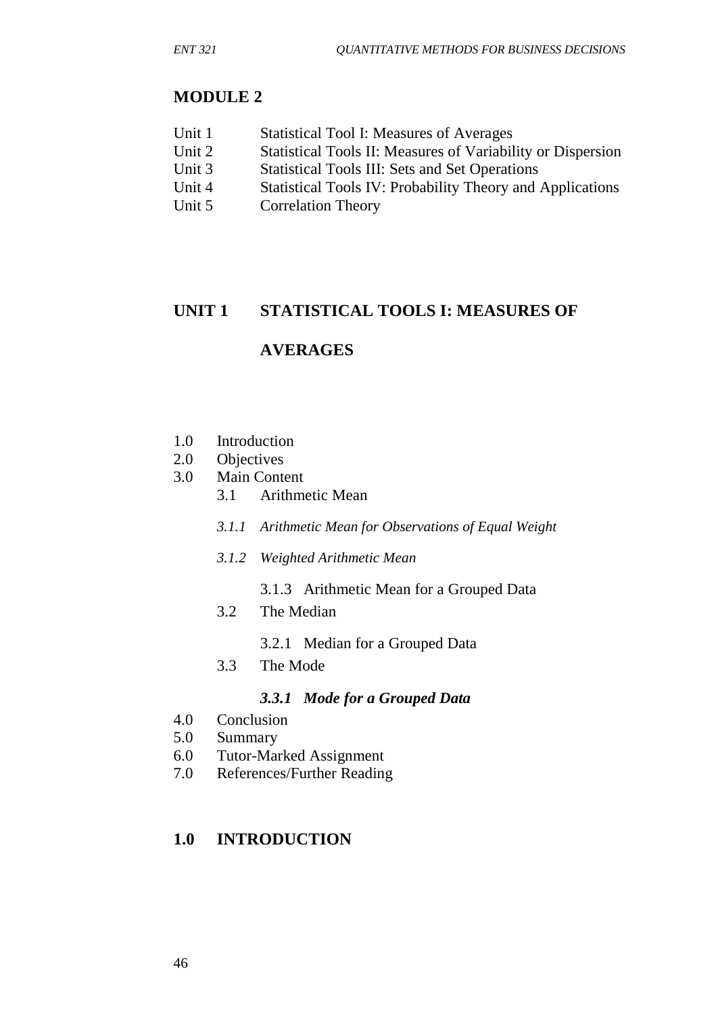## **MODULE 2**

| <b>Statistical Tool I: Measures of Averages</b> |
|-------------------------------------------------|
|                                                 |

- Unit 2 Statistical Tools II: Measures of Variability or Dispersion<br>Unit 3 Statistical Tools III: Sets and Set Operations
- Statistical Tools III: Sets and Set Operations
- Unit 4 Statistical Tools IV: Probability Theory and Applications
- Unit 5 Correlation Theory

## **UNIT 1 STATISTICAL TOOLS I: MEASURES OF**

## **AVERAGES**

- 1.0 Introduction
- 2.0 Objectives
- 3.0 Main Content
	- 3.1 Arithmetic Mean
	- *3.1.1 Arithmetic Mean for Observations of Equal Weight*
	- *3.1.2 Weighted Arithmetic Mean*
		- 3.1.3 Arithmetic Mean for a Grouped Data
	- 3.2 The Median
		- 3.2.1 Median for a Grouped Data
	- 3.3 The Mode

## *3.3.1 Mode for a Grouped Data*

- 4.0 Conclusion
- 5.0 Summary
- 6.0 Tutor-Marked Assignment
- 7.0 References/Further Reading

## **1.0 INTRODUCTION**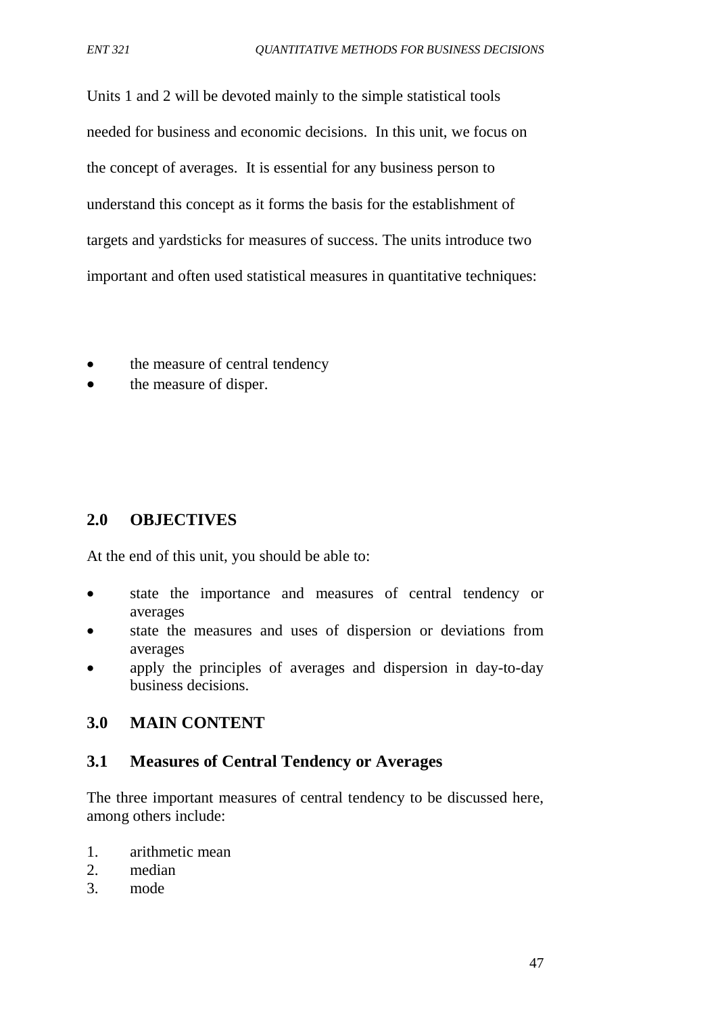Units 1 and 2 will be devoted mainly to the simple statistical tools needed for business and economic decisions. In this unit, we focus on the concept of averages. It is essential for any business person to understand this concept as it forms the basis for the establishment of targets and yardsticks for measures of success. The units introduce two important and often used statistical measures in quantitative techniques:

- the measure of central tendency
- the measure of disper.

# **2.0 OBJECTIVES**

At the end of this unit, you should be able to:

- state the importance and measures of central tendency or averages
- state the measures and uses of dispersion or deviations from averages
- apply the principles of averages and dispersion in day-to-day business decisions.

# **3.0 MAIN CONTENT**

## **3.1 Measures of Central Tendency or Averages**

The three important measures of central tendency to be discussed here, among others include:

- 1. arithmetic mean
- 2. median
- 3. mode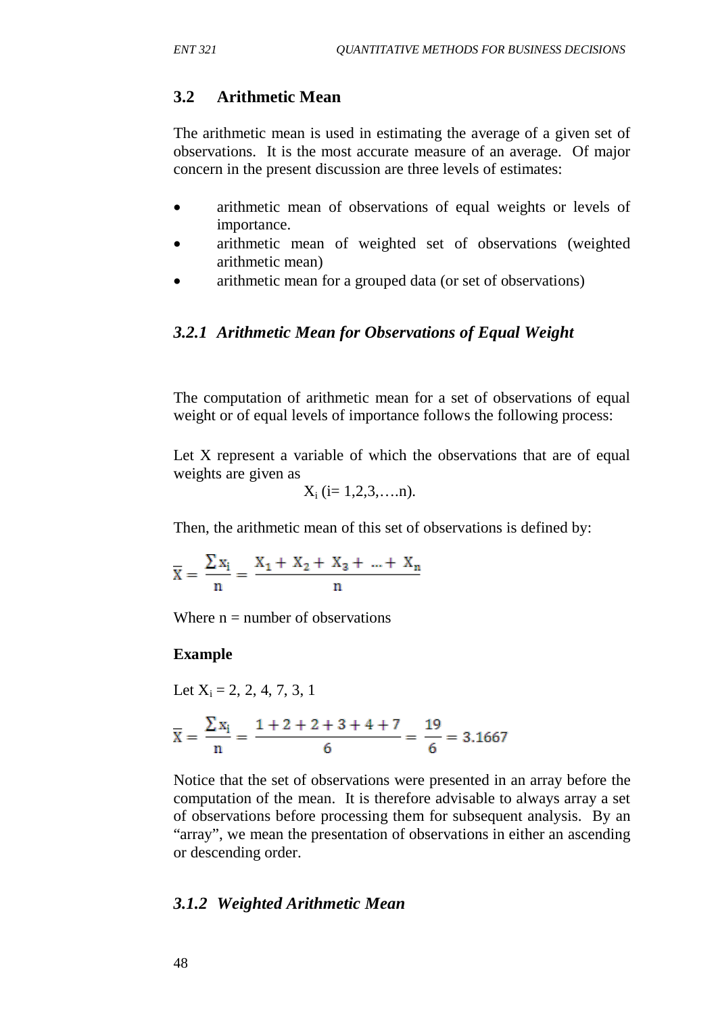# **3.2 Arithmetic Mean**

The arithmetic mean is used in estimating the average of a given set of observations. It is the most accurate measure of an average. Of major concern in the present discussion are three levels of estimates:

- arithmetic mean of observations of equal weights or levels of importance.
- arithmetic mean of weighted set of observations (weighted arithmetic mean)
- arithmetic mean for a grouped data (or set of observations)

# *3.2.1 Arithmetic Mean for Observations of Equal Weight*

The computation of arithmetic mean for a set of observations of equal weight or of equal levels of importance follows the following process:

Let X represent a variable of which the observations that are of equal weights are given as

$$
X_i
$$
 (i= 1,2,3,...,n).

Then, the arithmetic mean of this set of observations is defined by:

$$
\bar{X} = \frac{\sum x_i}{n} = \frac{X_1 + X_2 + X_3 + ... + X_n}{n}
$$

Where  $n =$  number of observations

# **Example**

Let 
$$
X_i = 2, 2, 4, 7, 3, 1
$$

$$
\overline{X} = \frac{\sum x_i}{n} = \frac{1+2+2+3+4+7}{6} = \frac{19}{6} = 3.1667
$$

Notice that the set of observations were presented in an array before the computation of the mean. It is therefore advisable to always array a set of observations before processing them for subsequent analysis. By an "array", we mean the presentation of observations in either an ascending or descending order.

# *3.1.2 Weighted Arithmetic Mean*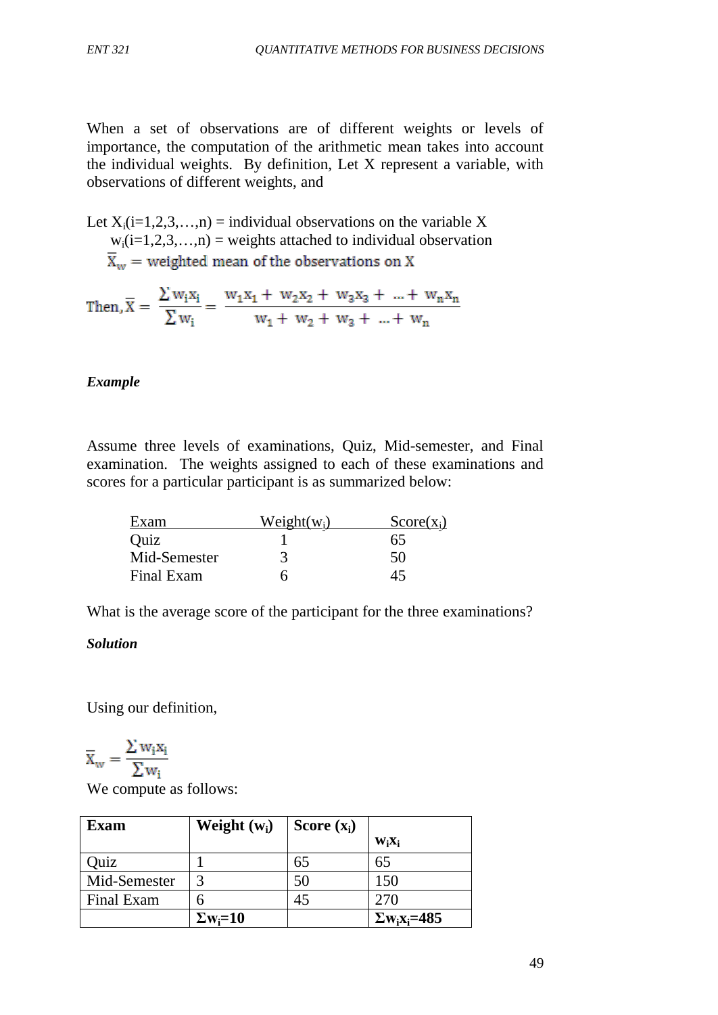When a set of observations are of different weights or levels of importance, the computation of the arithmetic mean takes into account the individual weights. By definition, Let X represent a variable, with observations of different weights, and

Let  $X_i(i=1,2,3,...,n)$  = individual observations on the variable X  $w_i(i=1,2,3,...,n)$  = weights attached to individual observation  $\overline{X}_w$  = weighted mean of the observations on X

Then, 
$$
\overline{X} = \frac{\sum w_i x_i}{\sum w_i} = \frac{w_1 x_1 + w_2 x_2 + w_3 x_3 + \dots + w_n x_n}{w_1 + w_2 + w_3 + \dots + w_n}
$$

## *Example*

Assume three levels of examinations, Quiz, Mid-semester, and Final examination. The weights assigned to each of these examinations and scores for a particular participant is as summarized below:

| Exam         | $Weight(w_i)$ | $Score(x_i)$ |
|--------------|---------------|--------------|
| Quiz         |               | 65           |
| Mid-Semester |               | 50           |
| Final Exam   | n             | 45           |

What is the average score of the participant for the three examinations?

## *Solution*

Using our definition,

$$
\overline{x}_w = \frac{\Sigma w_i x_i}{\Sigma w_i}
$$

We compute as follows:

| Exam         | Weight $(w_i)$              | Score $(x_i)$ |                                             |
|--------------|-----------------------------|---------------|---------------------------------------------|
|              |                             |               | $W_iX_i$                                    |
| Quiz         |                             | 65            | 65                                          |
| Mid-Semester | $\mathbf 3$                 | 50            | 150                                         |
| Final Exam   |                             | 45            | 270                                         |
|              | $\Sigma$ w <sub>i</sub> =10 |               | $\Sigma$ w <sub>i</sub> x <sub>i</sub> =485 |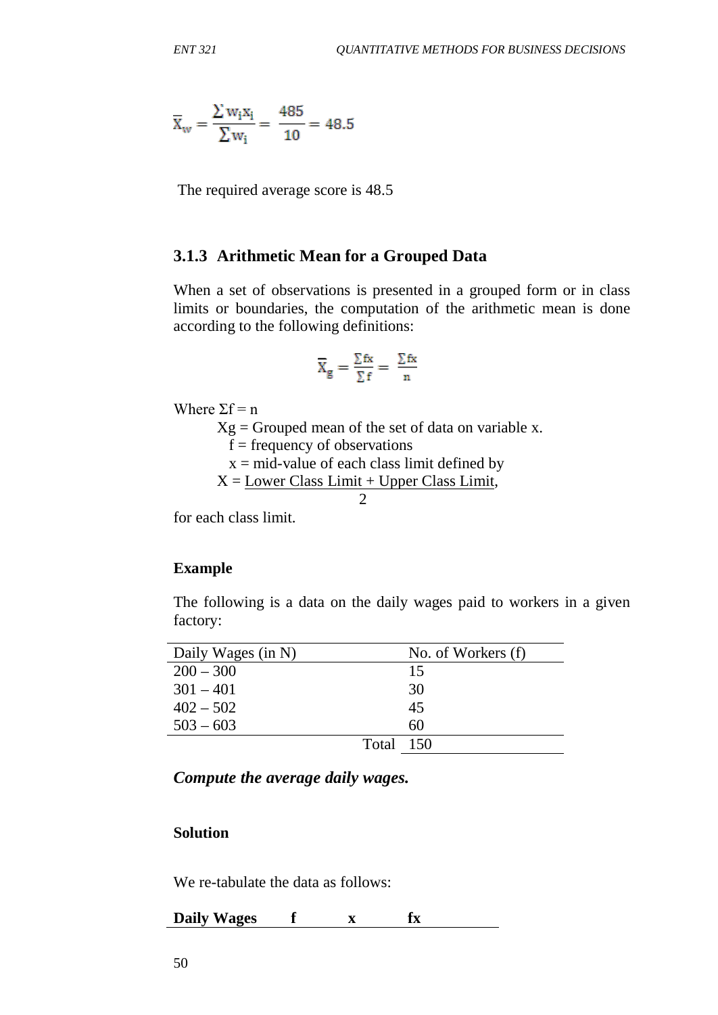$$
\overline{X}_{\rm w} = \frac{\sum w_i x_i}{\sum w_i} = \frac{485}{10} = 48.5
$$

The required average score is 48.5

#### **3.1.3 Arithmetic Mean for a Grouped Data**

When a set of observations is presented in a grouped form or in class limits or boundaries, the computation of the arithmetic mean is done according to the following definitions:

$$
\overline{X}_g = \frac{\Sigma \, \text{fx}}{\Sigma \, \text{f}} = \ \frac{\Sigma \, \text{fx}}{n}
$$

Where  $\Sigma f = n$ 

 $Xg =$  Grouped mean of the set of data on variable x.

 $f = frequency of$  observations

 $x = mid$ -value of each class limit defined by

 $X =$  Lower Class Limit + Upper Class Limit,

$$
\overline{a} = a
$$

for each class limit.

#### **Example**

The following is a data on the daily wages paid to workers in a given factory:

| Daily Wages (in N) |           | No. of Workers (f) |
|--------------------|-----------|--------------------|
| $200 - 300$        |           | 15                 |
| $301 - 401$        |           | 30                 |
| $402 - 502$        |           | 45                 |
| $503 - 603$        |           | 60                 |
|                    | Total 150 |                    |

*Compute the average daily wages.*

## **Solution**

We re-tabulate the data as follows:

**Daily Wages f x fx**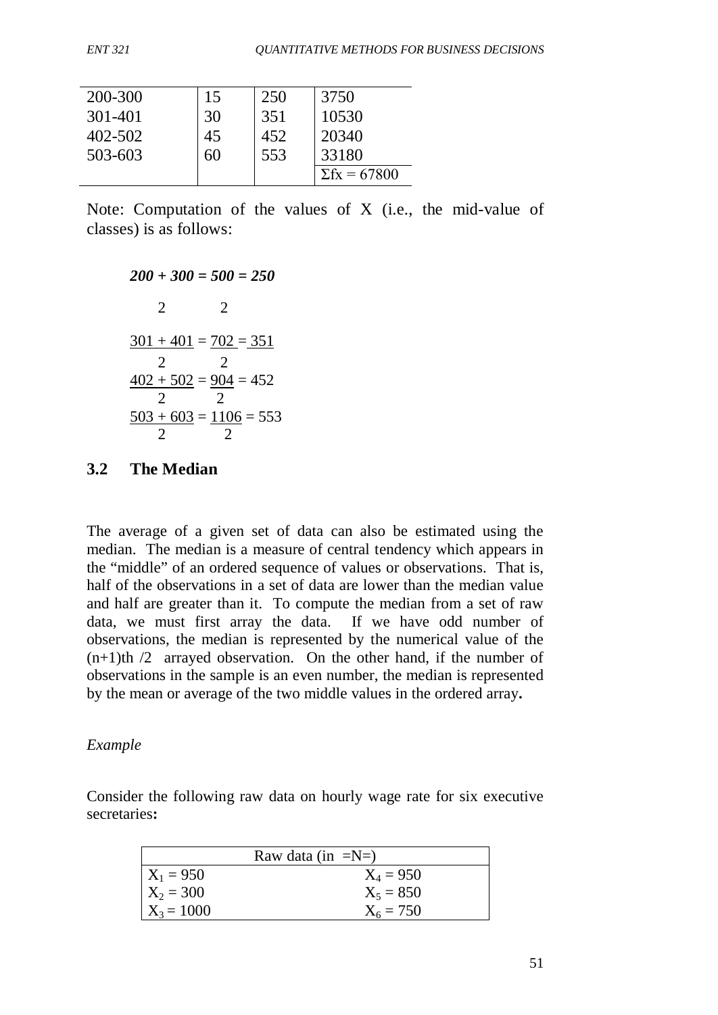| 200-300     | 15 | 250 | 3750                |
|-------------|----|-----|---------------------|
| $301 - 401$ | 30 | 351 | 10530               |
| 402-502     | 45 | 452 | 20340               |
| 503-603     | 60 | 553 | 33180               |
|             |    |     | $\Sigma$ fx = 67800 |

Note: Computation of the values of X (i.e., the mid-value of classes) is as follows:

*200 + 300 = 500 = 250* 2 2  $301 + 401 = 702 = 351$  2 2  $402 + 502 = 904 = 452$  2 2  $503 + 603 = 1106 = 553$ 2 2

## **3.2 The Median**

The average of a given set of data can also be estimated using the median. The median is a measure of central tendency which appears in the "middle" of an ordered sequence of values or observations. That is, half of the observations in a set of data are lower than the median value and half are greater than it. To compute the median from a set of raw data, we must first array the data. If we have odd number of observations, the median is represented by the numerical value of the  $(n+1)$ th  $/2$  arrayed observation. On the other hand, if the number of observations in the sample is an even number, the median is represented by the mean or average of the two middle values in the ordered array**.**

## *Example*

Consider the following raw data on hourly wage rate for six executive secretaries**:**

| Raw data (in $=N=$ ) |             |  |
|----------------------|-------------|--|
| $X_1 = 950$          | $X_4 = 950$ |  |
| $X_2 = 300$          | $X_5 = 850$ |  |
| $X_3 = 1000$         | $X_6 = 750$ |  |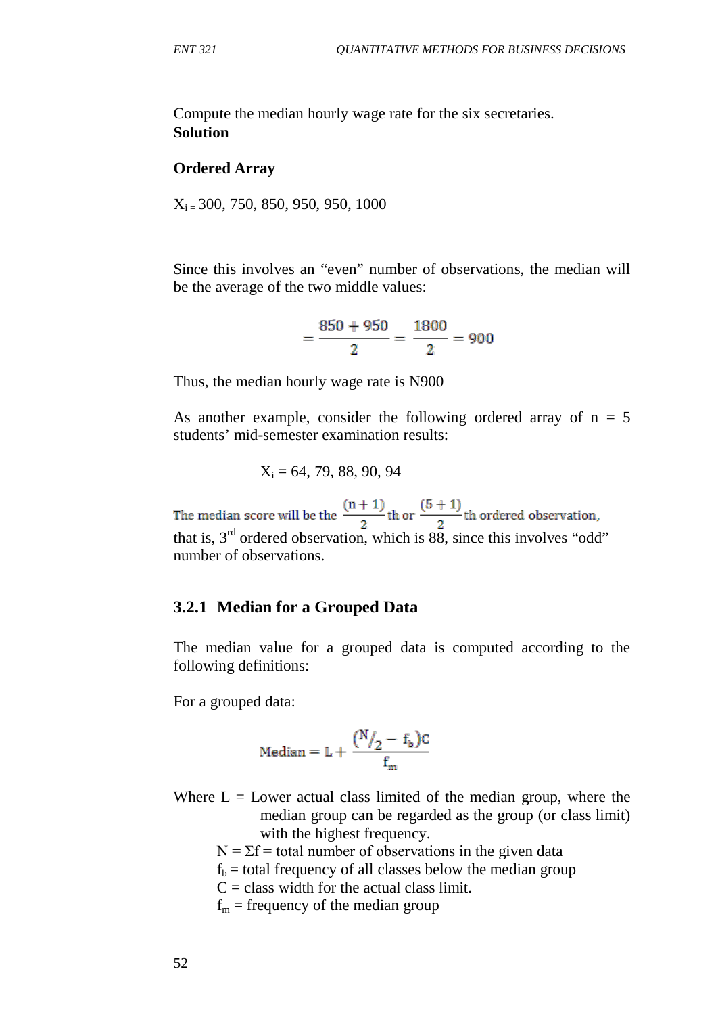Compute the median hourly wage rate for the six secretaries. **Solution**

#### **Ordered Array**

 $X_i = 300, 750, 850, 950, 950, 1000$ 

Since this involves an "even" number of observations, the median will be the average of the two middle values:

$$
=\frac{850+950}{2}=\frac{1800}{2}=900
$$

Thus, the median hourly wage rate is N900

As another example, consider the following ordered array of  $n = 5$ students' mid-semester examination results:

$$
X_i = 64, 79, 88, 90, 94
$$

The median score will be the  $\frac{(n+1)}{2}$ th ordered observation, that is, 3<sup>rd</sup> ordered observation, which is 88, since this involves "odd" number of observations.

#### **3.2.1 Median for a Grouped Data**

The median value for a grouped data is computed according to the following definitions:

For a grouped data:

$$
\text{Median} = L + \frac{\binom{N}{2}-f_b)C}{f_m}
$$

Where  $L =$  Lower actual class limited of the median group, where the median group can be regarded as the group (or class limit) with the highest frequency.

- $N = \Sigma f$  = total number of observations in the given data
- $f_b$  = total frequency of all classes below the median group
- $C =$  class width for the actual class limit.
- $f_m$  = frequency of the median group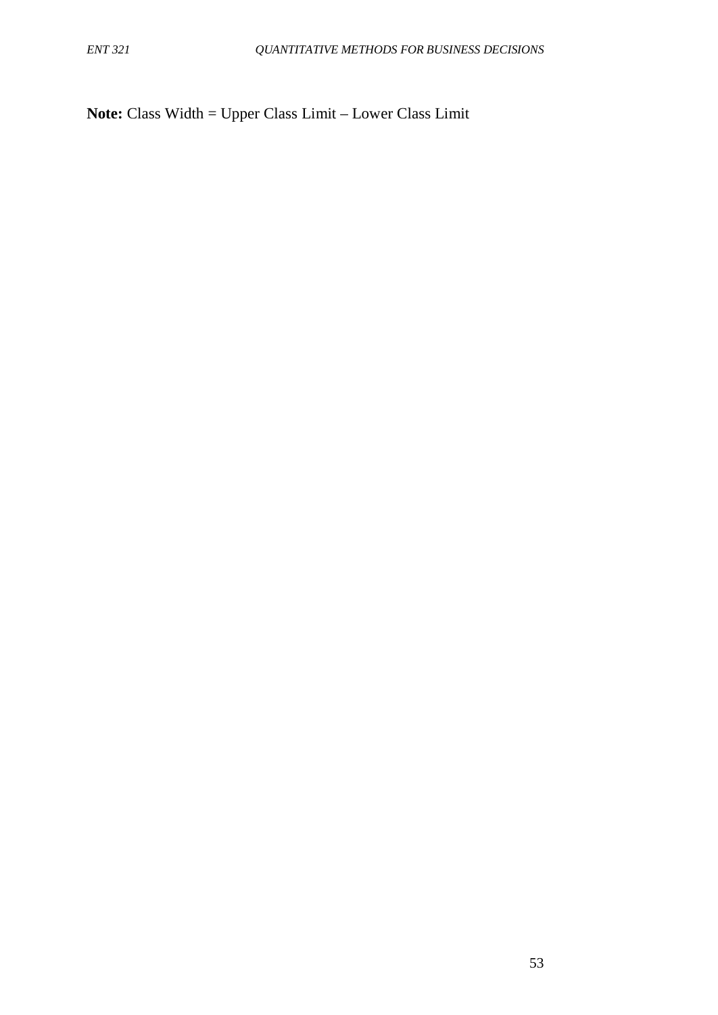**Note:** Class Width = Upper Class Limit – Lower Class Limit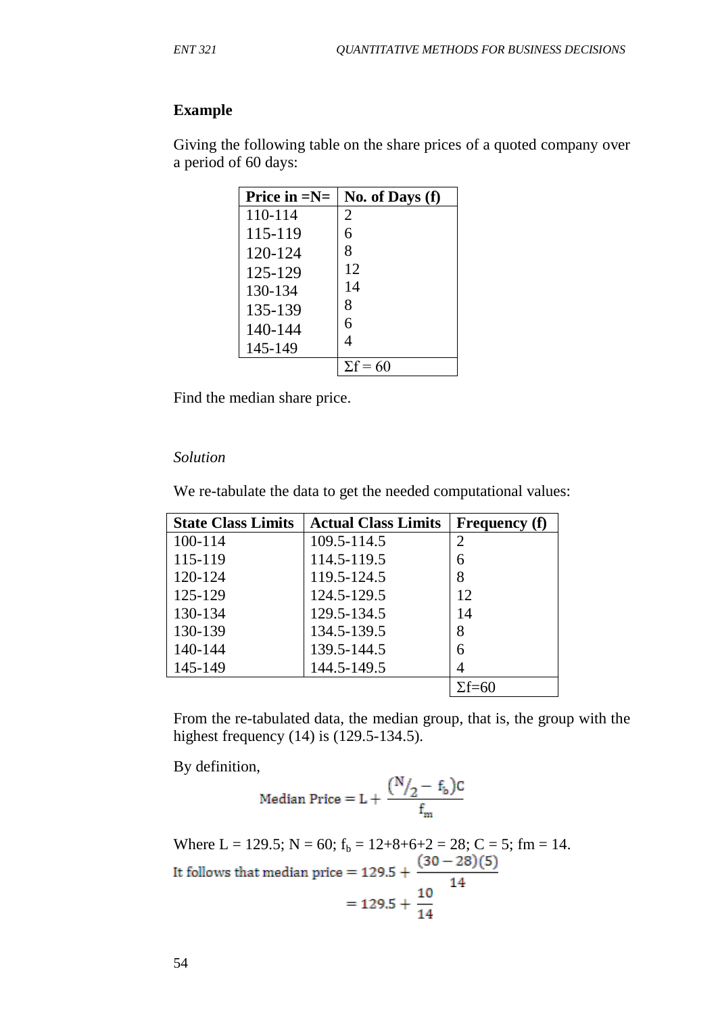#### **Example**

Giving the following table on the share prices of a quoted company over a period of 60 days:

| Price in $=N=$ | No. of Days (f) |
|----------------|-----------------|
| 110-114        | 2               |
| 115-119        | 6               |
| 120-124        | 8               |
| 125-129        | 12              |
| 130-134        | 14              |
| 135-139        | 8               |
| 140-144        | 6               |
| 145-149        | 4               |
|                | $\Sigma f = 60$ |

Find the median share price.

#### *Solution*

We re-tabulate the data to get the needed computational values:

| <b>State Class Limits</b> | <b>Actual Class Limits</b> | <b>Frequency (f)</b> |
|---------------------------|----------------------------|----------------------|
| 100-114                   | 109.5-114.5                | $\overline{2}$       |
| 115-119                   | 114.5-119.5                | 6                    |
| 120-124                   | 119.5-124.5                | 8                    |
| 125-129                   | 124.5-129.5                | 12                   |
| 130-134                   | 129.5-134.5                | 14                   |
| 130-139                   | 134.5-139.5                | 8                    |
| 140-144                   | 139.5-144.5                | 6                    |
| 145-149                   | 144.5-149.5                |                      |
|                           |                            | $\Sigma f = 60$      |

From the re-tabulated data, the median group, that is, the group with the highest frequency (14) is (129.5-134.5).

By definition,

$$
\text{Median Price} = L + \frac{(N_{2} - f_{b})C}{f_{m}}
$$

Where L = 129.5; N = 60;  $f_b = 12+8+6+2 = 28$ ; C = 5; fm = 14.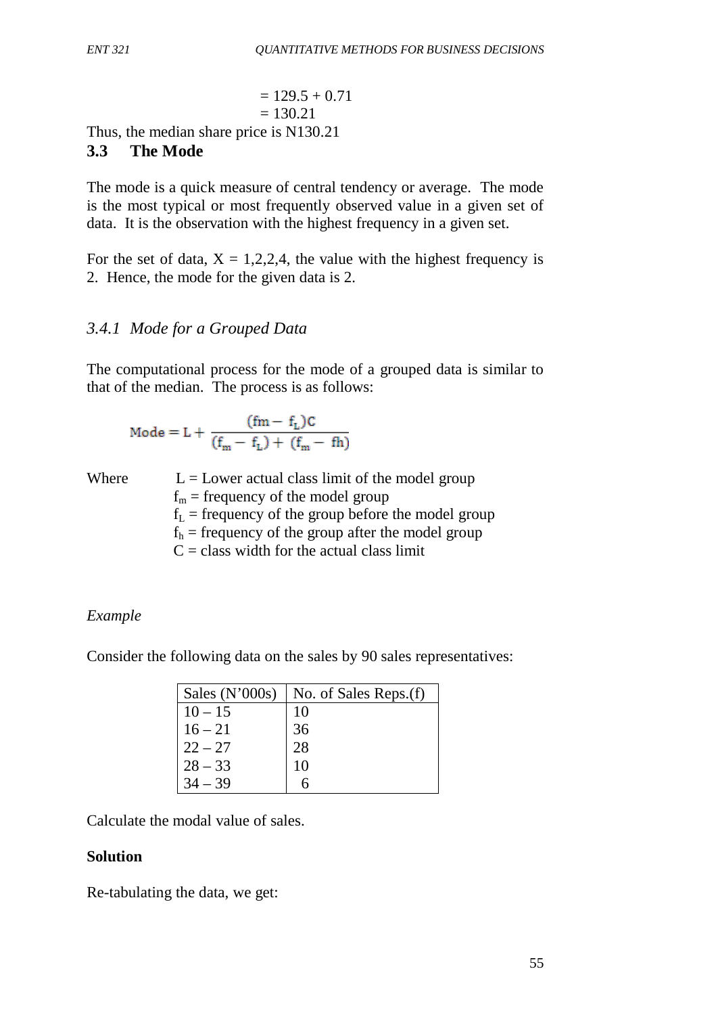$$
= 129.5 + 0.71
$$
  
= 130.21

Thus, the median share price is N130.21

# **3.3 The Mode**

The mode is a quick measure of central tendency or average. The mode is the most typical or most frequently observed value in a given set of data. It is the observation with the highest frequency in a given set.

For the set of data,  $X = 1,2,2,4$ , the value with the highest frequency is 2. Hence, the mode for the given data is 2.

# *3.4.1 Mode for a Grouped Data*

The computational process for the mode of a grouped data is similar to that of the median. The process is as follows:

$$
\text{Mode} = L + \frac{(fm-f_L)C}{(f_m-f_L)+(f_m-fh)}
$$

Where  $L =$  Lower actual class limit of the model group  $f_m$  = frequency of the model group  $f_L$  = frequency of the group before the model group  $f<sub>h</sub>$  = frequency of the group after the model group  $C =$  class width for the actual class limit

# *Example*

Consider the following data on the sales by 90 sales representatives:

| Sales $(N'000s)$ | No. of Sales Reps.(f) |
|------------------|-----------------------|
| $10 - 15$        | 10                    |
| $16 - 21$        | 36                    |
| $22 - 27$        | 28                    |
| $28 - 33$        | 10                    |
| $34 - 39$        |                       |

Calculate the modal value of sales.

# **Solution**

Re-tabulating the data, we get: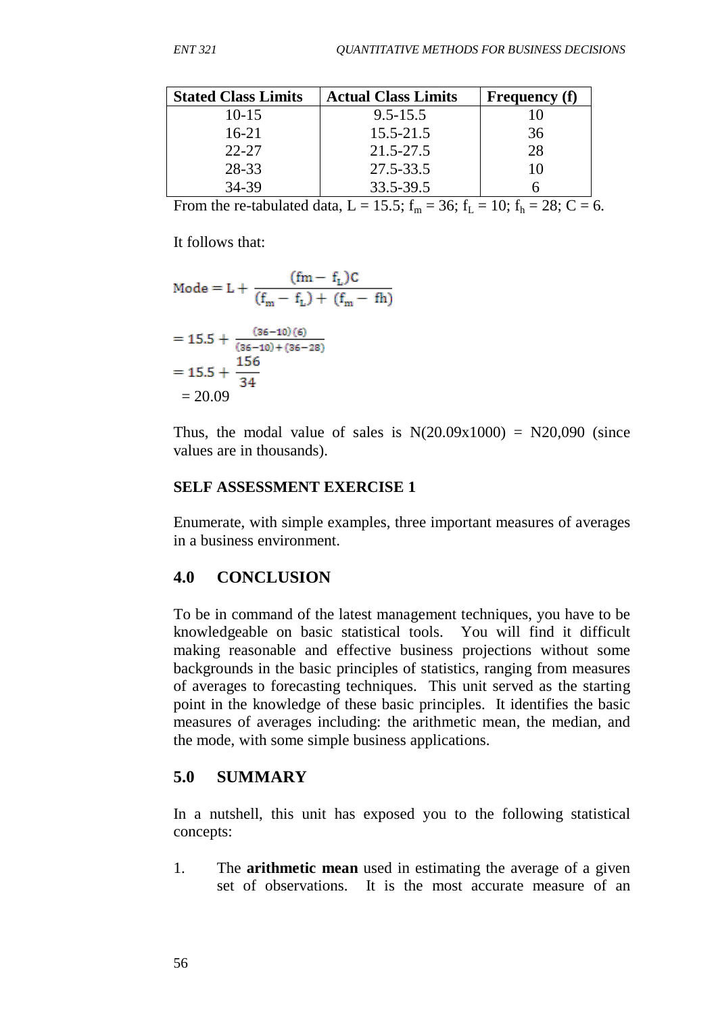| <b>Stated Class Limits</b> | <b>Actual Class Limits</b> | <b>Frequency</b> (f) |
|----------------------------|----------------------------|----------------------|
| $10-15$                    | $9.5 - 15.5$               |                      |
| $16-21$                    | $15.5 - 21.5$              | 36                   |
| $22 - 27$                  | 21.5-27.5                  | 28                   |
| 28-33                      | 27.5-33.5                  | 10                   |
| 34-39                      | 33.5-39.5                  |                      |

From the re-tabulated data, L = 15.5;  $f_m = 36$ ;  $f_L = 10$ ;  $f_h = 28$ ; C = 6.

It follows that:

Mode = L + 
$$
\frac{(fm - f_L)C}{(f_m - f_L) + (f_m - fh)}
$$
  
= 15.5 + 
$$
\frac{(36-10)(6)}{(36-10) + (36-28)}
$$
  
= 15.5 + 
$$
\frac{156}{34}
$$
  
= 20.09

Thus, the modal value of sales is  $N(20.09x1000) = N20,090$  (since values are in thousands).

## **SELF ASSESSMENT EXERCISE 1**

Enumerate, with simple examples, three important measures of averages in a business environment.

# **4.0 CONCLUSION**

To be in command of the latest management techniques, you have to be knowledgeable on basic statistical tools. You will find it difficult making reasonable and effective business projections without some backgrounds in the basic principles of statistics, ranging from measures of averages to forecasting techniques. This unit served as the starting point in the knowledge of these basic principles. It identifies the basic measures of averages including: the arithmetic mean, the median, and the mode, with some simple business applications.

# **5.0 SUMMARY**

In a nutshell, this unit has exposed you to the following statistical concepts:

1. The **arithmetic mean** used in estimating the average of a given set of observations. It is the most accurate measure of an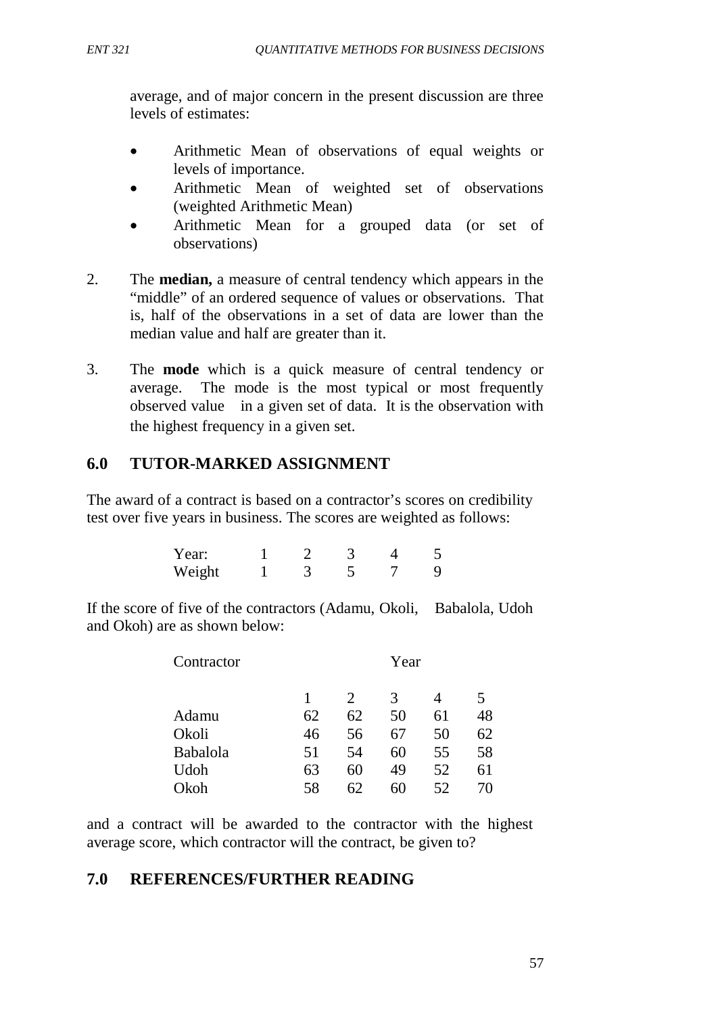average, and of major concern in the present discussion are three levels of estimates:

- Arithmetic Mean of observations of equal weights or levels of importance.
- Arithmetic Mean of weighted set of observations (weighted Arithmetic Mean)
- Arithmetic Mean for a grouped data (or set of observations)
- 2. The **median,** a measure of central tendency which appears in the "middle" of an ordered sequence of values or observations. That is, half of the observations in a set of data are lower than the median value and half are greater than it.
- 3. The **mode** which is a quick measure of central tendency or average. The mode is the most typical or most frequently observed value in a given set of data. It is the observation with the highest frequency in a given set.

# **6.0 TUTOR-MARKED ASSIGNMENT**

The award of a contract is based on a contractor's scores on credibility test over five years in business. The scores are weighted as follows:

| Year:  |  |  |  |
|--------|--|--|--|
| Weight |  |  |  |

If the score of five of the contractors (Adamu, Okoli, Babalola, Udoh and Okoh) are as shown below:

| Contractor      |    |    | Year |    |    |
|-----------------|----|----|------|----|----|
|                 |    | 2  | 3    |    | 5  |
| Adamu           | 62 | 62 | 50   | 61 | 48 |
| Okoli           | 46 | 56 | 67   | 50 | 62 |
| <b>Babalola</b> | 51 | 54 | 60   | 55 | 58 |
| Udoh            | 63 | 60 | 49   | 52 | 61 |
| Okoh            | 58 | 6/ | 60   | 52 | 70 |

and a contract will be awarded to the contractor with the highest average score, which contractor will the contract, be given to?

# **7.0 REFERENCES/FURTHER READING**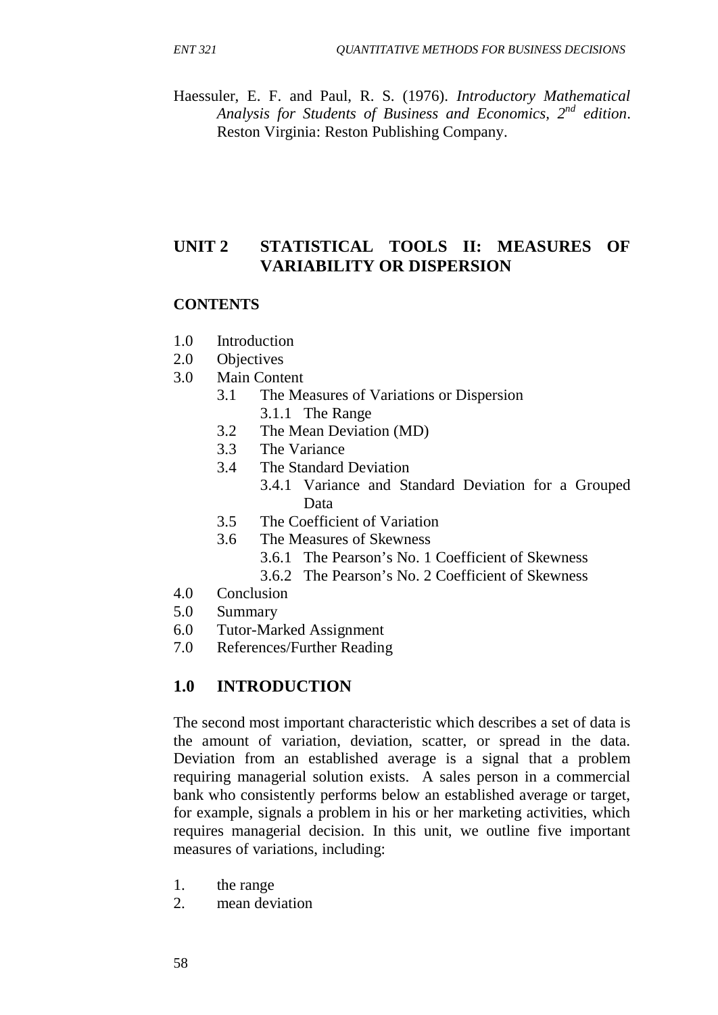Haessuler, E. F. and Paul, R. S. (1976). *Introductory Mathematical Analysis for Students of Business and Economics, 2nd edition*. Reston Virginia: Reston Publishing Company.

# **UNIT 2 STATISTICAL TOOLS II: MEASURES OF VARIABILITY OR DISPERSION**

## **CONTENTS**

- 1.0 Introduction
- 2.0 Objectives
- 3.0 Main Content
	- 3.1 The Measures of Variations or Dispersion
		- 3.1.1 The Range
	- 3.2 The Mean Deviation (MD)
	- 3.3 The Variance
	- 3.4 The Standard Deviation
		- 3.4.1 Variance and Standard Deviation for a Grouped Data
	- 3.5 The Coefficient of Variation
	- 3.6 The Measures of Skewness
		- 3.6.1 The Pearson's No. 1 Coefficient of Skewness
		- 3.6.2 The Pearson's No. 2 Coefficient of Skewness
- 4.0 Conclusion
- 5.0 Summary
- 6.0 Tutor-Marked Assignment
- 7.0 References/Further Reading

## **1.0 INTRODUCTION**

The second most important characteristic which describes a set of data is the amount of variation, deviation, scatter, or spread in the data. Deviation from an established average is a signal that a problem requiring managerial solution exists. A sales person in a commercial bank who consistently performs below an established average or target, for example, signals a problem in his or her marketing activities, which requires managerial decision. In this unit, we outline five important measures of variations, including:

- 1. the range
- 2. mean deviation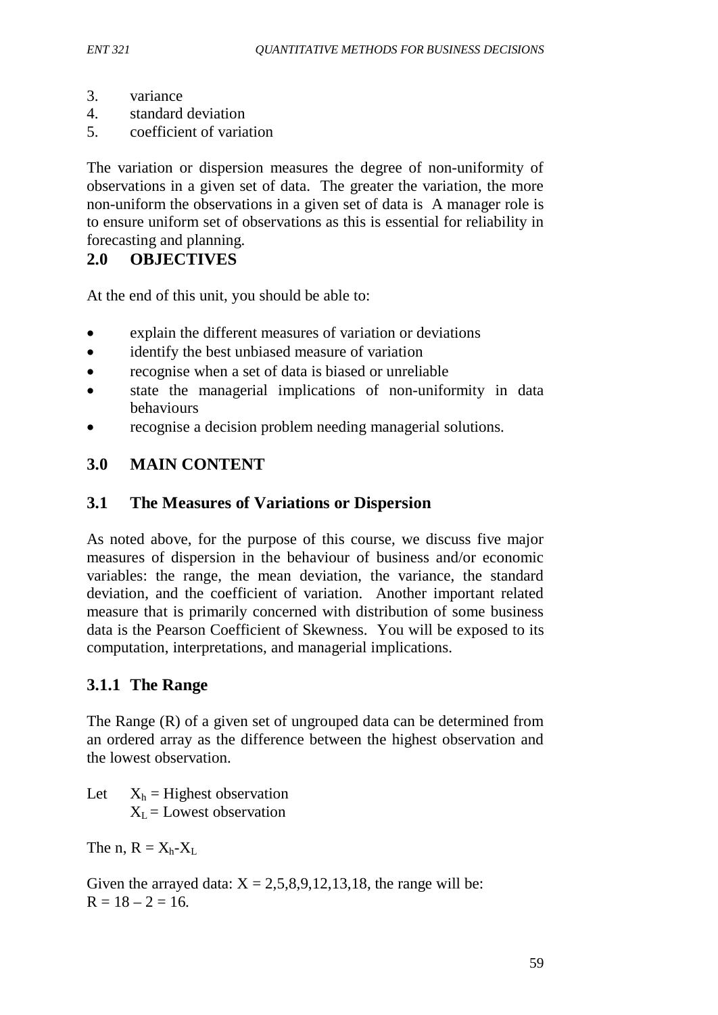- 3. variance
- 4. standard deviation
- 5. coefficient of variation

The variation or dispersion measures the degree of non-uniformity of observations in a given set of data. The greater the variation, the more non-uniform the observations in a given set of data is A manager role is to ensure uniform set of observations as this is essential for reliability in forecasting and planning.

# **2.0 OBJECTIVES**

At the end of this unit, you should be able to:

- explain the different measures of variation or deviations
- identify the best unbiased measure of variation
- recognise when a set of data is biased or unreliable
- state the managerial implications of non-uniformity in data behaviours
- recognise a decision problem needing managerial solutions.

## **3.0 MAIN CONTENT**

## **3.1 The Measures of Variations or Dispersion**

As noted above, for the purpose of this course, we discuss five major measures of dispersion in the behaviour of business and/or economic variables: the range, the mean deviation, the variance, the standard deviation, and the coefficient of variation. Another important related measure that is primarily concerned with distribution of some business data is the Pearson Coefficient of Skewness. You will be exposed to its computation, interpretations, and managerial implications.

## **3.1.1 The Range**

The Range (R) of a given set of ungrouped data can be determined from an ordered array as the difference between the highest observation and the lowest observation.

Let  $X_h$  = Highest observation  $X_I$  = Lowest observation

The n,  $R = X_h - X_L$ 

Given the arrayed data:  $X = 2,5,8,9,12,13,18$ , the range will be:  $R = 18 - 2 = 16.$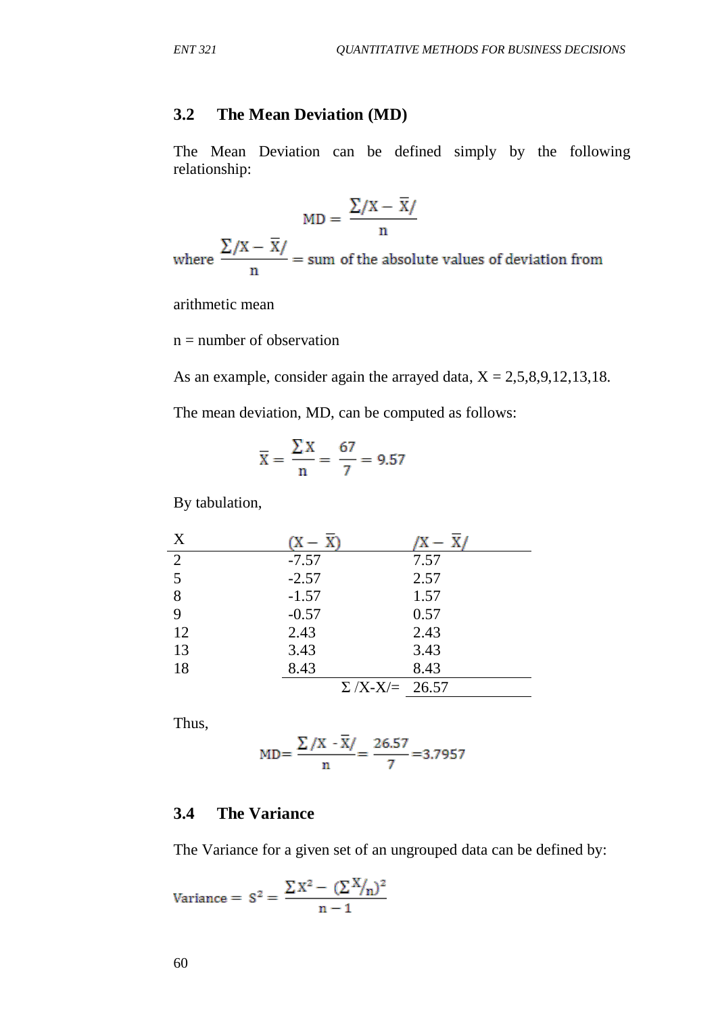# **3.2 The Mean Deviation (MD)**

The Mean Deviation can be defined simply by the following relationship:

$$
MD = \frac{\sum/X - \overline{X}/}{n}
$$

where  $\frac{\sum (X - \overline{X})}{n}$  = sum of the absolute values of deviation from

arithmetic mean

 $n =$  number of observation

As an example, consider again the arrayed data,  $X = 2,5,8,9,12,13,18$ . The mean deviation, MD, can be computed as follows:

$$
\overline{X} = \frac{\sum X}{n} = \frac{67}{7} = 9.57
$$

By tabulation,

| $\boldsymbol{X}$ |                       |      |
|------------------|-----------------------|------|
| 2                | $-7.57$               | 7.57 |
| 5                | $-2.57$               | 2.57 |
| 8                | $-1.57$               | 1.57 |
| 9                | $-0.57$               | 0.57 |
| 12               | 2.43                  | 2.43 |
| 13               | 3.43                  | 3.43 |
| 18               | 8.43                  | 8.43 |
|                  | $\Sigma$ /X-X/= 26.57 |      |

Thus,

$$
MD = \frac{\sum /X - \overline{X}}{n} = \frac{26.57}{7} = 3.7957
$$

## **3.4 The Variance**

The Variance for a given set of an ungrouped data can be defined by:

$$
\text{Variance}=\ S^2=\frac{\sum X^2-(\sum X\hspace{-0.1cm}\not|\hspace{0.1cm} n)^2}{n-1}
$$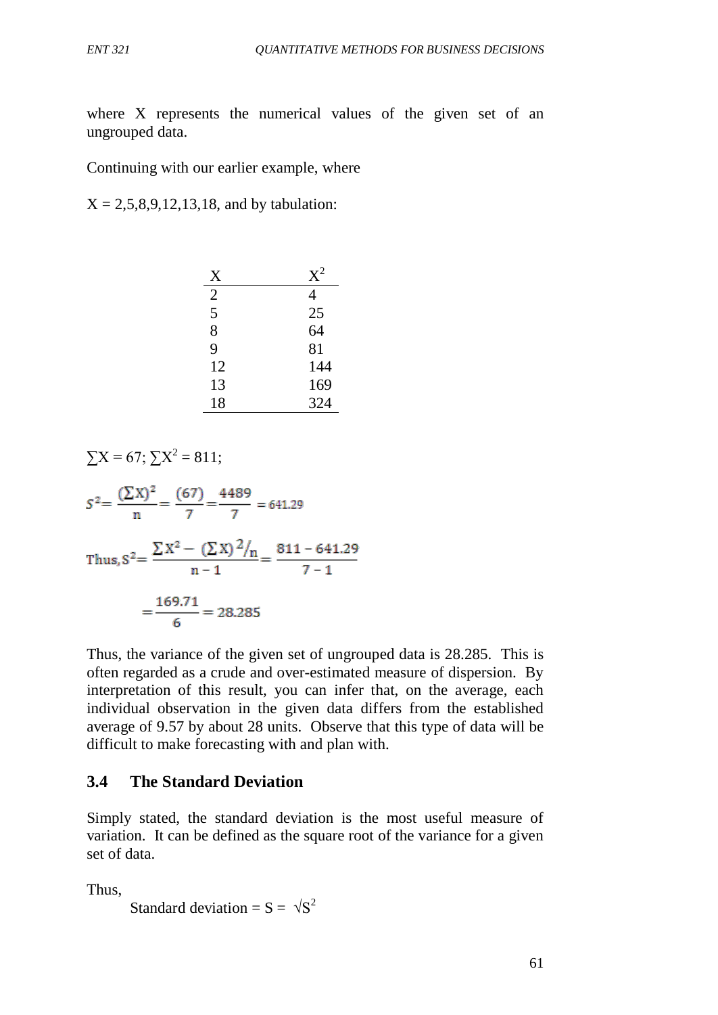where X represents the numerical values of the given set of an ungrouped data.

Continuing with our earlier example, where

 $X = 2,5,8,9,12,13,18$ , and by tabulation:

| X              | $X^2$ |
|----------------|-------|
| $\overline{2}$ | 4     |
| 5              | 25    |
| 8              | 64    |
| 9              | 81    |
| 12             | 144   |
| 13             | 169   |
| 18             | 324   |

$$
\sum X = 67; \sum X^2 = 811;
$$
  
\n
$$
S^2 = \frac{(\sum X)^2}{n} = \frac{(67)}{7} = \frac{4489}{7} = 641.29
$$
  
\nThus,  $S^2 = \frac{\sum X^2 - (\sum X)^2 / n}{n - 1} = \frac{811 - 641.29}{7 - 1} = \frac{169.71}{6} = 28.285$ 

Thus, the variance of the given set of ungrouped data is 28.285. This is often regarded as a crude and over-estimated measure of dispersion. By interpretation of this result, you can infer that, on the average, each individual observation in the given data differs from the established average of 9.57 by about 28 units. Observe that this type of data will be difficult to make forecasting with and plan with.

## **3.4 The Standard Deviation**

Simply stated, the standard deviation is the most useful measure of variation. It can be defined as the square root of the variance for a given set of data.

Thus,

```
Standard deviation = S = \sqrt{S^2}
```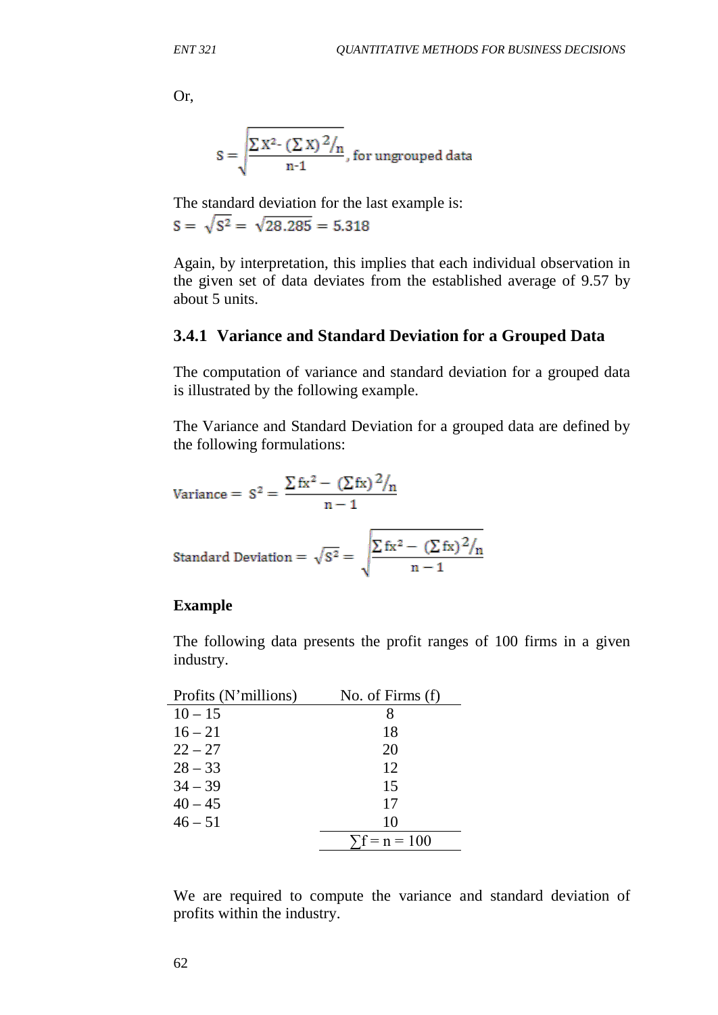Or,

$$
S = \sqrt{\frac{\sum X^{2-} (\sum X)^2 / n}{n \cdot 1}}
$$
, for ungrouped data

The standard deviation for the last example is:  $S = \sqrt{S^2} = \sqrt{28.285} = 5.318$ 

Again, by interpretation, this implies that each individual observation in the given set of data deviates from the established average of 9.57 by about 5 units.

## **3.4.1 Variance and Standard Deviation for a Grouped Data**

The computation of variance and standard deviation for a grouped data is illustrated by the following example.

The Variance and Standard Deviation for a grouped data are defined by the following formulations:

$$
\text{Variance} = S^2 = \frac{\sum fx^2 - (\sum fx)^2 / n}{n - 1}
$$

Standard Deviation = 
$$
\sqrt{S^2}
$$
 =  $\sqrt{\frac{\sum fx^2 - (\sum fx)^2/n}{n-1}}$ 

#### **Example**

The following data presents the profit ranges of 100 firms in a given industry.

| Profits (N'millions) | No. of Firms $(f)$   |
|----------------------|----------------------|
| $10 - 15$            | 8                    |
| $16 - 21$            | 18                   |
| $22 - 27$            | 20                   |
| $28 - 33$            | 12                   |
| $34 - 39$            | 15                   |
| $40 - 45$            | 17                   |
| $46 - 51$            | 10                   |
|                      | $\Sigma f = n = 100$ |

We are required to compute the variance and standard deviation of profits within the industry.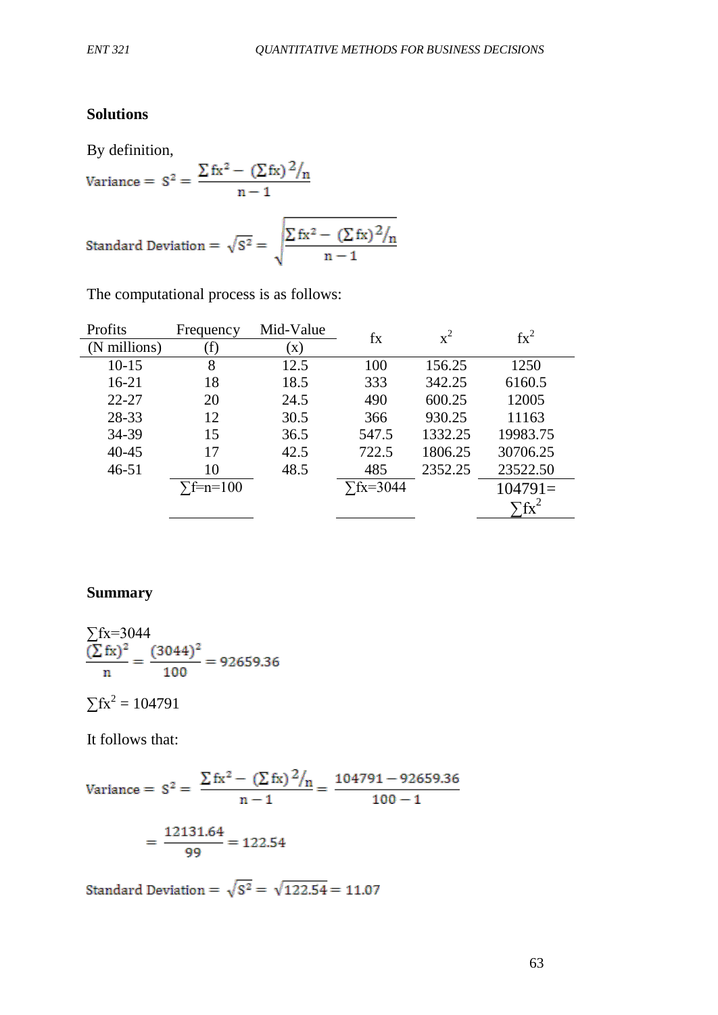# **Solutions**

By definition,

By definition,  
\n
$$
\text{Variance} = S^2 = \frac{\sum fx^2 - (\sum fx)^2 / n}{n - 1}
$$
\n
$$
\text{Standard Deviation} = \sqrt{S^2} = \sqrt{\frac{\sum fx^2 - (\sum fx)^2 / n}{n - 1}}
$$

The computational process is as follows:

| $\text{fx}^2$            |
|--------------------------|
|                          |
| 1250                     |
| 6160.5                   |
| 12005                    |
| 11163                    |
| 19983.75                 |
| 30706.25                 |
| 23522.50                 |
| $104791=$                |
| $\overline{\text{f}x}^2$ |
|                          |

# **Summary**

$$
\frac{\sum fx=3044}{\sum \left( \frac{K}{2} \right)^2} = \frac{(3044)^2}{100} = 92659.36
$$

$$
\Sigma fx^2 = 104791
$$

It follows that:

Variance = 
$$
S^2 = \frac{\sum fx^2 - (\sum fx)^2 / n}{n - 1} = \frac{104791 - 92659.36}{100 - 1}
$$
  
=  $\frac{12131.64}{99} = 122.54$ 

Standard Deviation =  $\sqrt{s^2} = \sqrt{122.54} = 11.07$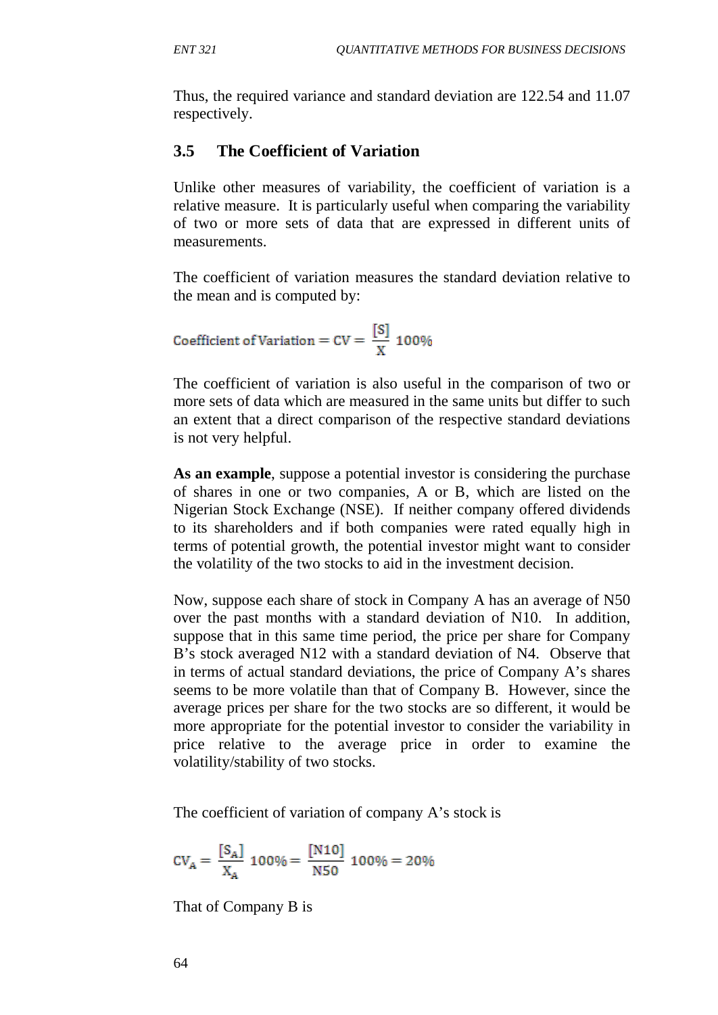Thus, the required variance and standard deviation are 122.54 and 11.07 respectively.

# **3.5 The Coefficient of Variation**

Unlike other measures of variability, the coefficient of variation is a relative measure. It is particularly useful when comparing the variability of two or more sets of data that are expressed in different units of measurements.

The coefficient of variation measures the standard deviation relative to the mean and is computed by:

Coefficient of Variation =  $CV = \frac{[S]}{X}$  100%

The coefficient of variation is also useful in the comparison of two or more sets of data which are measured in the same units but differ to such an extent that a direct comparison of the respective standard deviations is not very helpful.

**As an example**, suppose a potential investor is considering the purchase of shares in one or two companies, A or B, which are listed on the Nigerian Stock Exchange (NSE). If neither company offered dividends to its shareholders and if both companies were rated equally high in terms of potential growth, the potential investor might want to consider the volatility of the two stocks to aid in the investment decision.

Now, suppose each share of stock in Company A has an average of N50 over the past months with a standard deviation of N10. In addition, suppose that in this same time period, the price per share for Company B's stock averaged N12 with a standard deviation of N4. Observe that in terms of actual standard deviations, the price of Company A's shares seems to be more volatile than that of Company B. However, since the average prices per share for the two stocks are so different, it would be more appropriate for the potential investor to consider the variability in price relative to the average price in order to examine the volatility/stability of two stocks.

The coefficient of variation of company A's stock is

$$
CV_A = \frac{[S_A]}{X_A} \; 100\% = \frac{[N10]}{N50} \; 100\% = 20\%
$$

That of Company B is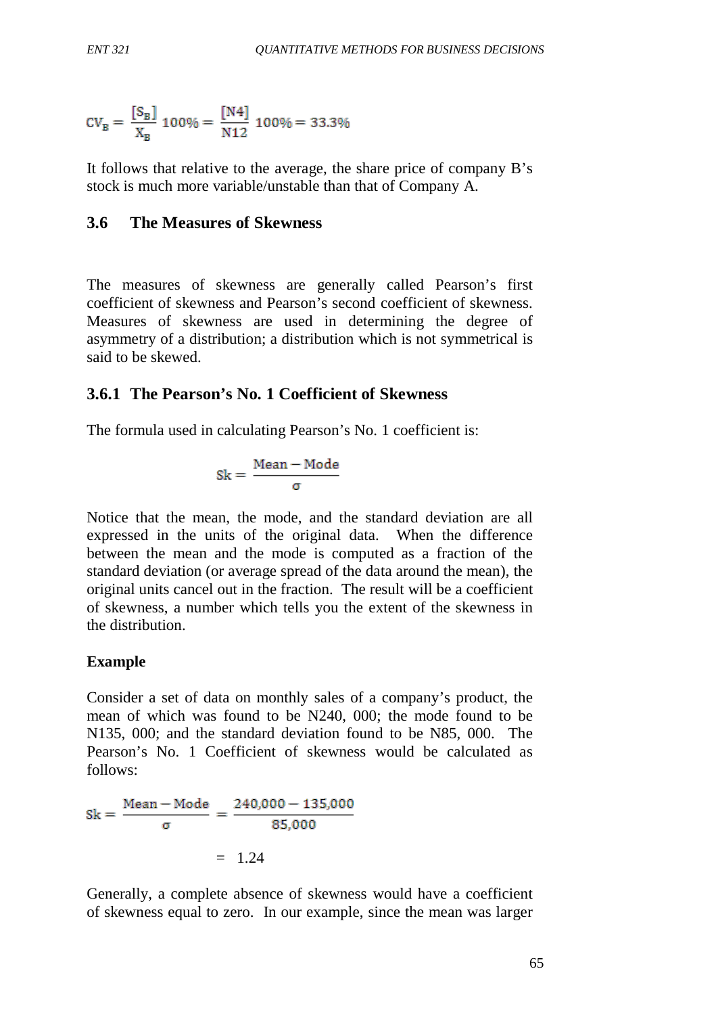$$
CV_B = \frac{[S_B]}{X_B} \, 100\% = \frac{[N4]}{N12} \, 100\% = 33.3\%
$$

It follows that relative to the average, the share price of company B's stock is much more variable/unstable than that of Company A.

## **3.6 The Measures of Skewness**

The measures of skewness are generally called Pearson's first coefficient of skewness and Pearson's second coefficient of skewness. Measures of skewness are used in determining the degree of asymmetry of a distribution; a distribution which is not symmetrical is said to be skewed.

## **3.6.1 The Pearson's No. 1 Coefficient of Skewness**

The formula used in calculating Pearson's No. 1 coefficient is:

$$
Sk = \frac{Mean - Mode}{\sigma}
$$

Notice that the mean, the mode, and the standard deviation are all expressed in the units of the original data. When the difference between the mean and the mode is computed as a fraction of the standard deviation (or average spread of the data around the mean), the original units cancel out in the fraction. The result will be a coefficient of skewness, a number which tells you the extent of the skewness in the distribution.

## **Example**

Consider a set of data on monthly sales of a company's product, the mean of which was found to be N240, 000; the mode found to be N135, 000; and the standard deviation found to be N85, 000. The Pearson's No. 1 Coefficient of skewness would be calculated as follows:

 $Sk = \frac{Mean - Mode}{\sigma} = \frac{240,000 - 135,000}{85,000}$  $= 1.24$ 

Generally, a complete absence of skewness would have a coefficient of skewness equal to zero. In our example, since the mean was larger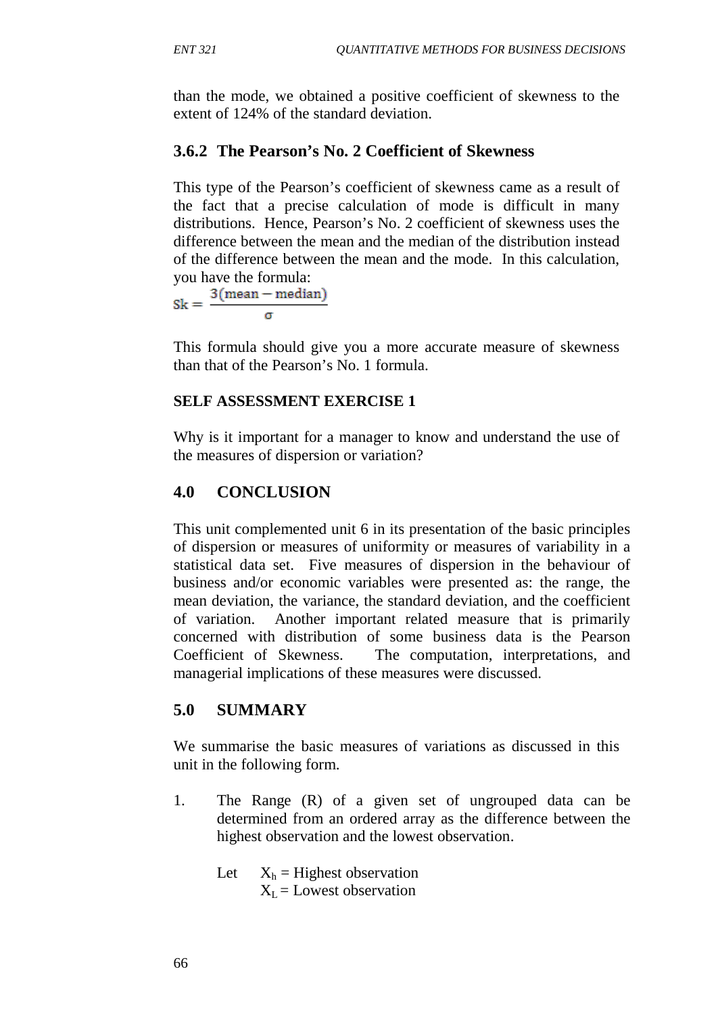than the mode, we obtained a positive coefficient of skewness to the extent of 124% of the standard deviation.

# **3.6.2 The Pearson's No. 2 Coefficient of Skewness**

This type of the Pearson's coefficient of skewness came as a result of the fact that a precise calculation of mode is difficult in many distributions. Hence, Pearson's No. 2 coefficient of skewness uses the difference between the mean and the median of the distribution instead of the difference between the mean and the mode. In this calculation,

you have the formula:<br> $Sk = \frac{3(\text{mean} - \text{median})}{\text{mean}}$ 

This formula should give you a more accurate measure of skewness than that of the Pearson's No. 1 formula.

## **SELF ASSESSMENT EXERCISE 1**

Why is it important for a manager to know and understand the use of the measures of dispersion or variation?

# **4.0 CONCLUSION**

This unit complemented unit 6 in its presentation of the basic principles of dispersion or measures of uniformity or measures of variability in a statistical data set. Five measures of dispersion in the behaviour of business and/or economic variables were presented as: the range, the mean deviation, the variance, the standard deviation, and the coefficient of variation. Another important related measure that is primarily concerned with distribution of some business data is the Pearson Coefficient of Skewness. The computation, interpretations, and managerial implications of these measures were discussed.

# **5.0 SUMMARY**

We summarise the basic measures of variations as discussed in this unit in the following form.

- 1. The Range (R) of a given set of ungrouped data can be determined from an ordered array as the difference between the highest observation and the lowest observation.
	- Let  $X_h$  = Highest observation  $X_L$  = Lowest observation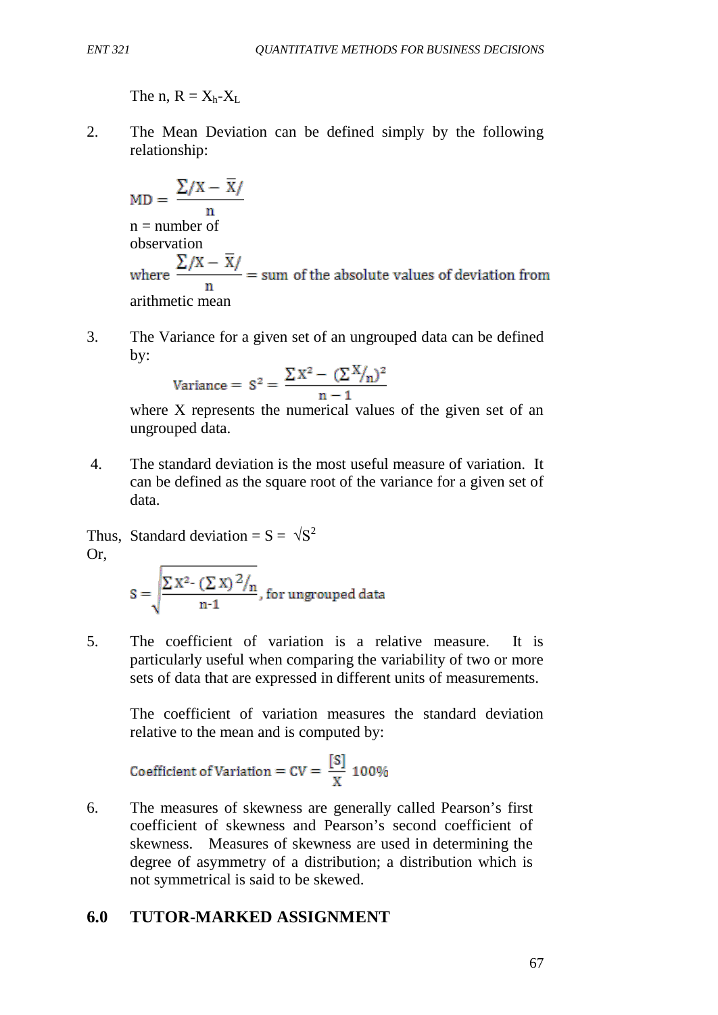The n,  $R = X_h - X_L$ 

2. The Mean Deviation can be defined simply by the following relationship:

$$
MD = \frac{\sum /X - \overline{X}}{n}
$$
  
n = number of  
observation  

$$
\sum /X - \overline{X}/
$$

where  $\frac{\sum (X - X)}{n}$  = sum of the absolute values of deviation from arithmetic mean

3. The Variance for a given set of an ungrouped data can be defined by:

$$
\text{Variance} = S^2 = \frac{\sum X^2 - (\sum X/n)^2}{n-1}
$$

where X represents the numerical values of the given set of an ungrouped data.

4. The standard deviation is the most useful measure of variation. It can be defined as the square root of the variance for a given set of data.

Thus, Standard deviation =  $S = \sqrt{S^2}$ Or,

$$
S = \sqrt{\frac{\sum X^2 - (\sum X)^2 / n}{n-1}}
$$
, for ungrouped data

5. The coefficient of variation is a relative measure. It is particularly useful when comparing the variability of two or more sets of data that are expressed in different units of measurements.

The coefficient of variation measures the standard deviation relative to the mean and is computed by:

Coefficient of Variation = 
$$
CV = \frac{[S]}{X}
$$
 100%

6. The measures of skewness are generally called Pearson's first coefficient of skewness and Pearson's second coefficient of skewness. Measures of skewness are used in determining the degree of asymmetry of a distribution; a distribution which is not symmetrical is said to be skewed.

# **6.0 TUTOR-MARKED ASSIGNMENT**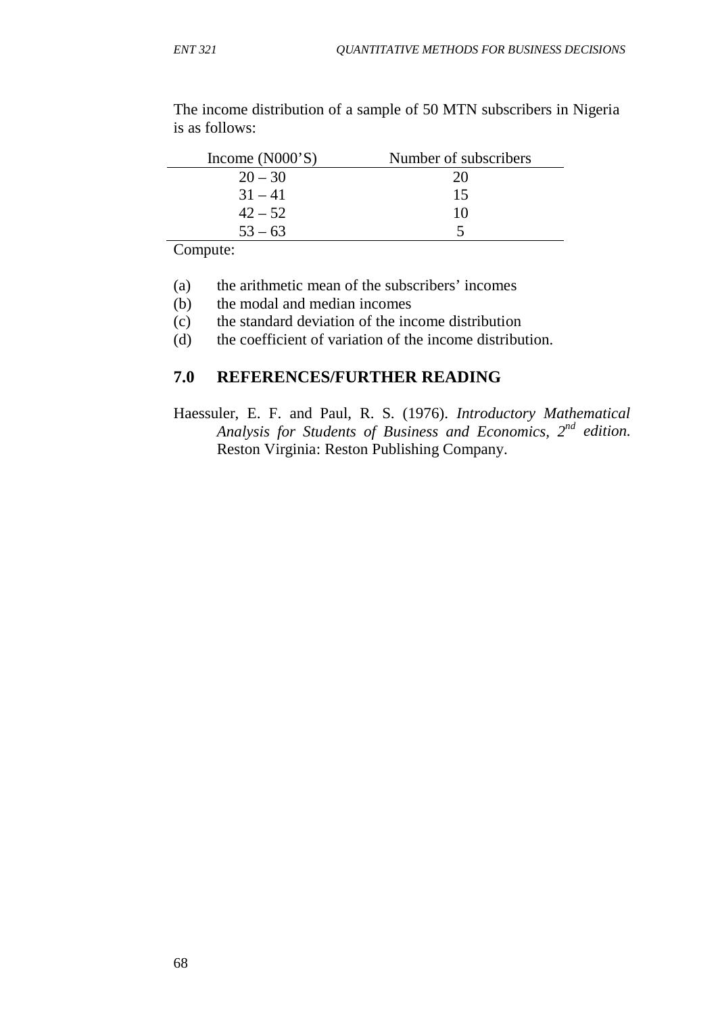| Income $(NO00'S)$ | Number of subscribers |
|-------------------|-----------------------|
| $20 - 30$         | 20                    |
| $31 - 41$         | 15                    |
| $42 - 52$         | 10                    |
| $53 - 63$         |                       |

The income distribution of a sample of 50 MTN subscribers in Nigeria is as follows:

Compute:

- (a) the arithmetic mean of the subscribers' incomes
- (b) the modal and median incomes
- (c) the standard deviation of the income distribution
- (d) the coefficient of variation of the income distribution.

## **7.0 REFERENCES/FURTHER READING**

Haessuler, E. F. and Paul, R. S. (1976). *Introductory Mathematical Analysis for Students of Business and Economics, 2nd edition.*  Reston Virginia: Reston Publishing Company.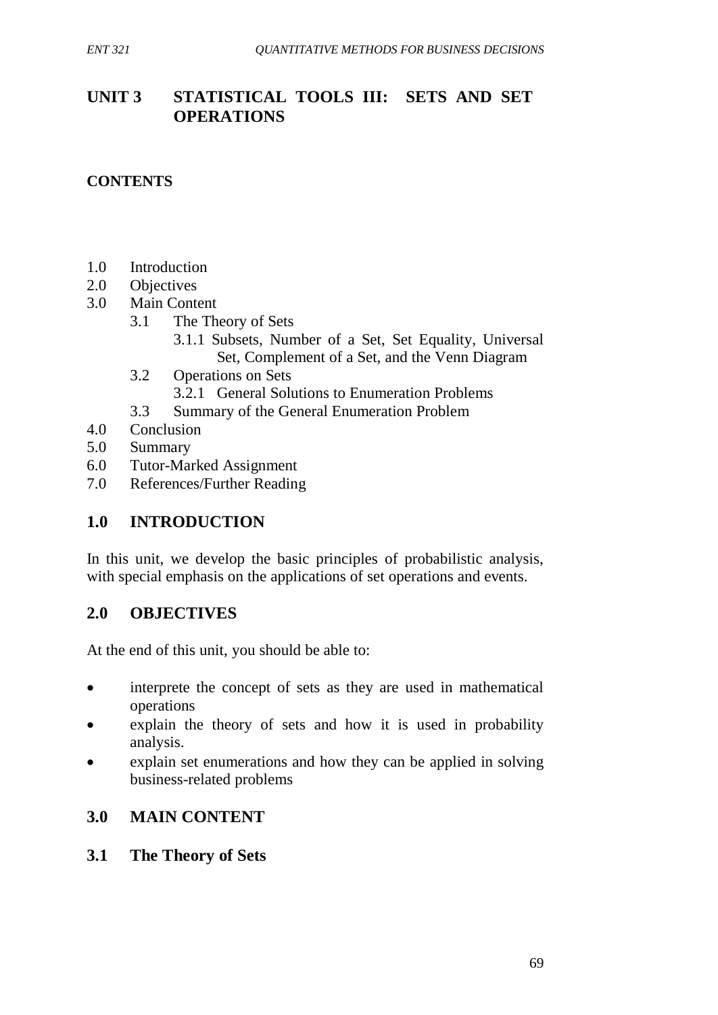# **UNIT 3 STATISTICAL TOOLS III: SETS AND SET OPERATIONS**

# **CONTENTS**

- 1.0 Introduction
- 2.0 Objectives
- 3.0 Main Content
	- 3.1 The Theory of Sets
		- 3.1.1 Subsets, Number of a Set, Set Equality, Universal Set, Complement of a Set, and the Venn Diagram
	- 3.2 Operations on Sets
		- 3.2.1 General Solutions to Enumeration Problems
	- 3.3 Summary of the General Enumeration Problem
- 4.0 Conclusion
- 5.0 Summary
- 6.0 Tutor-Marked Assignment
- 7.0 References/Further Reading

# **1.0 INTRODUCTION**

In this unit, we develop the basic principles of probabilistic analysis, with special emphasis on the applications of set operations and events.

## **2.0 OBJECTIVES**

At the end of this unit, you should be able to:

- interprete the concept of sets as they are used in mathematical operations
- explain the theory of sets and how it is used in probability analysis.
- explain set enumerations and how they can be applied in solving business-related problems

# **3.0 MAIN CONTENT**

## **3.1 The Theory of Sets**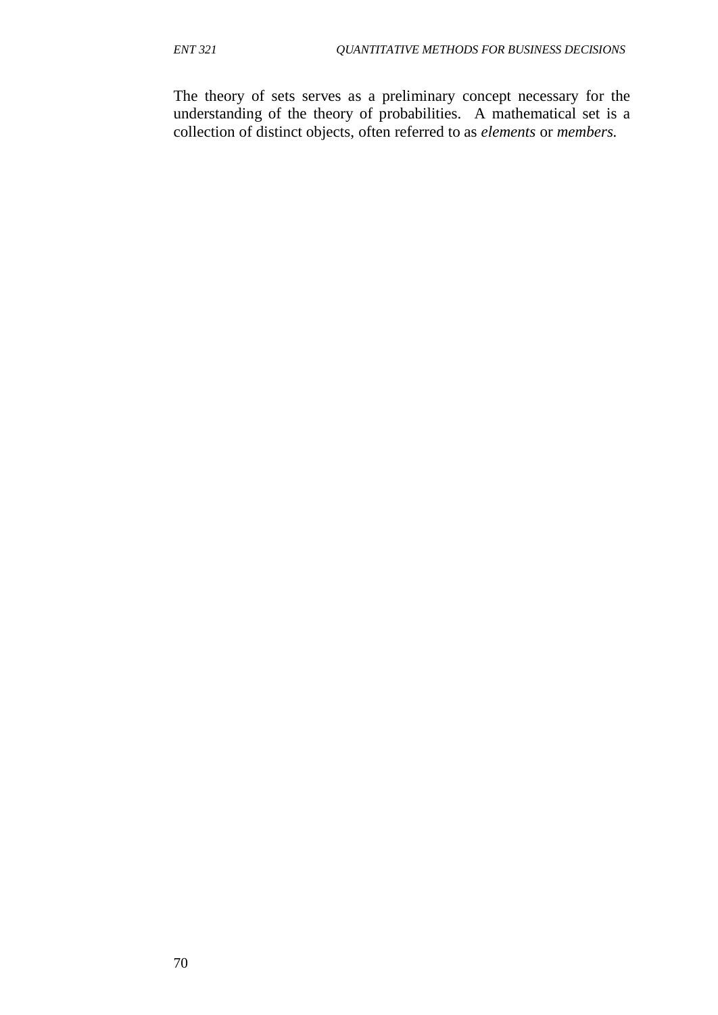The theory of sets serves as a preliminary concept necessary for the understanding of the theory of probabilities. A mathematical set is a collection of distinct objects, often referred to as *elements* or *members.*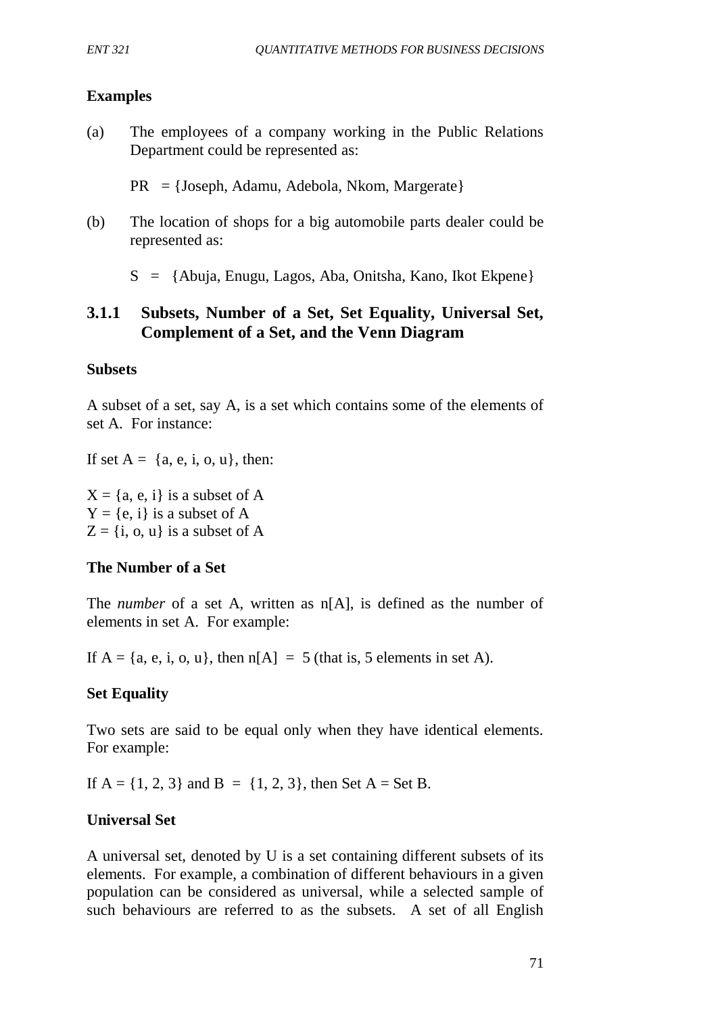### **Examples**

(a) The employees of a company working in the Public Relations Department could be represented as:

PR = {Joseph, Adamu, Adebola, Nkom, Margerate}

(b) The location of shops for a big automobile parts dealer could be represented as:

S = {Abuja, Enugu, Lagos, Aba, Onitsha, Kano, Ikot Ekpene}

# **3.1.1 Subsets, Number of a Set, Set Equality, Universal Set, Complement of a Set, and the Venn Diagram**

#### **Subsets**

A subset of a set, say A, is a set which contains some of the elements of set A. For instance:

If set  $A = \{a, e, i, o, u\}$ , then:

 $X = \{a, e, i\}$  is a subset of A  $Y = \{e, i\}$  is a subset of A  $Z = \{i, o, u\}$  is a subset of A

#### **The Number of a Set**

The *number* of a set A, written as n[A], is defined as the number of elements in set A. For example:

If  $A = \{a, e, i, o, u\}$ , then  $n[A] = 5$  (that is, 5 elements in set A).

## **Set Equality**

Two sets are said to be equal only when they have identical elements. For example:

If  $A = \{1, 2, 3\}$  and  $B = \{1, 2, 3\}$ , then Set  $A = Set B$ .

## **Universal Set**

A universal set, denoted by U is a set containing different subsets of its elements. For example, a combination of different behaviours in a given population can be considered as universal, while a selected sample of such behaviours are referred to as the subsets. A set of all English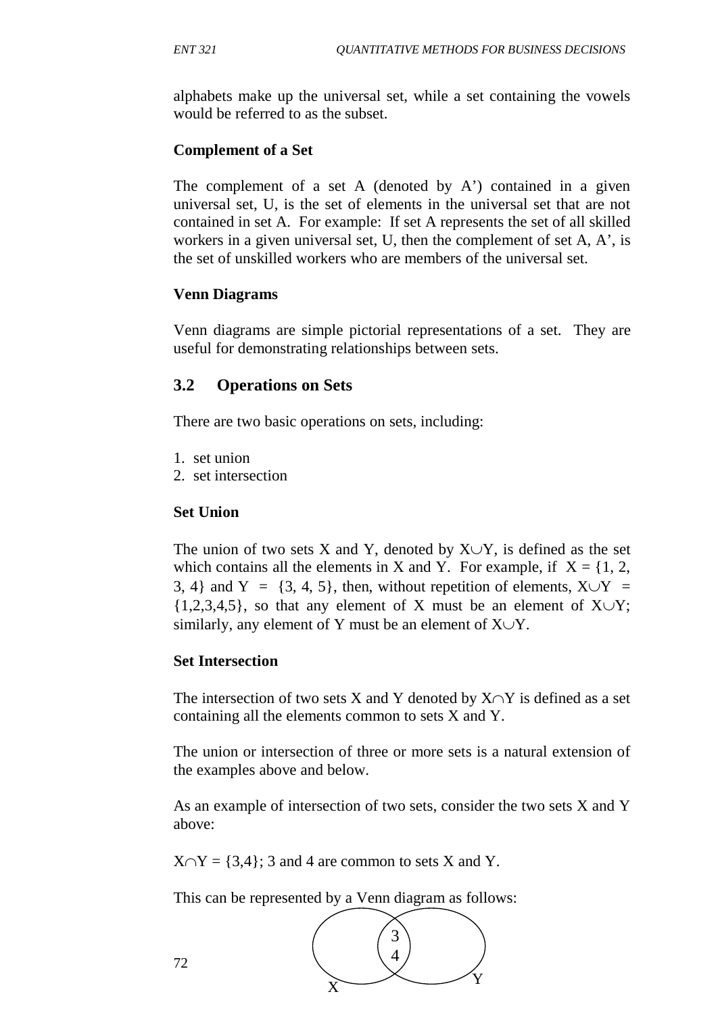alphabets make up the universal set, while a set containing the vowels would be referred to as the subset.

## **Complement of a Set**

The complement of a set A (denoted by A') contained in a given universal set, U, is the set of elements in the universal set that are not contained in set A. For example: If set A represents the set of all skilled workers in a given universal set, U, then the complement of set A, A', is the set of unskilled workers who are members of the universal set.

### **Venn Diagrams**

Venn diagrams are simple pictorial representations of a set. They are useful for demonstrating relationships between sets.

## **3.2 Operations on Sets**

There are two basic operations on sets, including:

- 1. set union
- 2. set intersection

### **Set Union**

The union of two sets X and Y, denoted by  $X \cup Y$ , is defined as the set which contains all the elements in X and Y. For example, if  $X = \{1, 2, \ldots\}$ 3, 4} and Y =  $\{3, 4, 5\}$ , then, without repetition of elements,  $X \cup Y =$  $\{1,2,3,4,5\}$ , so that any element of X must be an element of X∪Y; similarly, any element of Y must be an element of  $X \cup Y$ .

#### **Set Intersection**

The intersection of two sets X and Y denoted by  $X \cap Y$  is defined as a set containing all the elements common to sets X and Y.

The union or intersection of three or more sets is a natural extension of the examples above and below.

As an example of intersection of two sets, consider the two sets X and Y above:

 $X \cap Y = \{3,4\}$ ; 3 and 4 are common to sets X and Y.

This can be represented by a Venn diagram as follows:



72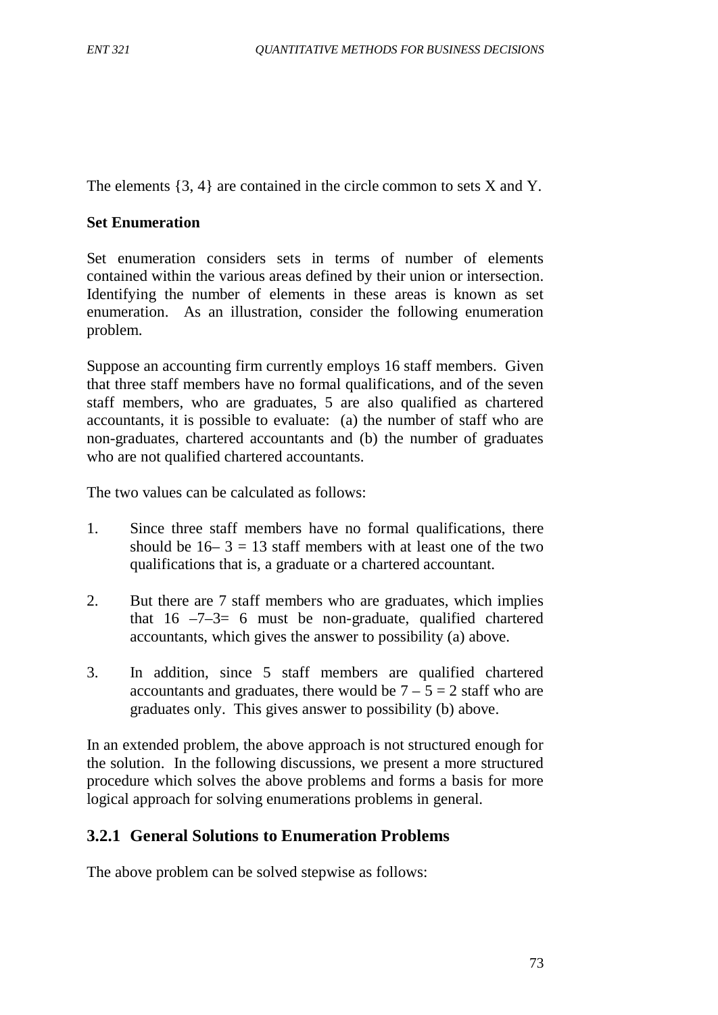The elements  $\{3, 4\}$  are contained in the circle common to sets X and Y.

### **Set Enumeration**

Set enumeration considers sets in terms of number of elements contained within the various areas defined by their union or intersection. Identifying the number of elements in these areas is known as set enumeration. As an illustration, consider the following enumeration problem.

Suppose an accounting firm currently employs 16 staff members. Given that three staff members have no formal qualifications, and of the seven staff members, who are graduates, 5 are also qualified as chartered accountants, it is possible to evaluate: (a) the number of staff who are non-graduates, chartered accountants and (b) the number of graduates who are not qualified chartered accountants.

The two values can be calculated as follows:

- 1. Since three staff members have no formal qualifications, there should be  $16-3 = 13$  staff members with at least one of the two qualifications that is, a graduate or a chartered accountant.
- 2. But there are 7 staff members who are graduates, which implies that  $16 -7-3= 6$  must be non-graduate, qualified chartered accountants, which gives the answer to possibility (a) above.
- 3. In addition, since 5 staff members are qualified chartered accountants and graduates, there would be  $7 - 5 = 2$  staff who are graduates only. This gives answer to possibility (b) above.

In an extended problem, the above approach is not structured enough for the solution. In the following discussions, we present a more structured procedure which solves the above problems and forms a basis for more logical approach for solving enumerations problems in general.

# **3.2.1 General Solutions to Enumeration Problems**

The above problem can be solved stepwise as follows: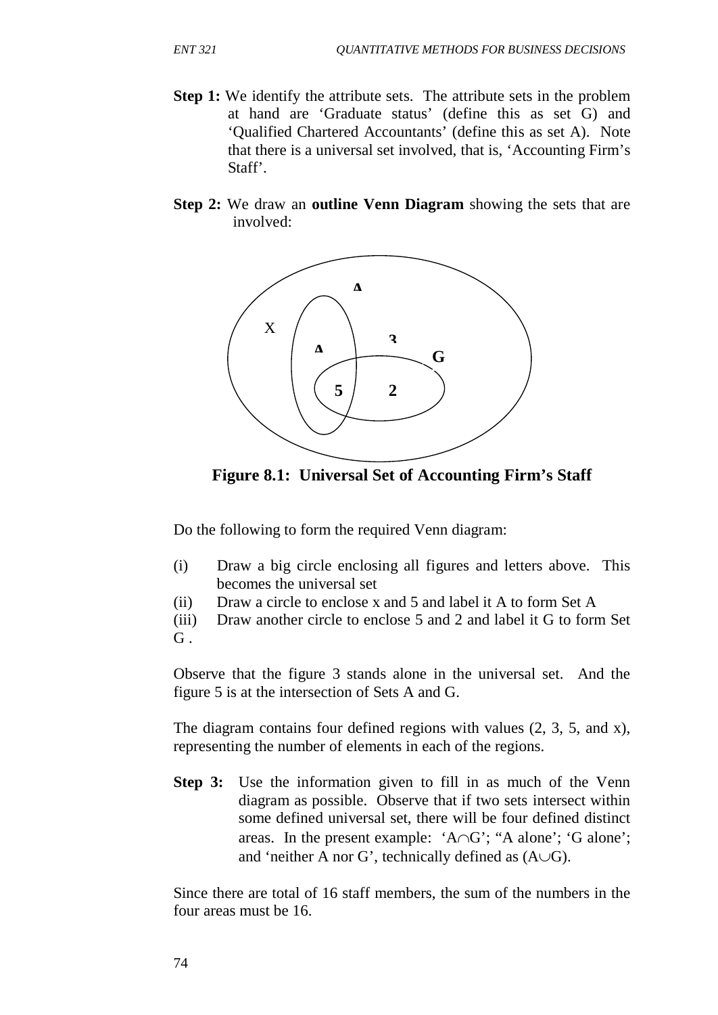- **Step 1:** We identify the attribute sets. The attribute sets in the problem at hand are 'Graduate status' (define this as set G) and 'Qualified Chartered Accountants' (define this as set A). Note that there is a universal set involved, that is, 'Accounting Firm's Staff'.
- **Step 2:** We draw an **outline Venn Diagram** showing the sets that are involved:



**Figure 8.1: Universal Set of Accounting Firm's Staff**

Do the following to form the required Venn diagram:

- (i) Draw a big circle enclosing all figures and letters above. This becomes the universal set
- (ii) Draw a circle to enclose x and 5 and label it A to form Set A

(iii) Draw another circle to enclose 5 and 2 and label it G to form Set  $G$  .

Observe that the figure 3 stands alone in the universal set. And the figure 5 is at the intersection of Sets A and G.

The diagram contains four defined regions with values (2, 3, 5, and x), representing the number of elements in each of the regions.

**Step 3:** Use the information given to fill in as much of the Venn diagram as possible. Observe that if two sets intersect within some defined universal set, there will be four defined distinct areas. In the present example: 'A∩G'; "A alone'; 'G alone'; and 'neither A nor G', technically defined as  $(A\cup G)$ .

Since there are total of 16 staff members, the sum of the numbers in the four areas must be 16.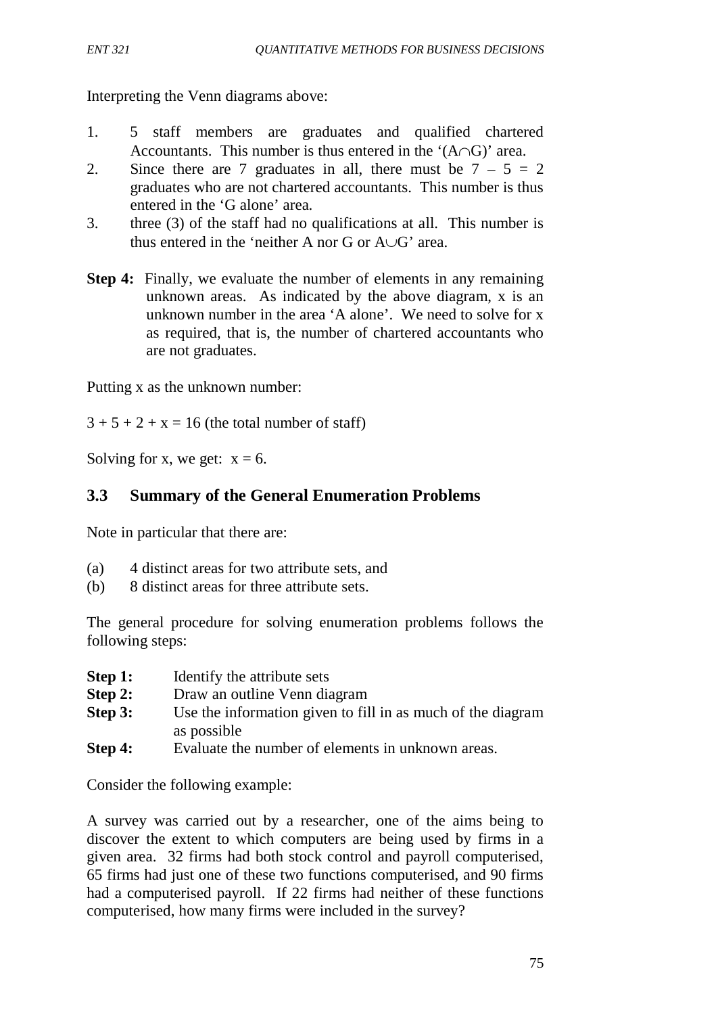Interpreting the Venn diagrams above:

- 1. 5 staff members are graduates and qualified chartered Accountants. This number is thus entered in the ' $(A \cap G)$ ' area.
- 2. Since there are 7 graduates in all, there must be  $7 5 = 2$ graduates who are not chartered accountants. This number is thus entered in the 'G alone' area.
- 3. three (3) of the staff had no qualifications at all. This number is thus entered in the 'neither A nor G or A∪G' area.
- **Step 4:** Finally, we evaluate the number of elements in any remaining unknown areas. As indicated by the above diagram, x is an unknown number in the area 'A alone'. We need to solve for x as required, that is, the number of chartered accountants who are not graduates.

Putting x as the unknown number:

 $3 + 5 + 2 + x = 16$  (the total number of staff)

Solving for x, we get:  $x = 6$ .

# **3.3 Summary of the General Enumeration Problems**

Note in particular that there are:

- (a) 4 distinct areas for two attribute sets, and
- (b) 8 distinct areas for three attribute sets.

The general procedure for solving enumeration problems follows the following steps:

- **Step 1:** Identify the attribute sets
- **Step 2:** Draw an outline Venn diagram
- **Step 3:** Use the information given to fill in as much of the diagram as possible
- **Step 4:** Evaluate the number of elements in unknown areas.

Consider the following example:

A survey was carried out by a researcher, one of the aims being to discover the extent to which computers are being used by firms in a given area. 32 firms had both stock control and payroll computerised, 65 firms had just one of these two functions computerised, and 90 firms had a computerised payroll. If 22 firms had neither of these functions computerised, how many firms were included in the survey?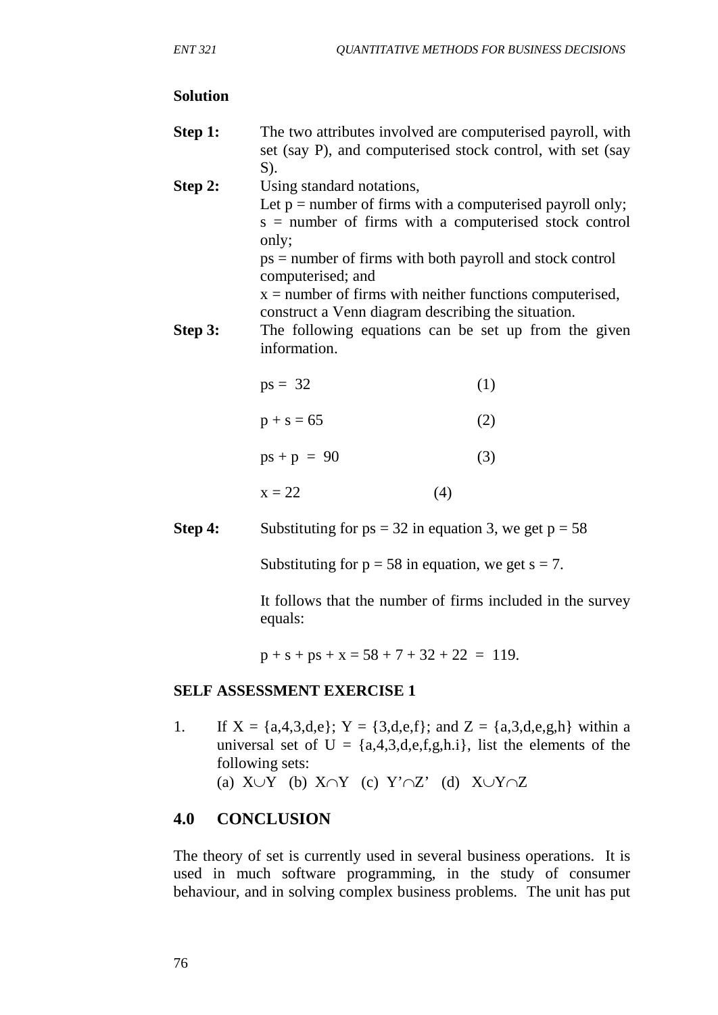#### **Solution**

- **Step 1:** The two attributes involved are computerised payroll, with set (say P), and computerised stock control, with set (say S).
- **Step 2:** Using standard notations, Let  $p =$  number of firms with a computerised payroll only; s = number of firms with a computerised stock control only;

 ps = number of firms with both payroll and stock control computerised; and

 $x =$  number of firms with neither functions computerised, construct a Venn diagram describing the situation.

**Step 3:** The following equations can be set up from the given information.

| $ps = 32$ |  | (1) |
|-----------|--|-----|
|           |  |     |

| $p + s = 65$  | (2) |
|---------------|-----|
| $ps + p = 90$ | (3) |

$$
x = 22 \tag{4}
$$

**Step 4:** Substituting for  $ps = 32$  in equation 3, we get  $p = 58$ 

Substituting for  $p = 58$  in equation, we get  $s = 7$ .

It follows that the number of firms included in the survey equals:

 $p + s + ps + x = 58 + 7 + 32 + 22 = 119.$ 

#### **SELF ASSESSMENT EXERCISE 1**

1. If  $X = \{a,4,3,d,e\}$ ;  $Y = \{3,d,e,f\}$ ; and  $Z = \{a,3,d,e,g,h\}$  within a universal set of  $U = \{a,4,3,d,e,f,g,h,i\}$ , list the elements of the following sets: (a)  $X \cup Y$  (b)  $X \cap Y$  (c)  $Y' \cap Z'$  (d)  $X \cup Y \cap Z$ 

## **4.0 CONCLUSION**

The theory of set is currently used in several business operations. It is used in much software programming, in the study of consumer behaviour, and in solving complex business problems. The unit has put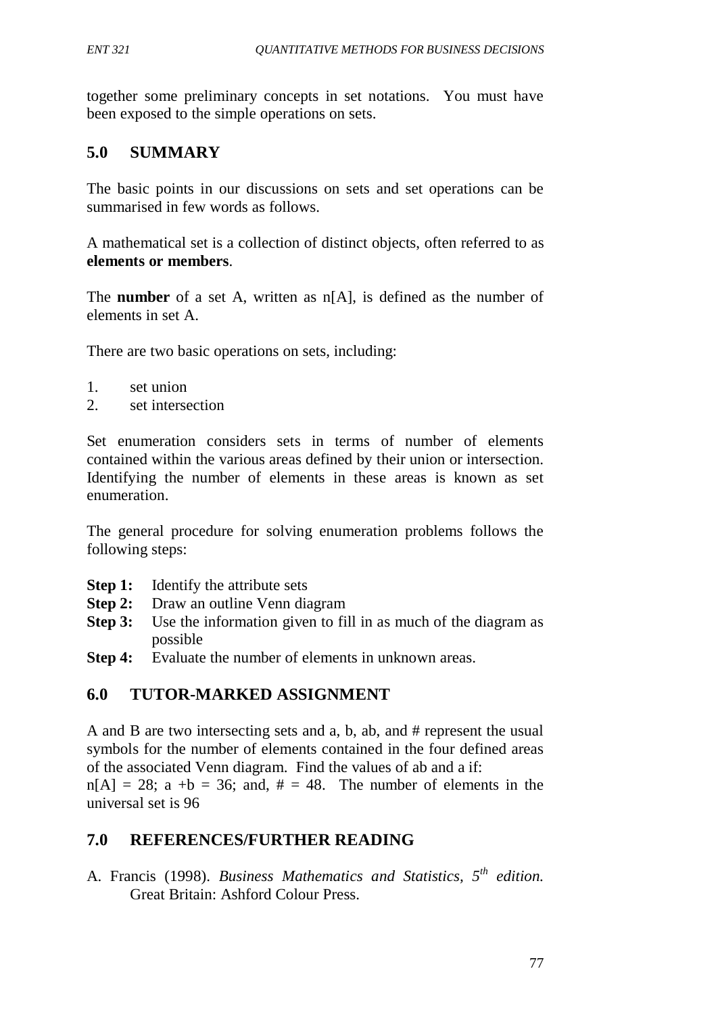together some preliminary concepts in set notations. You must have been exposed to the simple operations on sets.

# **5.0 SUMMARY**

The basic points in our discussions on sets and set operations can be summarised in few words as follows.

A mathematical set is a collection of distinct objects, often referred to as **elements or members**.

The **number** of a set A, written as n[A], is defined as the number of elements in set A.

There are two basic operations on sets, including:

- 1. set union
- 2. set intersection

Set enumeration considers sets in terms of number of elements contained within the various areas defined by their union or intersection. Identifying the number of elements in these areas is known as set enumeration.

The general procedure for solving enumeration problems follows the following steps:

- **Step 1:** Identify the attribute sets
- **Step 2:** Draw an outline Venn diagram
- **Step 3:** Use the information given to fill in as much of the diagram as possible
- **Step 4:** Evaluate the number of elements in unknown areas.

# **6.0 TUTOR-MARKED ASSIGNMENT**

A and B are two intersecting sets and a, b, ab, and # represent the usual symbols for the number of elements contained in the four defined areas of the associated Venn diagram. Find the values of ab and a if:  $n[A] = 28$ ; a +b = 36; and,  $\# = 48$ . The number of elements in the universal set is 96

# **7.0 REFERENCES/FURTHER READING**

A. Francis (1998). *Business Mathematics and Statistics, 5th edition.*  Great Britain: Ashford Colour Press.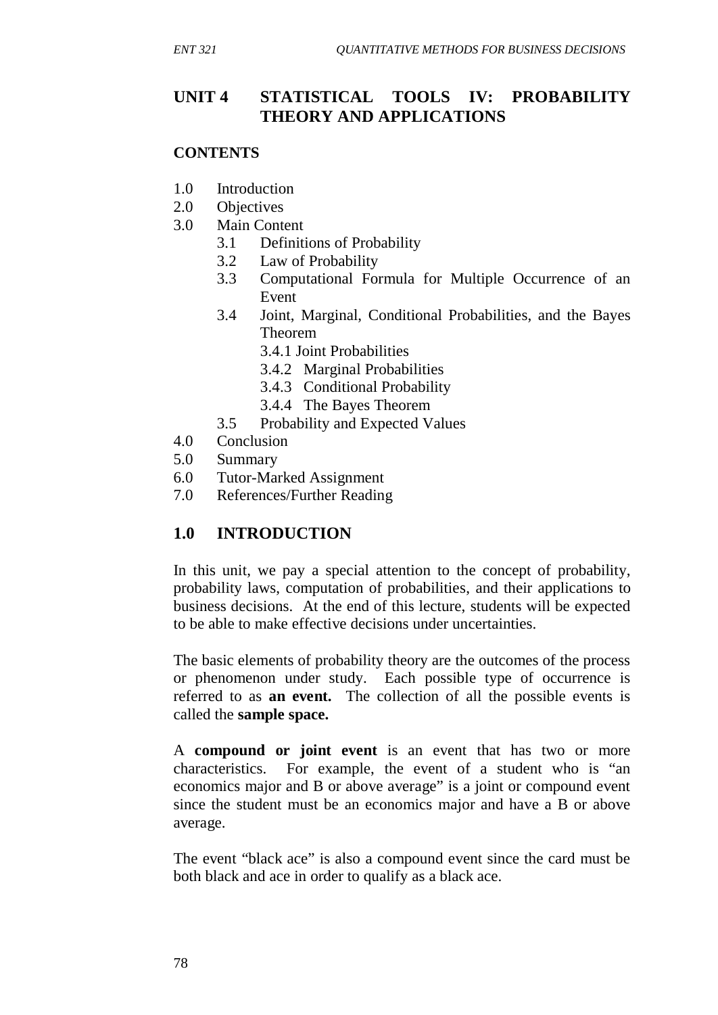# **UNIT 4 STATISTICAL TOOLS IV: PROBABILITY THEORY AND APPLICATIONS**

#### **CONTENTS**

- 1.0 Introduction
- 2.0 Objectives
- 3.0 Main Content
	- 3.1 Definitions of Probability
	- 3.2 Law of Probability
	- 3.3 Computational Formula for Multiple Occurrence of an Event
	- 3.4 Joint, Marginal, Conditional Probabilities, and the Bayes Theorem
		- 3.4.1 Joint Probabilities
		- 3.4.2 Marginal Probabilities
		- 3.4.3 Conditional Probability
		- 3.4.4 The Bayes Theorem
	- 3.5 Probability and Expected Values
- 4.0 Conclusion
- 5.0 Summary
- 6.0 Tutor-Marked Assignment
- 7.0 References/Further Reading

# **1.0 INTRODUCTION**

In this unit, we pay a special attention to the concept of probability, probability laws, computation of probabilities, and their applications to business decisions. At the end of this lecture, students will be expected to be able to make effective decisions under uncertainties.

The basic elements of probability theory are the outcomes of the process or phenomenon under study. Each possible type of occurrence is referred to as **an event.** The collection of all the possible events is called the **sample space.**

A **compound or joint event** is an event that has two or more characteristics. For example, the event of a student who is "an economics major and B or above average" is a joint or compound event since the student must be an economics major and have a B or above average.

The event "black ace" is also a compound event since the card must be both black and ace in order to qualify as a black ace.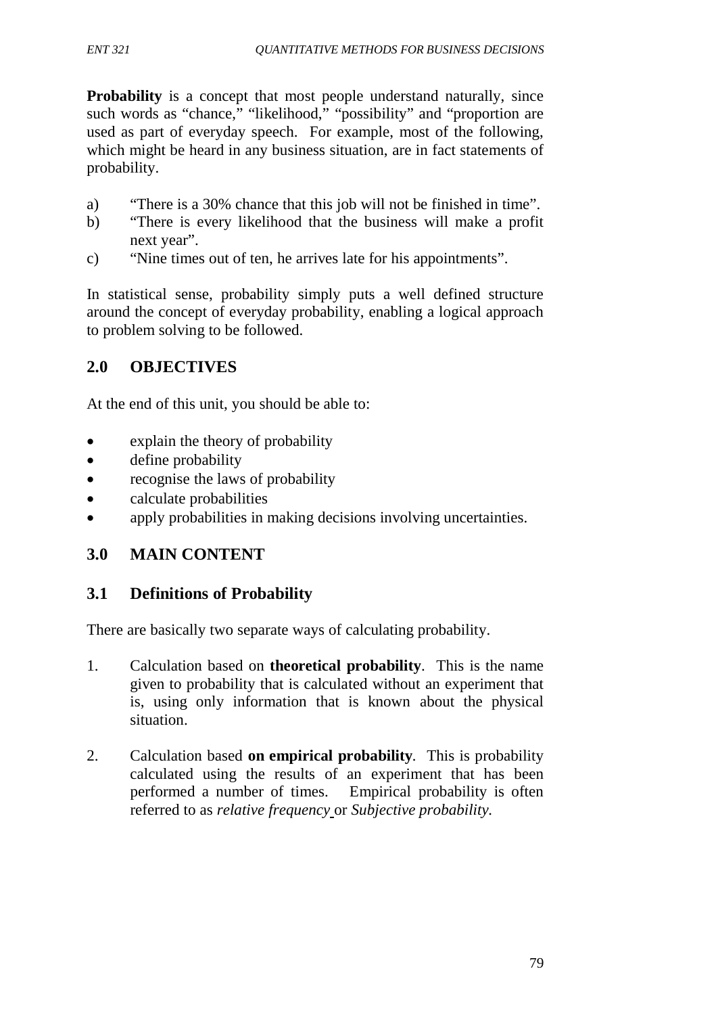**Probability** is a concept that most people understand naturally, since such words as "chance," "likelihood," "possibility" and "proportion are used as part of everyday speech. For example, most of the following, which might be heard in any business situation, are in fact statements of probability.

- a) "There is a 30% chance that this job will not be finished in time".
- b) "There is every likelihood that the business will make a profit next year".
- c) "Nine times out of ten, he arrives late for his appointments".

In statistical sense, probability simply puts a well defined structure around the concept of everyday probability, enabling a logical approach to problem solving to be followed.

# **2.0 OBJECTIVES**

At the end of this unit, you should be able to:

- explain the theory of probability
- define probability
- recognise the laws of probability
- calculate probabilities
- apply probabilities in making decisions involving uncertainties.

# **3.0 MAIN CONTENT**

# **3.1 Definitions of Probability**

There are basically two separate ways of calculating probability.

- 1. Calculation based on **theoretical probability**. This is the name given to probability that is calculated without an experiment that is, using only information that is known about the physical situation.
- 2. Calculation based **on empirical probability***.* This is probability calculated using the results of an experiment that has been performed a number of times. Empirical probability is often referred to as *relative frequency* or *Subjective probability.*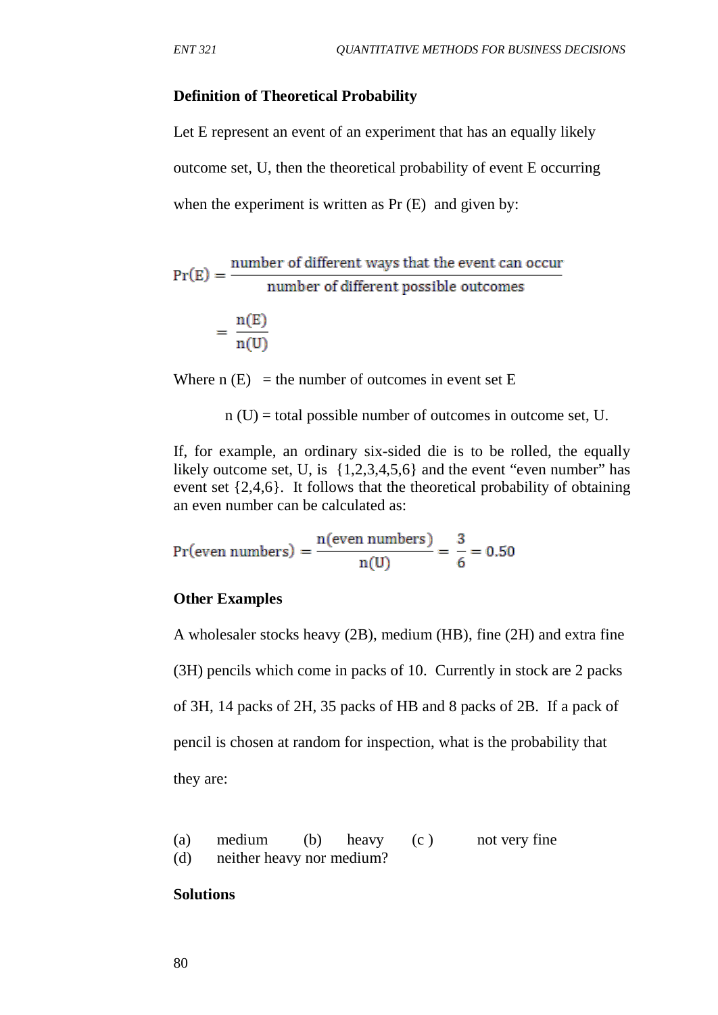#### **Definition of Theoretical Probability**

Let E represent an event of an experiment that has an equally likely outcome set, U, then the theoretical probability of event E occurring when the experiment is written as Pr  $(E)$  and given by:

 $Pr(E) = \frac{number of different ways that the event can occur}{number of different possible outcomes}$ number of different possible outcomes

$$
= \frac{n(E)}{n(U)}
$$

Where  $n(E)$  = the number of outcomes in event set E

 $n(U)$  = total possible number of outcomes in outcome set, U.

If, for example, an ordinary six-sided die is to be rolled, the equally likely outcome set, U, is  $\{1,2,3,4,5,6\}$  and the event "even number" has event set {2,4,6}. It follows that the theoretical probability of obtaining an even number can be calculated as:

$$
Pr(even numbers) = \frac{n(even numbers)}{n(U)} = \frac{3}{6} = 0.50
$$

#### **Other Examples**

A wholesaler stocks heavy (2B), medium (HB), fine (2H) and extra fine (3H) pencils which come in packs of 10. Currently in stock are 2 packs of 3H, 14 packs of 2H, 35 packs of HB and 8 packs of 2B. If a pack of pencil is chosen at random for inspection, what is the probability that they are:

(a) medium (b) heavy (c ) not very fine (d) neither heavy nor medium?

#### **Solutions**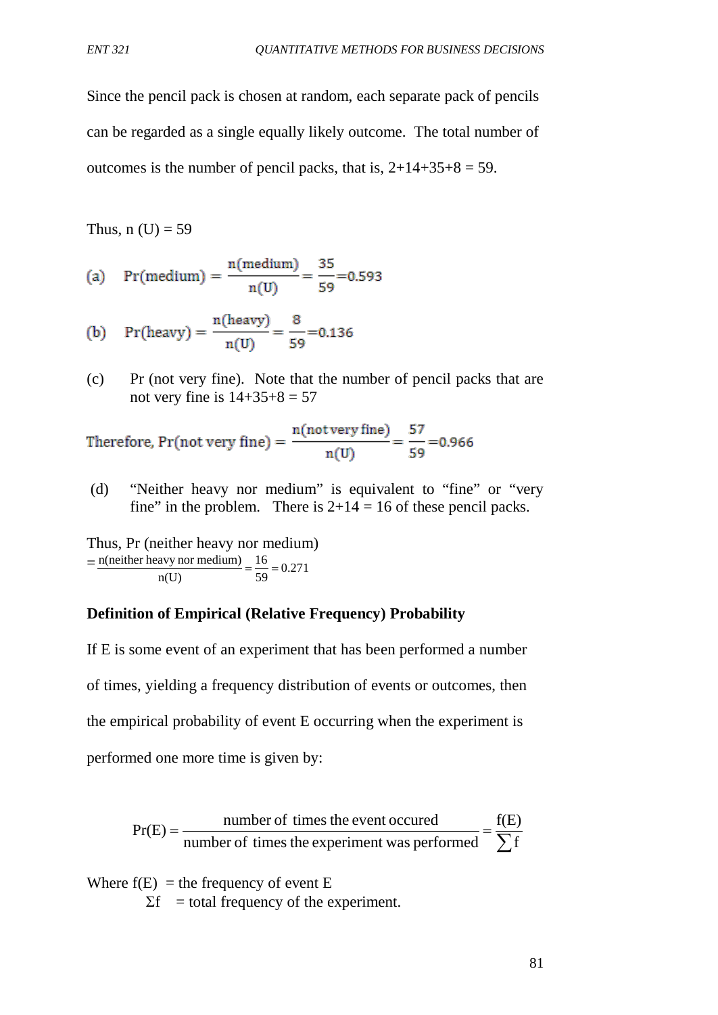Since the pencil pack is chosen at random, each separate pack of pencils can be regarded as a single equally likely outcome. The total number of outcomes is the number of pencil packs, that is,  $2+14+35+8=59$ .

Thus,  $n(U) = 59$ 

(a) Pr(medium) = 
$$
\frac{n(\text{medium})}{n(U)} = \frac{35}{59} = 0.593
$$

(b) 
$$
Pr(heavy) = {n(heavy) \over n(U)} = {8 \over 59} = 0.136
$$

(c) Pr (not very fine). Note that the number of pencil packs that are not very fine is  $14+35+8 = 57$ 

Therefore, Pr(not very fine) =  $\frac{n(not very fine)}{n(U)} = \frac{57}{59} = 0.966$ 

(d) "Neither heavy nor medium" is equivalent to "fine" or "very fine" in the problem. There is  $2+14 = 16$  of these pencil packs.

Thus, Pr (neither heavy nor medium)  $=\frac{n(\text{neither heavy nor medium})}{(1.0 \times 10^{14} \text{ J/m})} = \frac{16}{50} = 0.271$ 59 16 n(U)  $\frac{n(\text{neither heavy nor medium})}{\sigma} = \frac{16}{78} =$ 

#### **Definition of Empirical (Relative Frequency) Probability**

If E is some event of an experiment that has been performed a number of times, yielding a frequency distribution of events or outcomes, then the empirical probability of event E occurring when the experiment is performed one more time is given by:

 $=\frac{\text{number of times the event occurred}}{\text{number of times the experiment was performed}} = \frac{f(E)}{\sum f}$ number of times the experiment was performed  $Pr(E) = \frac{number\ of\ times\ the\ event\ occurred}{1 - 1}$ 

Where  $f(E) =$  the frequency of event E

 $\Sigma f$  = total frequency of the experiment.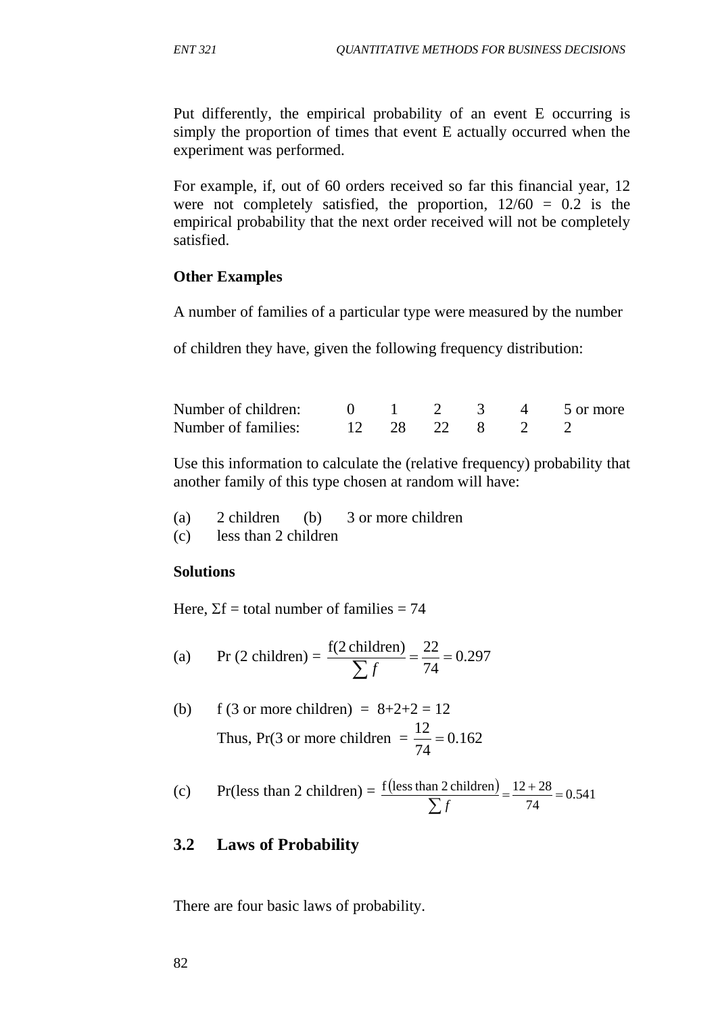Put differently, the empirical probability of an event E occurring is simply the proportion of times that event E actually occurred when the experiment was performed.

For example, if, out of 60 orders received so far this financial year, 12 were not completely satisfied, the proportion,  $12/60 = 0.2$  is the empirical probability that the next order received will not be completely satisfied.

### **Other Examples**

A number of families of a particular type were measured by the number

of children they have, given the following frequency distribution:

| Number of children: |  |                |  | 0 1 2 3 4 5 or more |
|---------------------|--|----------------|--|---------------------|
| Number of families: |  | 12 28 22 8 2 2 |  |                     |

Use this information to calculate the (relative frequency) probability that another family of this type chosen at random will have:

| (a) | $2$ children (b)     | 3 or more children |
|-----|----------------------|--------------------|
| (c) | less than 2 children |                    |

#### **Solutions**

Here,  $\Sigma f =$  total number of families = 74

(a) 
$$
\text{Pr}(2 \text{ children}) = \frac{f(2 \text{ children})}{\sum f} = \frac{22}{74} = 0.297
$$

(b) f (3 or more children) = 
$$
8+2+2 = 12
$$
  
Thus, Pr(3 or more children =  $\frac{12}{74} = 0.162$ 

(c) Pr(less than 2 children) = 
$$
\frac{f(\text{less than 2 children})}{\sum f} = \frac{12 + 28}{74} = 0.541
$$

## **3.2 Laws of Probability**

There are four basic laws of probability.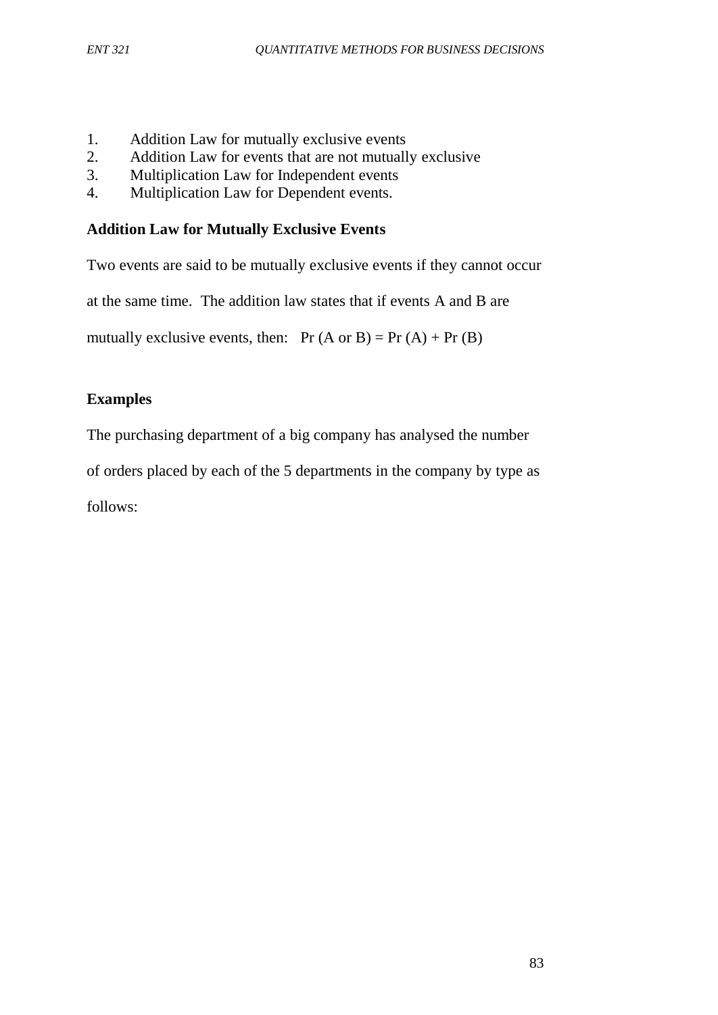- 1. Addition Law for mutually exclusive events
- 2. Addition Law for events that are not mutually exclusive<br>3. Multiplication Law for Independent events
- 3. Multiplication Law for Independent events
- 4. Multiplication Law for Dependent events.

## **Addition Law for Mutually Exclusive Events**

Two events are said to be mutually exclusive events if they cannot occur

at the same time. The addition law states that if events A and B are

mutually exclusive events, then:  $Pr(A \text{ or } B) = Pr(A) + Pr(B)$ 

# **Examples**

The purchasing department of a big company has analysed the number

of orders placed by each of the 5 departments in the company by type as

follows: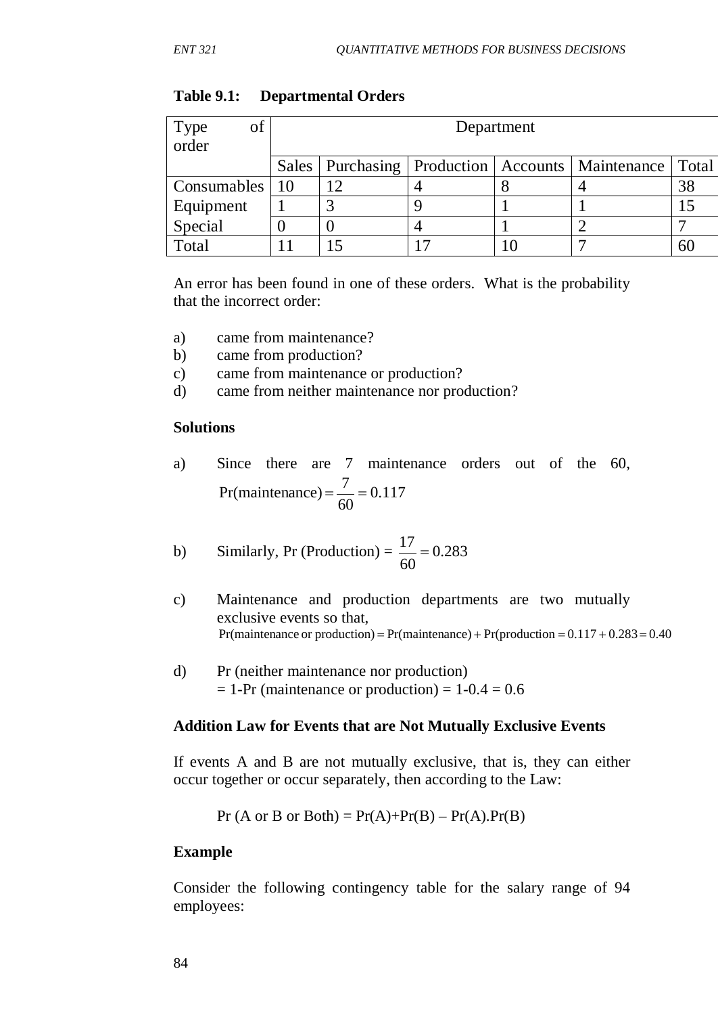| of<br>Type<br>order |           | Department |  |  |                                                          |       |  |  |
|---------------------|-----------|------------|--|--|----------------------------------------------------------|-------|--|--|
|                     |           |            |  |  | Sales   Purchasing   Production   Accounts   Maintenance | Total |  |  |
| Consumables         | $\mid$ 10 |            |  |  |                                                          | 38    |  |  |
| Equipment           |           | 3          |  |  |                                                          |       |  |  |
| Special             |           |            |  |  |                                                          |       |  |  |
| Total               |           |            |  |  |                                                          | 60    |  |  |

#### **Table 9.1: Departmental Orders**

An error has been found in one of these orders. What is the probability that the incorrect order:

- a) came from maintenance?
- b) came from production?
- c) came from maintenance or production?
- d) came from neither maintenance nor production?

#### **Solutions**

a) Since there are 7 maintenance orders out of the 60, 0.117 60 Pr(maintenance) =  $\frac{7}{60}$  = 0.117

b) Similarly, Pr (Production) = 
$$
\frac{17}{60}
$$
 = 0.283

- c) Maintenance and production departments are two mutually exclusive events so that, Pr(maintenance or production) = Pr(maintenance) + Pr(production =  $0.117 + 0.283 = 0.40$
- d) Pr (neither maintenance nor production)  $= 1-Pr$  (maintenance or production)  $= 1-0.4 = 0.6$

#### **Addition Law for Events that are Not Mutually Exclusive Events**

If events A and B are not mutually exclusive, that is, they can either occur together or occur separately, then according to the Law:

$$
Pr (A or B or Both) = Pr(A) + Pr(B) - Pr(A).Pr(B)
$$

#### **Example**

Consider the following contingency table for the salary range of 94 employees: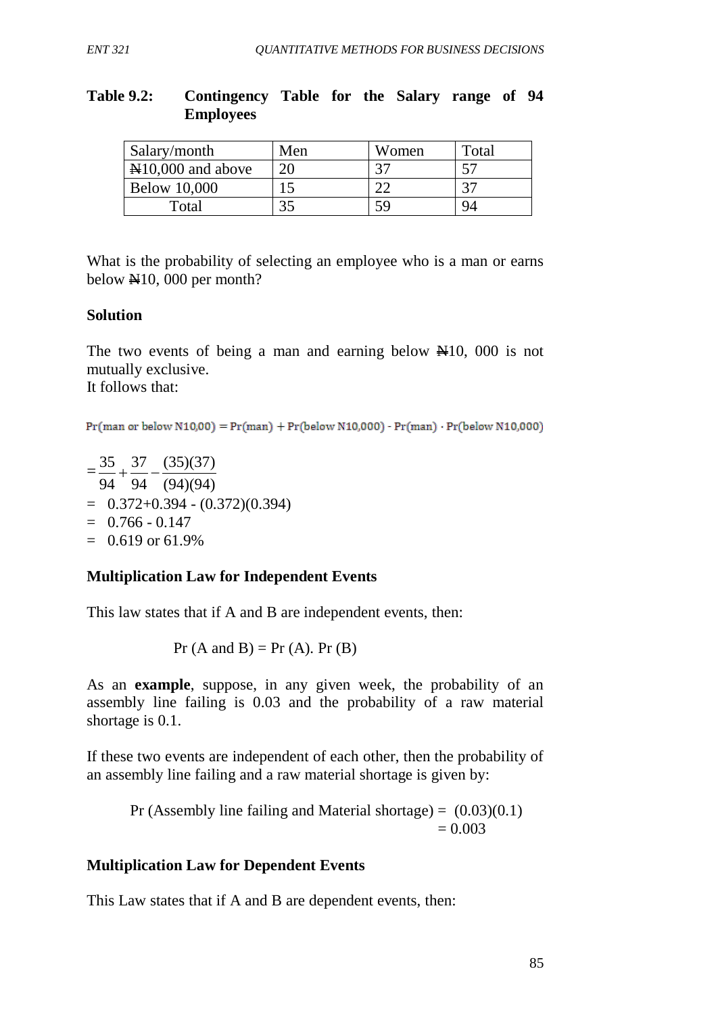#### **Table 9.2: Contingency Table for the Salary range of 94 Employees**

| Salary/month                                 | Men | Women | Total |
|----------------------------------------------|-----|-------|-------|
| $\textcolor{blue}{\text{N}}10,000$ and above | 20  |       |       |
| <b>Below 10,000</b>                          |     |       |       |
| Total                                        |     |       |       |

What is the probability of selecting an employee who is a man or earns below N10, 000 per month?

### **Solution**

The two events of being a man and earning below  $\mathbb{H}10$ , 000 is not mutually exclusive. It follows that:

 $Pr(\text{man or below N10,00}) = Pr(\text{man}) + Pr(\text{below N10,000}) - Pr(\text{man}) \cdot Pr(\text{below N10,000})$ 

 $=\frac{33}{94}+\frac{37}{94}-\frac{(33)(37)}{(94)(94)}$  $\frac{35}{21} + \frac{37}{21} - \frac{(35)(37)}{(21)(21)}$  $= 0.372 + 0.394 - (0.372)(0.394)$  $= 0.766 - 0.147$  $= 0.619$  or 61.9%

## **Multiplication Law for Independent Events**

This law states that if A and B are independent events, then:

 $Pr(A \text{ and } B) = Pr(A)$ .  $Pr(B)$ 

As an **example**, suppose, in any given week, the probability of an assembly line failing is 0.03 and the probability of a raw material shortage is 0.1.

If these two events are independent of each other, then the probability of an assembly line failing and a raw material shortage is given by:

Pr (Assembly line failing and Material shortage) =  $(0.03)(0.1)$  $= 0.003$ 

#### **Multiplication Law for Dependent Events**

This Law states that if A and B are dependent events, then: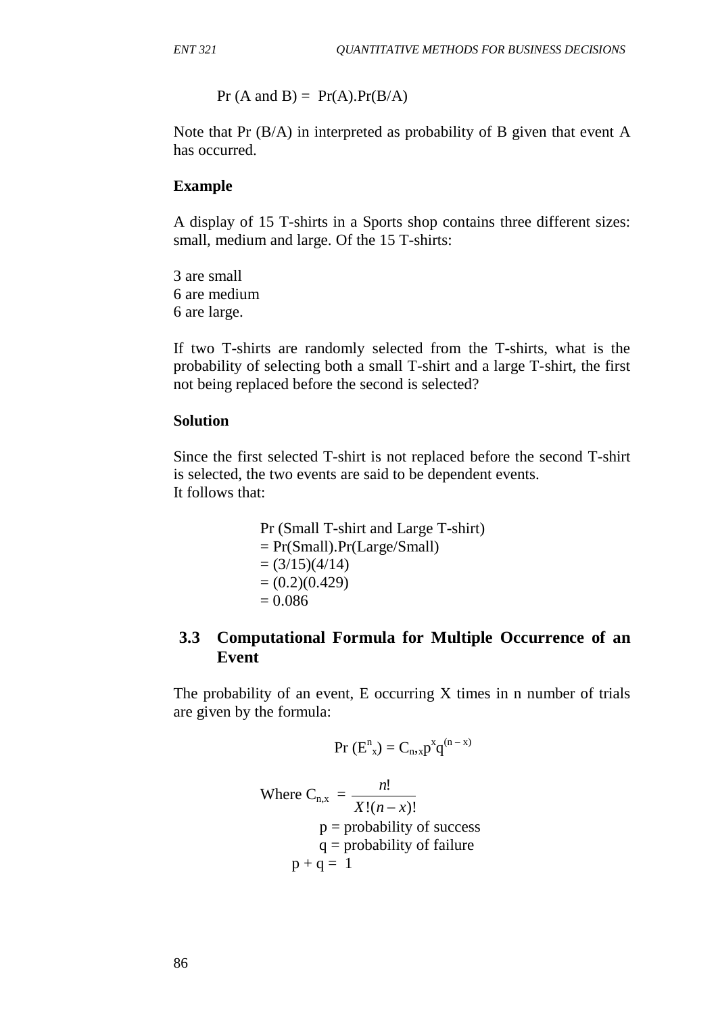$Pr(A \text{ and } B) = Pr(A).Pr(B/A)$ 

Note that Pr (B/A) in interpreted as probability of B given that event A has occurred.

### **Example**

A display of 15 T-shirts in a Sports shop contains three different sizes: small, medium and large. Of the 15 T-shirts:

3 are small 6 are medium 6 are large.

If two T-shirts are randomly selected from the T-shirts, what is the probability of selecting both a small T-shirt and a large T-shirt, the first not being replaced before the second is selected?

#### **Solution**

Since the first selected T-shirt is not replaced before the second T-shirt is selected, the two events are said to be dependent events. It follows that:

> Pr (Small T-shirt and Large T-shirt) = Pr(Small).Pr(Large/Small)  $= (3/15)(4/14)$  $= (0.2)(0.429)$  $= 0.086$

# **3.3 Computational Formula for Multiple Occurrence of an Event**

The probability of an event, E occurring X times in n number of trials are given by the formula:

$$
Pr(E_{x}^{n})=C_{n,x}p^{x}q^{(n-x)}
$$

Where 
$$
C_{n,x} = \frac{n!}{X!(n-x)!}
$$
  
\n $p =$  probability of success  
\n $q =$  probability of failure  
\n $p + q = 1$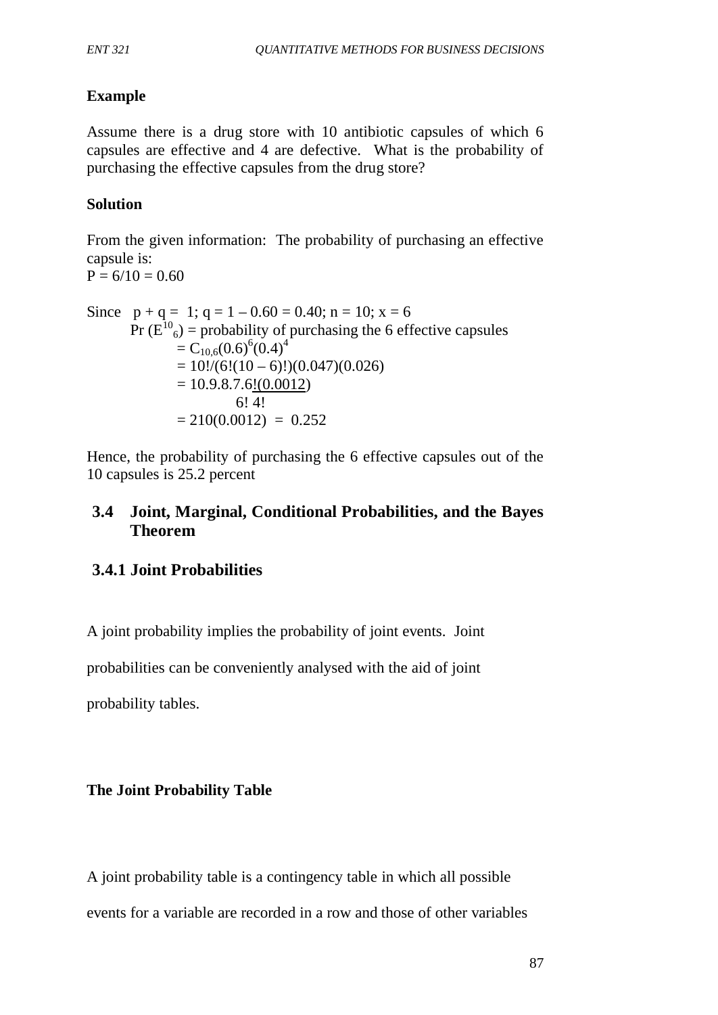# **Example**

Assume there is a drug store with 10 antibiotic capsules of which 6 capsules are effective and 4 are defective. What is the probability of purchasing the effective capsules from the drug store?

## **Solution**

From the given information: The probability of purchasing an effective capsule is:  $P = 6/10 = 0.60$ 

Since 
$$
p + q = 1
$$
;  $q = 1 - 0.60 = 0.40$ ;  $n = 10$ ;  $x = 6$   
\n
$$
Pr(E^{10}{}_{6}) = \text{probability of purchasing the 6 effective capsules}
$$
\n
$$
= C_{10,6}(0.6)^{6}(0.4)^{4}
$$
\n
$$
= 10!/(6!(10-6)!)(0.047)(0.026)
$$
\n
$$
= 10.9.8.7.6\underline{!(0.0012)}
$$
\n
$$
= 6! 4!
$$
\n
$$
= 210(0.0012) = 0.252
$$

Hence, the probability of purchasing the 6 effective capsules out of the 10 capsules is 25.2 percent

# **3.4 Joint, Marginal, Conditional Probabilities, and the Bayes Theorem**

# **3.4.1 Joint Probabilities**

A joint probability implies the probability of joint events. Joint

probabilities can be conveniently analysed with the aid of joint

probability tables.

# **The Joint Probability Table**

A joint probability table is a contingency table in which all possible events for a variable are recorded in a row and those of other variables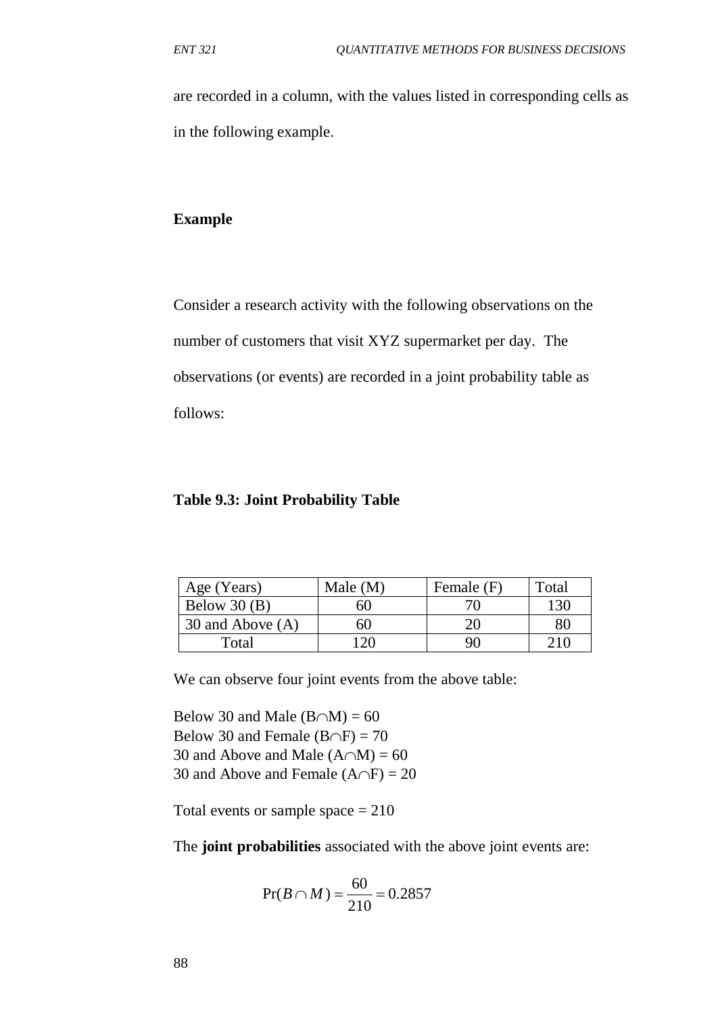are recorded in a column, with the values listed in corresponding cells as in the following example.

#### **Example**

Consider a research activity with the following observations on the number of customers that visit XYZ supermarket per day. The observations (or events) are recorded in a joint probability table as follows:

#### **Table 9.3: Joint Probability Table**

| Age (Years)      | Male $(M)$ | Female (F) | Total |
|------------------|------------|------------|-------|
| Below $30(B)$    | 60         |            | 130   |
| 30 and Above (A) | 60         |            | 80    |
| Total            |            |            | 21()  |

We can observe four joint events from the above table:

Below 30 and Male  $(B \cap M) = 60$ Below 30 and Female (B∩F) = 70 30 and Above and Male  $(A \cap M) = 60$ 30 and Above and Female  $(A \cap F) = 20$ 

Total events or sample space  $= 210$ 

The **joint probabilities** associated with the above joint events are:

$$
Pr(B \cap M) = \frac{60}{210} = 0.2857
$$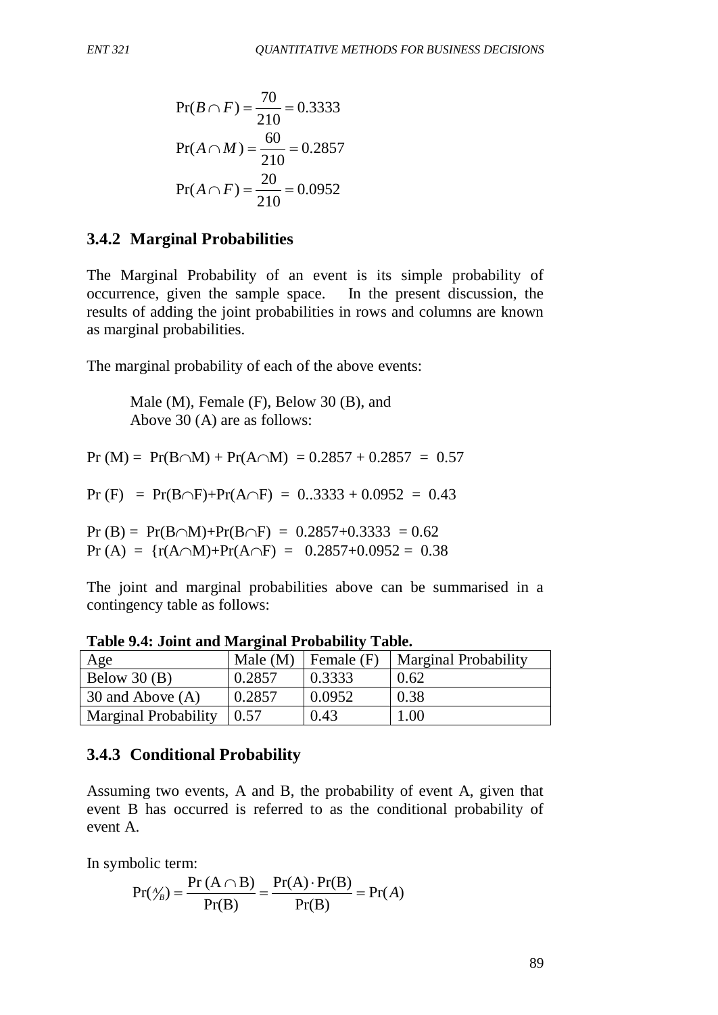$$
Pr(B \cap F) = \frac{70}{210} = 0.3333
$$

$$
Pr(A \cap M) = \frac{60}{210} = 0.2857
$$

$$
Pr(A \cap F) = \frac{20}{210} = 0.0952
$$

#### **3.4.2 Marginal Probabilities**

The Marginal Probability of an event is its simple probability of occurrence, given the sample space. In the present discussion, the results of adding the joint probabilities in rows and columns are known as marginal probabilities.

The marginal probability of each of the above events:

Male (M), Female (F), Below 30 (B), and Above 30 (A) are as follows:

Pr (M) = Pr(B∩M) + Pr(A∩M) =  $0.2857 + 0.2857 = 0.57$ 

Pr (F) = Pr(B∩F)+Pr(A∩F) =  $0.3333 + 0.0952 = 0.43$ 

Pr (B) = Pr(B∩M)+Pr(B∩F) =  $0.2857+0.3333 = 0.62$ Pr (A) =  $\{r(A \cap M) + Pr(A \cap F) = 0.2857 + 0.0952 = 0.38\}$ 

The joint and marginal probabilities above can be summarised in a contingency table as follows:

| Age                         | Male $(M)$ | Female (F) | Marginal Probability |
|-----------------------------|------------|------------|----------------------|
| Below $30(B)$               | 0.2857     | 0.3333     | 0.62                 |
| 30 and Above (A)            | 0.2857     | 0.0952     | 0.38                 |
| <b>Marginal Probability</b> | 0.57       | 0.43       | .00.                 |

**Table 9.4: Joint and Marginal Probability Table.**

#### **3.4.3 Conditional Probability**

Assuming two events, A and B, the probability of event A, given that event B has occurred is referred to as the conditional probability of event A.

In symbolic term:

$$
Pr(\frac{A}{B}) = \frac{Pr(A \cap B)}{Pr(B)} = \frac{Pr(A) \cdot Pr(B)}{Pr(B)} = Pr(A)
$$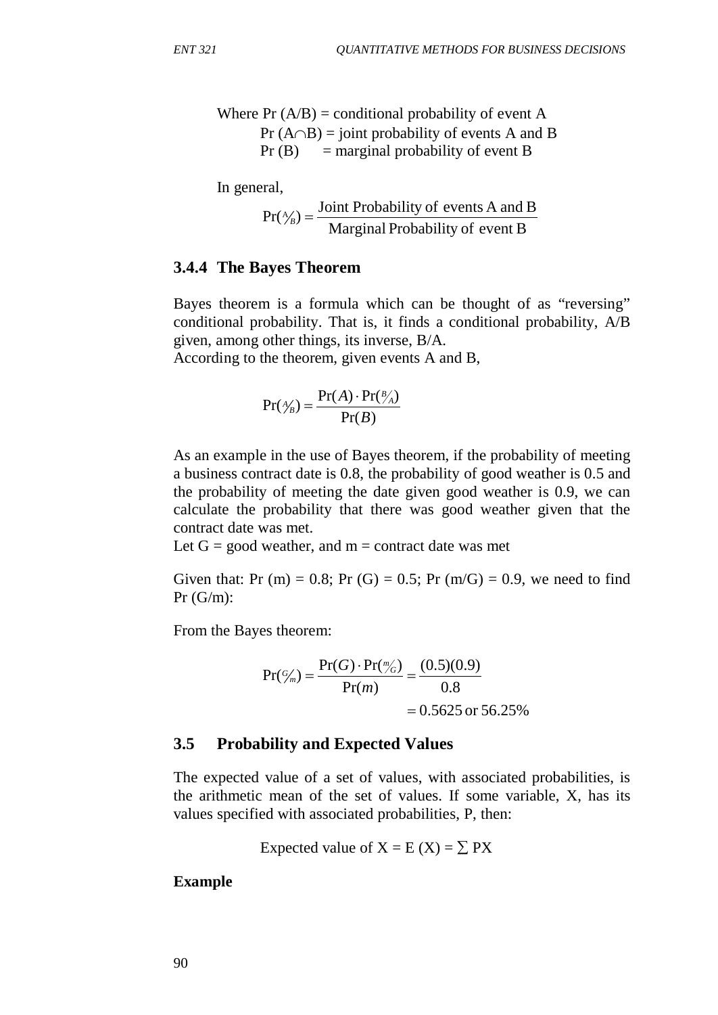Where  $Pr(A/B) =$  conditional probability of event A Pr  $(A \cap B)$  = joint probability of events A and B  $Pr(B)$  = marginal probability of event B

In general,

$$
Pr(\frac{\lambda}{B}) = \frac{\text{Joint Probability of events A and B}}{\text{Marginal Probability of event B}}
$$

#### **3.4.4 The Bayes Theorem**

Bayes theorem is a formula which can be thought of as "reversing" conditional probability. That is, it finds a conditional probability, A/B given, among other things, its inverse, B/A.

According to the theorem, given events A and B,

$$
Pr(\frac{A}{B}) = \frac{Pr(A) \cdot Pr(\frac{B}{A})}{Pr(B)}
$$

As an example in the use of Bayes theorem, if the probability of meeting a business contract date is 0.8, the probability of good weather is 0.5 and the probability of meeting the date given good weather is 0.9, we can calculate the probability that there was good weather given that the contract date was met.

Let  $G = \text{good weather}$ , and  $m = \text{contract date was met}$ 

Given that: Pr (m) = 0.8; Pr (G) = 0.5; Pr (m/G) = 0.9, we need to find  $Pr(G/m)$ :

From the Bayes theorem:

$$
Pr(\frac{G}{m}) = \frac{Pr(G) \cdot Pr(\frac{m}{G})}{Pr(m)} = \frac{(0.5)(0.9)}{0.8}
$$
  
= 0.5625 or 56.25%

#### **3.5 Probability and Expected Values**

The expected value of a set of values, with associated probabilities, is the arithmetic mean of the set of values. If some variable, X, has its values specified with associated probabilities, P, then:

Expected value of 
$$
X = E(X) = \sum PX
$$

**Example**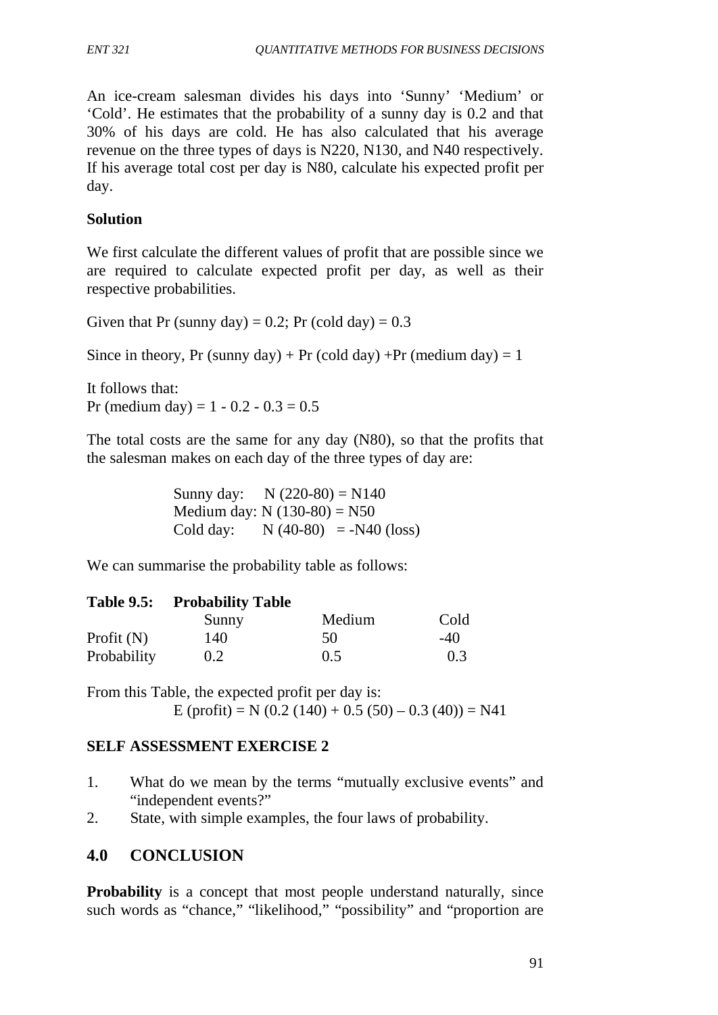An ice-cream salesman divides his days into 'Sunny' 'Medium' or 'Cold'. He estimates that the probability of a sunny day is 0.2 and that 30% of his days are cold. He has also calculated that his average revenue on the three types of days is N220, N130, and N40 respectively. If his average total cost per day is N80, calculate his expected profit per day.

### **Solution**

We first calculate the different values of profit that are possible since we are required to calculate expected profit per day, as well as their respective probabilities.

Given that Pr (sunny day) =  $0.2$ ; Pr (cold day) =  $0.3$ 

Since in theory, Pr (sunny day) + Pr (cold day) + Pr (medium day) = 1

It follows that: Pr (medium day) =  $1 - 0.2 - 0.3 = 0.5$ 

The total costs are the same for any day (N80), so that the profits that the salesman makes on each day of the three types of day are:

> Sunny day:  $N (220-80) = N140$ Medium day: N  $(130-80) = N50$ Cold day:  $N (40-80) = -N40 (loss)$

We can summarise the probability table as follows:

#### **Table 9.5: Probability Table**

|              | Sunny | Medium | Cold   |
|--------------|-------|--------|--------|
| Profit $(N)$ | 140   | 50     | $-4()$ |
| Probability  | 0.2   | 0.5    | 0.3    |

From this Table, the expected profit per day is:

E (profit) = N (0.2 (140) + 0.5 (50) – 0.3 (40)) = N41

#### **SELF ASSESSMENT EXERCISE 2**

- 1. What do we mean by the terms "mutually exclusive events" and "independent events?"
- 2. State, with simple examples, the four laws of probability.

## **4.0 CONCLUSION**

**Probability** is a concept that most people understand naturally, since such words as "chance," "likelihood," "possibility" and "proportion are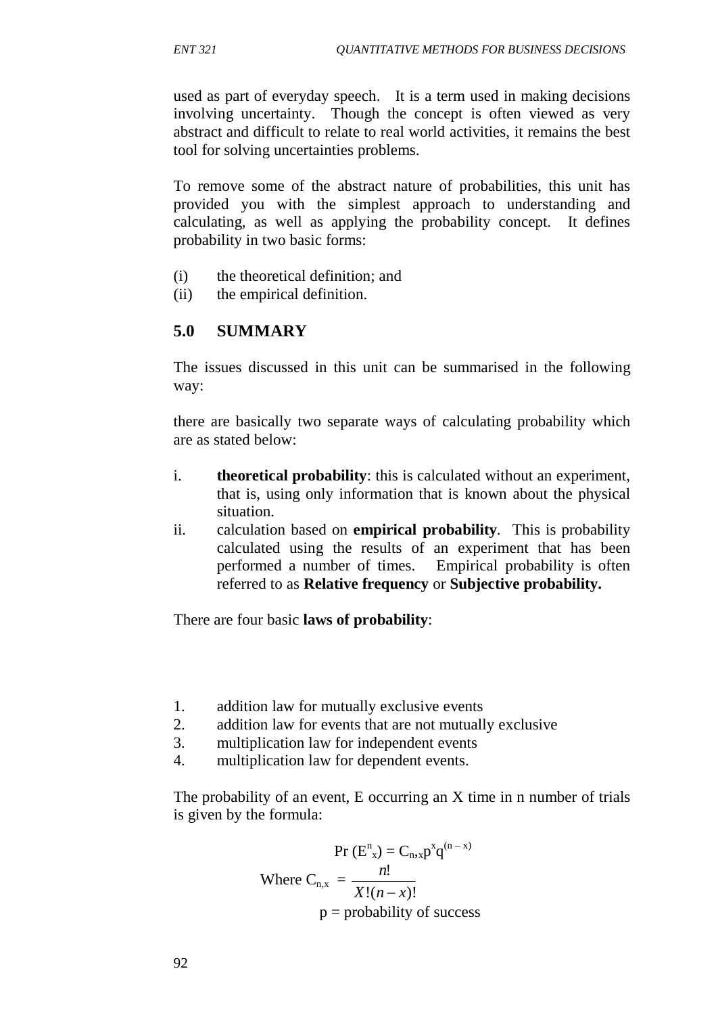used as part of everyday speech. It is a term used in making decisions involving uncertainty. Though the concept is often viewed as very abstract and difficult to relate to real world activities, it remains the best tool for solving uncertainties problems.

To remove some of the abstract nature of probabilities, this unit has provided you with the simplest approach to understanding and calculating, as well as applying the probability concept. It defines probability in two basic forms:

- (i) the theoretical definition; and
- (ii) the empirical definition.

# **5.0 SUMMARY**

The issues discussed in this unit can be summarised in the following way:

there are basically two separate ways of calculating probability which are as stated below:

- i. **theoretical probability**: this is calculated without an experiment, that is, using only information that is known about the physical situation.
- ii. calculation based on **empirical probability***.* This is probability calculated using the results of an experiment that has been performed a number of times. Empirical probability is often referred to as **Relative frequency** or **Subjective probability.**

There are four basic **laws of probability**:

- 1. addition law for mutually exclusive events
- 2. addition law for events that are not mutually exclusive
- 3. multiplication law for independent events
- 4. multiplication law for dependent events.

The probability of an event, E occurring an X time in n number of trials is given by the formula:

$$
Pr(E_{n,x}^{n}) = C_{n,x} p^{x} q^{(n-x)}
$$
  
Where  $C_{n,x} = \frac{n!}{X!(n-x)!}$   
 $p =$  probability of success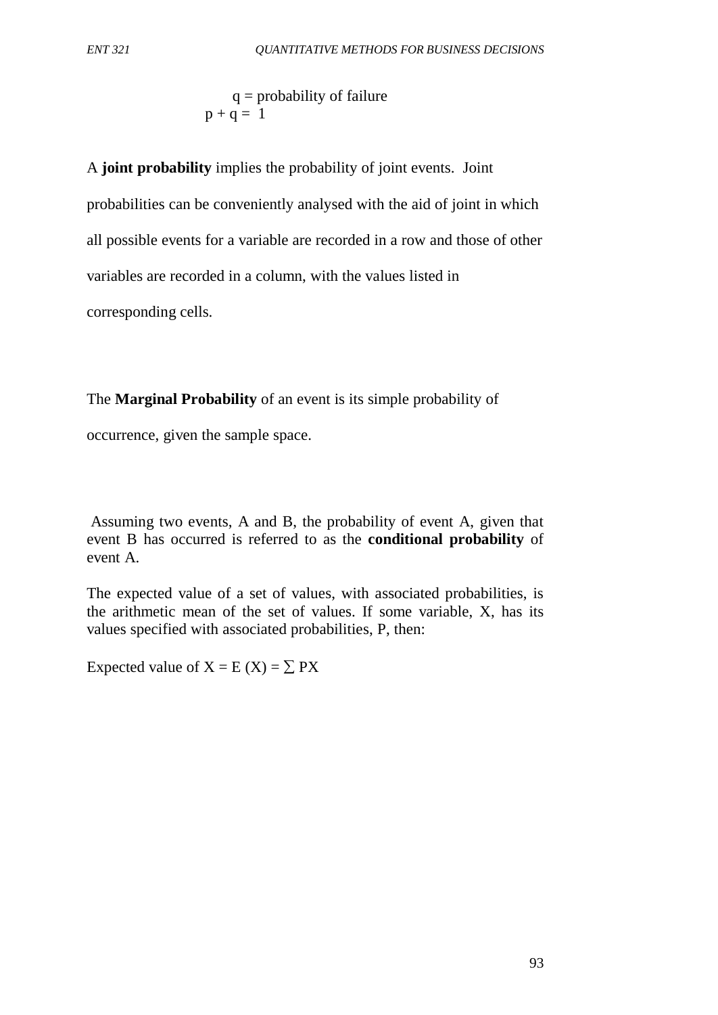$q =$  probability of failure  $p + q = 1$ 

A **joint probability** implies the probability of joint events. Joint probabilities can be conveniently analysed with the aid of joint in which all possible events for a variable are recorded in a row and those of other variables are recorded in a column, with the values listed in corresponding cells.

The **Marginal Probability** of an event is its simple probability of

occurrence, given the sample space.

Assuming two events, A and B, the probability of event A, given that event B has occurred is referred to as the **conditional probability** of event A.

The expected value of a set of values, with associated probabilities, is the arithmetic mean of the set of values. If some variable, X, has its values specified with associated probabilities, P, then:

Expected value of  $X = E(X) = \sum PX$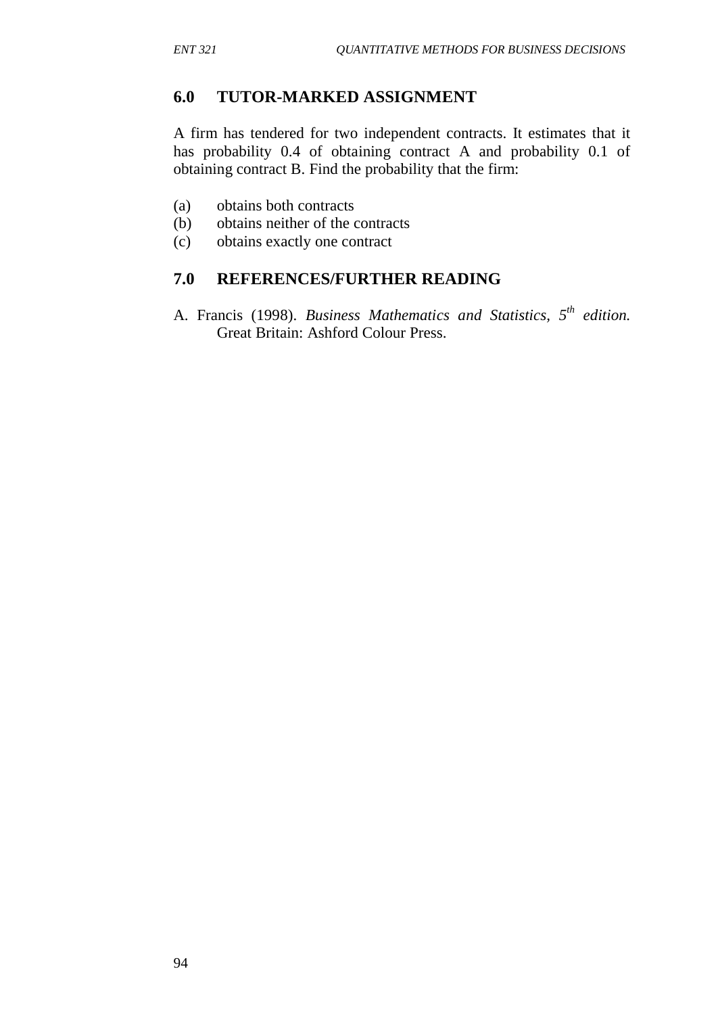## **6.0 TUTOR-MARKED ASSIGNMENT**

A firm has tendered for two independent contracts. It estimates that it has probability 0.4 of obtaining contract A and probability 0.1 of obtaining contract B. Find the probability that the firm:

- (a) obtains both contracts
- (b) obtains neither of the contracts
- (c) obtains exactly one contract

## **7.0 REFERENCES/FURTHER READING**

A. Francis (1998). *Business Mathematics and Statistics, 5th edition.*  Great Britain: Ashford Colour Press.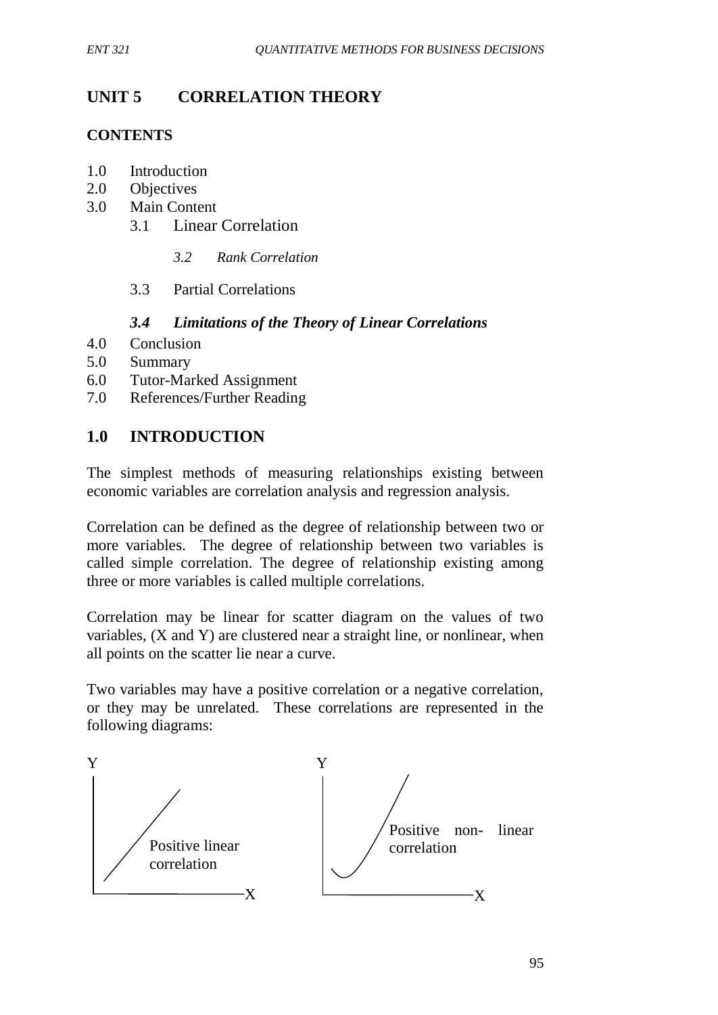# **UNIT 5 CORRELATION THEORY**

# **CONTENTS**

- 1.0 Introduction
- 2.0 Objectives
- 3.0 Main Content
	- 3.1 Linear Correlation

### *3.2 Rank Correlation*

# 3.3 Partial Correlations

# *3.4 Limitations of the Theory of Linear Correlations*

- 4.0 Conclusion
- 5.0 Summary
- 6.0 Tutor-Marked Assignment
- 7.0 References/Further Reading

# **1.0 INTRODUCTION**

The simplest methods of measuring relationships existing between economic variables are correlation analysis and regression analysis.

Correlation can be defined as the degree of relationship between two or more variables. The degree of relationship between two variables is called simple correlation. The degree of relationship existing among three or more variables is called multiple correlations.

Correlation may be linear for scatter diagram on the values of two variables, (X and Y) are clustered near a straight line, or nonlinear, when all points on the scatter lie near a curve.

Two variables may have a positive correlation or a negative correlation, or they may be unrelated. These correlations are represented in the following diagrams:

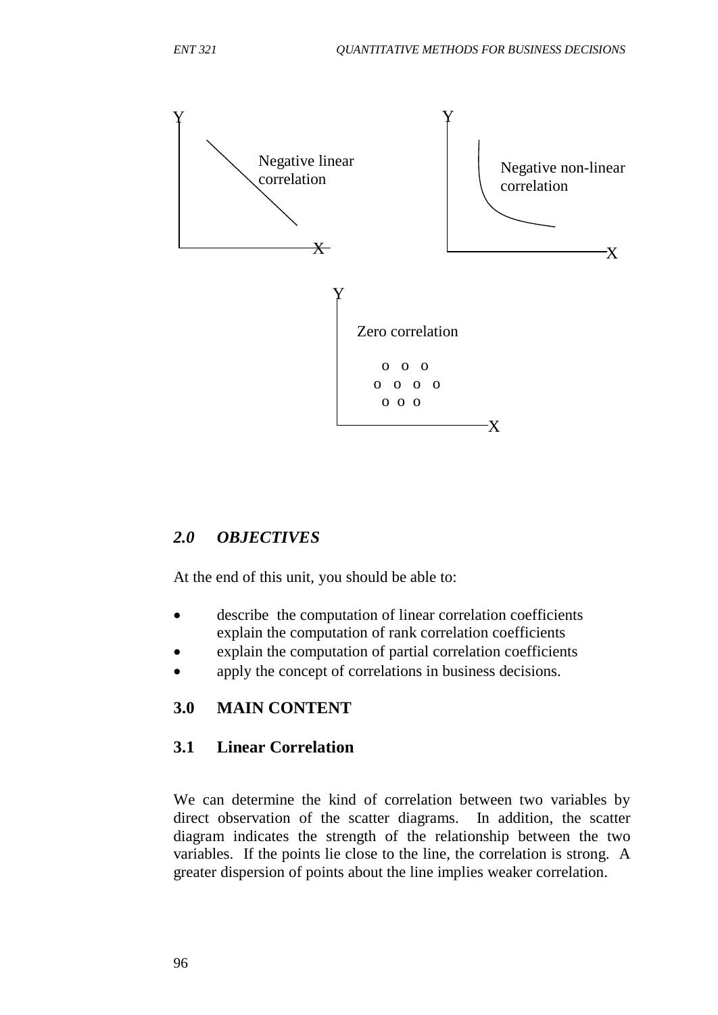

# *2.0 OBJECTIVES*

At the end of this unit, you should be able to:

- describe the computation of linear correlation coefficients explain the computation of rank correlation coefficients
- explain the computation of partial correlation coefficients
- apply the concept of correlations in business decisions.

# **3.0 MAIN CONTENT**

# **3.1 Linear Correlation**

We can determine the kind of correlation between two variables by direct observation of the scatter diagrams. In addition, the scatter diagram indicates the strength of the relationship between the two variables. If the points lie close to the line, the correlation is strong. A greater dispersion of points about the line implies weaker correlation.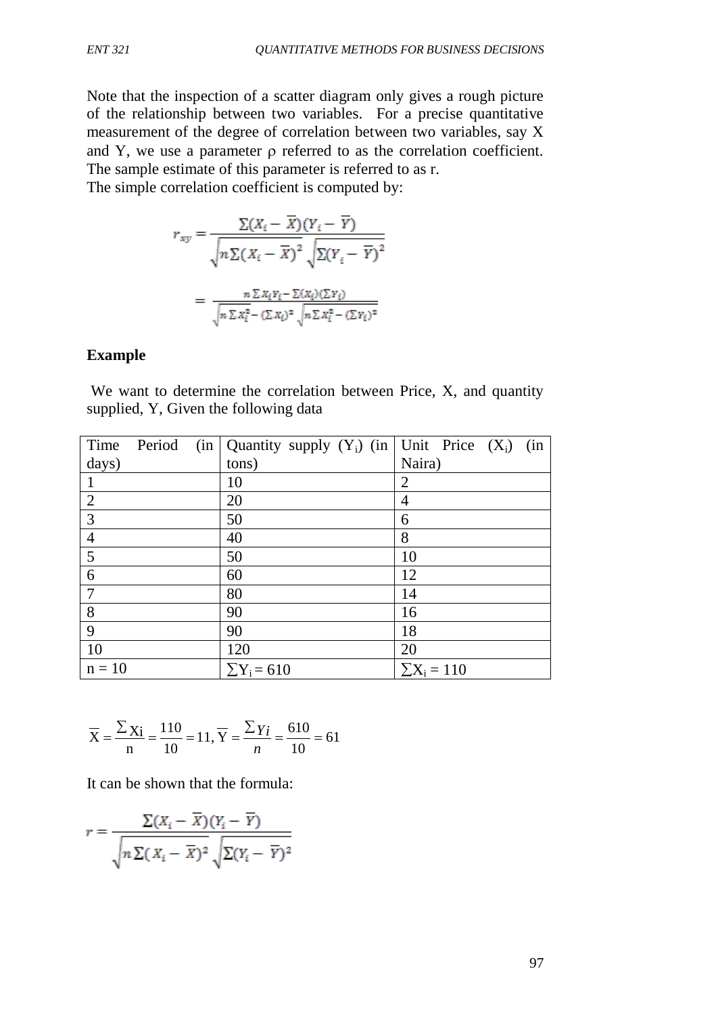Note that the inspection of a scatter diagram only gives a rough picture of the relationship between two variables. For a precise quantitative measurement of the degree of correlation between two variables, say X and Y, we use a parameter  $\rho$  referred to as the correlation coefficient. The sample estimate of this parameter is referred to as r. The simple correlation coefficient is computed by:

$$
r_{xy} = \frac{\sum (X_i - \overline{X})(Y_i - \overline{Y})}{\sqrt{n \sum (X_i - \overline{X})^2} \sqrt{\sum (Y_i - \overline{Y})^2}}
$$

$$
= \frac{n \sum X_i Y_i - \sum (X_i)(\sum Y_i)}{\sqrt{n \sum X_i^2 - (\sum X_i)^2} \sqrt{n \sum X_i^2 - (\sum Y_i)^2}}
$$

#### **Example**

We want to determine the correlation between Price, X, and quantity supplied, Y, Given the following data

| Time           | Period | (in | Quantity supply $(Y_i)$ (in   Unit Price $(X_i)$ | (in                |
|----------------|--------|-----|--------------------------------------------------|--------------------|
| days)          |        |     | tons)                                            | Naira)             |
| 1              |        |     | 10                                               | $\overline{2}$     |
| $\overline{2}$ |        |     | 20                                               | 4                  |
| 3              |        |     | 50                                               | 6                  |
| $\overline{4}$ |        |     | 40                                               | 8                  |
| 5              |        |     | 50                                               | 10                 |
| 6              |        |     | 60                                               | 12                 |
| 7              |        |     | 80                                               | 14                 |
| 8              |        |     | 90                                               | 16                 |
| 9              |        |     | 90                                               | 18                 |
| 10             |        |     | 120                                              | 20                 |
| $n = 10$       |        |     | $\Sigma$ Y <sub>i</sub> = 610                    | $\Sigma X_i = 110$ |

$$
\overline{X} = \frac{\sum X_i}{n} = \frac{110}{10} = 11, \overline{Y} = \frac{\sum Y_i}{n} = \frac{610}{10} = 61
$$

It can be shown that the formula:

$$
r = \frac{\sum (X_i - \overline{X})(Y_i - \overline{Y})}{\sqrt{n \sum (X_i - \overline{X})^2} \sqrt{\sum (Y_i - \overline{Y})^2}}
$$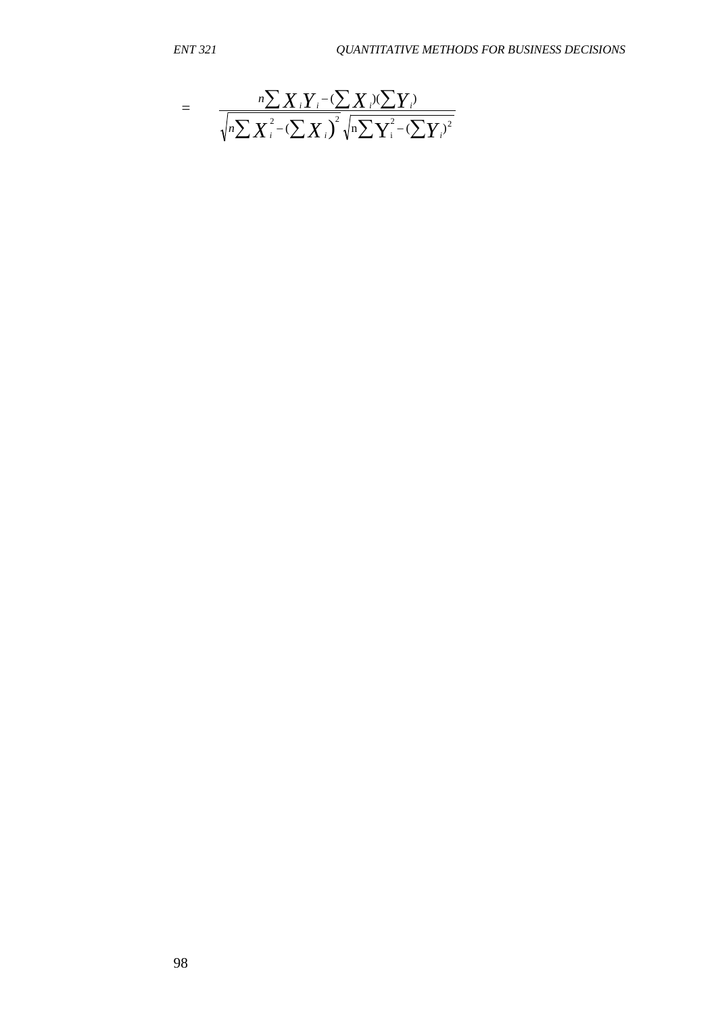$$
= \frac{{}_{n}\sum X_{i}Y_{i}-(\sum X_{i})(\sum Y_{i})}{\sqrt{n}\sum X_{i}^{2}-(\sum X_{i})^{2}}\sqrt{n}\sum Y_{i}^{2}-(\sum Y_{i})^{2}}
$$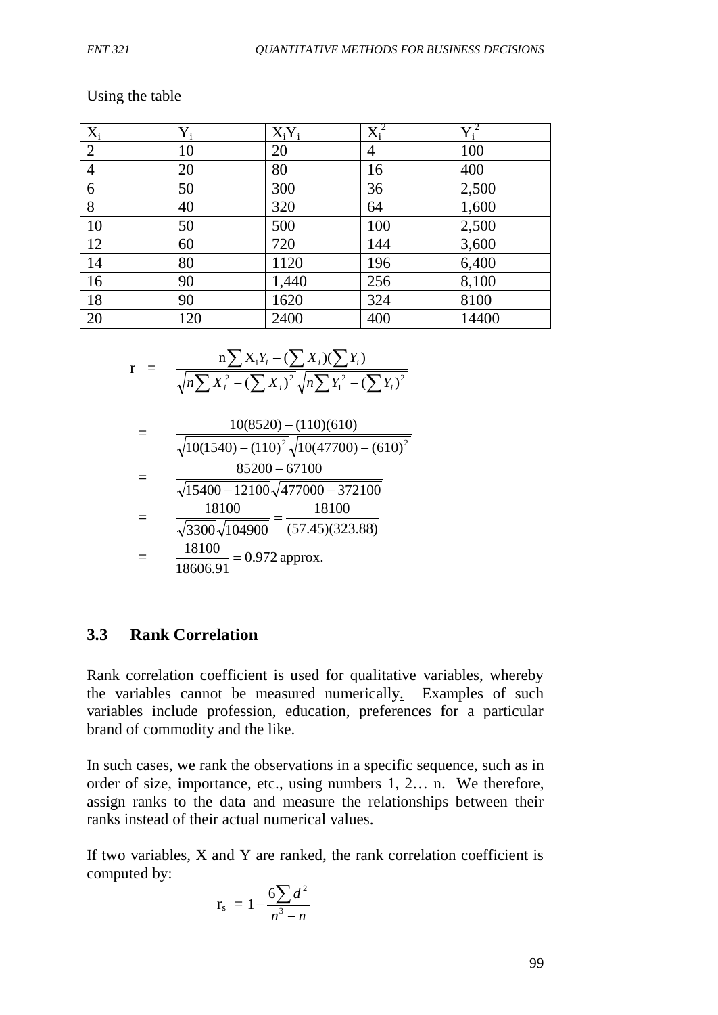#### Using the table

| $X_i$          | $Y_i$ | $X_iY_i$ | $X_i^2$ | $Y_i^2$ |
|----------------|-------|----------|---------|---------|
| $\overline{2}$ | 10    | 20       | 4       | 100     |
| $\overline{4}$ | 20    | 80       | 16      | 400     |
| 6              | 50    | 300      | 36      | 2,500   |
| 8              | 40    | 320      | 64      | 1,600   |
| 10             | 50    | 500      | 100     | 2,500   |
| 12             | 60    | 720      | 144     | 3,600   |
| 14             | 80    | 1120     | 196     | 6,400   |
| 16             | 90    | 1,440    | 256     | 8,100   |
| 18             | 90    | 1620     | 324     | 8100    |
| 20             | 120   | 2400     | 400     | 14400   |

$$
r = \frac{n \sum X_i Y_i - (\sum X_i)(\sum Y_i)}{\sqrt{n \sum X_i^2 - (\sum X_i)^2} \sqrt{n \sum Y_i^2 - (\sum Y_i)^2}}
$$

$$
= \frac{10(8520) - (110)(610)}{\sqrt{10(1540) - (110)^2} \sqrt{10(47700) - (610)^2}}
$$
  
= 
$$
\frac{85200 - 67100}{\sqrt{15400 - 12100} \sqrt{477000 - 372100}}
$$
  
= 
$$
\frac{18100}{\sqrt{3300} \sqrt{104900}} = \frac{18100}{(57.45)(323.88)}
$$
  
= 
$$
\frac{18100}{18606.91} = 0.972 \text{ approx.}
$$

### **3.3 Rank Correlation**

Rank correlation coefficient is used for qualitative variables, whereby the variables cannot be measured numerically. Examples of such variables include profession, education, preferences for a particular brand of commodity and the like.

In such cases, we rank the observations in a specific sequence, such as in order of size, importance, etc., using numbers 1, 2… n. We therefore, assign ranks to the data and measure the relationships between their ranks instead of their actual numerical values.

If two variables, X and Y are ranked, the rank correlation coefficient is computed by:

$$
r_{\rm s} = 1 - \frac{6\sum d^2}{n^3 - n}
$$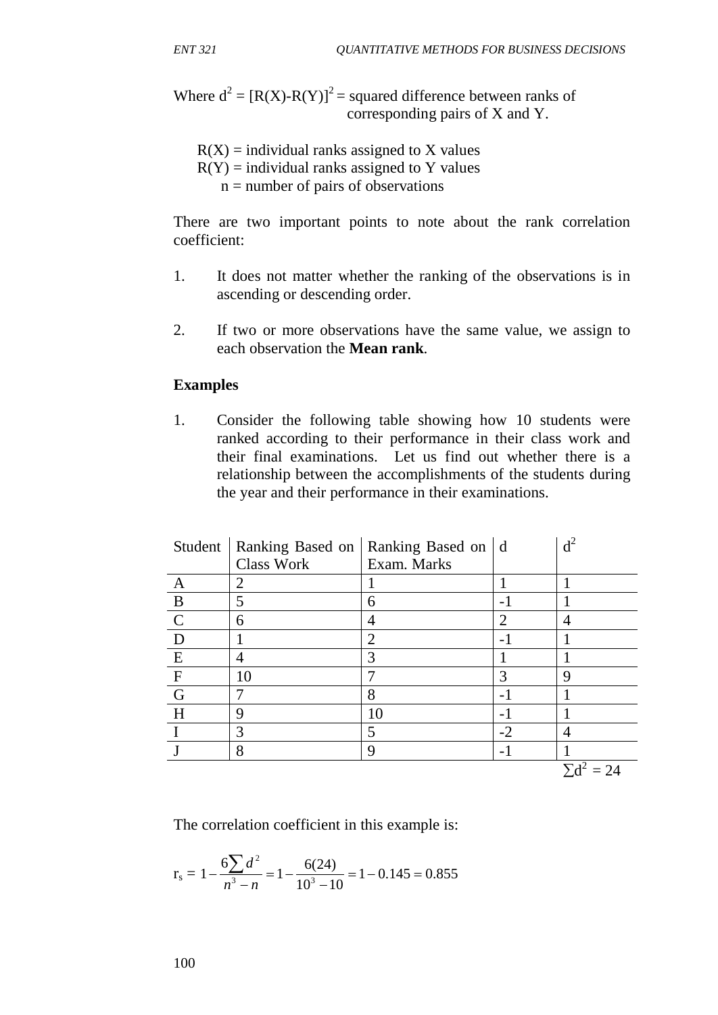Where  $d^2 = [R(X)-R(Y)]^2$  = squared difference between ranks of corresponding pairs of X and Y.

- $R(X)$  = individual ranks assigned to X values
- $R(Y)$  = individual ranks assigned to Y values
	- $n =$  number of pairs of observations

There are two important points to note about the rank correlation coefficient:

- 1. It does not matter whether the ranking of the observations is in ascending or descending order.
- 2. If two or more observations have the same value, we assign to each observation the **Mean rank**.

#### **Examples**

1. Consider the following table showing how 10 students were ranked according to their performance in their class work and their final examinations. Let us find out whether there is a relationship between the accomplishments of the students during the year and their performance in their examinations.

|                |            | Student   Ranking Based on   Ranking Based on   d |                          | d <sup>2</sup>    |
|----------------|------------|---------------------------------------------------|--------------------------|-------------------|
|                | Class Work | Exam. Marks                                       |                          |                   |
| A              | 2          |                                                   |                          |                   |
| $\mathbf B$    | 5          | 6                                                 |                          |                   |
| $\mathbf C$    | 6          | 4                                                 | $\overline{c}$           |                   |
| D              |            | $\overline{2}$                                    | $\overline{\phantom{0}}$ |                   |
| E              |            | 3                                                 |                          |                   |
| $\mathbf{F}$   | 10         |                                                   | 3                        | 9                 |
| $\overline{G}$ |            | 8                                                 | $-1$                     |                   |
| H              | 9          | 10                                                |                          |                   |
|                | 3          | 5                                                 | $-2$                     |                   |
|                | 8          | 9                                                 | $\overline{a}$           |                   |
|                |            |                                                   |                          | $\Sigma d^2 = 24$ |

The correlation coefficient in this example is:

$$
r_s = 1 - \frac{6\sum d^2}{n^3 - n} = 1 - \frac{6(24)}{10^3 - 10} = 1 - 0.145 = 0.855
$$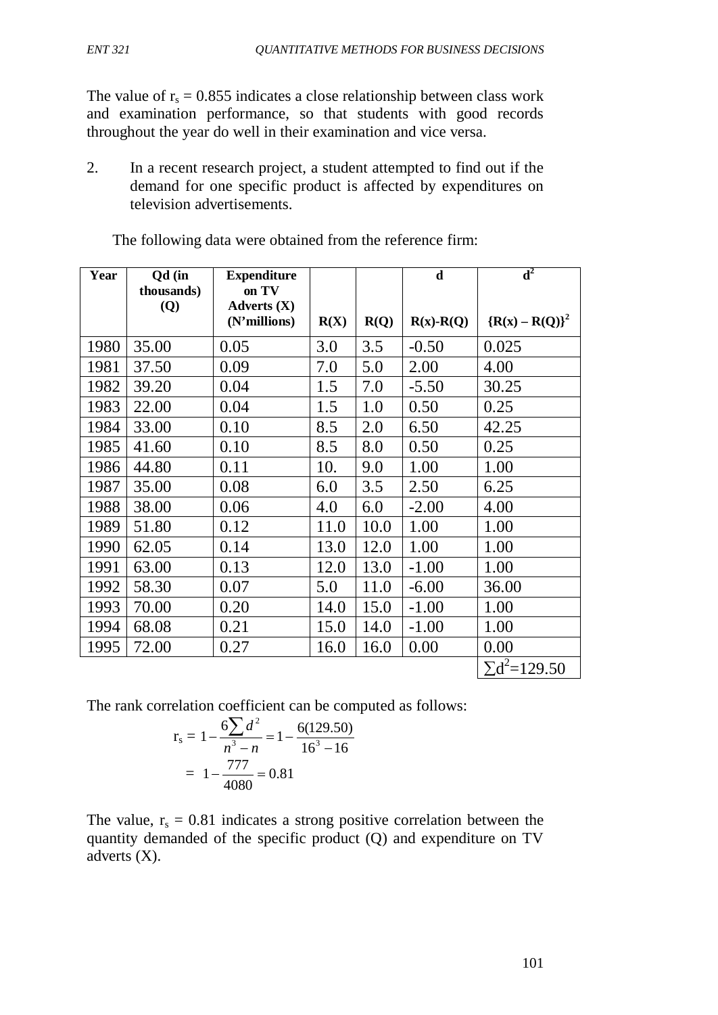The value of  $r_s = 0.855$  indicates a close relationship between class work and examination performance, so that students with good records throughout the year do well in their examination and vice versa.

2. In a recent research project, a student attempted to find out if the demand for one specific product is affected by expenditures on television advertisements.

| Year | Qd (in<br>thousands) | <b>Expenditure</b><br>on TV   |      |      | $\mathbf d$ | $\overline{\mathbf{d}^2}$ |
|------|----------------------|-------------------------------|------|------|-------------|---------------------------|
|      | <b>(Q)</b>           | Adverts $(X)$<br>(N'millions) | R(X) | R(Q) | $R(x)-R(Q)$ | ${R(x) - R(Q)}^2$         |
| 1980 | 35.00                | 0.05                          | 3.0  | 3.5  | $-0.50$     | 0.025                     |
| 1981 | 37.50                | 0.09                          | 7.0  | 5.0  | 2.00        | 4.00                      |
| 1982 | 39.20                | 0.04                          | 1.5  | 7.0  | $-5.50$     | 30.25                     |
| 1983 | 22.00                | 0.04                          | 1.5  | 1.0  | 0.50        | 0.25                      |
| 1984 | 33.00                | 0.10                          | 8.5  | 2.0  | 6.50        | 42.25                     |
| 1985 | 41.60                | 0.10                          | 8.5  | 8.0  | 0.50        | 0.25                      |
| 1986 | 44.80                | 0.11                          | 10.  | 9.0  | 1.00        | 1.00                      |
| 1987 | 35.00                | 0.08                          | 6.0  | 3.5  | 2.50        | 6.25                      |
| 1988 | 38.00                | 0.06                          | 4.0  | 6.0  | $-2.00$     | 4.00                      |
| 1989 | 51.80                | 0.12                          | 11.0 | 10.0 | 1.00        | 1.00                      |
| 1990 | 62.05                | 0.14                          | 13.0 | 12.0 | 1.00        | 1.00                      |
| 1991 | 63.00                | 0.13                          | 12.0 | 13.0 | $-1.00$     | 1.00                      |
| 1992 | 58.30                | 0.07                          | 5.0  | 11.0 | $-6.00$     | 36.00                     |
| 1993 | 70.00                | 0.20                          | 14.0 | 15.0 | $-1.00$     | 1.00                      |
| 1994 | 68.08                | 0.21                          | 15.0 | 14.0 | $-1.00$     | 1.00                      |
| 1995 | 72.00                | 0.27                          | 16.0 | 16.0 | 0.00        | 0.00                      |
|      |                      |                               |      |      |             | $\Sigma d^2 = 129.50$     |

The following data were obtained from the reference firm:

The rank correlation coefficient can be computed as follows:

$$
r_s = 1 - \frac{6\sum d^2}{n^3 - n} = 1 - \frac{6(129.50)}{16^3 - 16}
$$

$$
= 1 - \frac{777}{4080} = 0.81
$$

The value,  $r_s = 0.81$  indicates a strong positive correlation between the quantity demanded of the specific product (Q) and expenditure on TV adverts (X).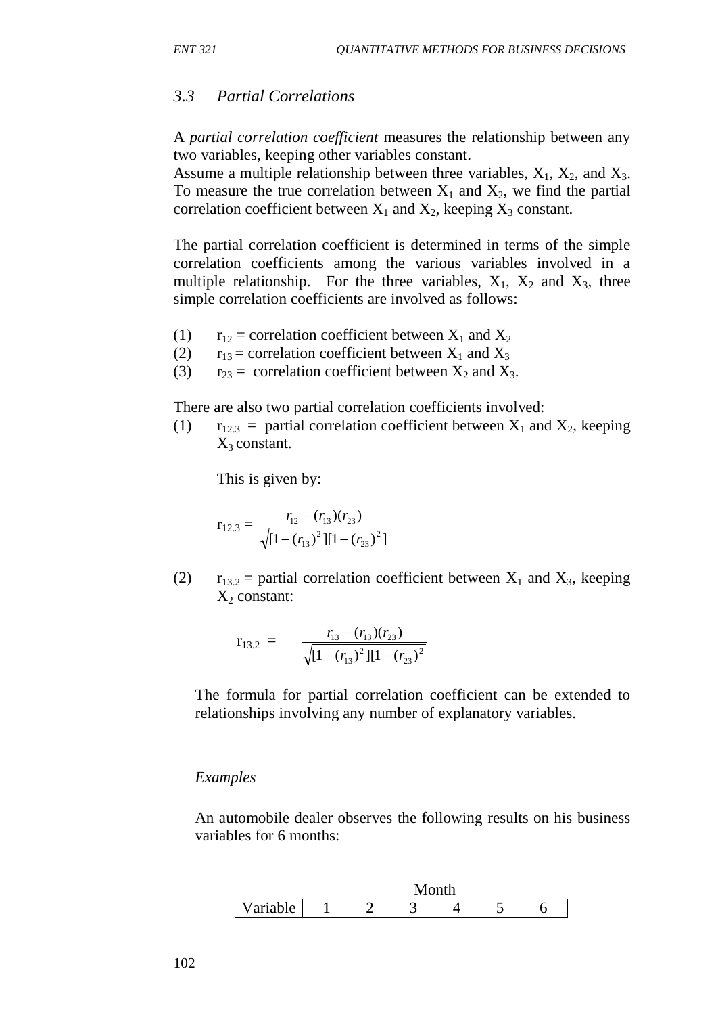#### *3.3 Partial Correlations*

A *partial correlation coefficient* measures the relationship between any two variables, keeping other variables constant.

Assume a multiple relationship between three variables,  $X_1$ ,  $X_2$ , and  $X_3$ . To measure the true correlation between  $X_1$  and  $X_2$ , we find the partial correlation coefficient between  $X_1$  and  $X_2$ , keeping  $X_3$  constant.

The partial correlation coefficient is determined in terms of the simple correlation coefficients among the various variables involved in a multiple relationship. For the three variables,  $X_1$ ,  $X_2$  and  $X_3$ , three simple correlation coefficients are involved as follows:

- (1)  $r_{12}$  = correlation coefficient between  $X_1$  and  $X_2$
- (2)  $r_{13}$  = correlation coefficient between  $X_1$  and  $X_3$
- (3)  $r_{23}$  = correlation coefficient between  $X_2$  and  $X_3$ .

There are also two partial correlation coefficients involved:

(1)  $r_{12,3}$  = partial correlation coefficient between  $X_1$  and  $X_2$ , keeping  $X_3$  constant.

This is given by:

$$
r_{12.3} = \frac{r_{12} - (r_{13})(r_{23})}{\sqrt{[1 - (r_{13})^2][1 - (r_{23})^2]}}
$$

(2)  $r_{13.2}$  = partial correlation coefficient between  $X_1$  and  $X_3$ , keeping  $X_2$  constant:

$$
\mathbf{r}_{13.2} = \frac{r_{13} - (r_{13})(r_{23})}{\sqrt{[1 - (r_{13})^2][1 - (r_{23})^2]}}
$$

The formula for partial correlation coefficient can be extended to relationships involving any number of explanatory variables.

#### *Examples*

An automobile dealer observes the following results on his business variables for 6 months:

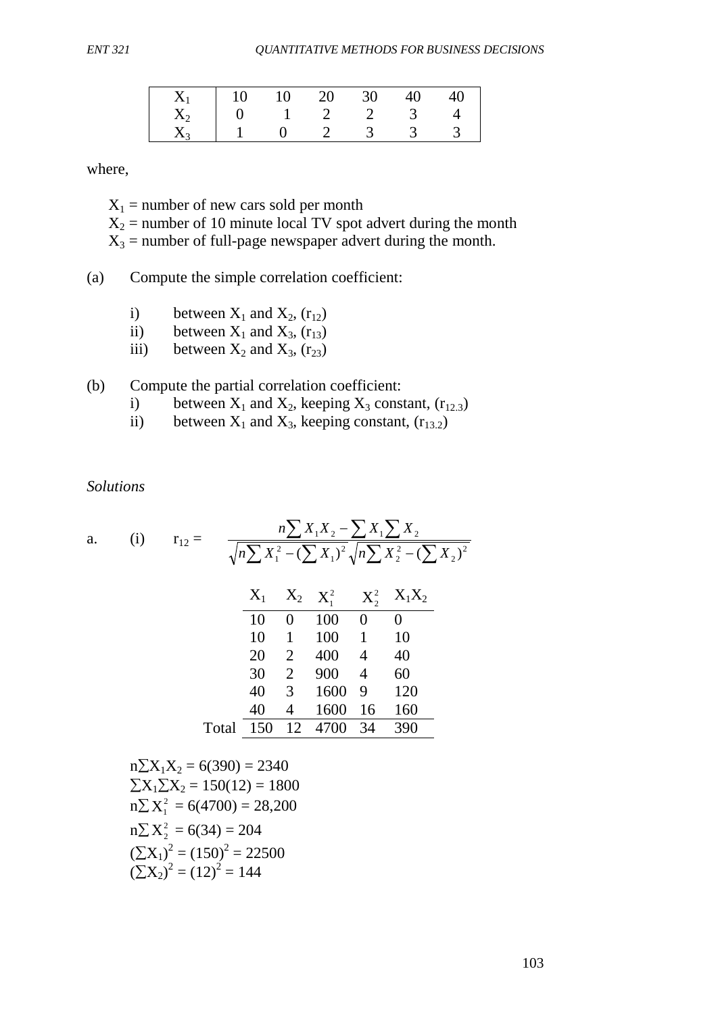| $X_1$   10 10 20 30 40 40     |  |          |          |  |
|-------------------------------|--|----------|----------|--|
| $X_2$   0   1   2   2   3   4 |  |          |          |  |
| $X_3$   1 _ 0 _ 2             |  | $\sim$ 3 | $\sim$ 3 |  |

where,

 $X_1$  = number of new cars sold per month  $X_2$  = number of 10 minute local TV spot advert during the month  $X_3$  = number of full-page newspaper advert during the month.

(a) Compute the simple correlation coefficient:

- i) between  $X_1$  and  $X_2$ ,  $(r_{12})$ <br>ii) between  $X_1$  and  $X_3$ ,  $(r_{13})$
- between  $X_1$  and  $X_3$ ,  $(r_{13})$
- iii) between  $X_2$  and  $X_3$ ,  $(r_{23})$

(b) Compute the partial correlation coefficient:

- i) between  $X_1$  and  $X_2$ , keeping  $X_3$  constant, ( $r_{12,3}$ )
- ii) between  $X_1$  and  $X_3$ , keeping constant,  $(r_{13.2})$

*Solutions*

a. (i) 
$$
r_{12} = \frac{n\sum X_1 X_2 - \sum X_1 \sum X_2}{\sqrt{n\sum X_1^2 - (\sum X_1)^2} \sqrt{n\sum X_2^2 - (\sum X_2)^2}}
$$
  
\t $\frac{X_1}{10} = \frac{X_2}{100} = \frac{X_1^2}{100} = \frac{X_2^2}{100} = \frac{X_1X_2}{100} = \frac{X_1X_2}{100} = \frac{X_1X_2}{100} = \frac{X_1X_2}{100} = \frac{X_1X_2}{100} = \frac{X_1X_2}{100} = \frac{X_1X_2}{100} = \frac{X_1X_2}{100} = \frac{X_1X_2}{100} = \frac{X_1X_2}{100} = \frac{X_1X_2}{100} = \frac{X_1X_2}{100} = \frac{X_1X_2}{100} = \frac{X_1X_2}{100} = \frac{X_1X_2}{100} = \frac{X_1X_2}{100} = \frac{X_1X_2}{100} = \frac{X_1X_2}{100} = \frac{X_1X_2}{100} = \frac{X_1X_2}{100} = \frac{X_1X_2}{100} = \frac{X_1X_2}{100} = \frac{X_1X_2}{100} = \frac{X_1X_2}{100} = \frac{X_1X_2}{100} = \frac{X_1X_2}{100} = \frac{X_1X_2}{100} = \frac{X_1X_2}{100} = \frac{X_1X_2}{100} = \frac{X_1X_2}{100} = \frac{X_1X_2}{100} = \frac{X_1X_2}{100} = \frac{X_1X_2}{100} = \frac{X_1X_2}{100} = \frac{X_1X_2}{100} = \frac{X_1X_2}{100} = \frac{X_1X_2}{100} = \frac{X_1X_2}{100} = \frac{X_1X_2}{100} = \frac{X_1X_2}{100} = \frac{X_1X_2}{100} = \frac{X_1X_2}{100} = \frac{$ 

 $n\sum X_1X_2 = 6(390) = 2340$  $\sum X_1 \sum X_2 = 150(12) = 1800$  $n\sum X_i^2 = 6(4700) = 28,200$  $n\Sigma X_2^2 = 6(34) = 204$  $(\Sigma X_1)^2 = (150)^2 = 22500$  $(\sum X_2)^2 = (12)^2 = 144$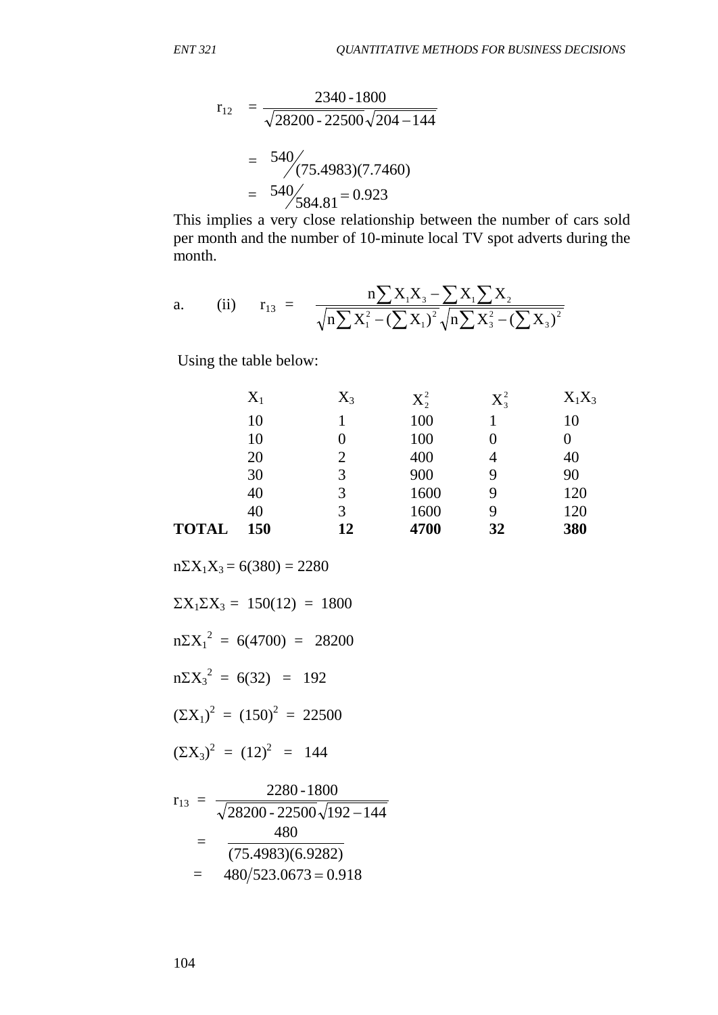$$
r_{12} = \frac{2340 - 1800}{\sqrt{28200 - 22500}\sqrt{204 - 144}}
$$

$$
= \frac{540}{\sqrt{(75.4983)(7.7460)}}
$$

$$
= \frac{540}{584.81} = 0.923
$$

This implies a very close relationship between the number of cars sold per month and the number of 10-minute local TV spot adverts during the month.

a. (ii) 
$$
r_{13} = \frac{n \sum X_i X_3 - \sum X_i \sum X_2}{\sqrt{n \sum X_i^2 - (\sum X_1)^2} \sqrt{n \sum X_3^2 - (\sum X_3)^2}}
$$

Using the table below:

|              | $X_1$ | $\mathrm{X}_3$ | $X_2^2$ | $X_3^2$ | $X_1X_3$ |
|--------------|-------|----------------|---------|---------|----------|
|              | 10    |                | 100     |         | 10       |
|              | 10    |                | 100     | 0       | 0        |
|              | 20    | $\overline{2}$ | 400     | 4       | 40       |
|              | 30    | 3              | 900     | 9       | 90       |
|              | 40    | 3              | 1600    | 9       | 120      |
|              | 40    | 3              | 1600    | 9       | 120      |
| <b>TOTAL</b> | 150   | 12             | 4700    | 32      | 380      |

 $n\Sigma X_1X_3 = 6(380) = 2280$  $\Sigma X_1 \Sigma X_3 = 150(12) = 1800$  $n\Sigma X_1^2 = 6(4700) = 28200$  $n\Sigma X_3^2 = 6(32) = 192$  $(\Sigma X_1)^2 = (150)^2 = 22500$  $(\Sigma X_3)^2 = (12)^2 = 144$ 2280 1800

$$
r_{13} = \frac{2280 - 1800}{\sqrt{28200 - 22500}\sqrt{192 - 144}}
$$
  
= 
$$
\frac{480}{(75.4983)(6.9282)}
$$
  
= 
$$
480/523.0673 = 0.918
$$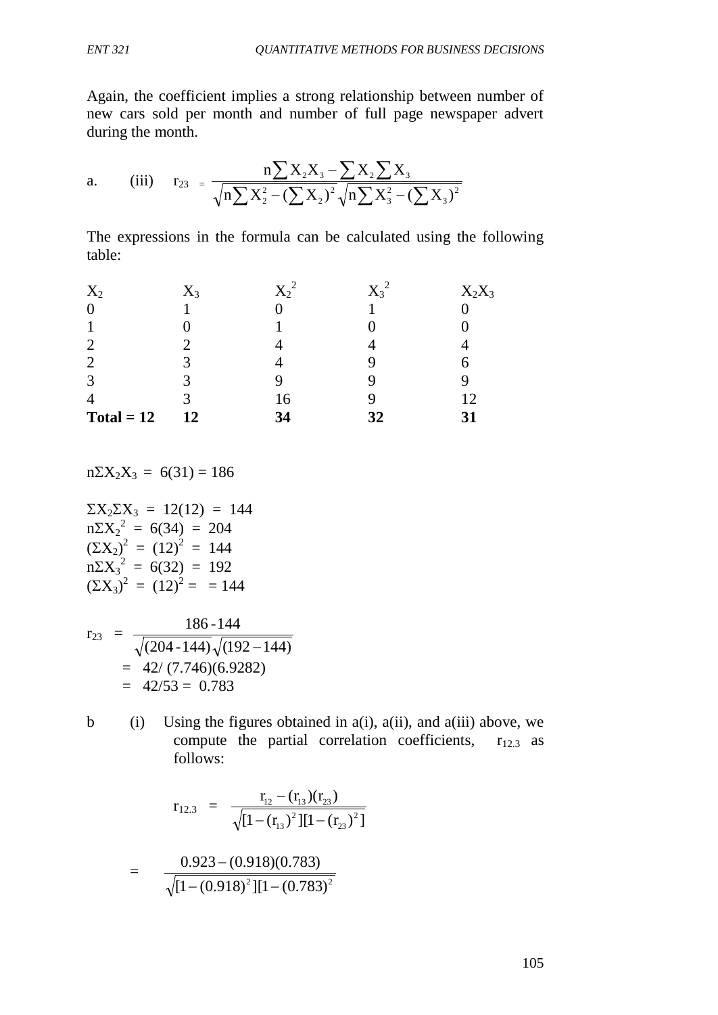Again, the coefficient implies a strong relationship between number of new cars sold per month and number of full page newspaper advert during the month.

a. (iii) 
$$
r_{23} = \frac{n \sum X_2 X_3 - \sum X_2 \sum X_3}{\sqrt{n \sum X_2^2 - (\sum X_2)^2} \sqrt{n \sum X_3^2 - (\sum X_3)^2}}
$$

The expressions in the formula can be calculated using the following table:

| $X_2$          | $X_3$ | $X_2^2$ | $\mathrm{X_3}^2$ | $X_2X_3$ |
|----------------|-------|---------|------------------|----------|
| $\overline{0}$ |       |         |                  |          |
|                |       |         |                  |          |
| $\overline{2}$ |       |         |                  |          |
| $\overline{2}$ |       |         |                  |          |
| 3              |       | Q       |                  |          |
| 4              |       | 16      |                  | 12       |
| $Total = 12$   | 12    | 34      | 32               | 31       |

 $n\Sigma X_2X_3 = 6(31) = 186$ 

$$
\Sigma X_2 \Sigma X_3 = 12(12) = 144
$$
  
\n
$$
n\Sigma X_2^2 = 6(34) = 204
$$
  
\n
$$
(\Sigma X_2)^2 = (12)^2 = 144
$$
  
\n
$$
n\Sigma X_3^2 = 6(32) = 192
$$
  
\n
$$
(\Sigma X_3)^2 = (12)^2 = 144
$$

$$
r_{23} = \frac{186 - 144}{\sqrt{(204 - 144)} \sqrt{(192 - 144)}}
$$
  
= 42/(7.746)(6.9282)  
= 42/53 = 0.783

b (i) Using the figures obtained in  $a(i)$ ,  $a(ii)$ , and  $a(iii)$  above, we compute the partial correlation coefficients,  $r_{12.3}$  as follows:

$$
r_{12.3} = \frac{r_{12} - (r_{13})(r_{23})}{\sqrt{[1 - (r_{13})^2][1 - (r_{23})^2]}}
$$

$$
= \frac{0.923 - (0.918)(0.783)}{\sqrt{[1 - (0.918)^2][1 - (0.783)^2]}}
$$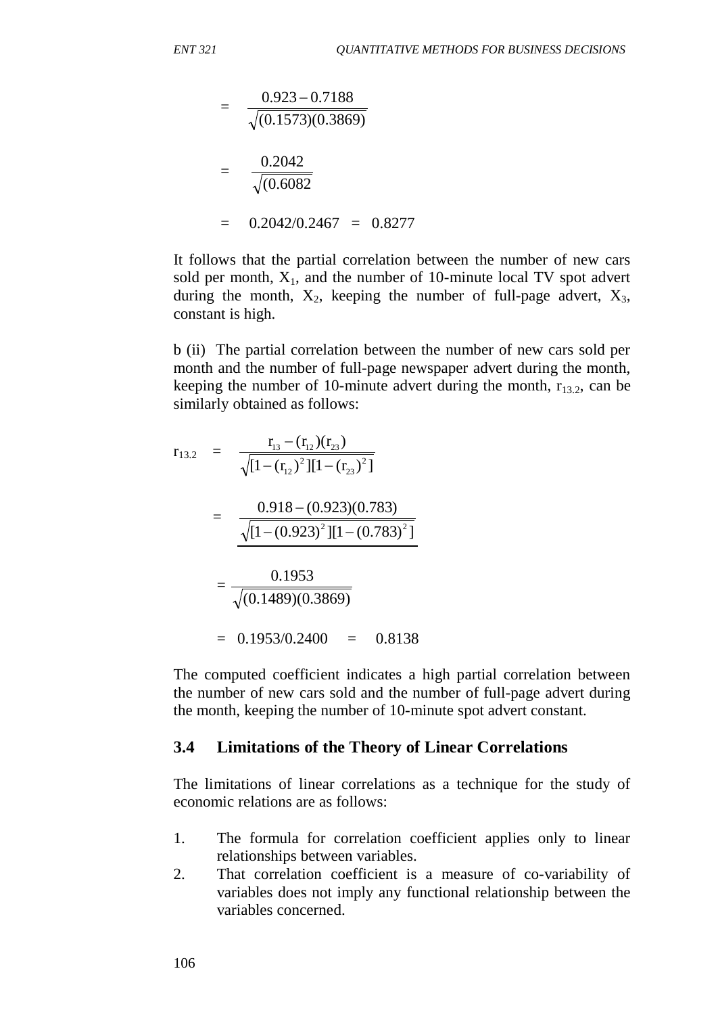$$
= \frac{0.923 - 0.7188}{\sqrt{(0.1573)(0.3869)}}
$$

$$
= \frac{0.2042}{\sqrt{(0.6082)}}
$$

$$
= 0.2042/0.2467 = 0.8277
$$

It follows that the partial correlation between the number of new cars sold per month,  $X_1$ , and the number of 10-minute local TV spot advert during the month,  $X_2$ , keeping the number of full-page advert,  $X_3$ , constant is high.

b (ii) The partial correlation between the number of new cars sold per month and the number of full-page newspaper advert during the month, keeping the number of 10-minute advert during the month,  $r_{13.2}$ , can be similarly obtained as follows:

$$
r_{13.2} = \frac{r_{13} - (r_{12})(r_{23})}{\sqrt{[1 - (r_{12})^2][1 - (r_{23})^2]}}
$$
  
= 
$$
\frac{0.918 - (0.923)(0.783)}{\sqrt{[1 - (0.923)^2][1 - (0.783)^2]}}
$$
  
= 
$$
\frac{0.1953}{\sqrt{(0.1489)(0.3869)}}
$$
  
= 0.1953/0.2400 = 0.8138

The computed coefficient indicates a high partial correlation between the number of new cars sold and the number of full-page advert during the month, keeping the number of 10-minute spot advert constant.

#### **3.4 Limitations of the Theory of Linear Correlations**

The limitations of linear correlations as a technique for the study of economic relations are as follows:

- 1. The formula for correlation coefficient applies only to linear relationships between variables.
- 2. That correlation coefficient is a measure of co-variability of variables does not imply any functional relationship between the variables concerned.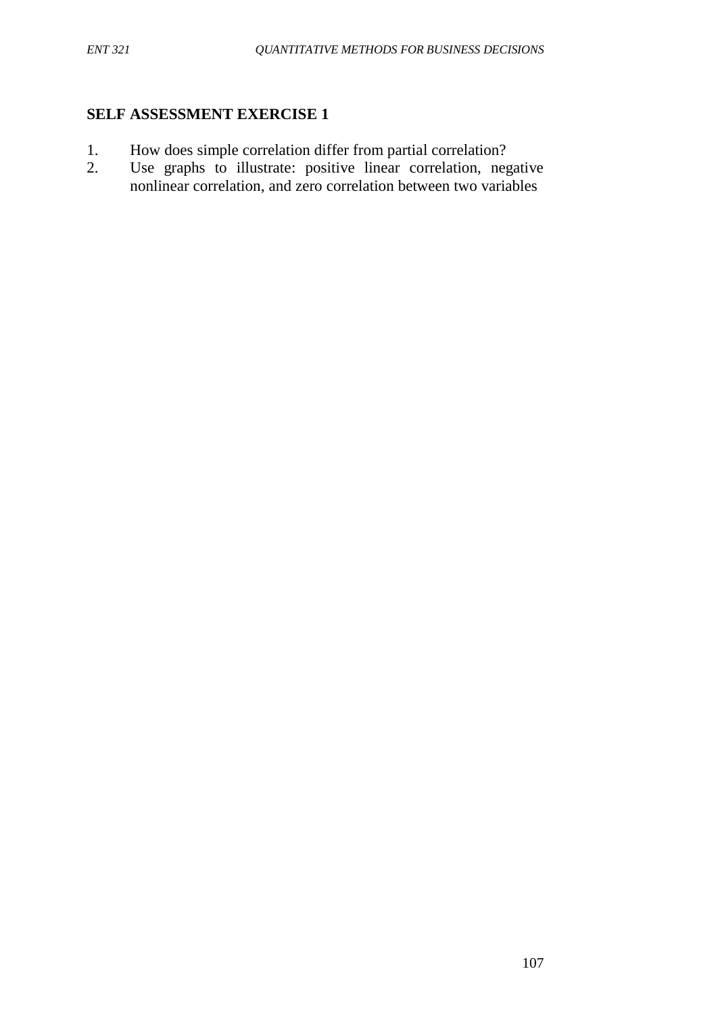### **SELF ASSESSMENT EXERCISE 1**

- 1. How does simple correlation differ from partial correlation?<br>2. Use graphs to illustrate: positive linear correlation, neg
- Use graphs to illustrate: positive linear correlation, negative nonlinear correlation, and zero correlation between two variables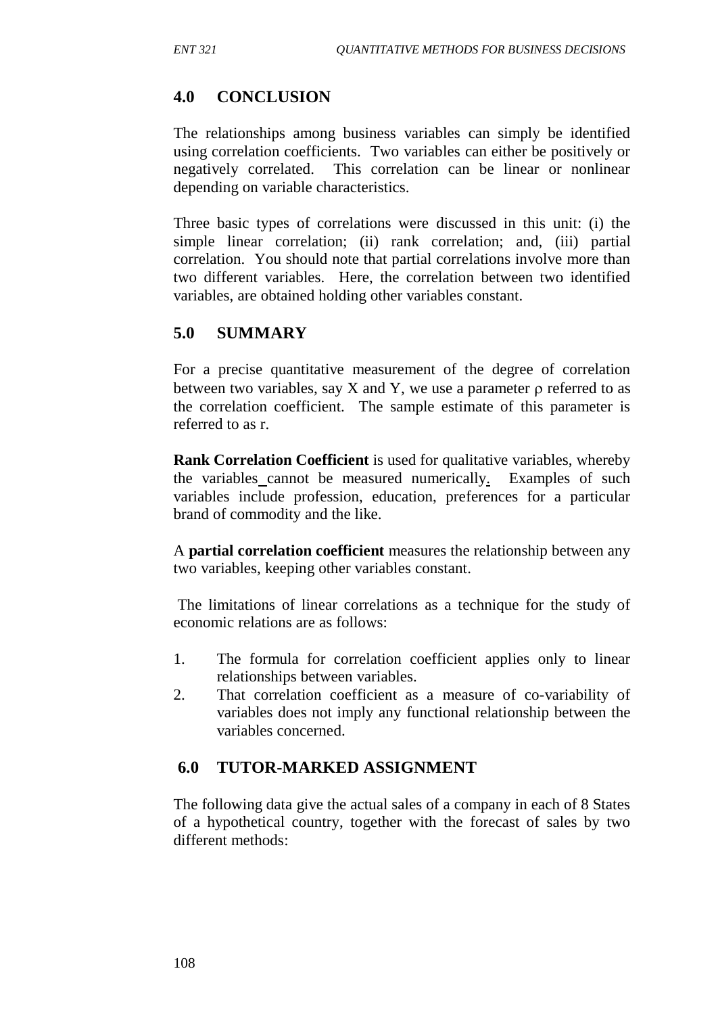## **4.0 CONCLUSION**

The relationships among business variables can simply be identified using correlation coefficients. Two variables can either be positively or negatively correlated. This correlation can be linear or nonlinear depending on variable characteristics.

Three basic types of correlations were discussed in this unit: (i) the simple linear correlation; (ii) rank correlation; and, (iii) partial correlation. You should note that partial correlations involve more than two different variables. Here, the correlation between two identified variables, are obtained holding other variables constant.

# **5.0 SUMMARY**

For a precise quantitative measurement of the degree of correlation between two variables, say X and Y, we use a parameter  $\rho$  referred to as the correlation coefficient. The sample estimate of this parameter is referred to as r.

**Rank Correlation Coefficient** is used for qualitative variables, whereby the variables cannot be measured numerically. Examples of such variables include profession, education, preferences for a particular brand of commodity and the like.

A **partial correlation coefficient** measures the relationship between any two variables, keeping other variables constant.

The limitations of linear correlations as a technique for the study of economic relations are as follows:

- 1. The formula for correlation coefficient applies only to linear relationships between variables.
- 2. That correlation coefficient as a measure of co-variability of variables does not imply any functional relationship between the variables concerned.

# **6.0 TUTOR-MARKED ASSIGNMENT**

The following data give the actual sales of a company in each of 8 States of a hypothetical country, together with the forecast of sales by two different methods: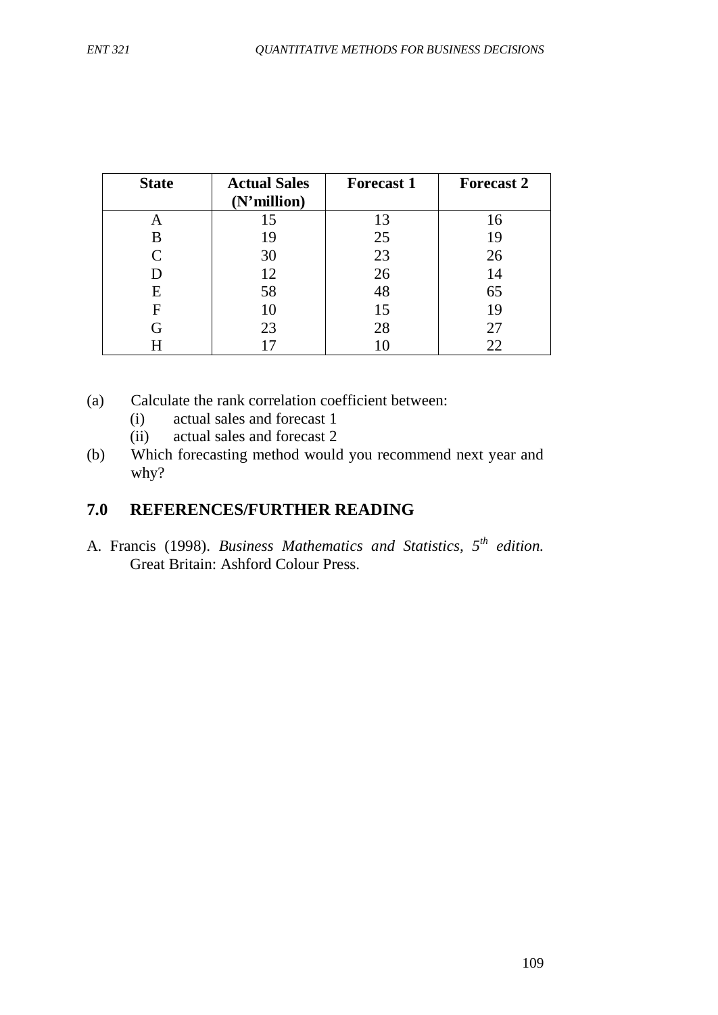| <b>State</b> | <b>Actual Sales</b><br>$(N'$ million $)$ | <b>Forecast 1</b> | <b>Forecast 2</b> |
|--------------|------------------------------------------|-------------------|-------------------|
|              | 15                                       | 13                | 16                |
| B            | 19                                       | 25                | 19                |
| $\mathsf{C}$ | 30                                       | 23                | 26                |
|              | 12                                       | 26                | 14                |
| E            | 58                                       | 48                | 65                |
| F            | 10                                       | 15                | 19                |
| G            | 23                                       | 28                | 27                |
|              |                                          |                   | 22                |

(a) Calculate the rank correlation coefficient between:

(i) actual sales and forecast 1

(ii) actual sales and forecast 2

(b) Which forecasting method would you recommend next year and why?

## **7.0 REFERENCES/FURTHER READING**

A. Francis (1998). *Business Mathematics and Statistics, 5th edition.*  Great Britain: Ashford Colour Press.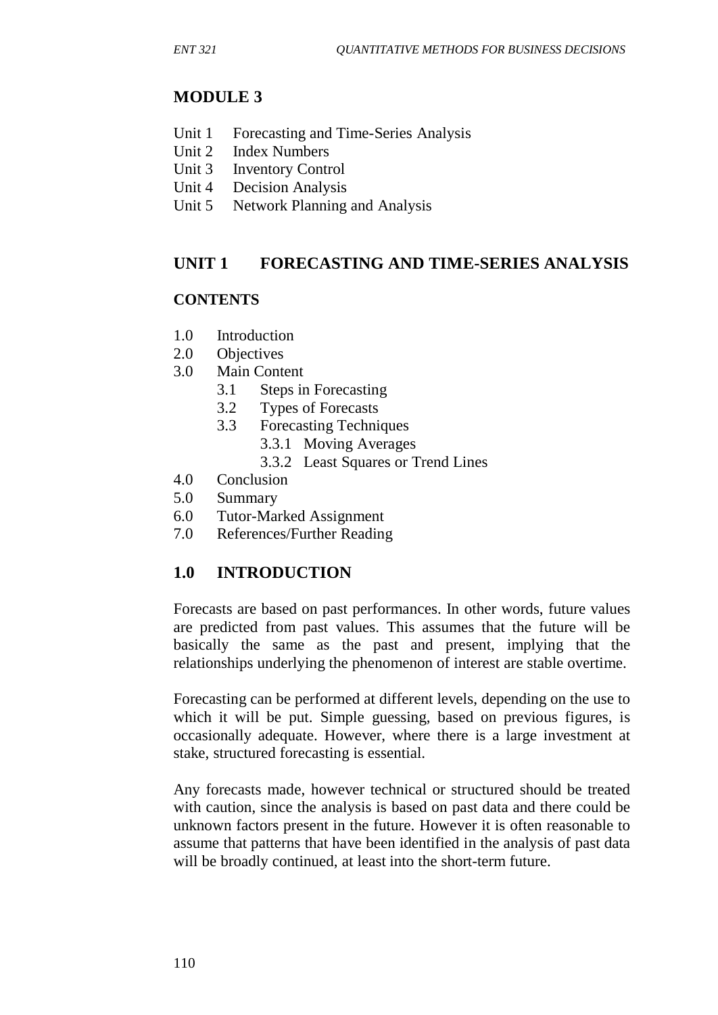# **MODULE 3**

- Unit 1 Forecasting and Time-Series Analysis
- Unit 2 Index Numbers<br>Unit 3 Inventory Contr
- **Inventory Control**
- Unit 4 Decision Analysis
- Unit 5 Network Planning and Analysis

## **UNIT 1 FORECASTING AND TIME-SERIES ANALYSIS**

### **CONTENTS**

- 1.0 Introduction
- 2.0 Objectives
- 3.0 Main Content
	- 3.1 Steps in Forecasting
	- 3.2 Types of Forecasts
	- 3.3 Forecasting Techniques
		- 3.3.1 Moving Averages
		- 3.3.2 Least Squares or Trend Lines
- 4.0 Conclusion
- 5.0 Summary
- 6.0 Tutor-Marked Assignment
- 7.0 References/Further Reading

## **1.0 INTRODUCTION**

Forecasts are based on past performances. In other words, future values are predicted from past values. This assumes that the future will be basically the same as the past and present, implying that the relationships underlying the phenomenon of interest are stable overtime.

Forecasting can be performed at different levels, depending on the use to which it will be put. Simple guessing, based on previous figures, is occasionally adequate. However, where there is a large investment at stake, structured forecasting is essential.

Any forecasts made, however technical or structured should be treated with caution, since the analysis is based on past data and there could be unknown factors present in the future. However it is often reasonable to assume that patterns that have been identified in the analysis of past data will be broadly continued, at least into the short-term future.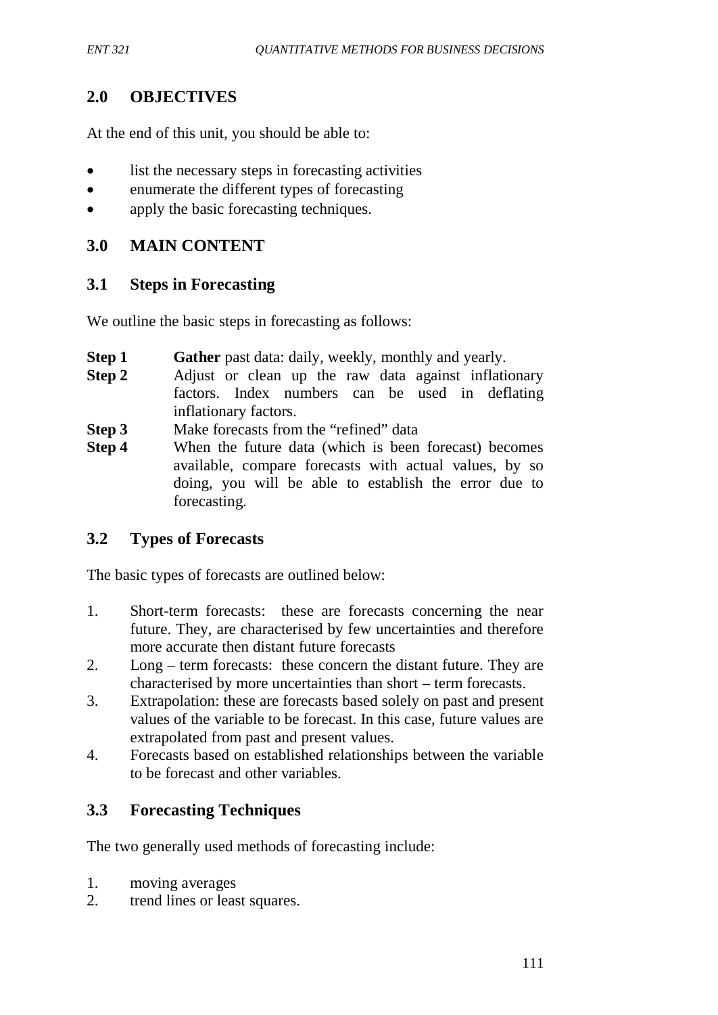## **2.0 OBJECTIVES**

At the end of this unit, you should be able to:

- list the necessary steps in forecasting activities
- enumerate the different types of forecasting
- apply the basic forecasting techniques.

## **3.0 MAIN CONTENT**

### **3.1 Steps in Forecasting**

We outline the basic steps in forecasting as follows:

- **Step 1** Gather past data: daily, weekly, monthly and yearly.
- **Step 2** Adjust or clean up the raw data against inflationary factors. Index numbers can be used in deflating inflationary factors.
- **Step 3** Make forecasts from the "refined" data
- **Step 4** When the future data (which is been forecast) becomes available, compare forecasts with actual values, by so doing, you will be able to establish the error due to forecasting.

### **3.2 Types of Forecasts**

The basic types of forecasts are outlined below:

- 1. Short-term forecasts: these are forecasts concerning the near future. They, are characterised by few uncertainties and therefore more accurate then distant future forecasts
- 2. Long term forecasts: these concern the distant future. They are characterised by more uncertainties than short – term forecasts.
- 3. Extrapolation: these are forecasts based solely on past and present values of the variable to be forecast. In this case, future values are extrapolated from past and present values.
- 4. Forecasts based on established relationships between the variable to be forecast and other variables.

## **3.3 Forecasting Techniques**

The two generally used methods of forecasting include:

- 1. moving averages
- 2. trend lines or least squares.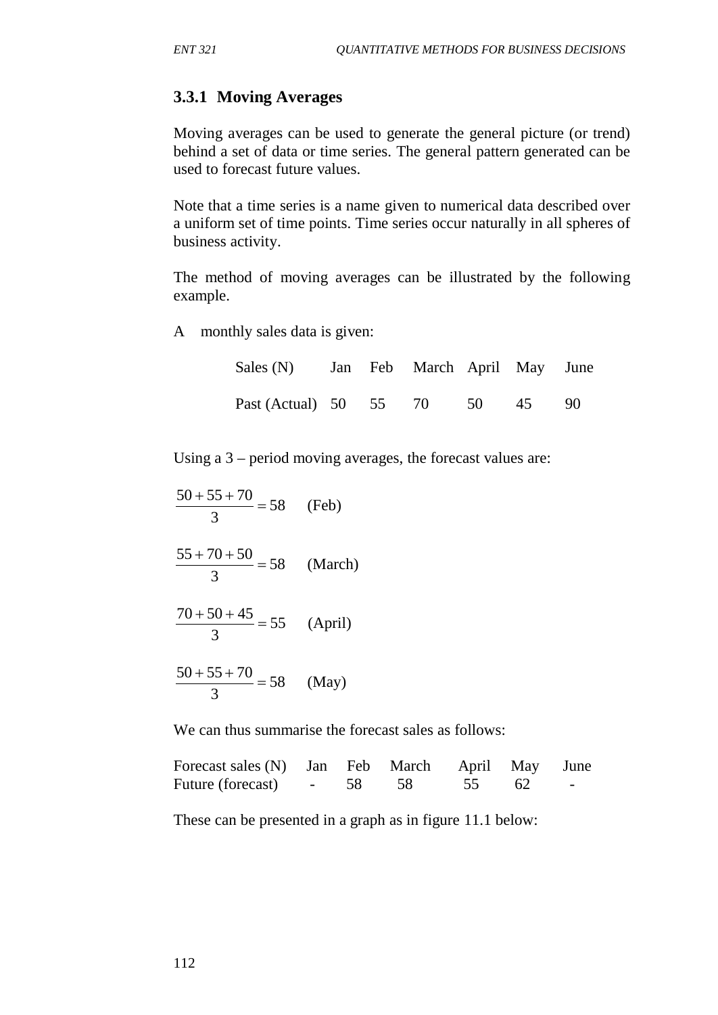## **3.3.1 Moving Averages**

Moving averages can be used to generate the general picture (or trend) behind a set of data or time series. The general pattern generated can be used to forecast future values.

Note that a time series is a name given to numerical data described over a uniform set of time points. Time series occur naturally in all spheres of business activity.

The method of moving averages can be illustrated by the following example.

A monthly sales data is given:

| Sales (N) Jan Feb March April May June |  |  |  |
|----------------------------------------|--|--|--|
| Past (Actual) 50 55 70 50 45 90        |  |  |  |

Using a 3 – period moving averages, the forecast values are:

| $\frac{50+55+70}{2} = 58$<br>3                     | (Feb) |
|----------------------------------------------------|-------|
| $\frac{55 + 70 + 50}{2} = 58$ (March)              |       |
| $\frac{70+50+45}{ }$ = 55 (April)<br>$\mathcal{R}$ |       |
| $\frac{50+55+70}{2} = 58$ (May)                    |       |

We can thus summarise the forecast sales as follows:

| Forecast sales (N) Jan Feb March April May June |  |       |                                           |
|-------------------------------------------------|--|-------|-------------------------------------------|
| Future (forecast) - 58 58                       |  | 55 62 | <b>Service Contract Contract Contract</b> |

These can be presented in a graph as in figure 11.1 below: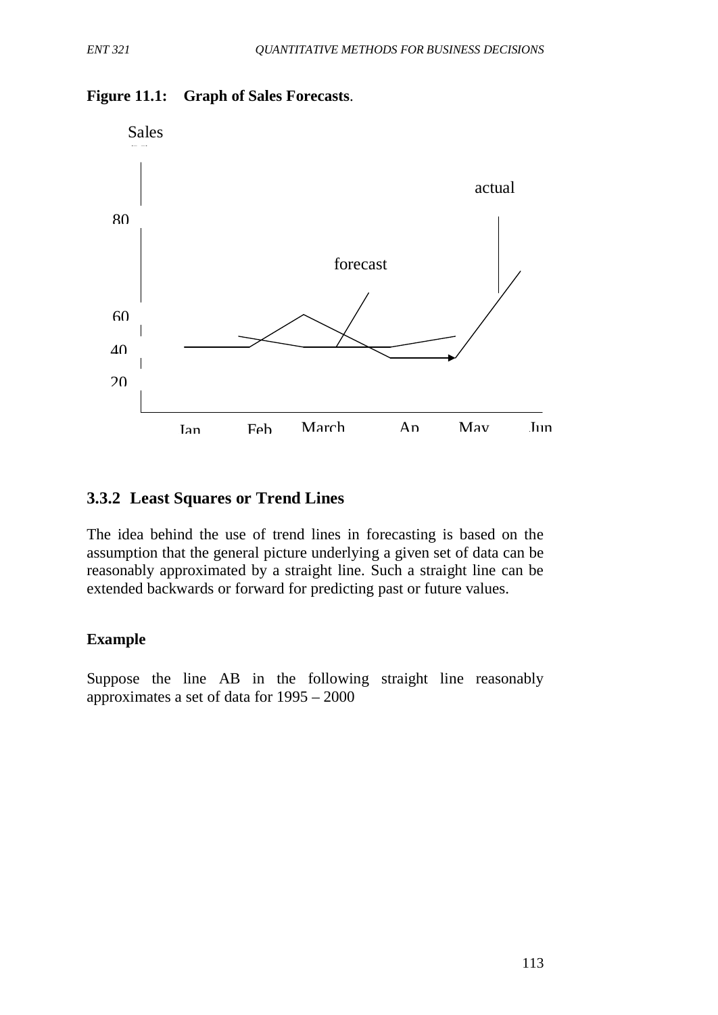

### **Figure 11.1: Graph of Sales Forecasts**.

## **3.3.2 Least Squares or Trend Lines**

The idea behind the use of trend lines in forecasting is based on the assumption that the general picture underlying a given set of data can be reasonably approximated by a straight line. Such a straight line can be extended backwards or forward for predicting past or future values.

### **Example**

Suppose the line AB in the following straight line reasonably approximates a set of data for 1995 – 2000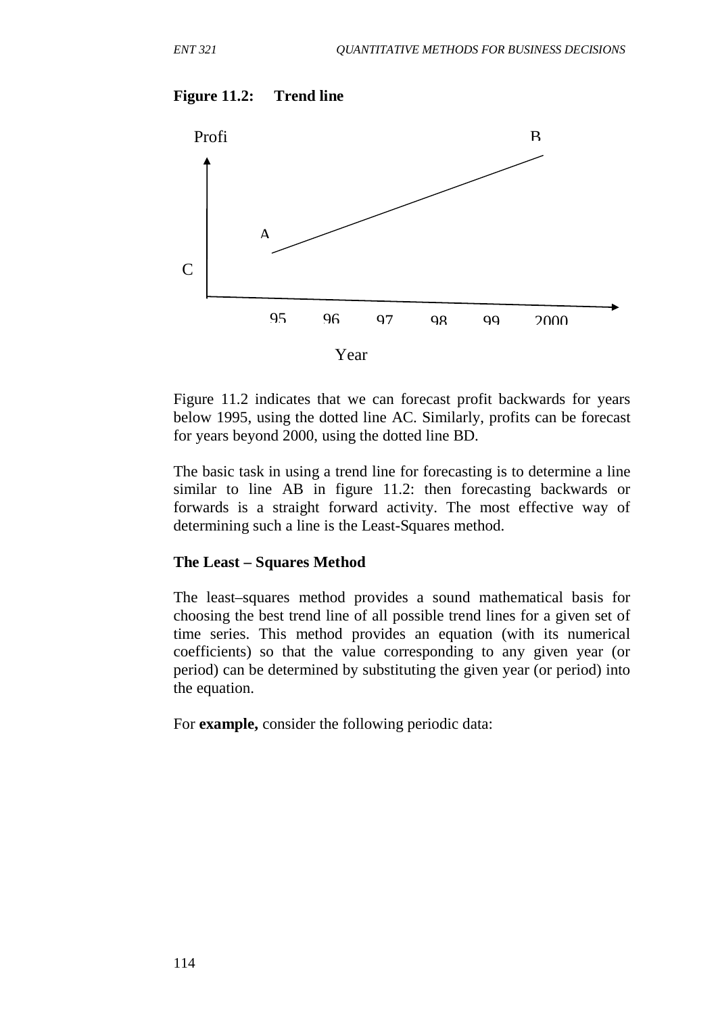#### **Figure 11.2: Trend line**



Figure 11.2 indicates that we can forecast profit backwards for years below 1995, using the dotted line AC. Similarly, profits can be forecast for years beyond 2000, using the dotted line BD.

The basic task in using a trend line for forecasting is to determine a line similar to line AB in figure 11.2: then forecasting backwards or forwards is a straight forward activity. The most effective way of determining such a line is the Least-Squares method.

#### **The Least – Squares Method**

The least–squares method provides a sound mathematical basis for choosing the best trend line of all possible trend lines for a given set of time series. This method provides an equation (with its numerical coefficients) so that the value corresponding to any given year (or period) can be determined by substituting the given year (or period) into the equation.

For **example,** consider the following periodic data: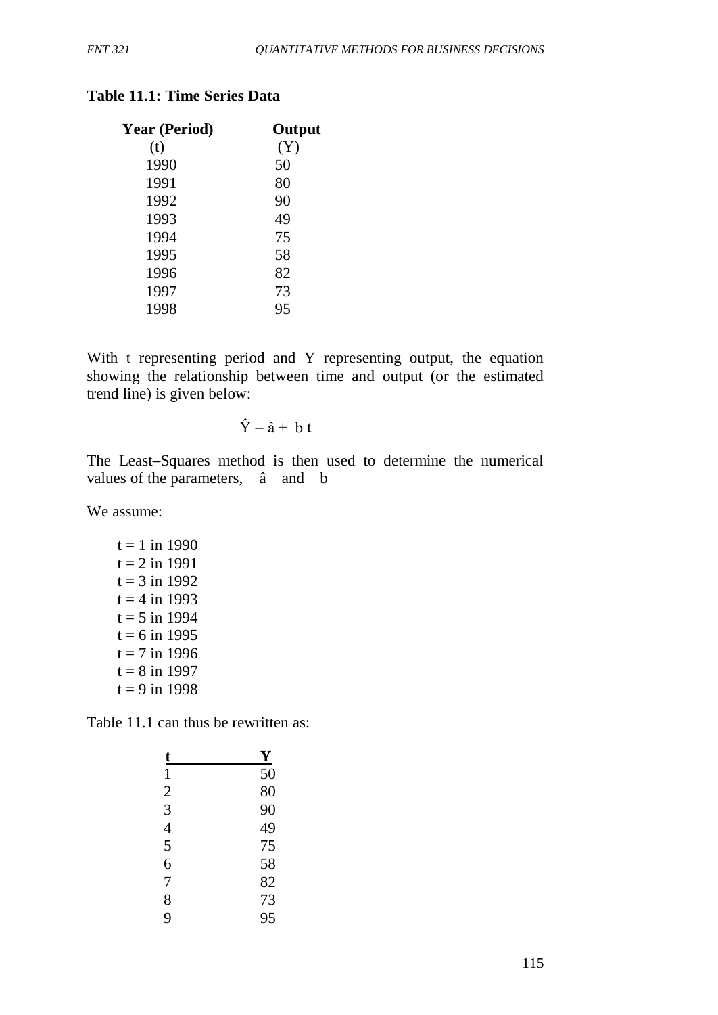| <b>Year (Period)</b> | Output |
|----------------------|--------|
| (t)                  | (Y)    |
| 1990                 | 50     |
| 1991                 | 80     |
| 1992                 | 90     |
| 1993                 | 49     |
| 1994                 | 75     |
| 1995                 | 58     |
| 1996                 | 82     |
| 1997                 | 73     |
| 1998                 | 95     |
|                      |        |

## **Table 11.1: Time Series Data**

With t representing period and Y representing output, the equation showing the relationship between time and output (or the estimated trend line) is given below:

$$
\hat{\mathbf{Y}} = \hat{\mathbf{a}} + \mathbf{b} \mathbf{t}
$$

The Least–Squares method is then used to determine the numerical values of the parameters, â and b

We assume:

 $t = 1$  in 1990  $t = 2$  in 1991  $t = 3$  in 1992  $t = 4$  in 1993  $t = 5$  in 1994  $t = 6$  in 1995  $t = 7$  in 1996  $t = 8$  in 1997  $t = 9$  in 1998

Table 11.1 can thus be rewritten as:

| t              | $\mathbf Y$     |
|----------------|-----------------|
| 1              | $\overline{50}$ |
| $\frac{2}{3}$  | 80              |
|                | 90              |
| $\overline{4}$ | 49              |
| 5              | 75              |
| 6              | 58              |
| 7              | 82              |
| 8              | 73              |
| 9              | 95              |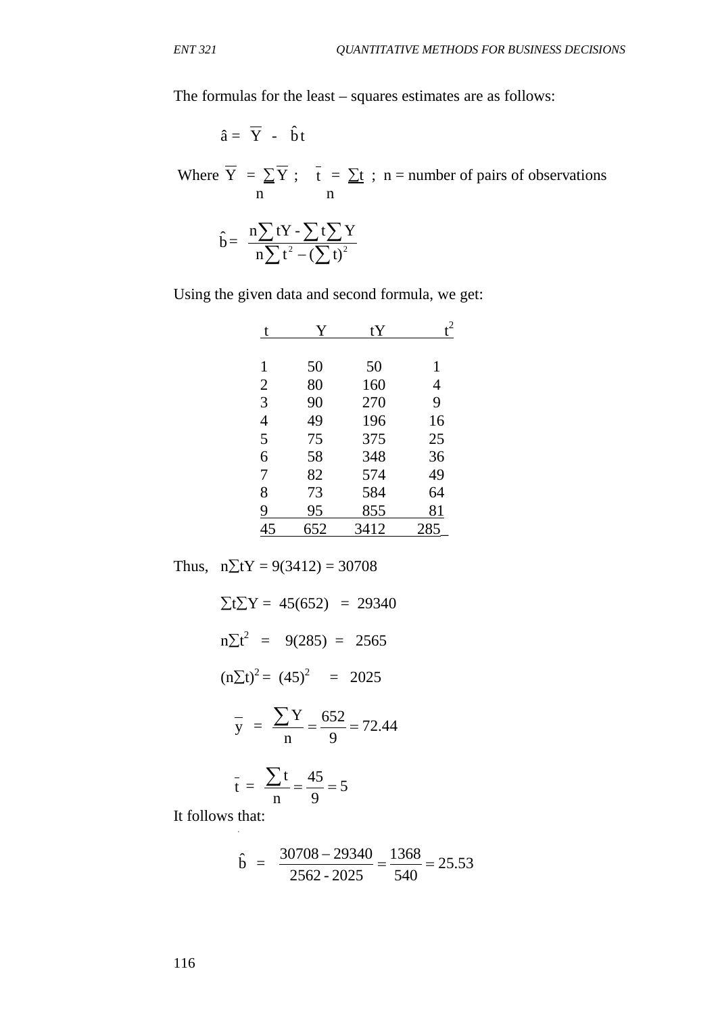The formulas for the least – squares estimates are as follows:

$$
\hat{a} = \overline{Y} - \hat{b}t
$$

Where  $Y = \sum Y$ ;  $t = \sum t$ ; n = number of pairs of observations n n

$$
\hat{b} = \frac{n\sum tY - \sum t\sum Y}{n\sum t^2 - (\sum t)^2}
$$

Using the given data and second formula, we get:

| t.             | Y   | tY   |     |
|----------------|-----|------|-----|
|                |     |      |     |
| 1              | 50  | 50   | 1   |
| $\overline{2}$ | 80  | 160  | 4   |
| 3              | 90  | 270  | 9   |
| $\overline{4}$ | 49  | 196  | 16  |
| 5              | 75  | 375  | 25  |
| 6              | 58  | 348  | 36  |
| 7              | 82  | 574  | 49  |
| 8              | 73  | 584  | 64  |
| 9              | 95  | 855  | 81  |
| 45             | 652 | 3412 | 285 |

Thus,  $n\Sigma tY = 9(3412) = 30708$ 

$$
\Sigma t \Sigma Y = 45(652) = 29340
$$
  
\n
$$
n \Sigma t^2 = 9(285) = 2565
$$
  
\n
$$
(n \Sigma t)^2 = (45)^2 = 2025
$$
  
\n
$$
\overline{y} = \frac{\Sigma Y}{n} = \frac{652}{9} = 72.44
$$
  
\n
$$
\overline{t} = \frac{\Sigma t}{n} = \frac{45}{9} = 5
$$
  
\nIt follows that:

It follows that:

$$
\hat{b} = \frac{30708 - 29340}{2562 - 2025} = \frac{1368}{540} = 25.53
$$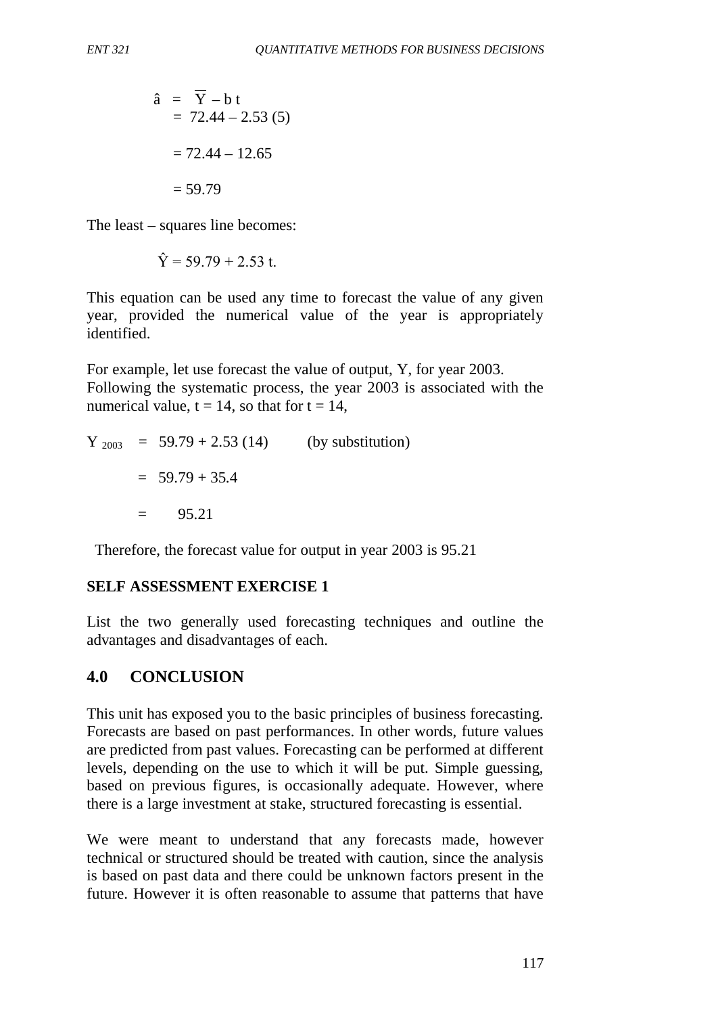$$
\begin{aligned}\n\hat{a} &= \overline{Y} - b t \\
&= 72.44 - 2.53 (5) \\
&= 72.44 - 12.65 \\
&= 59.79\n\end{aligned}
$$

The least – squares line becomes:

$$
\hat{Y} = 59.79 + 2.53
$$
 t.

This equation can be used any time to forecast the value of any given year, provided the numerical value of the year is appropriately identified.

For example, let use forecast the value of output, Y, for year 2003. Following the systematic process, the year 2003 is associated with the numerical value,  $t = 14$ , so that for  $t = 14$ ,

 $Y_{2003}$  = 59.79 + 2.53 (14) (by substitution)  $= 59.79 + 35.4$  $= 95.21$ 

Therefore, the forecast value for output in year 2003 is 95.21

#### **SELF ASSESSMENT EXERCISE 1**

List the two generally used forecasting techniques and outline the advantages and disadvantages of each.

### **4.0 CONCLUSION**

This unit has exposed you to the basic principles of business forecasting. Forecasts are based on past performances. In other words, future values are predicted from past values. Forecasting can be performed at different levels, depending on the use to which it will be put. Simple guessing, based on previous figures, is occasionally adequate. However, where there is a large investment at stake, structured forecasting is essential.

We were meant to understand that any forecasts made, however technical or structured should be treated with caution, since the analysis is based on past data and there could be unknown factors present in the future. However it is often reasonable to assume that patterns that have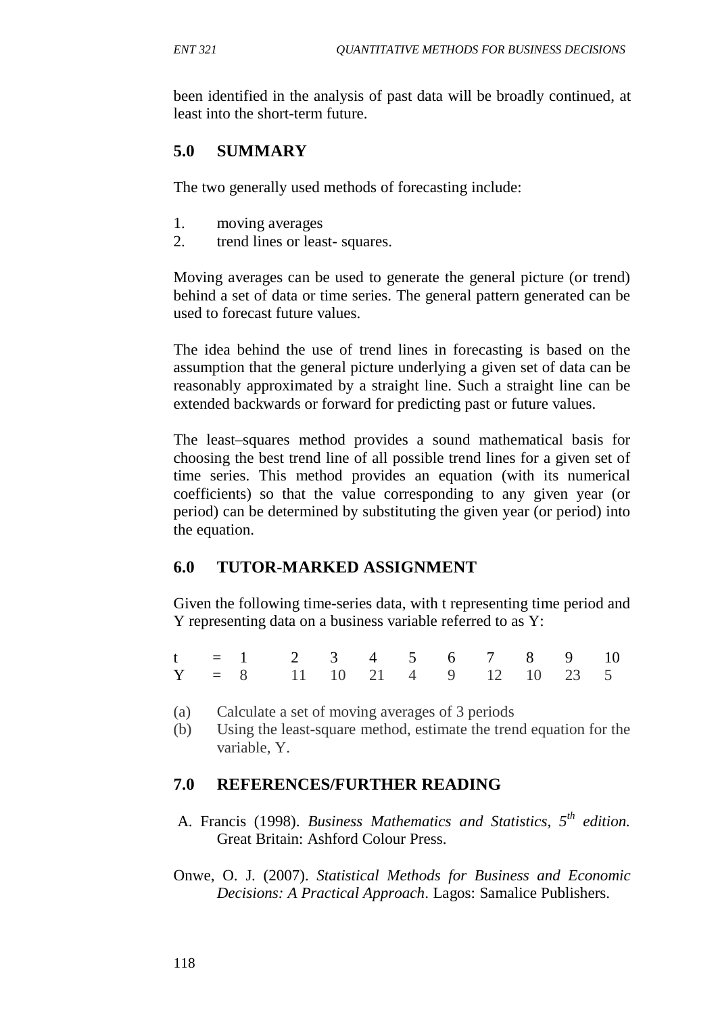been identified in the analysis of past data will be broadly continued, at least into the short-term future.

## **5.0 SUMMARY**

The two generally used methods of forecasting include:

- 1. moving averages
- 2. trend lines or least- squares.

Moving averages can be used to generate the general picture (or trend) behind a set of data or time series. The general pattern generated can be used to forecast future values.

The idea behind the use of trend lines in forecasting is based on the assumption that the general picture underlying a given set of data can be reasonably approximated by a straight line. Such a straight line can be extended backwards or forward for predicting past or future values.

The least–squares method provides a sound mathematical basis for choosing the best trend line of all possible trend lines for a given set of time series. This method provides an equation (with its numerical coefficients) so that the value corresponding to any given year (or period) can be determined by substituting the given year (or period) into the equation.

## **6.0 TUTOR-MARKED ASSIGNMENT**

Given the following time-series data, with t representing time period and Y representing data on a business variable referred to as Y:

|  | $t = 1$ 2 3 4 5 6 7 8 9 10      |  |  |  |  |  |
|--|---------------------------------|--|--|--|--|--|
|  | $Y = 8$ 11 10 21 4 9 12 10 23 5 |  |  |  |  |  |

- (a) Calculate a set of moving averages of 3 periods
- (b) Using the least-square method, estimate the trend equation for the variable, Y.

### **7.0 REFERENCES/FURTHER READING**

- A. Francis (1998). *Business Mathematics and Statistics, 5th edition.*  Great Britain: Ashford Colour Press.
- Onwe, O. J. (2007). *Statistical Methods for Business and Economic Decisions: A Practical Approach*. Lagos: Samalice Publishers.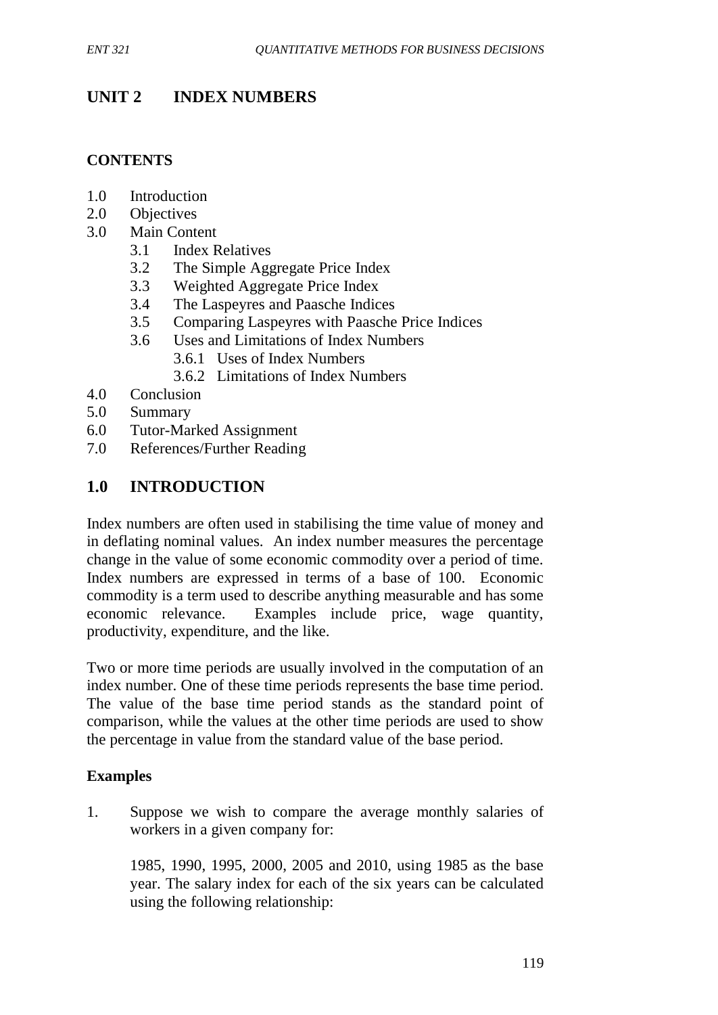# **UNIT 2 INDEX NUMBERS**

### **CONTENTS**

- 1.0 Introduction
- 2.0 Objectives
- 3.0 Main Content
	- 3.1 Index Relatives
	- 3.2 The Simple Aggregate Price Index
	- 3.3 Weighted Aggregate Price Index
	- 3.4 The Laspeyres and Paasche Indices
	- 3.5 Comparing Laspeyres with Paasche Price Indices
	- 3.6 Uses and Limitations of Index Numbers
		- 3.6.1 Uses of Index Numbers
		- 3.6.2 Limitations of Index Numbers
- 4.0 Conclusion
- 5.0 Summary
- 6.0 Tutor-Marked Assignment
- 7.0 References/Further Reading

## **1.0 INTRODUCTION**

Index numbers are often used in stabilising the time value of money and in deflating nominal values. An index number measures the percentage change in the value of some economic commodity over a period of time. Index numbers are expressed in terms of a base of 100. Economic commodity is a term used to describe anything measurable and has some economic relevance. Examples include price, wage quantity, productivity, expenditure, and the like.

Two or more time periods are usually involved in the computation of an index number. One of these time periods represents the base time period. The value of the base time period stands as the standard point of comparison, while the values at the other time periods are used to show the percentage in value from the standard value of the base period.

#### **Examples**

1. Suppose we wish to compare the average monthly salaries of workers in a given company for:

1985, 1990, 1995, 2000, 2005 and 2010, using 1985 as the base year. The salary index for each of the six years can be calculated using the following relationship: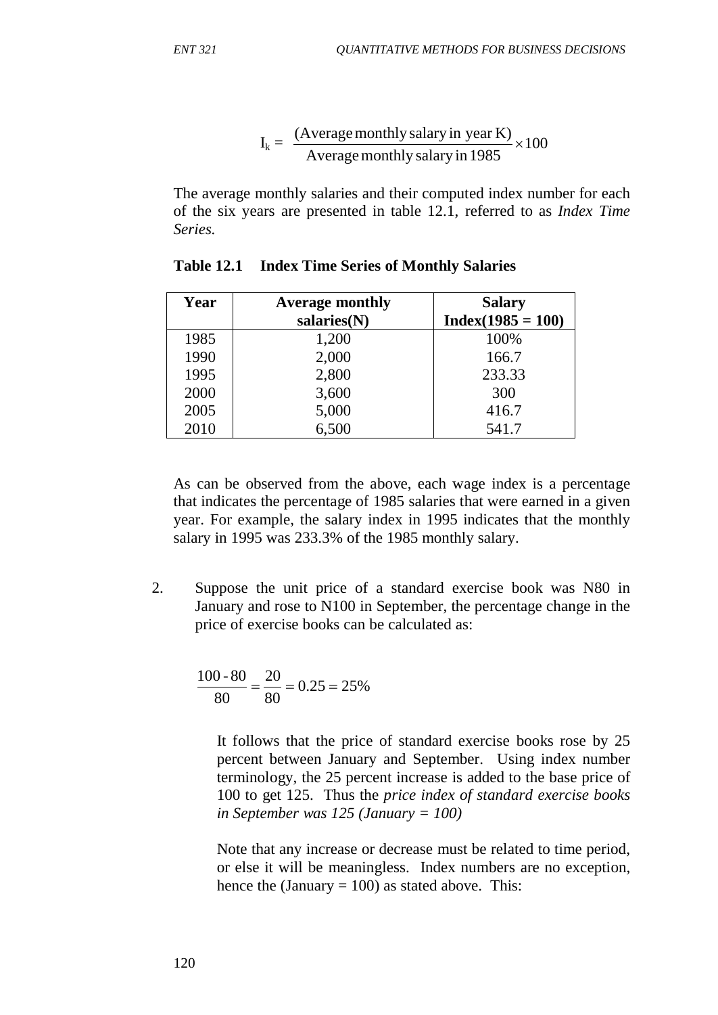$$
I_k = \frac{(Average monthly salary in year K)}{Average monthly salary in 1985} \times 100
$$

The average monthly salaries and their computed index number for each of the six years are presented in table 12.1, referred to as *Index Time Series.*

| Year | <b>Average monthly</b> | <b>Salary</b>       |
|------|------------------------|---------------------|
|      | salaries(N)            | $Index(1985 = 100)$ |
| 1985 | 1,200                  | 100%                |
| 1990 | 2,000                  | 166.7               |
| 1995 | 2,800                  | 233.33              |
| 2000 | 3,600                  | 300                 |
| 2005 | 5,000                  | 416.7               |
| 2010 | 6,500                  | 541.7               |

As can be observed from the above, each wage index is a percentage that indicates the percentage of 1985 salaries that were earned in a given year. For example, the salary index in 1995 indicates that the monthly salary in 1995 was 233.3% of the 1985 monthly salary.

2. Suppose the unit price of a standard exercise book was N80 in January and rose to N100 in September, the percentage change in the price of exercise books can be calculated as:

$$
\frac{100 - 80}{80} = \frac{20}{80} = 0.25 = 25\%
$$

It follows that the price of standard exercise books rose by 25 percent between January and September. Using index number terminology, the 25 percent increase is added to the base price of 100 to get 125. Thus the *price index of standard exercise books in September was 125 (January = 100)*

Note that any increase or decrease must be related to time period, or else it will be meaningless. Index numbers are no exception, hence the (January  $= 100$ ) as stated above. This: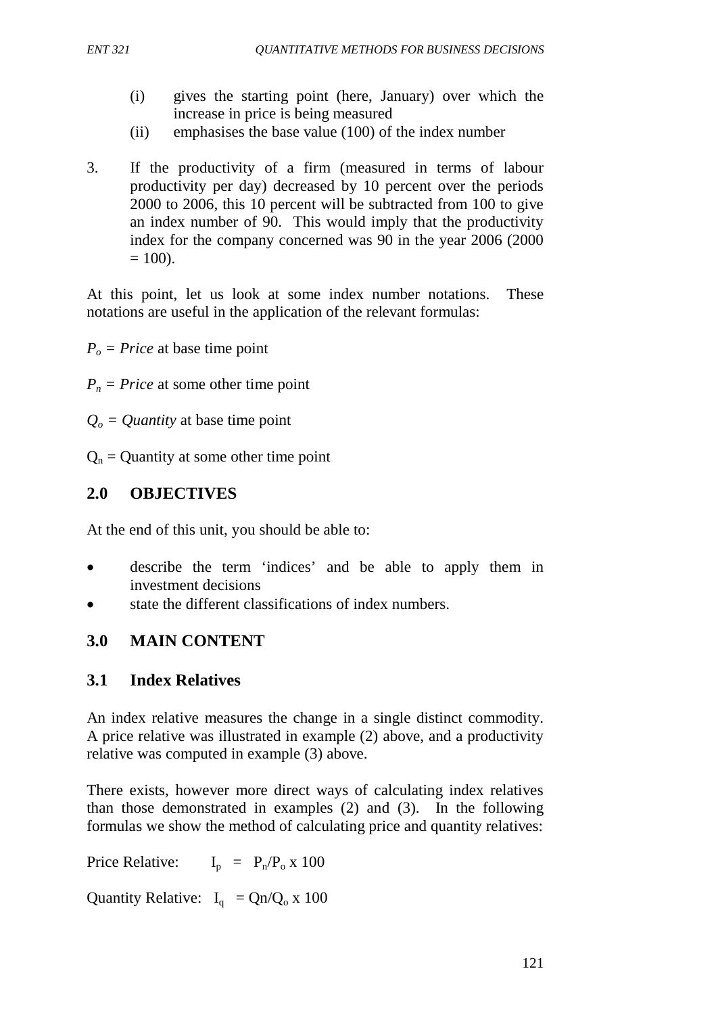- (i) gives the starting point (here, January) over which the increase in price is being measured
- (ii) emphasises the base value (100) of the index number
- 3. If the productivity of a firm (measured in terms of labour productivity per day) decreased by 10 percent over the periods 2000 to 2006, this 10 percent will be subtracted from 100 to give an index number of 90. This would imply that the productivity index for the company concerned was 90 in the year 2006 (2000  $= 100$ ).

At this point, let us look at some index number notations. These notations are useful in the application of the relevant formulas:

 $P<sub>o</sub> = Price$  at base time point

 $P_n$  = *Price* at some other time point

 $Q_0 =$  *Quantity* at base time point

 $Q_n$  = Quantity at some other time point

# **2.0 OBJECTIVES**

At the end of this unit, you should be able to:

- describe the term 'indices' and be able to apply them in investment decisions
- state the different classifications of index numbers.

# **3.0 MAIN CONTENT**

## **3.1 Index Relatives**

An index relative measures the change in a single distinct commodity. A price relative was illustrated in example (2) above, and a productivity relative was computed in example (3) above.

There exists, however more direct ways of calculating index relatives than those demonstrated in examples (2) and (3). In the following formulas we show the method of calculating price and quantity relatives:

Price Relative:  $I_p = P_p/P_0 \times 100$ 

Quantity Relative:  $I_q = Qn/Q_0 x 100$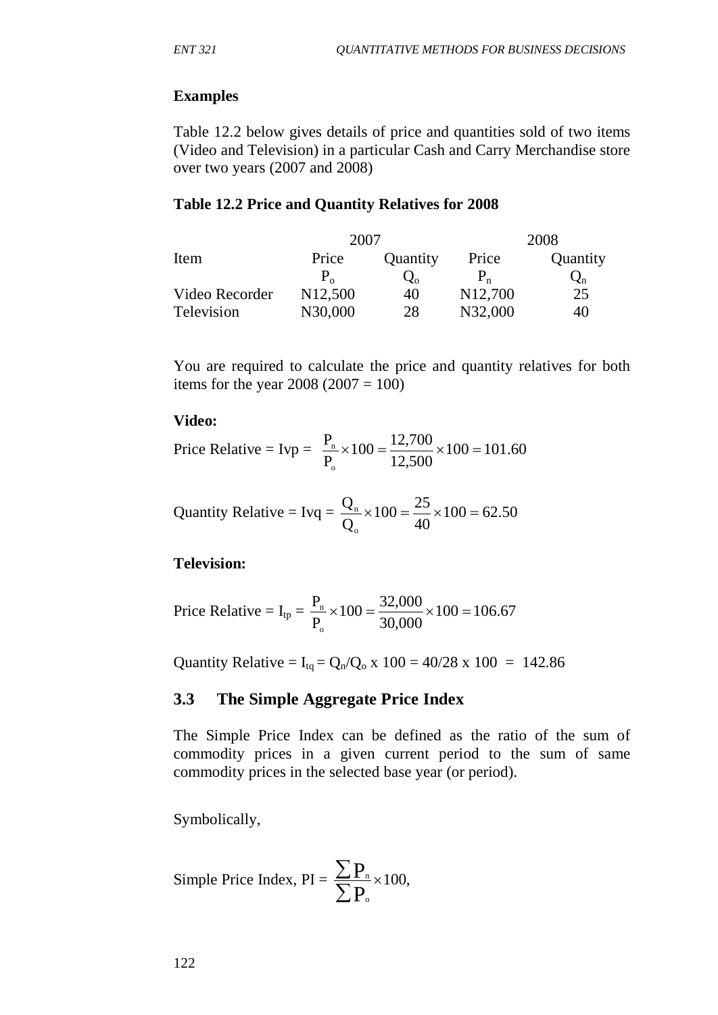### **Examples**

Table 12.2 below gives details of price and quantities sold of two items (Video and Television) in a particular Cash and Carry Merchandise store over two years (2007 and 2008)

### **Table 12.2 Price and Quantity Relatives for 2008**

|                | 2007                 |                       |                      | 2008     |  |  |
|----------------|----------------------|-----------------------|----------------------|----------|--|--|
| Item           | Price                | Quantity              | Price                | Quantity |  |  |
|                | $P_{\alpha}$         | $\mathcal{Q}_{\rm o}$ |                      | $Q_{n}$  |  |  |
| Video Recorder | N <sub>12</sub> ,500 | 40                    | N <sub>12</sub> ,700 | 25       |  |  |
| Television     | N30,000              | 28                    | N32,000              | 40       |  |  |

You are required to calculate the price and quantity relatives for both items for the year  $2008 (2007 = 100)$ 

#### **Video:**

Price Relative = Ivp = 
$$
\frac{P_n}{P_o} \times 100 = \frac{12,700}{12,500} \times 100 = 101.60
$$

$$
Quantity Relative = Ivq = \frac{Q_n}{Q_o} \times 100 = \frac{25}{40} \times 100 = 62.50
$$

### **Television:**

Price Relative = I<sub>tp</sub> = 
$$
\frac{P_n}{P_o} \times 100 = \frac{32,000}{30,000} \times 100 = 106.67
$$

Quantity Relative =  $I_{\text{tq}} = Q_{\text{n}}/Q_{\text{o}} \times 100 = 40/28 \times 100 = 142.86$ 

### **3.3 The Simple Aggregate Price Index**

The Simple Price Index can be defined as the ratio of the sum of commodity prices in a given current period to the sum of same commodity prices in the selected base year (or period).

Symbolically,

Simple Price Index, PI = 
$$
\frac{\sum P_n}{\sum P_o} \times 100
$$
,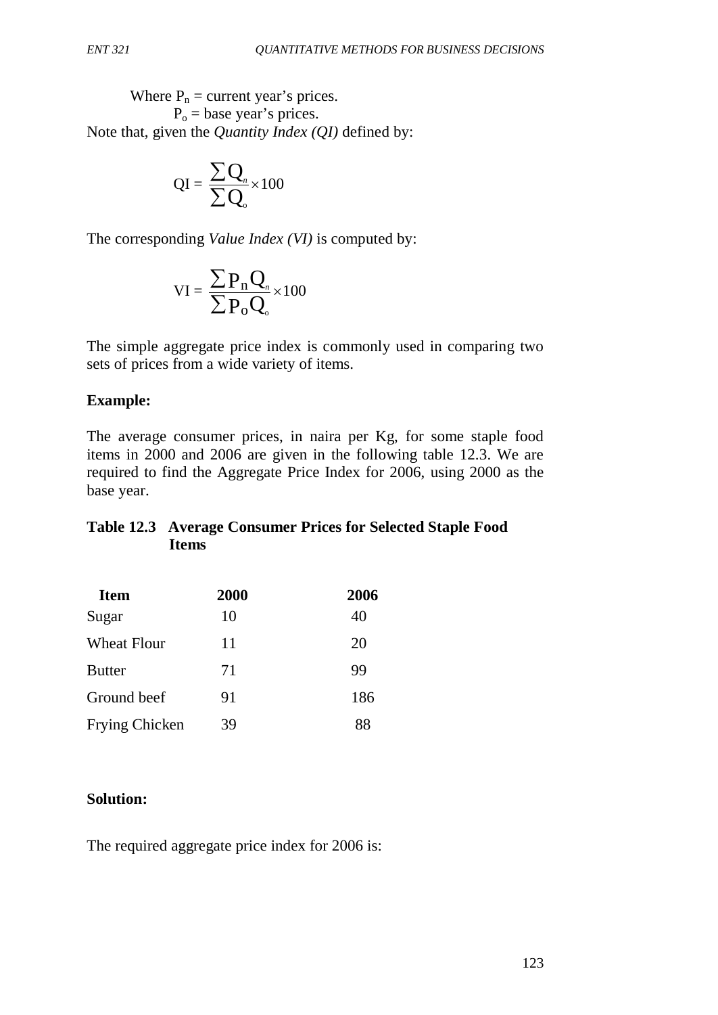Where  $P_n$  = current year's prices.  $P<sub>o</sub>$  = base year's prices. Note that, given the *Quantity Index (QI)* defined by:

$$
QI = \frac{\sum Q_n}{\sum Q_o} \times 100
$$

The corresponding *Value Index (VI)* is computed by:

$$
VI = \frac{\sum P_n Q_n}{\sum P_o Q_o} \times 100
$$

The simple aggregate price index is commonly used in comparing two sets of prices from a wide variety of items.

### **Example:**

The average consumer prices, in naira per Kg, for some staple food items in 2000 and 2006 are given in the following table 12.3. We are required to find the Aggregate Price Index for 2006, using 2000 as the base year.

### **Table 12.3 Average Consumer Prices for Selected Staple Food Items**

| <b>Item</b>        | <b>2000</b> | 2006 |
|--------------------|-------------|------|
| Sugar              | 10          | 40   |
| <b>Wheat Flour</b> | 11          | 20   |
| <b>Butter</b>      | 71          | 99   |
| Ground beef        | 91          | 186  |
| Frying Chicken     | 39          | 88   |

## **Solution:**

The required aggregate price index for 2006 is: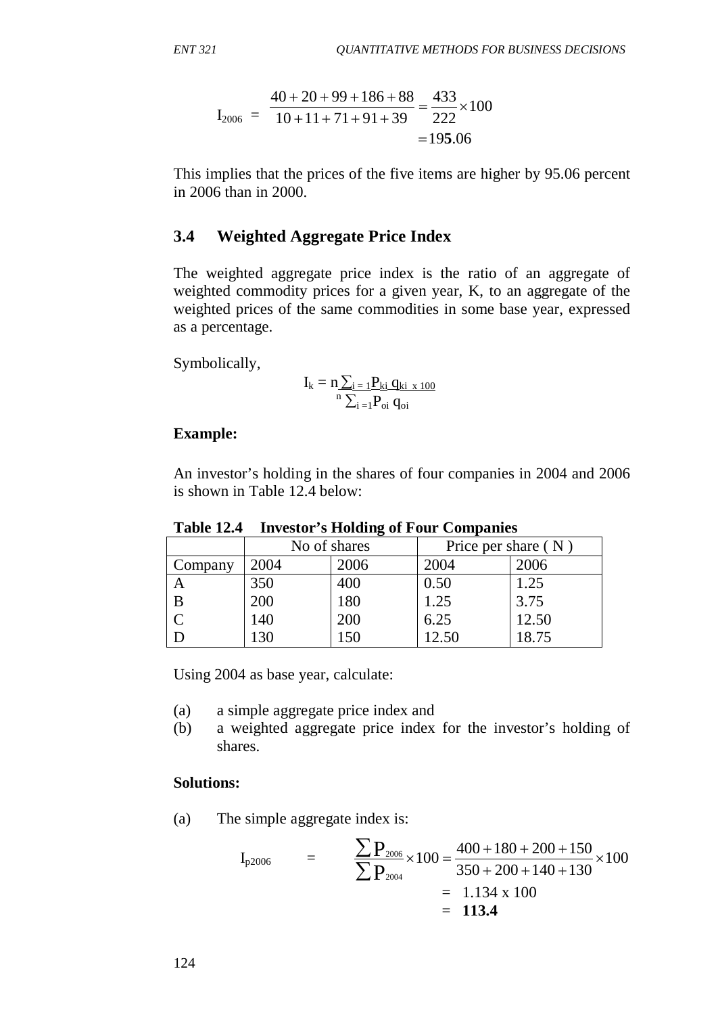$$
I_{2006} = \frac{40 + 20 + 99 + 186 + 88}{10 + 11 + 71 + 91 + 39} = \frac{433}{222} \times 100
$$
  
= 195.06

This implies that the prices of the five items are higher by 95.06 percent in 2006 than in 2000.

## **3.4 Weighted Aggregate Price Index**

The weighted aggregate price index is the ratio of an aggregate of weighted commodity prices for a given year, K, to an aggregate of the weighted prices of the same commodities in some base year, expressed as a percentage.

Symbolically,

$$
I_k = n \underset{n}{\sum_{i=1}} \underline{P_{ki}} \, \underline{q_{ki}} \, \underset{x \; 100}{\underbrace{x_{100}}}
$$

#### **Example:**

An investor's holding in the shares of four companies in 2004 and 2006 is shown in Table 12.4 below:

|         | No of shares |      | Price per share $(N)$ |       |  |  |
|---------|--------------|------|-----------------------|-------|--|--|
| Company | 2004         | 2006 | 2004                  | 2006  |  |  |
|         | 350          | 400  | 0.50                  | 1.25  |  |  |
| B       | 200          | 180  | 1.25                  | 3.75  |  |  |
|         | 140          | 200  | 6.25                  | 12.50 |  |  |
|         |              | 50   | .2.50                 | 18.75 |  |  |

**Table 12.4 Investor's Holding of Four Companies**

Using 2004 as base year, calculate:

(a) a simple aggregate price index and

(b) a weighted aggregate price index for the investor's holding of shares.

#### **Solutions:**

(a) The simple aggregate index is:

$$
I_{p2006} = \frac{\sum P_{2006}}{\sum P_{2004}} \times 100 = \frac{400 + 180 + 200 + 150}{350 + 200 + 140 + 130} \times 100
$$
  
= 1.134 x 100  
= **113.4**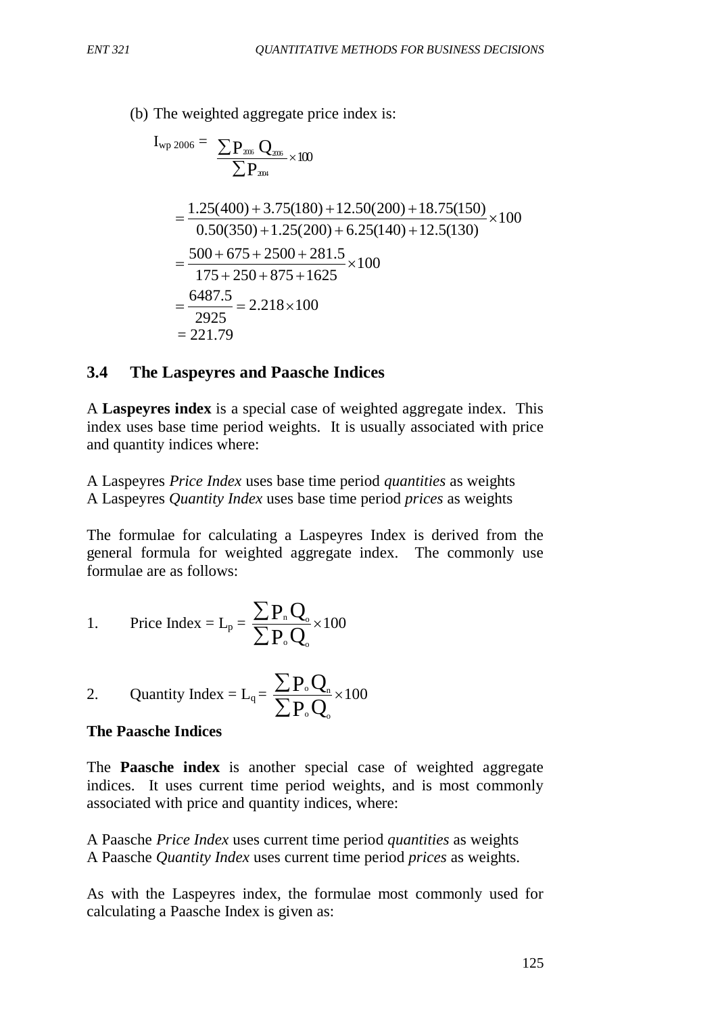(b) The weighted aggregate price index is:

$$
I_{wp\ 2006} = \frac{\sum P_{rms} Q_{rms}}{\sum P_{rms}} \times 100
$$
  
=  $\frac{1.25(400) + 3.75(180) + 12.50(200) + 18.75(150)}{0.50(350) + 1.25(200) + 6.25(140) + 12.5(130)} \times 100$   
=  $\frac{500 + 675 + 2500 + 281.5}{175 + 250 + 875 + 1625} \times 100$   
=  $\frac{6487.5}{2925}$  = 2.218×100  
= 221.79

### **3.4 The Laspeyres and Paasche Indices**

A **Laspeyres index** is a special case of weighted aggregate index. This index uses base time period weights. It is usually associated with price and quantity indices where:

A Laspeyres *Price Index* uses base time period *quantities* as weights A Laspeyres *Quantity Index* uses base time period *prices* as weights

The formulae for calculating a Laspeyres Index is derived from the general formula for weighted aggregate index. The commonly use formulae are as follows:

1. Price Index = 
$$
L_p = \frac{\sum P_n Q_o}{\sum P_o Q_o} \times 100
$$

2. Quantity Index = 
$$
L_q = \frac{\sum P_o Q_n}{\sum P_o Q_o} \times 100
$$

#### **The Paasche Indices**

The **Paasche index** is another special case of weighted aggregate indices. It uses current time period weights, and is most commonly associated with price and quantity indices, where:

A Paasche *Price Index* uses current time period *quantities* as weights A Paasche *Quantity Index* uses current time period *prices* as weights.

As with the Laspeyres index, the formulae most commonly used for calculating a Paasche Index is given as: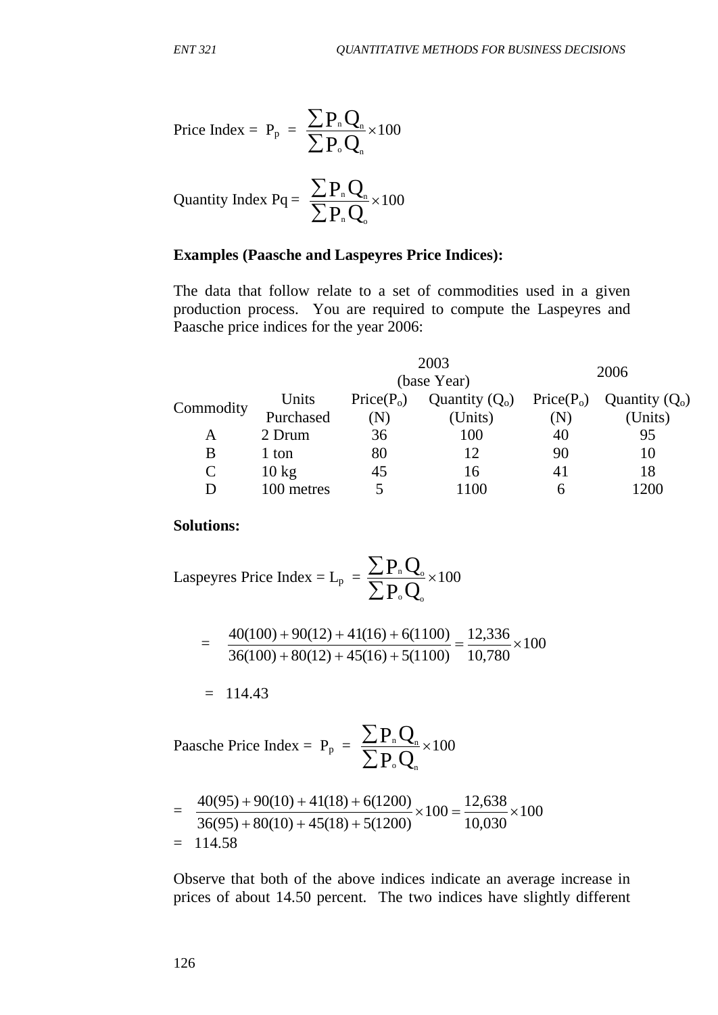$$
Price Index = P_p = \frac{\sum P_n Q_n}{\sum P_o Q_n} \times 100
$$

$$
Quantity Index Pq = \frac{\sum P_{n} Q_{n}}{\sum P_{n} Q_{o}} \times 100
$$

#### **Examples (Paasche and Laspeyres Price Indices):**

The data that follow relate to a set of commodities used in a given production process. You are required to compute the Laspeyres and Paasche price indices for the year 2006:

|                 |                        |                  | 2006                       |                  |  |
|-----------------|------------------------|------------------|----------------------------|------------------|--|
| Units           | Price(P <sub>o</sub> ) | Quantity $(Q_0)$ | Price(P <sub>o</sub> )     | Quantity $(Q_0)$ |  |
| Purchased       | N)                     | (Units)          | $\left( \mathrm{N}\right)$ | (Units)          |  |
| 2 Drum          | 36                     | 100              | 40                         | 95               |  |
| 1 ton           | 80                     | 12               | 90                         | 10               |  |
| $10 \text{ kg}$ | 45                     | 16               | 41                         | 18               |  |
| 100 metres      | 5                      | 1100             | h                          | 200              |  |
|                 |                        |                  | 2003<br>(base Year)        |                  |  |

#### **Solutions:**

Laspeyres Price Index = 
$$
L_p = \frac{\sum P_n Q_o}{\sum P_o Q_o} \times 100
$$

$$
= \frac{40(100) + 90(12) + 41(16) + 6(1100)}{36(100) + 80(12) + 45(16) + 5(1100)} = \frac{12,336}{10,780} \times 100
$$

$$
= 114.43
$$

Paasche Price Index = 
$$
P_p = \frac{\sum P_n Q_n}{\sum P_o Q_n} \times 100
$$

$$
= \frac{40(95) + 90(10) + 41(18) + 6(1200)}{36(95) + 80(10) + 45(18) + 5(1200)} \times 100 = \frac{12,638}{10,030} \times 100
$$
  
= 114.58

Observe that both of the above indices indicate an average increase in prices of about 14.50 percent. The two indices have slightly different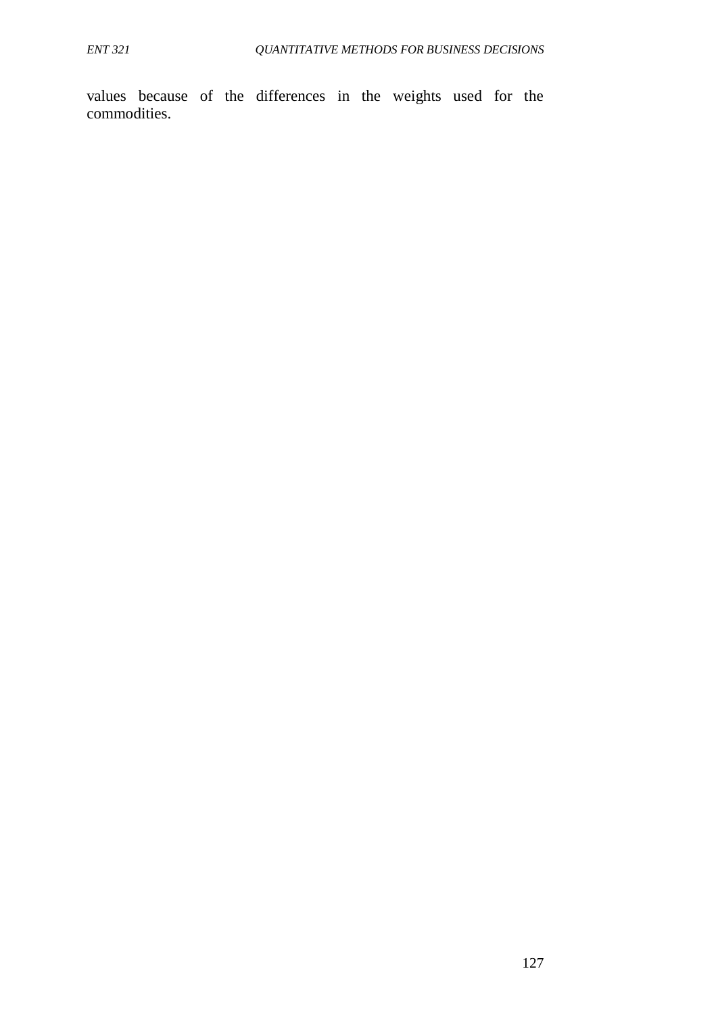values because of the differences in the weights used for the commodities.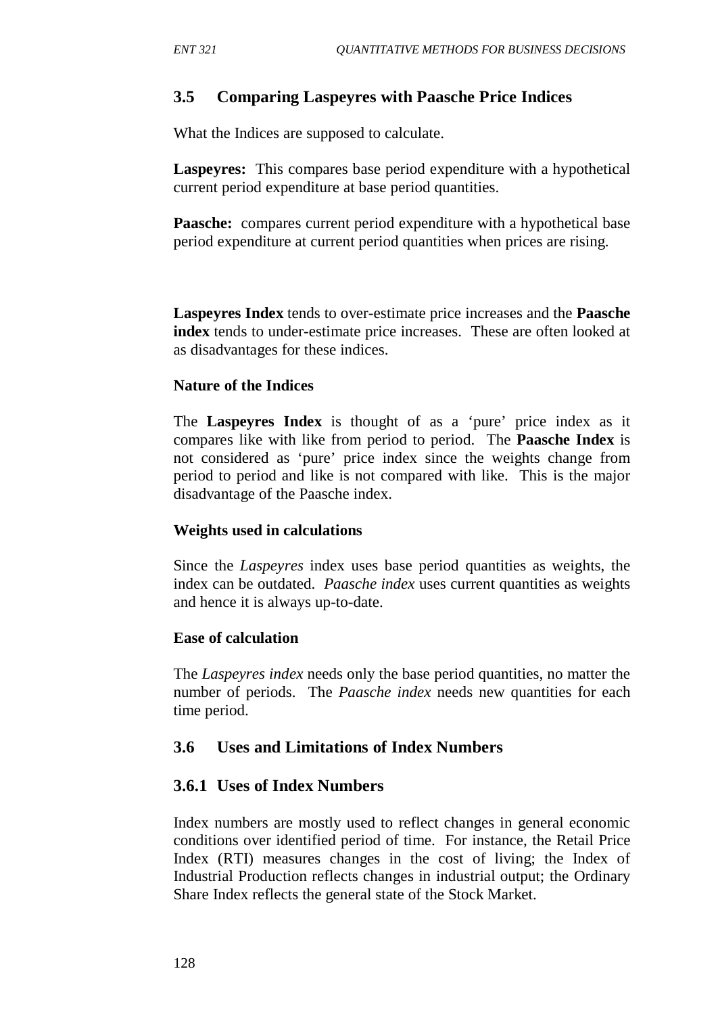## **3.5 Comparing Laspeyres with Paasche Price Indices**

What the Indices are supposed to calculate.

**Laspeyres:**This compares base period expenditure with a hypothetical current period expenditure at base period quantities.

**Paasche:** compares current period expenditure with a hypothetical base period expenditure at current period quantities when prices are rising.

**Laspeyres Index** tends to over-estimate price increases and the **Paasche index** tends to under-estimate price increases. These are often looked at as disadvantages for these indices.

### **Nature of the Indices**

The **Laspeyres Index** is thought of as a 'pure' price index as it compares like with like from period to period. The **Paasche Index** is not considered as 'pure' price index since the weights change from period to period and like is not compared with like. This is the major disadvantage of the Paasche index.

### **Weights used in calculations**

Since the *Laspeyres* index uses base period quantities as weights, the index can be outdated. *Paasche index* uses current quantities as weights and hence it is always up-to-date.

#### **Ease of calculation**

The *Laspeyres index* needs only the base period quantities, no matter the number of periods. The *Paasche index* needs new quantities for each time period.

### **3.6 Uses and Limitations of Index Numbers**

### **3.6.1 Uses of Index Numbers**

Index numbers are mostly used to reflect changes in general economic conditions over identified period of time. For instance, the Retail Price Index (RTI) measures changes in the cost of living; the Index of Industrial Production reflects changes in industrial output; the Ordinary Share Index reflects the general state of the Stock Market.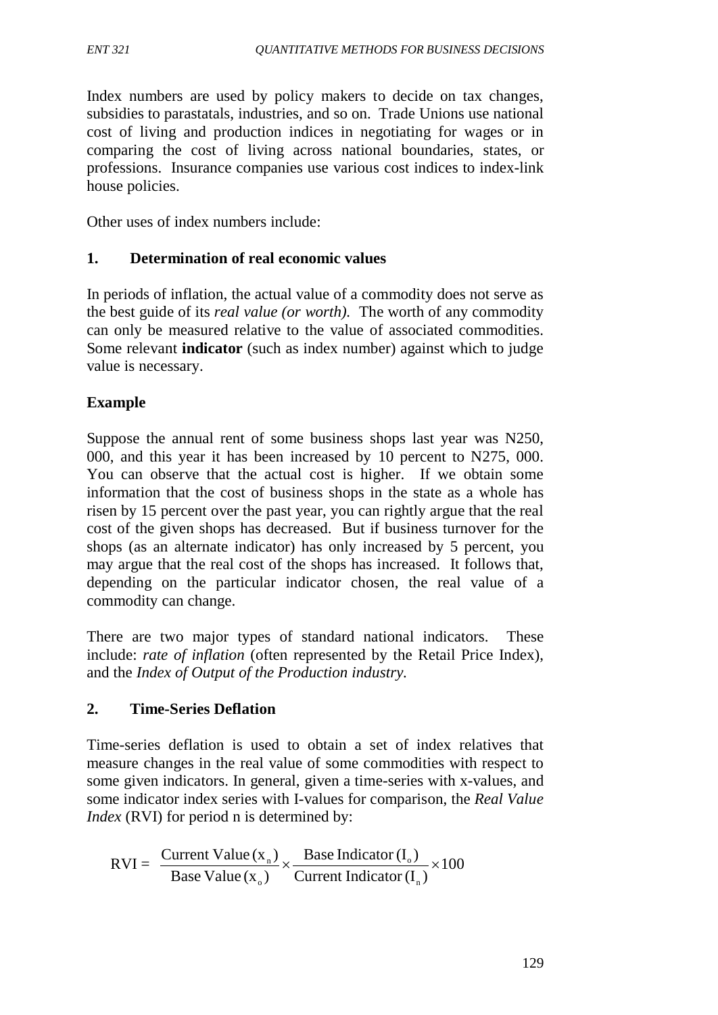Index numbers are used by policy makers to decide on tax changes, subsidies to parastatals, industries, and so on. Trade Unions use national cost of living and production indices in negotiating for wages or in comparing the cost of living across national boundaries, states, or professions. Insurance companies use various cost indices to index-link house policies.

Other uses of index numbers include:

## **1. Determination of real economic values**

In periods of inflation, the actual value of a commodity does not serve as the best guide of its *real value (or worth).* The worth of any commodity can only be measured relative to the value of associated commodities. Some relevant **indicator** (such as index number) against which to judge value is necessary.

### **Example**

Suppose the annual rent of some business shops last year was N250, 000, and this year it has been increased by 10 percent to N275, 000. You can observe that the actual cost is higher. If we obtain some information that the cost of business shops in the state as a whole has risen by 15 percent over the past year, you can rightly argue that the real cost of the given shops has decreased. But if business turnover for the shops (as an alternate indicator) has only increased by 5 percent, you may argue that the real cost of the shops has increased. It follows that, depending on the particular indicator chosen, the real value of a commodity can change.

There are two major types of standard national indicators. These include: *rate of inflation* (often represented by the Retail Price Index), and the *Index of Output of the Production industry.*

## **2. Time-Series Deflation**

Time-series deflation is used to obtain a set of index relatives that measure changes in the real value of some commodities with respect to some given indicators. In general, given a time-series with x-values, and some indicator index series with I-values for comparison, the *Real Value Index* (RVI) for period n is determined by:

$$
RVI = \frac{Current Value(x_n)}{Base Value(x_0)} \times \frac{Base Indicator(I_0)}{Current Indicator(I_n)} \times 100
$$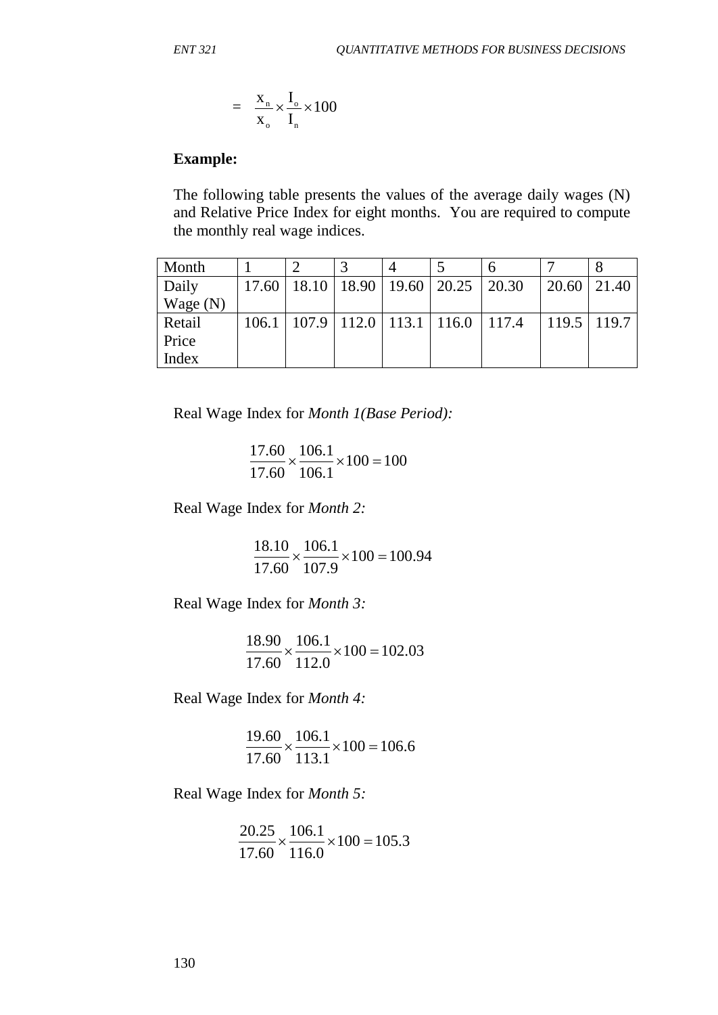$$
= \frac{X_n}{X_o} \times \frac{I_o}{I_n} \times 100
$$

#### **Example:**

The following table presents the values of the average daily wages (N) and Relative Price Index for eight months. You are required to compute the monthly real wage indices.

| Month      |       |  |                                                 |       |                 |
|------------|-------|--|-------------------------------------------------|-------|-----------------|
| Daily      |       |  | $17.60$   18.10   18.90   19.60   20.25   20.30 | 20.60 | 21.40           |
| Wage $(N)$ |       |  |                                                 |       |                 |
| Retail     | 106.1 |  | $107.9$   112.0   113.1   116.0   117.4         |       | $119.5$   119.7 |
| Price      |       |  |                                                 |       |                 |
| Index      |       |  |                                                 |       |                 |

Real Wage Index for *Month 1(Base Period):*

 $\frac{111.00}{17.60} \times \frac{100.1}{106.1} \times 100 = 100$ 106.1 106.1 17.60  $\frac{17.60}{17.60} \times \frac{106.1}{106.1} \times 100 = 100$ 

Real Wage Index for *Month 2:*

 $\frac{10110}{15.68} \times \frac{10011}{105.8} \times 100 = 100.94$ 107.9 106.1 17.60  $\frac{18.10}{25.00} \times \frac{106.1}{105.0} \times 100 =$ 

Real Wage Index for *Month 3:*

 $\frac{10.50}{17.50} \times \frac{100.1}{112.0} \times 100 = 102.03$ 112.0 106.1 17.60  $\frac{18.90}{15.68} \times \frac{106.1}{112.8} \times 100 = 102.03$ 

Real Wage Index for *Month 4:*

 $\frac{15.00}{17.60} \times \frac{100.1}{110.1} \times 100 = 106.6$ 113.1 106.1 17.60  $\frac{19.60}{17.60} \times \frac{106.1}{112.1} \times 100 = 106.6$ 

Real Wage Index for *Month 5:*

 $\frac{20.25}{15.68} \times \frac{100.1}{116.8} \times 100 = 105.3$ 116.0 106.1 17.60  $\frac{20.25}{15.28} \times \frac{106.1}{11.12} \times 100 =$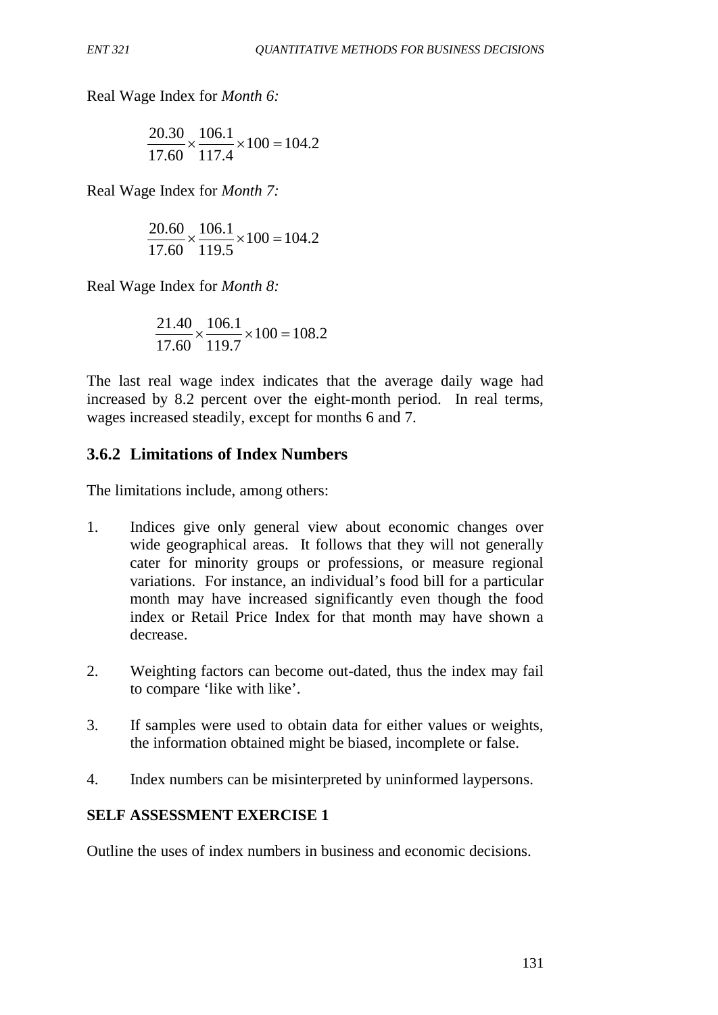Real Wage Index for *Month 6:*

$$
\frac{20.30}{17.60} \times \frac{106.1}{117.4} \times 100 = 104.2
$$

Real Wage Index for *Month 7:*

$$
\frac{20.60}{17.60} \times \frac{106.1}{119.5} \times 100 = 104.2
$$

Real Wage Index for *Month 8:*

$$
\frac{21.40}{17.60} \times \frac{106.1}{119.7} \times 100 = 108.2
$$

The last real wage index indicates that the average daily wage had increased by 8.2 percent over the eight-month period. In real terms, wages increased steadily, except for months 6 and 7.

# **3.6.2 Limitations of Index Numbers**

The limitations include, among others:

- 1. Indices give only general view about economic changes over wide geographical areas. It follows that they will not generally cater for minority groups or professions, or measure regional variations. For instance, an individual's food bill for a particular month may have increased significantly even though the food index or Retail Price Index for that month may have shown a decrease.
- 2. Weighting factors can become out-dated, thus the index may fail to compare 'like with like'.
- 3. If samples were used to obtain data for either values or weights, the information obtained might be biased, incomplete or false.
- 4. Index numbers can be misinterpreted by uninformed laypersons.

## **SELF ASSESSMENT EXERCISE 1**

Outline the uses of index numbers in business and economic decisions.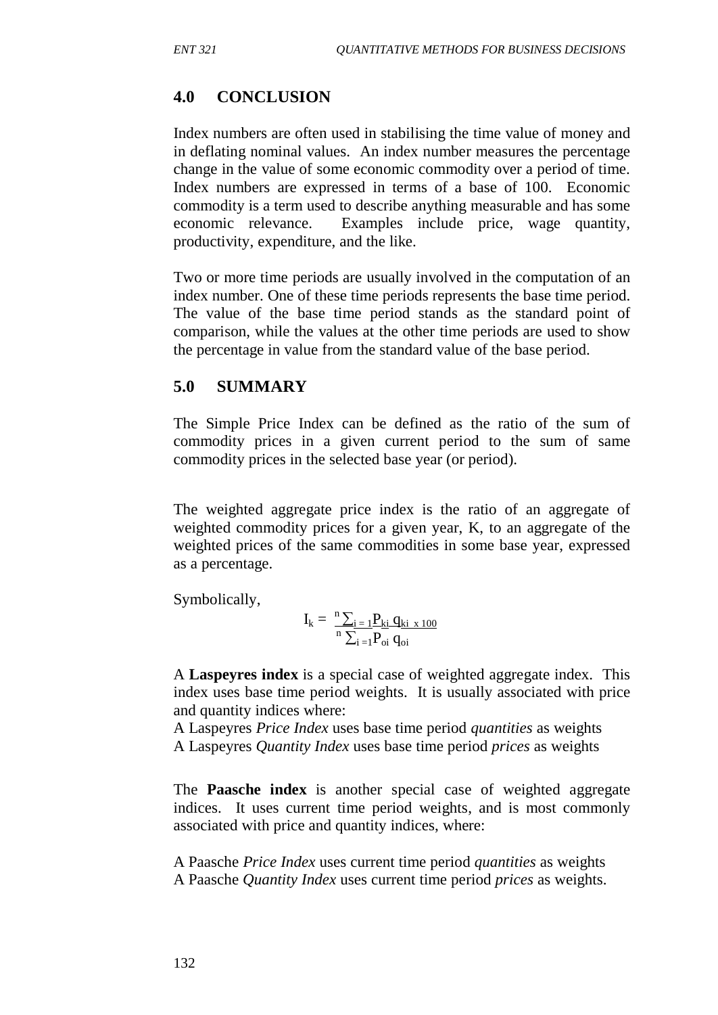# **4.0 CONCLUSION**

Index numbers are often used in stabilising the time value of money and in deflating nominal values. An index number measures the percentage change in the value of some economic commodity over a period of time. Index numbers are expressed in terms of a base of 100. Economic commodity is a term used to describe anything measurable and has some economic relevance. Examples include price, wage quantity, productivity, expenditure, and the like.

Two or more time periods are usually involved in the computation of an index number. One of these time periods represents the base time period. The value of the base time period stands as the standard point of comparison, while the values at the other time periods are used to show the percentage in value from the standard value of the base period.

## **5.0 SUMMARY**

The Simple Price Index can be defined as the ratio of the sum of commodity prices in a given current period to the sum of same commodity prices in the selected base year (or period).

The weighted aggregate price index is the ratio of an aggregate of weighted commodity prices for a given year, K, to an aggregate of the weighted prices of the same commodities in some base year, expressed as a percentage.

Symbolically,

$$
I_k = \frac{{}^n\sum_{i\,=\,1} \! P_{ki} \, q_{ki\,\,x\,100}}{ {}^n\sum_{i\,=\,1} \! P_{oi} \, q_{oi}}
$$

A **Laspeyres index** is a special case of weighted aggregate index. This index uses base time period weights. It is usually associated with price and quantity indices where:

A Laspeyres *Price Index* uses base time period *quantities* as weights A Laspeyres *Quantity Index* uses base time period *prices* as weights

The **Paasche index** is another special case of weighted aggregate indices. It uses current time period weights, and is most commonly associated with price and quantity indices, where:

A Paasche *Price Index* uses current time period *quantities* as weights A Paasche *Quantity Index* uses current time period *prices* as weights.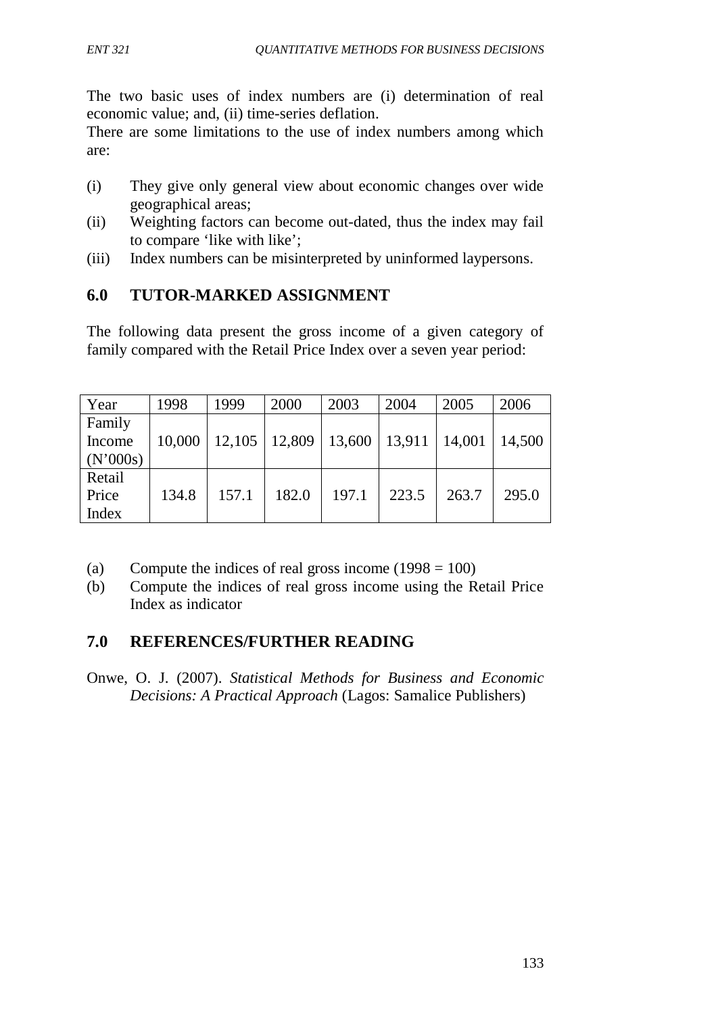The two basic uses of index numbers are (i) determination of real economic value; and, (ii) time-series deflation.

There are some limitations to the use of index numbers among which are:

- (i) They give only general view about economic changes over wide geographical areas;
- (ii) Weighting factors can become out-dated, thus the index may fail to compare 'like with like';
- (iii) Index numbers can be misinterpreted by uninformed laypersons.

## **6.0 TUTOR-MARKED ASSIGNMENT**

The following data present the gross income of a given category of family compared with the Retail Price Index over a seven year period:

| Year     | 1998   | 1999  | 2000                                         | 2003  | 2004  | 2005  | 2006   |
|----------|--------|-------|----------------------------------------------|-------|-------|-------|--------|
| Family   |        |       |                                              |       |       |       |        |
| Income   | 10,000 |       | $12,105$   12,809   13,600   13,911   14,001 |       |       |       | 14,500 |
| (N'000s) |        |       |                                              |       |       |       |        |
| Retail   |        |       |                                              |       |       |       |        |
| Price    | 134.8  | 157.1 | 182.0                                        | 197.1 | 223.5 | 263.7 | 295.0  |
| Index    |        |       |                                              |       |       |       |        |

- (a) Compute the indices of real gross income  $(1998 = 100)$
- (b) Compute the indices of real gross income using the Retail Price Index as indicator

# **7.0 REFERENCES/FURTHER READING**

Onwe, O. J. (2007). *Statistical Methods for Business and Economic Decisions: A Practical Approach* (Lagos: Samalice Publishers)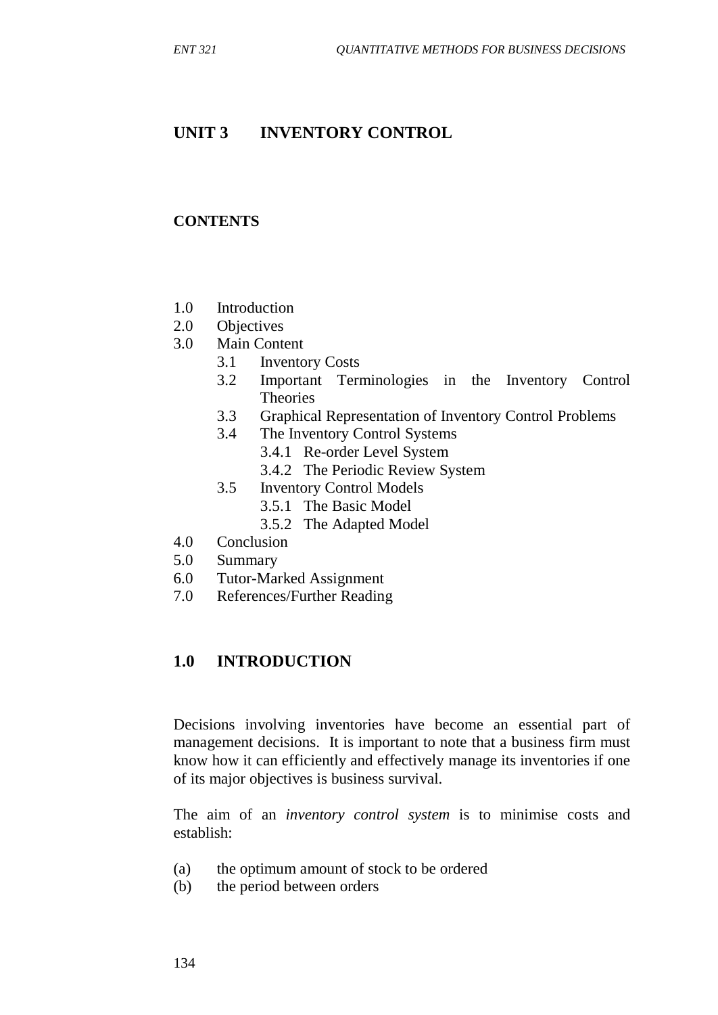## **UNIT 3 INVENTORY CONTROL**

#### **CONTENTS**

- 1.0 Introduction
- 2.0 Objectives
- 3.0 Main Content
	- 3.1 Inventory Costs
	- 3.2 Important Terminologies in the Inventory Control Theories
	- 3.3 Graphical Representation of Inventory Control Problems
	- 3.4 The Inventory Control Systems
		- 3.4.1 Re-order Level System
		- 3.4.2 The Periodic Review System
	- 3.5 Inventory Control Models
		- 3.5.1 The Basic Model
		- 3.5.2 The Adapted Model
- 4.0 Conclusion
- 5.0 Summary
- 6.0 Tutor-Marked Assignment
- 7.0 References/Further Reading

### **1.0 INTRODUCTION**

Decisions involving inventories have become an essential part of management decisions. It is important to note that a business firm must know how it can efficiently and effectively manage its inventories if one of its major objectives is business survival.

The aim of an *inventory control system* is to minimise costs and establish:

- (a) the optimum amount of stock to be ordered
- (b) the period between orders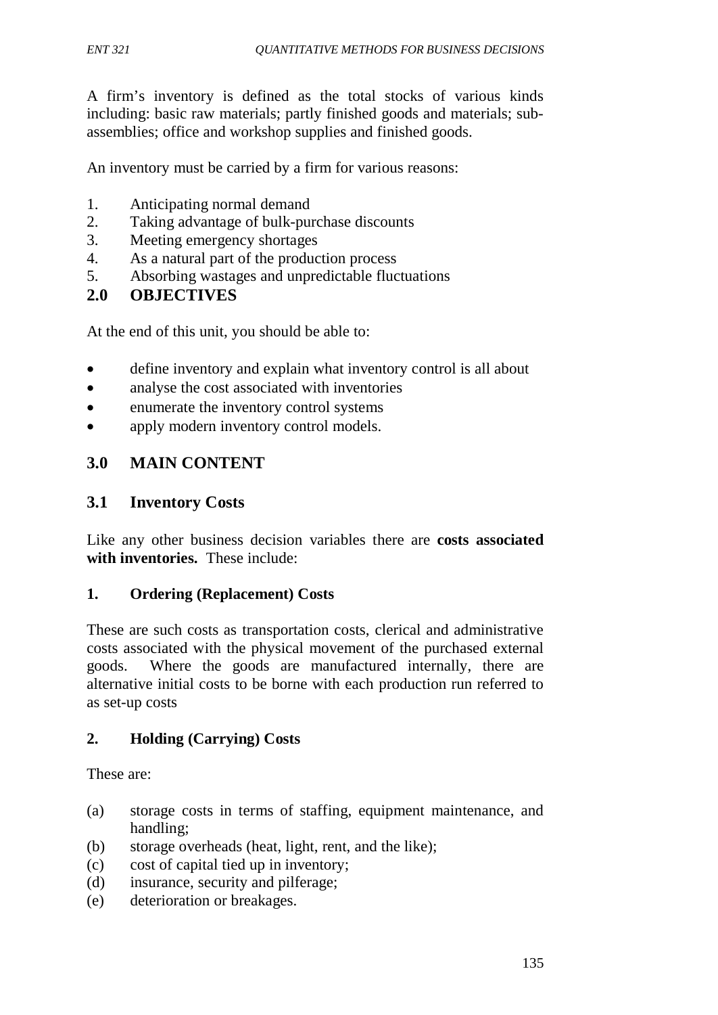A firm's inventory is defined as the total stocks of various kinds including: basic raw materials; partly finished goods and materials; subassemblies; office and workshop supplies and finished goods.

An inventory must be carried by a firm for various reasons:

- 1. Anticipating normal demand
- 2. Taking advantage of bulk-purchase discounts
- 3. Meeting emergency shortages
- 4. As a natural part of the production process
- 5. Absorbing wastages and unpredictable fluctuations

## **2.0 OBJECTIVES**

At the end of this unit, you should be able to:

- define inventory and explain what inventory control is all about
- analyse the cost associated with inventories
- enumerate the inventory control systems
- apply modern inventory control models.

### **3.0 MAIN CONTENT**

### **3.1 Inventory Costs**

Like any other business decision variables there are **costs associated with inventories.** These include:

### **1. Ordering (Replacement) Costs**

These are such costs as transportation costs, clerical and administrative costs associated with the physical movement of the purchased external goods. Where the goods are manufactured internally, there are alternative initial costs to be borne with each production run referred to as set-up costs

### **2. Holding (Carrying) Costs**

These are:

- (a) storage costs in terms of staffing, equipment maintenance, and handling;
- (b) storage overheads (heat, light, rent, and the like);
- (c) cost of capital tied up in inventory;
- (d) insurance, security and pilferage;
- (e) deterioration or breakages.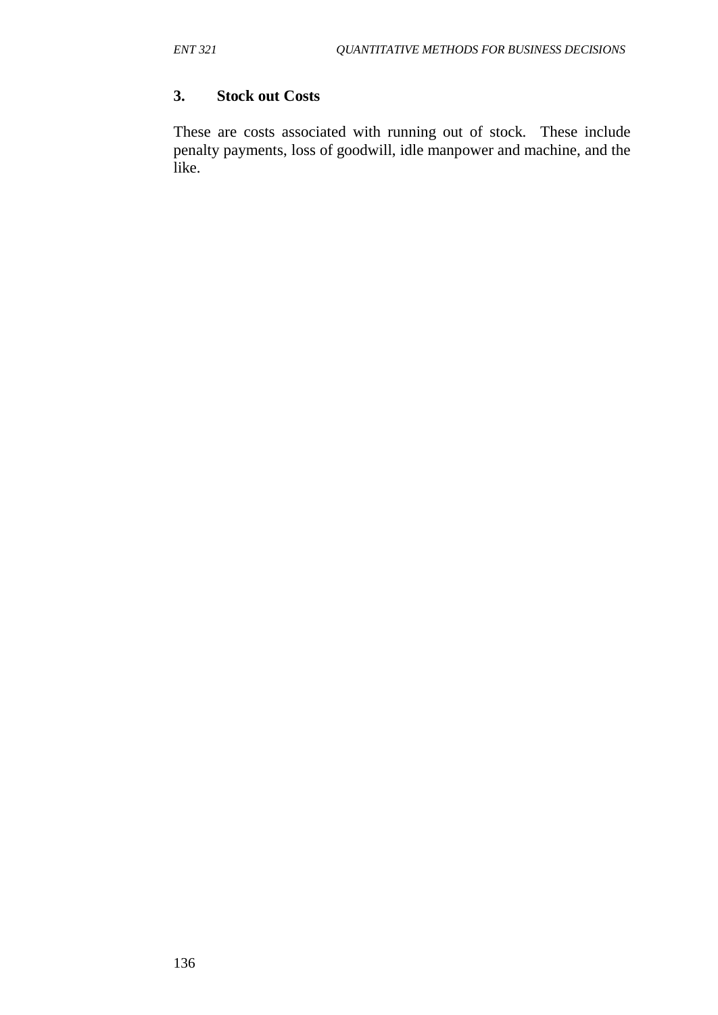## **3. Stock out Costs**

These are costs associated with running out of stock. These include penalty payments, loss of goodwill, idle manpower and machine, and the like.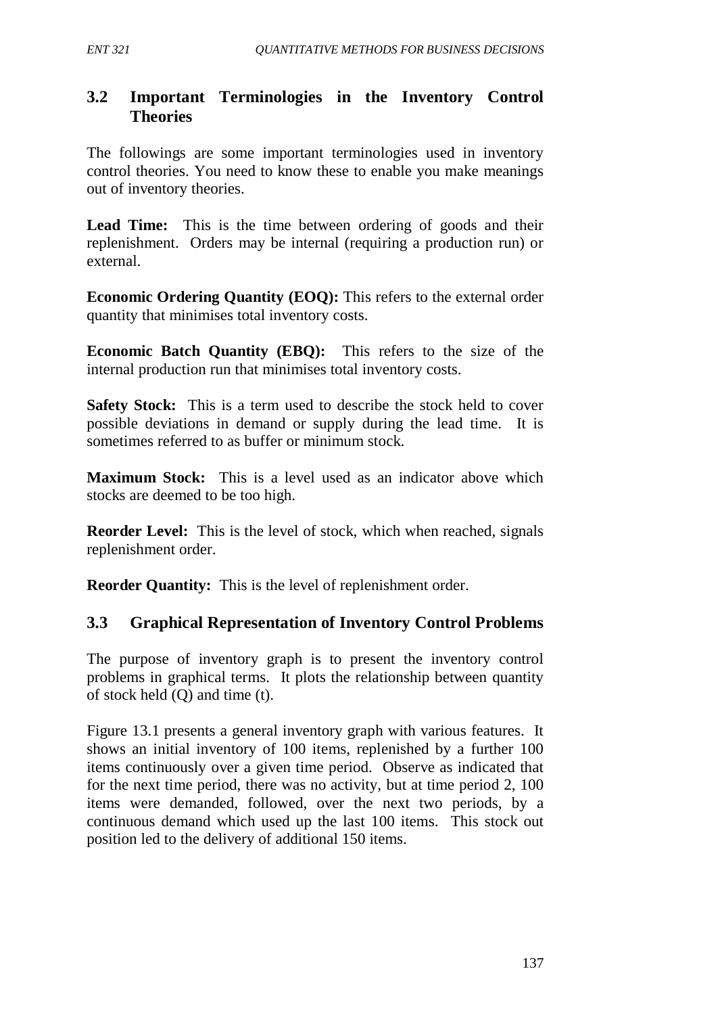# **3.2 Important Terminologies in the Inventory Control Theories**

The followings are some important terminologies used in inventory control theories. You need to know these to enable you make meanings out of inventory theories.

Lead Time: This is the time between ordering of goods and their replenishment. Orders may be internal (requiring a production run) or external.

**Economic Ordering Quantity (EOQ):** This refers to the external order quantity that minimises total inventory costs.

**Economic Batch Quantity (EBQ):**This refers to the size of the internal production run that minimises total inventory costs.

**Safety Stock:** This is a term used to describe the stock held to cover possible deviations in demand or supply during the lead time. It is sometimes referred to as buffer or minimum stock.

**Maximum Stock:** This is a level used as an indicator above which stocks are deemed to be too high.

**Reorder Level:** This is the level of stock, which when reached, signals replenishment order.

**Reorder Quantity:** This is the level of replenishment order.

## **3.3 Graphical Representation of Inventory Control Problems**

The purpose of inventory graph is to present the inventory control problems in graphical terms. It plots the relationship between quantity of stock held (Q) and time (t).

Figure 13.1 presents a general inventory graph with various features. It shows an initial inventory of 100 items, replenished by a further 100 items continuously over a given time period. Observe as indicated that for the next time period, there was no activity, but at time period 2, 100 items were demanded, followed, over the next two periods, by a continuous demand which used up the last 100 items. This stock out position led to the delivery of additional 150 items.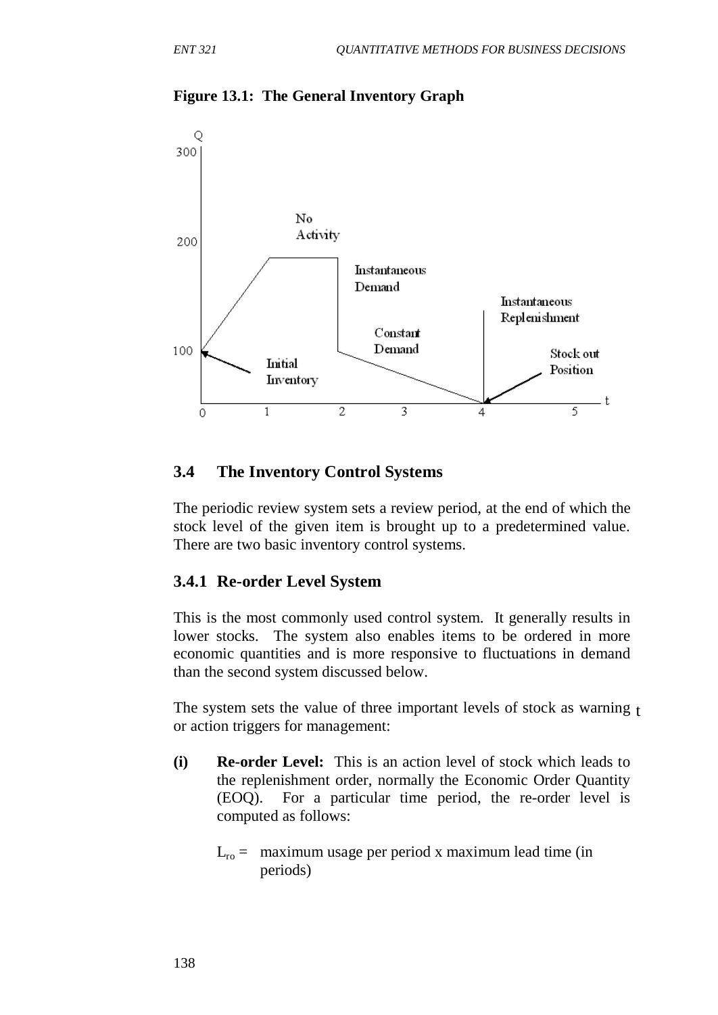

#### **Figure 13.1: The General Inventory Graph**

### **3.4 The Inventory Control Systems**

The periodic review system sets a review period, at the end of which the stock level of the given item is brought up to a predetermined value. There are two basic inventory control systems.

#### **3.4.1 Re-order Level System**

This is the most commonly used control system. It generally results in lower stocks. The system also enables items to be ordered in more economic quantities and is more responsive to fluctuations in demand than the second system discussed below.

The system sets the value of three important levels of stock as warning t or action triggers for management:

- **(i) Re-order Level:**This is an action level of stock which leads to the replenishment order, normally the Economic Order Quantity (EOQ). For a particular time period, the re-order level is computed as follows:
	- $L_{\rm ro}$  = maximum usage per period x maximum lead time (in periods)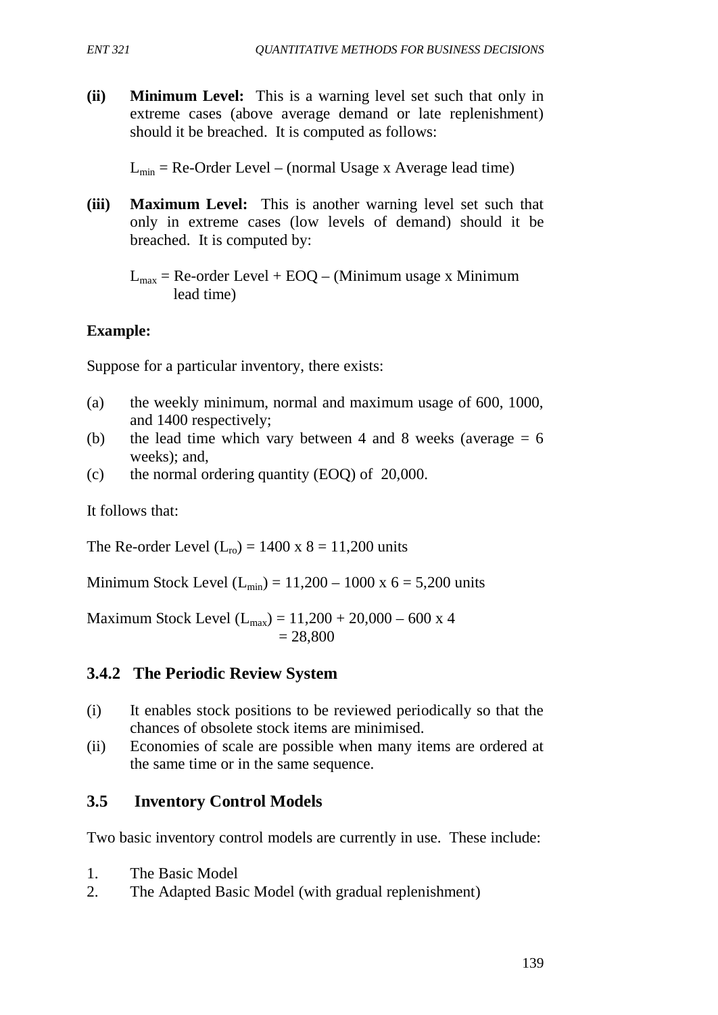**(ii) Minimum Level:**This is a warning level set such that only in extreme cases (above average demand or late replenishment) should it be breached. It is computed as follows:

 $L_{\text{min}}$  = Re-Order Level – (normal Usage x Average lead time)

**(iii) Maximum Level:** This is another warning level set such that only in extreme cases (low levels of demand) should it be breached. It is computed by:

 $L_{\text{max}}$  = Re-order Level + EOQ – (Minimum usage x Minimum lead time)

# **Example:**

Suppose for a particular inventory, there exists:

- (a) the weekly minimum, normal and maximum usage of 600, 1000, and 1400 respectively;
- (b) the lead time which vary between 4 and 8 weeks (average  $= 6$ weeks); and,
- (c) the normal ordering quantity (EOQ) of 20,000.

It follows that:

The Re-order Level  $(L_{ro}) = 1400 \text{ x } 8 = 11,200 \text{ units}$ 

Minimum Stock Level  $(L_{min}) = 11,200 - 1000 \text{ x } 6 = 5,200 \text{ units}$ 

Maximum Stock Level  $(L_{max}) = 11,200 + 20,000 - 600 \text{ x } 4$  $= 28,800$ 

# **3.4.2 The Periodic Review System**

- (i) It enables stock positions to be reviewed periodically so that the chances of obsolete stock items are minimised.
- (ii) Economies of scale are possible when many items are ordered at the same time or in the same sequence.

# **3.5 Inventory Control Models**

Two basic inventory control models are currently in use. These include:

- 1. The Basic Model
- 2. The Adapted Basic Model (with gradual replenishment)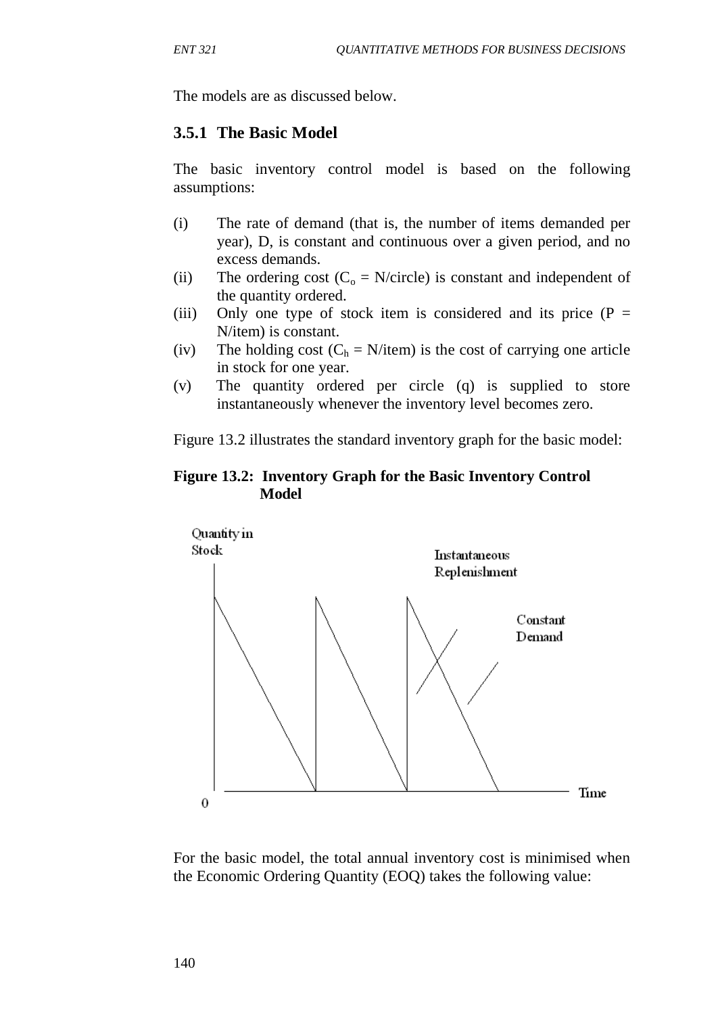The models are as discussed below.

### **3.5.1 The Basic Model**

The basic inventory control model is based on the following assumptions:

- (i) The rate of demand (that is, the number of items demanded per year), D, is constant and continuous over a given period, and no excess demands.
- (ii) The ordering cost  $(C_0 = N/circle)$  is constant and independent of the quantity ordered.
- (iii) Only one type of stock item is considered and its price  $(P =$ N/item) is constant.
- (iv) The holding cost  $(C_h = N/\text{item})$  is the cost of carrying one article in stock for one year.
- (v) The quantity ordered per circle (q) is supplied to store instantaneously whenever the inventory level becomes zero.

Figure 13.2 illustrates the standard inventory graph for the basic model:

#### **Figure 13.2: Inventory Graph for the Basic Inventory Control Model**



For the basic model, the total annual inventory cost is minimised when the Economic Ordering Quantity (EOQ) takes the following value: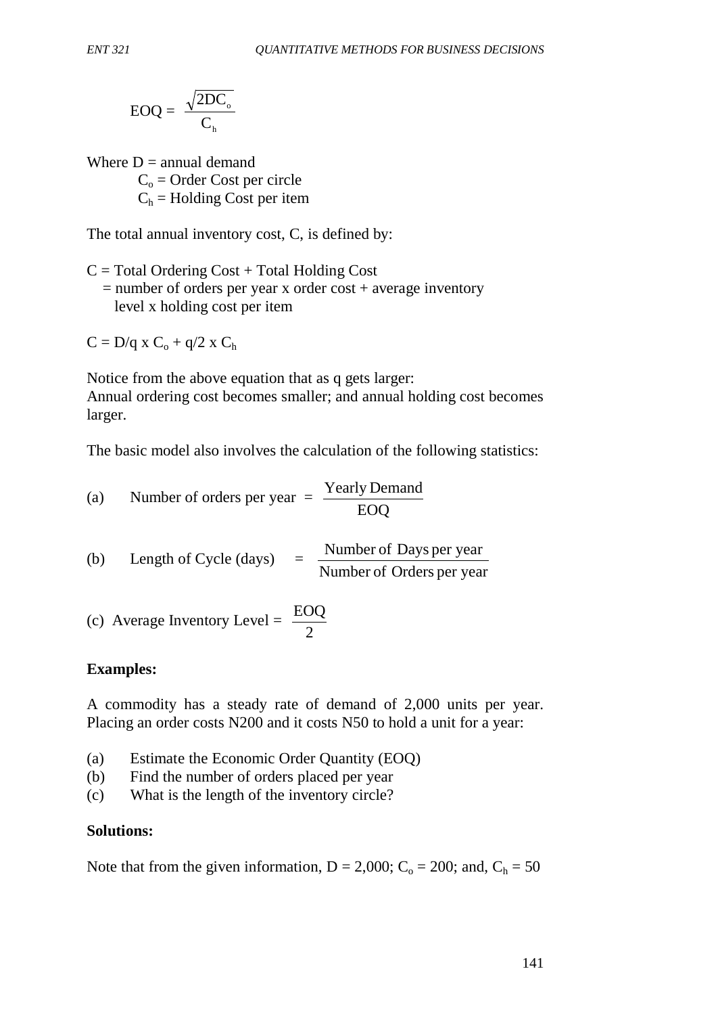$$
EOQ = \frac{\sqrt{2DC_{o}}}{C_{h}}
$$

Where  $D =$  annual demand  $C<sub>o</sub>$  = Order Cost per circle  $C_h$  = Holding Cost per item

The total annual inventory cost, C, is defined by:

 $C = Total$  Ordering Cost + Total Holding Cost  $=$  number of orders per year x order cost  $+$  average inventory level x holding cost per item

 $C = D/q$  x  $C_0 + q/2$  x  $C_h$ 

Notice from the above equation that as q gets larger: Annual ordering cost becomes smaller; and annual holding cost becomes larger.

The basic model also involves the calculation of the following statistics:

(a) Number of orders per year  $=$   $\frac{\text{Yearly Demand}}{\text{EOQ}}$ 

(b) Length of Cycle (days)  $=$   $\frac{\text{Number of Days per year}}{\text{Number of orders per year}}$ 

(c) Average Inventory Level = 
$$
\frac{EOQ}{2}
$$

### **Examples:**

A commodity has a steady rate of demand of 2,000 units per year. Placing an order costs N200 and it costs N50 to hold a unit for a year:

- (a) Estimate the Economic Order Quantity (EOQ)
- (b) Find the number of orders placed per year
- (c) What is the length of the inventory circle?

#### **Solutions:**

Note that from the given information,  $D = 2,000$ ;  $C_0 = 200$ ; and,  $C_h = 50$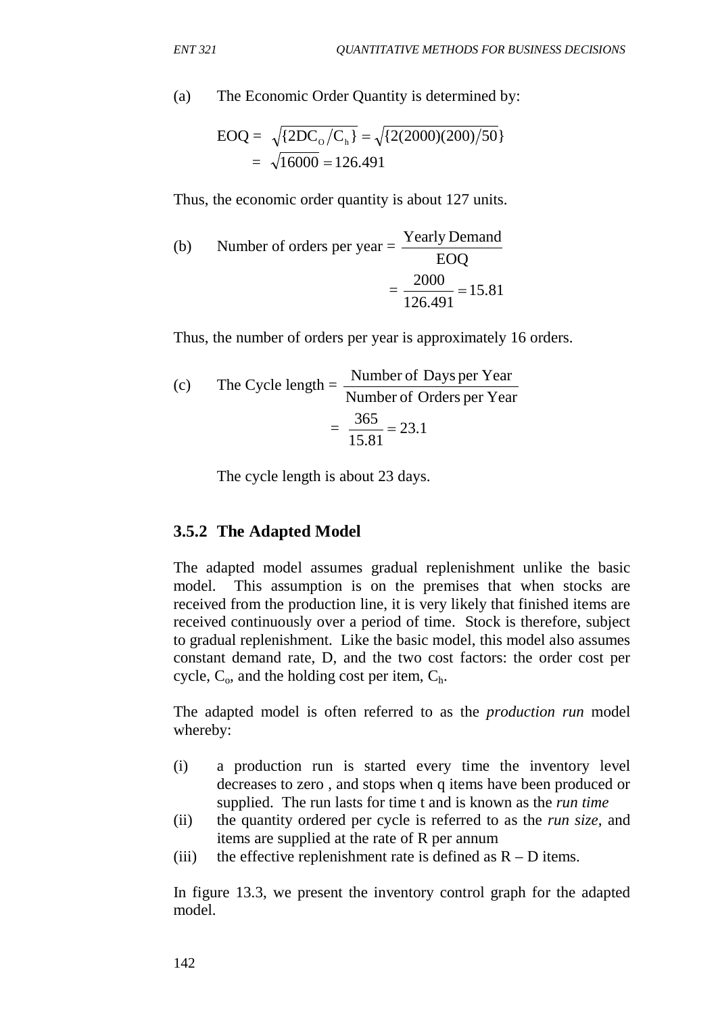(a) The Economic Order Quantity is determined by:

EOQ = 
$$
\sqrt{\{2DC_o/C_h\}} = \sqrt{\{2(2000)(200)/50\}}
$$
  
=  $\sqrt{16000} = 126.491$ 

Thus, the economic order quantity is about 127 units.

(b) Number of orders per year = 
$$
\frac{\text{Yearly Demand}}{\text{EOQ}}
$$

$$
= \frac{2000}{126.491} = 15.81
$$

Thus, the number of orders per year is approximately 16 orders.

(c) The Cycle length = 
$$
\frac{\text{Number of Days per Year}}{\text{Number of Orders per Year}} = \frac{365}{15.81} = 23.1
$$

The cycle length is about 23 days.

#### **3.5.2 The Adapted Model**

The adapted model assumes gradual replenishment unlike the basic model. This assumption is on the premises that when stocks are received from the production line, it is very likely that finished items are received continuously over a period of time. Stock is therefore, subject to gradual replenishment. Like the basic model, this model also assumes constant demand rate, D, and the two cost factors: the order cost per cycle,  $C_0$ , and the holding cost per item,  $C_h$ .

The adapted model is often referred to as the *production run* model whereby:

- (i) a production run is started every time the inventory level decreases to zero , and stops when q items have been produced or supplied. The run lasts for time t and is known as the *run time*
- (ii) the quantity ordered per cycle is referred to as the *run size*, and items are supplied at the rate of R per annum
- (iii) the effective replenishment rate is defined as  $R D$  items.

In figure 13.3, we present the inventory control graph for the adapted model.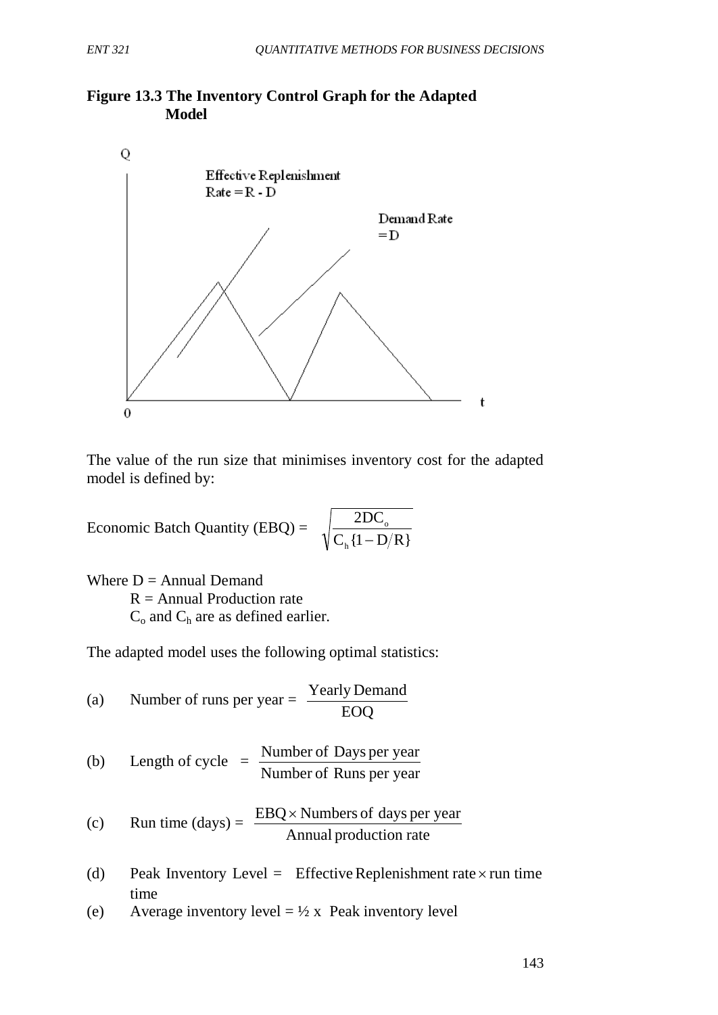



The value of the run size that minimises inventory cost for the adapted model is defined by:

Economic Batch Quantity (EBQ) =  $\sqrt{\frac{2DC_0}{C_h\{1-D/R\}}}$ 2DC h  $\frac{DC_{o}}{-D/R}$ 

Where  $D =$  Annual Demand  $R =$  Annual Production rate  $C_0$  and  $C_h$  are as defined earlier.

The adapted model uses the following optimal statistics:

(a) Number of runs per year  $=$   $\frac{\text{Yearly Demand}}{\text{EOQ}}$ (b) Length of cycle  $=$ Number of Runs per year Number of Days per year (c) Run time  $(days) = \frac{EDQ \times \text{r} (days) - Q \times \text{r}}{Annual production rate}$ EBQ× Numbers of days per year

- (d) Peak Inventory Level = Effective Replenishment rate  $\times$  run time time
- (e) Average inventory level  $= \frac{1}{2} \times$  Peak inventory level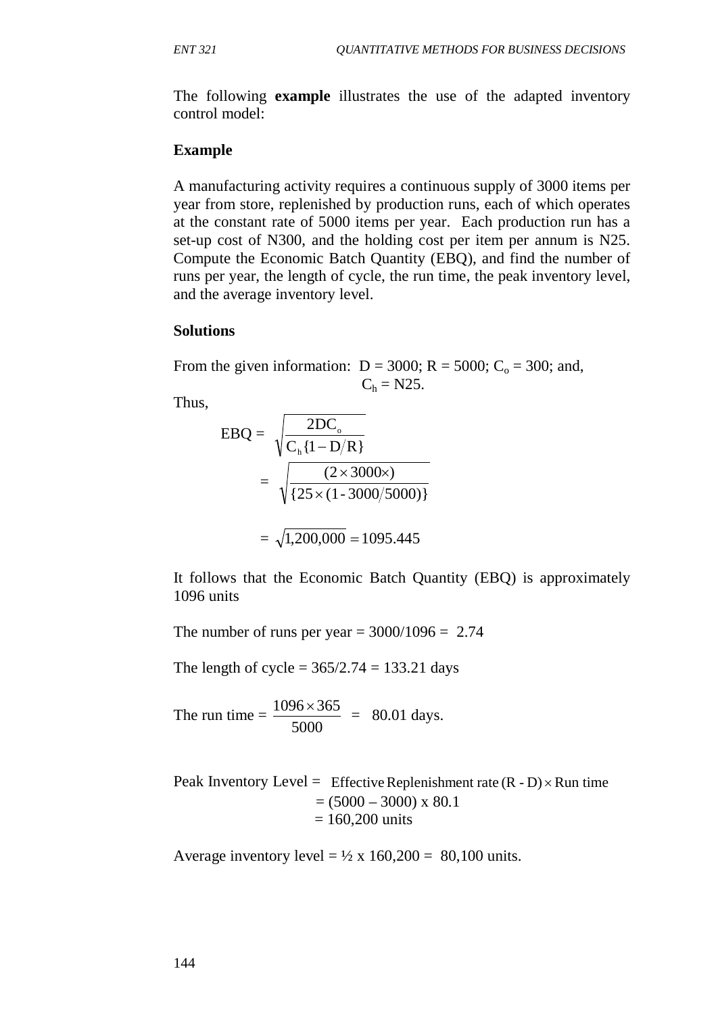The following **example** illustrates the use of the adapted inventory control model:

#### **Example**

A manufacturing activity requires a continuous supply of 3000 items per year from store, replenished by production runs, each of which operates at the constant rate of 5000 items per year. Each production run has a set-up cost of N300, and the holding cost per item per annum is N25. Compute the Economic Batch Quantity (EBQ), and find the number of runs per year, the length of cycle, the run time, the peak inventory level, and the average inventory level.

#### **Solutions**

From the given information:  $D = 3000$ ;  $R = 5000$ ;  $C_0 = 300$ ; and,  $C_h = N25.$ 

Thus,

$$
EBQ = \sqrt{\frac{2DC_{o}}{C_{h} \{1 - D/R\}}}
$$

$$
= \sqrt{\frac{(2 \times 3000 \times)}{\{25 \times (1 - 3000/5000)\}}}
$$

$$
=\sqrt{1,200,000} = 1095.445
$$

It follows that the Economic Batch Quantity (EBQ) is approximately 1096 units

The number of runs per year  $= 3000/1096 = 2.74$ 

The length of cycle =  $365/2.74 = 133.21$  days

The run time  $=$ 5000  $\frac{1096 \times 365}{5000} = 80.01 \text{ days}.$ 

Peak Inventory Level = Effective Replenishment rate  $(R - D) \times Run$  time  $= (5000 - 3000) \times 80.1$  $= 160,200 \text{ units}$ 

Average inventory level =  $\frac{1}{2}$  x 160,200 = 80,100 units.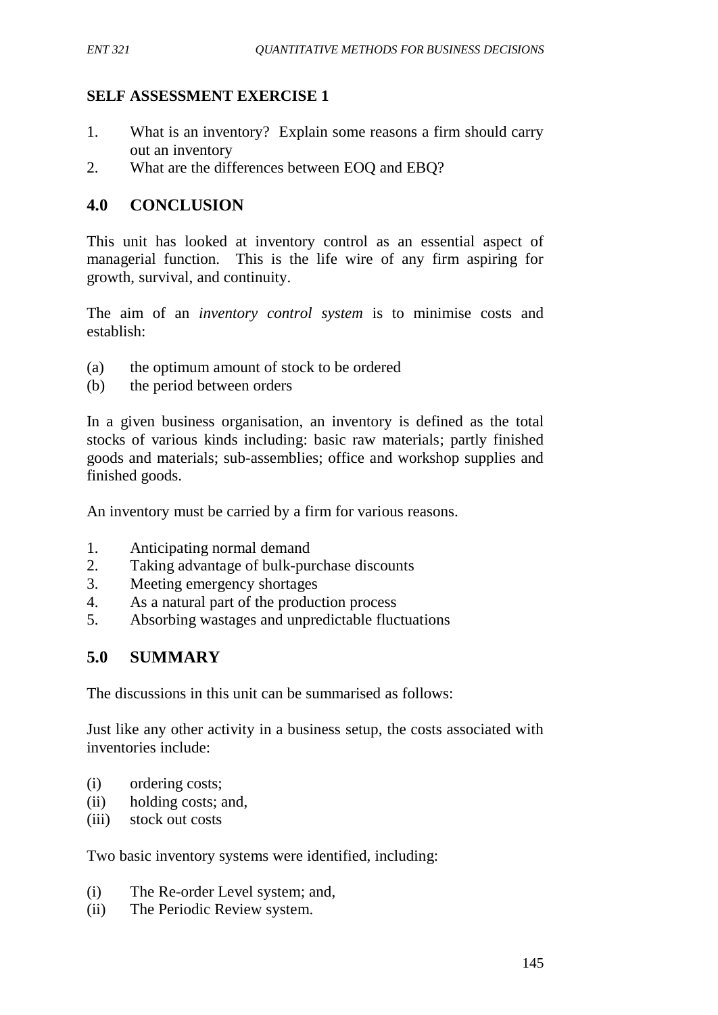## **SELF ASSESSMENT EXERCISE 1**

- 1. What is an inventory? Explain some reasons a firm should carry out an inventory
- 2. What are the differences between EOQ and EBQ?

## **4.0 CONCLUSION**

This unit has looked at inventory control as an essential aspect of managerial function. This is the life wire of any firm aspiring for growth, survival, and continuity.

The aim of an *inventory control system* is to minimise costs and establish:

- (a) the optimum amount of stock to be ordered
- (b) the period between orders

In a given business organisation, an inventory is defined as the total stocks of various kinds including: basic raw materials; partly finished goods and materials; sub-assemblies; office and workshop supplies and finished goods.

An inventory must be carried by a firm for various reasons.

- 1. Anticipating normal demand
- 2. Taking advantage of bulk-purchase discounts
- 3. Meeting emergency shortages
- 4. As a natural part of the production process
- 5. Absorbing wastages and unpredictable fluctuations

### **5.0 SUMMARY**

The discussions in this unit can be summarised as follows:

Just like any other activity in a business setup, the costs associated with inventories include:

- (i) ordering costs;
- (ii) holding costs; and,
- (iii) stock out costs

Two basic inventory systems were identified, including:

- (i) The Re-order Level system; and,
- (ii) The Periodic Review system.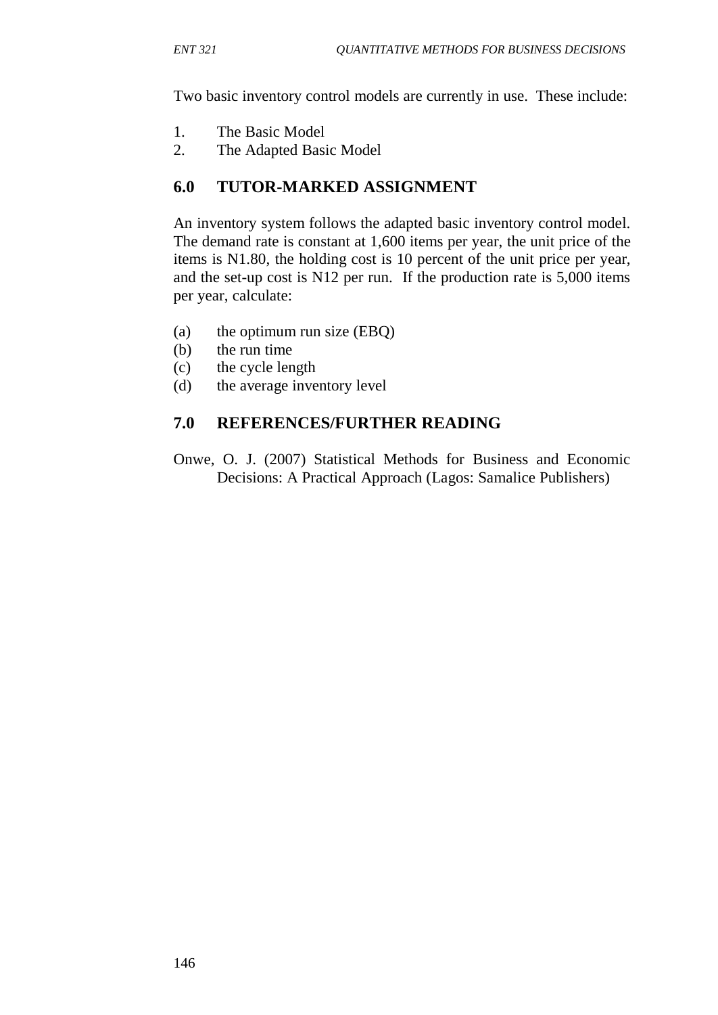Two basic inventory control models are currently in use. These include:

- 1. The Basic Model
- 2. The Adapted Basic Model

## **6.0 TUTOR-MARKED ASSIGNMENT**

An inventory system follows the adapted basic inventory control model. The demand rate is constant at 1,600 items per year, the unit price of the items is N1.80, the holding cost is 10 percent of the unit price per year, and the set-up cost is N12 per run. If the production rate is 5,000 items per year, calculate:

- (a) the optimum run size (EBQ)
- (b) the run time
- (c) the cycle length
- (d) the average inventory level

## **7.0 REFERENCES/FURTHER READING**

Onwe, O. J. (2007) Statistical Methods for Business and Economic Decisions: A Practical Approach (Lagos: Samalice Publishers)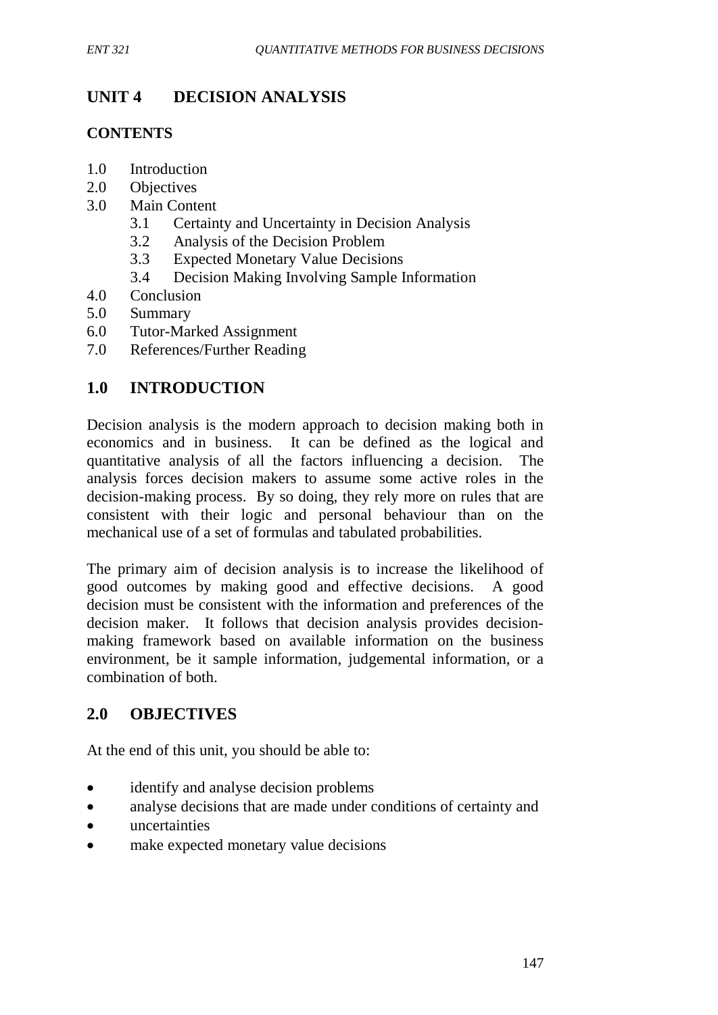# **UNIT 4 DECISION ANALYSIS**

## **CONTENTS**

- 1.0 Introduction
- 2.0 Objectives
- 3.0 Main Content
	- 3.1 Certainty and Uncertainty in Decision Analysis
	- 3.2 Analysis of the Decision Problem
	- 3.3 Expected Monetary Value Decisions
	- 3.4 Decision Making Involving Sample Information
- 4.0 Conclusion
- 5.0 Summary
- 6.0 Tutor-Marked Assignment
- 7.0 References/Further Reading

# **1.0 INTRODUCTION**

Decision analysis is the modern approach to decision making both in economics and in business. It can be defined as the logical and quantitative analysis of all the factors influencing a decision. The analysis forces decision makers to assume some active roles in the decision-making process. By so doing, they rely more on rules that are consistent with their logic and personal behaviour than on the mechanical use of a set of formulas and tabulated probabilities.

The primary aim of decision analysis is to increase the likelihood of good outcomes by making good and effective decisions. A good decision must be consistent with the information and preferences of the decision maker. It follows that decision analysis provides decisionmaking framework based on available information on the business environment, be it sample information, judgemental information, or a combination of both.

## **2.0 OBJECTIVES**

At the end of this unit, you should be able to:

- identify and analyse decision problems
- analyse decisions that are made under conditions of certainty and
- uncertainties
- make expected monetary value decisions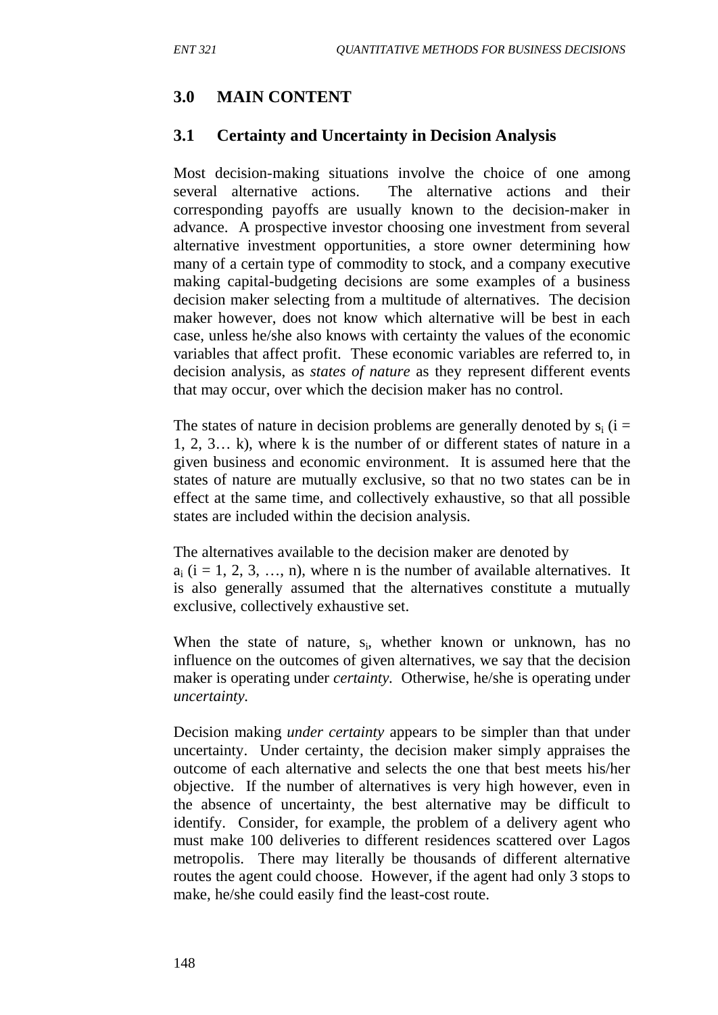# **3.0 MAIN CONTENT**

## **3.1 Certainty and Uncertainty in Decision Analysis**

Most decision-making situations involve the choice of one among several alternative actions. The alternative actions and their corresponding payoffs are usually known to the decision-maker in advance. A prospective investor choosing one investment from several alternative investment opportunities, a store owner determining how many of a certain type of commodity to stock, and a company executive making capital-budgeting decisions are some examples of a business decision maker selecting from a multitude of alternatives. The decision maker however, does not know which alternative will be best in each case, unless he/she also knows with certainty the values of the economic variables that affect profit. These economic variables are referred to, in decision analysis, as *states of nature* as they represent different events that may occur, over which the decision maker has no control.

The states of nature in decision problems are generally denoted by  $s_i$  (i = 1, 2, 3… k), where k is the number of or different states of nature in a given business and economic environment. It is assumed here that the states of nature are mutually exclusive, so that no two states can be in effect at the same time, and collectively exhaustive, so that all possible states are included within the decision analysis.

The alternatives available to the decision maker are denoted by  $a_i$  (i = 1, 2, 3, ..., n), where n is the number of available alternatives. It is also generally assumed that the alternatives constitute a mutually exclusive, collectively exhaustive set.

When the state of nature,  $s_i$ , whether known or unknown, has no influence on the outcomes of given alternatives, we say that the decision maker is operating under *certainty.* Otherwise, he/she is operating under *uncertainty.*

Decision making *under certainty* appears to be simpler than that under uncertainty. Under certainty, the decision maker simply appraises the outcome of each alternative and selects the one that best meets his/her objective. If the number of alternatives is very high however, even in the absence of uncertainty, the best alternative may be difficult to identify. Consider, for example, the problem of a delivery agent who must make 100 deliveries to different residences scattered over Lagos metropolis. There may literally be thousands of different alternative routes the agent could choose. However, if the agent had only 3 stops to make, he/she could easily find the least-cost route.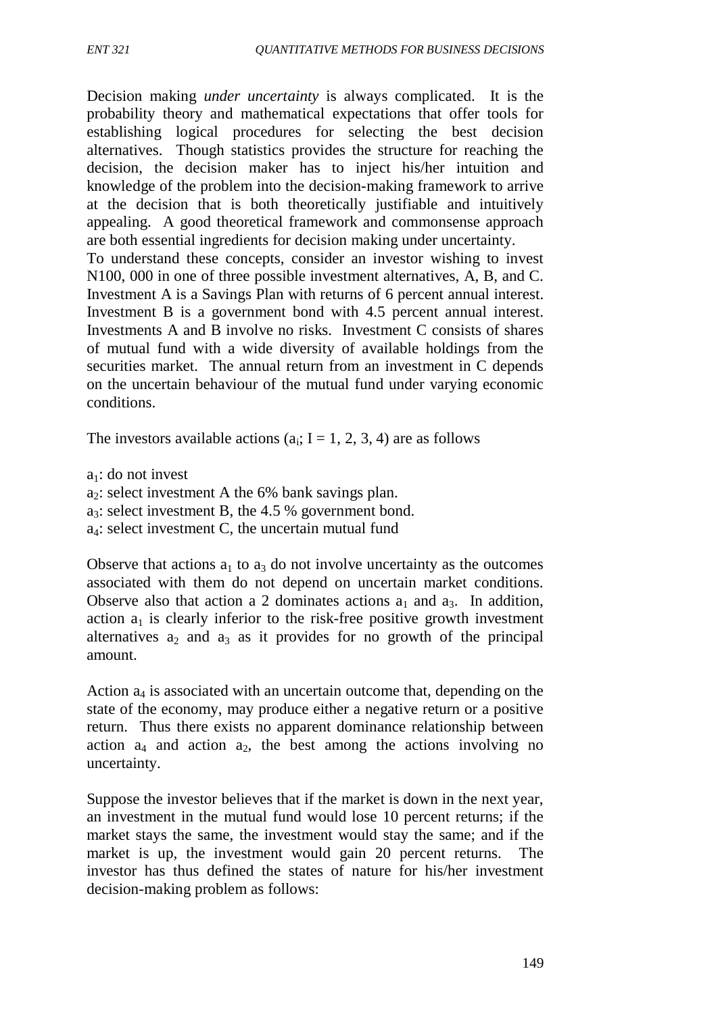Decision making *under uncertainty* is always complicated. It is the probability theory and mathematical expectations that offer tools for establishing logical procedures for selecting the best decision alternatives. Though statistics provides the structure for reaching the decision, the decision maker has to inject his/her intuition and knowledge of the problem into the decision-making framework to arrive at the decision that is both theoretically justifiable and intuitively appealing. A good theoretical framework and commonsense approach are both essential ingredients for decision making under uncertainty. To understand these concepts, consider an investor wishing to invest N100, 000 in one of three possible investment alternatives, A, B, and C. Investment A is a Savings Plan with returns of 6 percent annual interest. Investment B is a government bond with 4.5 percent annual interest. Investments A and B involve no risks. Investment C consists of shares of mutual fund with a wide diversity of available holdings from the

securities market. The annual return from an investment in C depends on the uncertain behaviour of the mutual fund under varying economic conditions.

The investors available actions  $(a_i; I = 1, 2, 3, 4)$  are as follows

 $a_1$ : do not invest

 $a_2$ : select investment A the 6% bank savings plan.

 $a_3$ : select investment B, the 4.5 % government bond.

 $a_4$ : select investment C, the uncertain mutual fund

Observe that actions  $a_1$  to  $a_3$  do not involve uncertainty as the outcomes associated with them do not depend on uncertain market conditions. Observe also that action a 2 dominates actions  $a_1$  and  $a_3$ . In addition, action  $a_1$  is clearly inferior to the risk-free positive growth investment alternatives  $a_2$  and  $a_3$  as it provides for no growth of the principal amount.

Action  $a_4$  is associated with an uncertain outcome that, depending on the state of the economy, may produce either a negative return or a positive return. Thus there exists no apparent dominance relationship between action  $a_4$  and action  $a_2$ , the best among the actions involving no uncertainty.

Suppose the investor believes that if the market is down in the next year, an investment in the mutual fund would lose 10 percent returns; if the market stays the same, the investment would stay the same; and if the market is up, the investment would gain 20 percent returns. The investor has thus defined the states of nature for his/her investment decision-making problem as follows: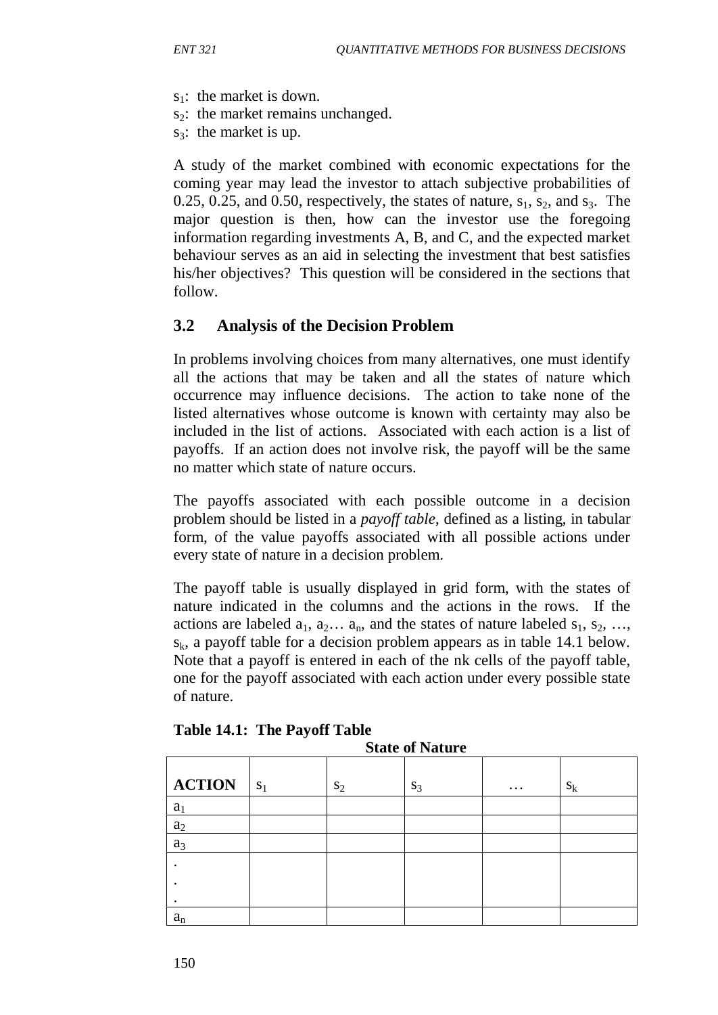- $s_1$ : the market is down.
- $s_2$ : the market remains unchanged.
- $s_3$ : the market is up.

A study of the market combined with economic expectations for the coming year may lead the investor to attach subjective probabilities of 0.25, 0.25, and 0.50, respectively, the states of nature,  $s_1$ ,  $s_2$ , and  $s_3$ . The major question is then, how can the investor use the foregoing information regarding investments A, B, and C, and the expected market behaviour serves as an aid in selecting the investment that best satisfies his/her objectives? This question will be considered in the sections that follow.

### **3.2 Analysis of the Decision Problem**

In problems involving choices from many alternatives, one must identify all the actions that may be taken and all the states of nature which occurrence may influence decisions. The action to take none of the listed alternatives whose outcome is known with certainty may also be included in the list of actions. Associated with each action is a list of payoffs. If an action does not involve risk, the payoff will be the same no matter which state of nature occurs.

The payoffs associated with each possible outcome in a decision problem should be listed in a *payoff table*, defined as a listing, in tabular form, of the value payoffs associated with all possible actions under every state of nature in a decision problem.

The payoff table is usually displayed in grid form, with the states of nature indicated in the columns and the actions in the rows. If the actions are labeled  $a_1, a_2, \ldots, a_n$ , and the states of nature labeled  $s_1, s_2, \ldots,$  $s_k$ , a payoff table for a decision problem appears as in table 14.1 below. Note that a payoff is entered in each of the nk cells of the payoff table, one for the payoff associated with each action under every possible state of nature.

| <b>State of Nature</b> |       |       |       |          |       |
|------------------------|-------|-------|-------|----------|-------|
| <b>ACTION</b>          | $S_1$ | $S_2$ | $S_3$ | $\cdots$ | $S_k$ |
| a <sub>1</sub>         |       |       |       |          |       |
| $a_2$                  |       |       |       |          |       |
| $a_3$                  |       |       |       |          |       |
|                        |       |       |       |          |       |
|                        |       |       |       |          |       |
|                        |       |       |       |          |       |
| $a_{\rm n}$            |       |       |       |          |       |

**Table 14.1: The Payoff Table**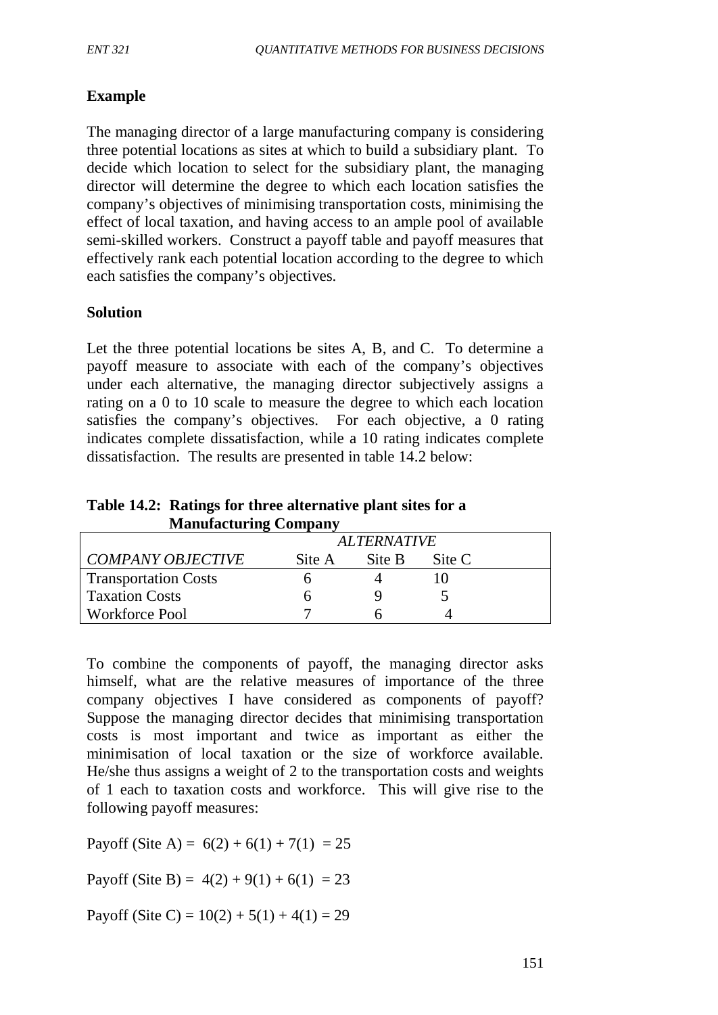### **Example**

The managing director of a large manufacturing company is considering three potential locations as sites at which to build a subsidiary plant. To decide which location to select for the subsidiary plant, the managing director will determine the degree to which each location satisfies the company's objectives of minimising transportation costs, minimising the effect of local taxation, and having access to an ample pool of available semi-skilled workers. Construct a payoff table and payoff measures that effectively rank each potential location according to the degree to which each satisfies the company's objectives.

#### **Solution**

Let the three potential locations be sites A, B, and C. To determine a payoff measure to associate with each of the company's objectives under each alternative, the managing director subjectively assigns a rating on a 0 to 10 scale to measure the degree to which each location satisfies the company's objectives. For each objective, a 0 rating indicates complete dissatisfaction, while a 10 rating indicates complete dissatisfaction. The results are presented in table 14.2 below:

**Table 14.2: Ratings for three alternative plant sites for a Manufacturing Company**

|                             | <b>ALTERNATIVE</b> |        |        |  |
|-----------------------------|--------------------|--------|--------|--|
| <b>COMPANY OBJECTIVE</b>    | Site A             | Site B | Site C |  |
| <b>Transportation Costs</b> |                    |        |        |  |
| <b>Taxation Costs</b>       |                    |        |        |  |
| <b>Workforce Pool</b>       |                    |        |        |  |

To combine the components of payoff, the managing director asks himself, what are the relative measures of importance of the three company objectives I have considered as components of payoff? Suppose the managing director decides that minimising transportation costs is most important and twice as important as either the minimisation of local taxation or the size of workforce available. He/she thus assigns a weight of 2 to the transportation costs and weights of 1 each to taxation costs and workforce. This will give rise to the following payoff measures:

Payoff (Site A) =  $6(2) + 6(1) + 7(1) = 25$ 

Payoff (Site B) =  $4(2) + 9(1) + 6(1) = 23$ 

Payoff (Site C) =  $10(2) + 5(1) + 4(1) = 29$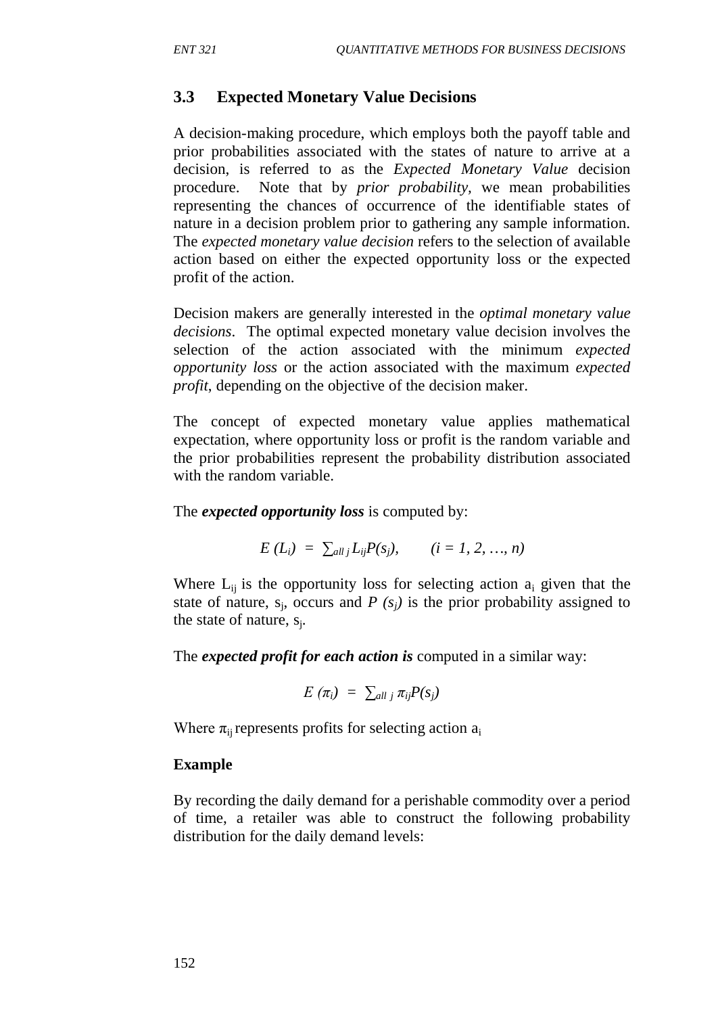#### **3.3 Expected Monetary Value Decisions**

A decision-making procedure, which employs both the payoff table and prior probabilities associated with the states of nature to arrive at a decision, is referred to as the *Expected Monetary Value* decision procedure. Note that by *prior probability,* we mean probabilities representing the chances of occurrence of the identifiable states of nature in a decision problem prior to gathering any sample information. The *expected monetary value decision* refers to the selection of available action based on either the expected opportunity loss or the expected profit of the action.

Decision makers are generally interested in the *optimal monetary value decisions*. The optimal expected monetary value decision involves the selection of the action associated with the minimum *expected opportunity loss* or the action associated with the maximum *expected profit*, depending on the objective of the decision maker.

The concept of expected monetary value applies mathematical expectation, where opportunity loss or profit is the random variable and the prior probabilities represent the probability distribution associated with the random variable.

The *expected opportunity loss* is computed by:

$$
E(L_i) = \sum_{all} L_{ij} P(s_j), \qquad (i = 1, 2, ..., n)
$$

Where  $L_{ii}$  is the opportunity loss for selecting action  $a_i$  given that the state of nature,  $s_i$ , occurs and *P (s<sub>i</sub>)* is the prior probability assigned to the state of nature,  $s_i$ .

The *expected profit for each action is* computed in a similar way:

$$
E(\pi_i) = \sum_{all \ j} \pi_{ij} P(s_j)
$$

Where  $\pi_{ii}$  represents profits for selecting action  $a_i$ 

#### **Example**

By recording the daily demand for a perishable commodity over a period of time, a retailer was able to construct the following probability distribution for the daily demand levels: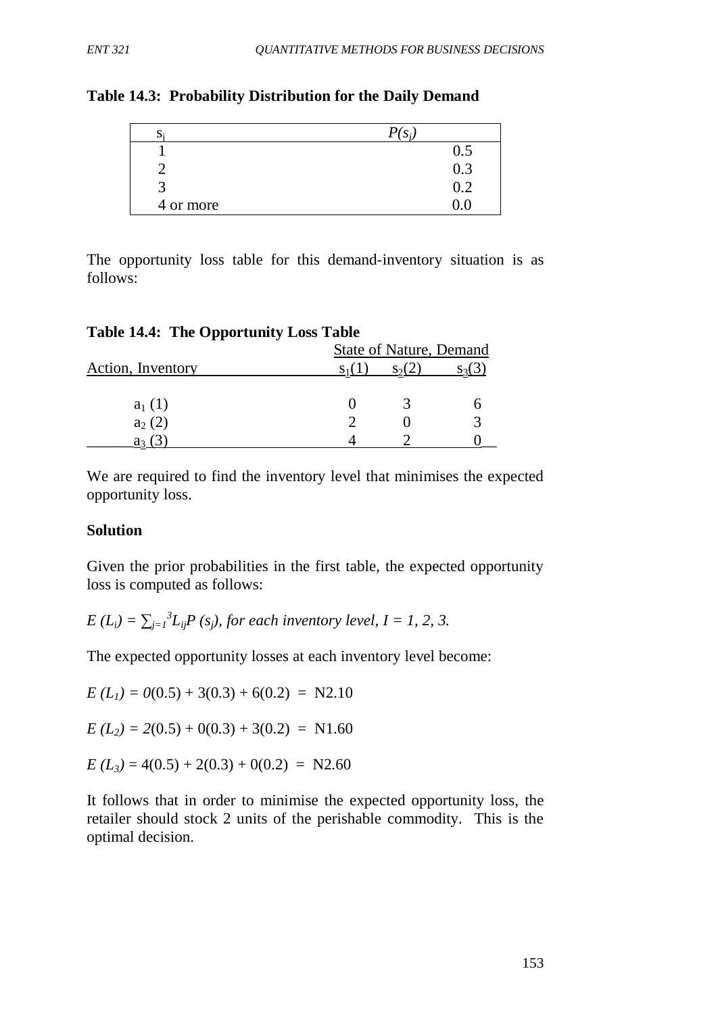| D.        | $\mathbf{C}$ .   |
|-----------|------------------|
|           | 0.5              |
|           | $\overline{0.3}$ |
|           | 0.2              |
| 4 or more |                  |

The opportunity loss table for this demand-inventory situation is as follows:

| <b>Table 14.4: The Opportunity Loss Table</b> |  |
|-----------------------------------------------|--|
|                                               |  |

|                   | <b>State of Nature, Demand</b> |  |  |
|-------------------|--------------------------------|--|--|
| Action, Inventory |                                |  |  |
| $a_1(1)$          |                                |  |  |
| $a_2(2)$          |                                |  |  |
|                   |                                |  |  |

We are required to find the inventory level that minimises the expected opportunity loss.

### **Solution**

Given the prior probabilities in the first table, the expected opportunity loss is computed as follows:

$$
E(L_i) = \sum_{j=1}^{3} L_{ij} P(s_j)
$$
, for each inventory level,  $I = 1, 2, 3$ .

The expected opportunity losses at each inventory level become:

 $E (L_1) = 0(0.5) + 3(0.3) + 6(0.2) = N2.10$ 

 $E (L_2) = 2(0.5) + 0(0.3) + 3(0.2) = N1.60$ 

 $E (L_3) = 4(0.5) + 2(0.3) + 0(0.2) = N2.60$ 

It follows that in order to minimise the expected opportunity loss, the retailer should stock 2 units of the perishable commodity. This is the optimal decision.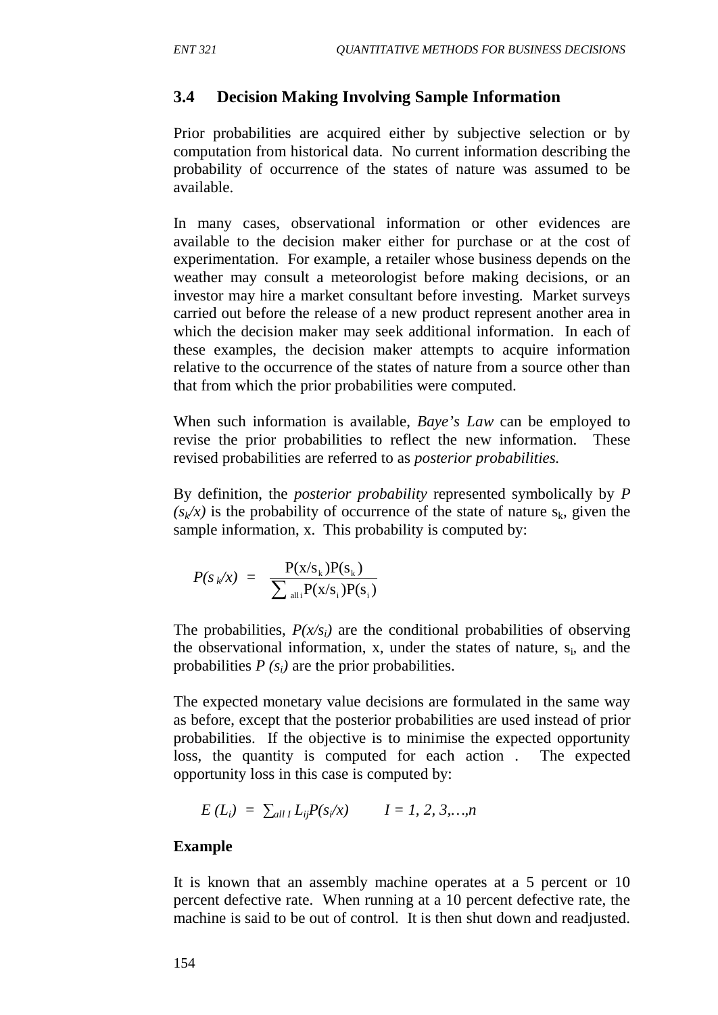## **3.4 Decision Making Involving Sample Information**

Prior probabilities are acquired either by subjective selection or by computation from historical data. No current information describing the probability of occurrence of the states of nature was assumed to be available.

In many cases, observational information or other evidences are available to the decision maker either for purchase or at the cost of experimentation. For example, a retailer whose business depends on the weather may consult a meteorologist before making decisions, or an investor may hire a market consultant before investing. Market surveys carried out before the release of a new product represent another area in which the decision maker may seek additional information. In each of these examples, the decision maker attempts to acquire information relative to the occurrence of the states of nature from a source other than that from which the prior probabilities were computed.

When such information is available, *Baye's Law* can be employed to revise the prior probabilities to reflect the new information. These revised probabilities are referred to as *posterior probabilities.*

By definition, the *posterior probability* represented symbolically by *P*   $(s_k/x)$  is the probability of occurrence of the state of nature  $s_k$ , given the sample information, x. This probability is computed by:

$$
P(s_{k}/x) = \frac{P(x/s_{k})P(s_{k})}{\sum_{\text{alli}} P(x/s_{i})P(s_{i})}
$$

The probabilities,  $P(x/s_i)$  are the conditional probabilities of observing the observational information, x, under the states of nature,  $s_i$ , and the probabilities  $P(s_i)$  are the prior probabilities.

The expected monetary value decisions are formulated in the same way as before, except that the posterior probabilities are used instead of prior probabilities. If the objective is to minimise the expected opportunity loss, the quantity is computed for each action . The expected opportunity loss in this case is computed by:

$$
E(L_i) = \sum_{all \, I} L_{ij} P(s_i/x) \qquad I = 1, 2, 3, ..., n
$$

### **Example**

It is known that an assembly machine operates at a 5 percent or 10 percent defective rate. When running at a 10 percent defective rate, the machine is said to be out of control. It is then shut down and readjusted.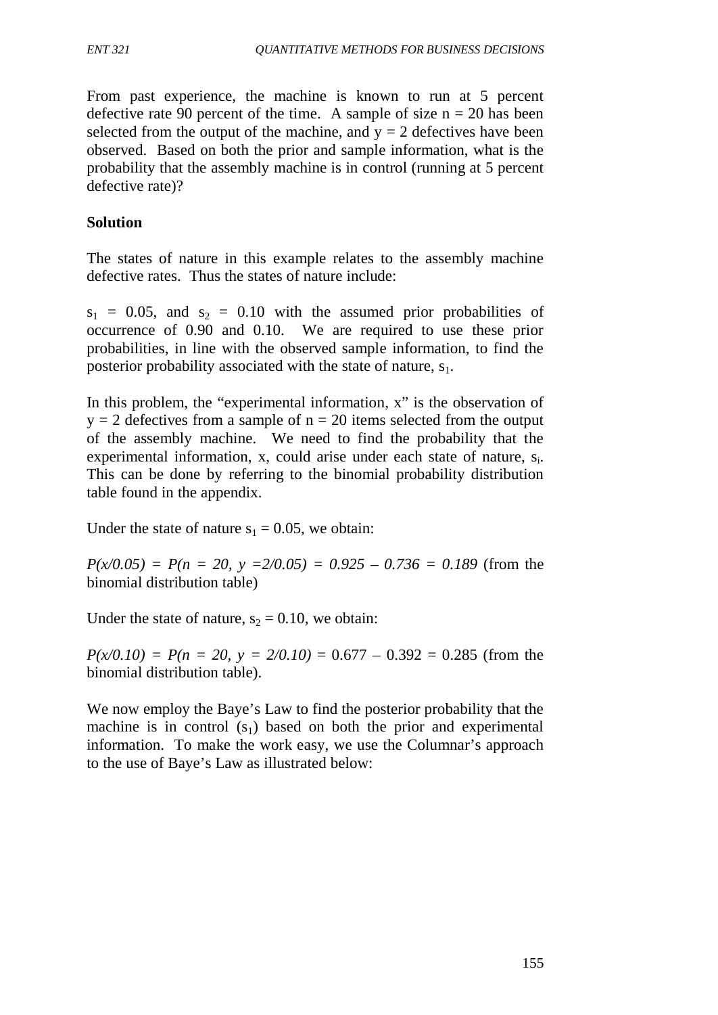From past experience, the machine is known to run at 5 percent defective rate 90 percent of the time. A sample of size  $n = 20$  has been selected from the output of the machine, and  $y = 2$  defectives have been observed. Based on both the prior and sample information, what is the probability that the assembly machine is in control (running at 5 percent defective rate)?

### **Solution**

The states of nature in this example relates to the assembly machine defective rates. Thus the states of nature include:

 $s_1 = 0.05$ , and  $s_2 = 0.10$  with the assumed prior probabilities of occurrence of 0.90 and 0.10. We are required to use these prior probabilities, in line with the observed sample information, to find the posterior probability associated with the state of nature,  $s_1$ .

In this problem, the "experimental information, x" is the observation of  $y = 2$  defectives from a sample of  $n = 20$  items selected from the output of the assembly machine. We need to find the probability that the experimental information, x, could arise under each state of nature, s<sub>i</sub>. This can be done by referring to the binomial probability distribution table found in the appendix.

Under the state of nature  $s_1 = 0.05$ , we obtain:

 $P(x/0.05) = P(n = 20, y = 2/0.05) = 0.925 - 0.736 = 0.189$  (from the binomial distribution table)

Under the state of nature,  $s_2 = 0.10$ , we obtain:

 $P(x/0.10) = P(n = 20, y = 2/0.10) = 0.677 - 0.392 = 0.285$  (from the binomial distribution table).

We now employ the Baye's Law to find the posterior probability that the machine is in control  $(s_1)$  based on both the prior and experimental information. To make the work easy, we use the Columnar's approach to the use of Baye's Law as illustrated below: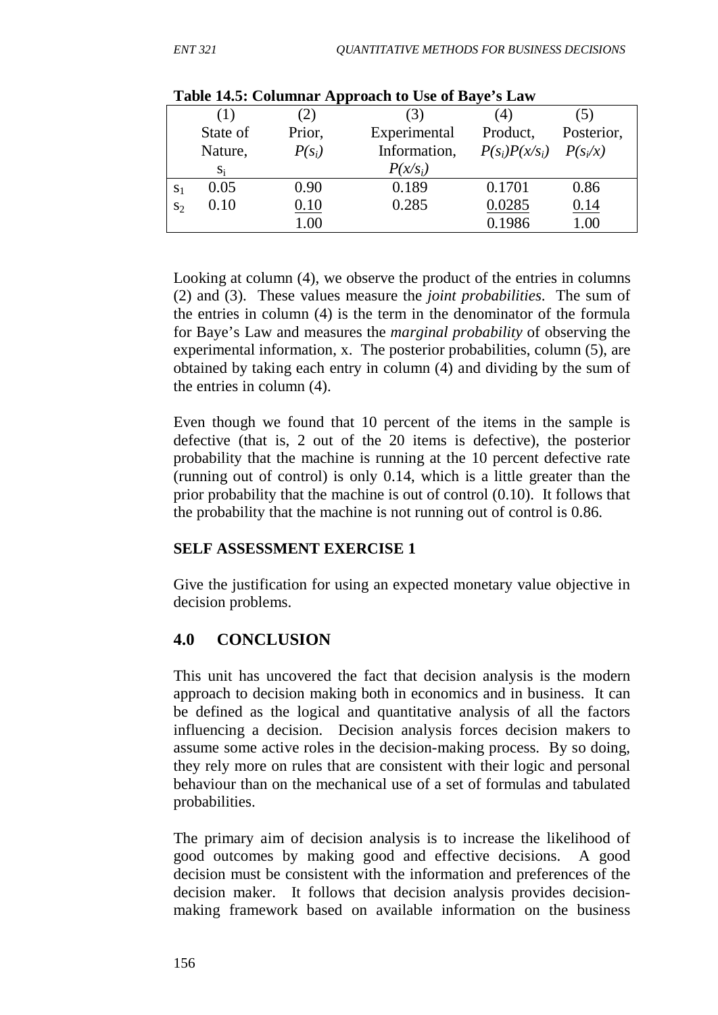|                | THEN THEY COMMITTED TIPPS ORCH TO CDV OF DRYV B LIGHT |          |              |                             |            |
|----------------|-------------------------------------------------------|----------|--------------|-----------------------------|------------|
|                | (1)                                                   | (2)      |              |                             | (5)        |
|                | State of                                              | Prior,   | Experimental | Product,                    | Posterior, |
|                | Nature,                                               | $P(s_i)$ | Information, | $P(s_i)P(x/s_i)$ $P(s_i/x)$ |            |
|                | $S_i$                                                 |          | $P(x/s_i)$   |                             |            |
| S <sub>1</sub> | 0.05                                                  | 0.90     | 0.189        | 0.1701                      | 0.86       |
| $S_2$          | 0.10                                                  | 0.10     | 0.285        | 0.0285                      | 0.14       |
|                |                                                       | $1.00\,$ |              | 0.1986                      | 1.00       |

#### **Table 14.5: Columnar Approach to Use of Baye's Law**

Looking at column (4), we observe the product of the entries in columns (2) and (3). These values measure the *joint probabilities*. The sum of the entries in column (4) is the term in the denominator of the formula for Baye's Law and measures the *marginal probability* of observing the experimental information, x. The posterior probabilities, column (5), are obtained by taking each entry in column (4) and dividing by the sum of the entries in column (4).

Even though we found that 10 percent of the items in the sample is defective (that is, 2 out of the 20 items is defective), the posterior probability that the machine is running at the 10 percent defective rate (running out of control) is only 0.14, which is a little greater than the prior probability that the machine is out of control (0.10). It follows that the probability that the machine is not running out of control is 0.86.

### **SELF ASSESSMENT EXERCISE 1**

Give the justification for using an expected monetary value objective in decision problems.

## **4.0 CONCLUSION**

This unit has uncovered the fact that decision analysis is the modern approach to decision making both in economics and in business. It can be defined as the logical and quantitative analysis of all the factors influencing a decision. Decision analysis forces decision makers to assume some active roles in the decision-making process. By so doing, they rely more on rules that are consistent with their logic and personal behaviour than on the mechanical use of a set of formulas and tabulated probabilities.

The primary aim of decision analysis is to increase the likelihood of good outcomes by making good and effective decisions. A good decision must be consistent with the information and preferences of the decision maker. It follows that decision analysis provides decisionmaking framework based on available information on the business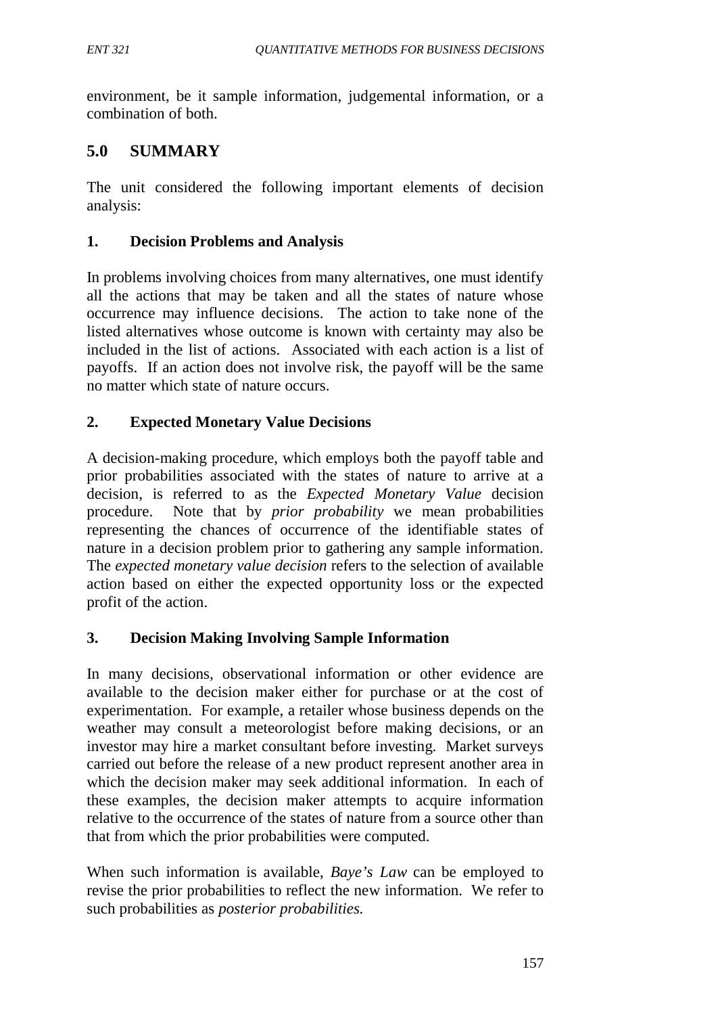environment, be it sample information, judgemental information, or a combination of both.

# **5.0 SUMMARY**

The unit considered the following important elements of decision analysis:

## **1. Decision Problems and Analysis**

In problems involving choices from many alternatives, one must identify all the actions that may be taken and all the states of nature whose occurrence may influence decisions. The action to take none of the listed alternatives whose outcome is known with certainty may also be included in the list of actions. Associated with each action is a list of payoffs. If an action does not involve risk, the payoff will be the same no matter which state of nature occurs.

## **2. Expected Monetary Value Decisions**

A decision-making procedure, which employs both the payoff table and prior probabilities associated with the states of nature to arrive at a decision, is referred to as the *Expected Monetary Value* decision procedure. Note that by *prior probability* we mean probabilities representing the chances of occurrence of the identifiable states of nature in a decision problem prior to gathering any sample information. The *expected monetary value decision* refers to the selection of available action based on either the expected opportunity loss or the expected profit of the action.

### **3. Decision Making Involving Sample Information**

In many decisions, observational information or other evidence are available to the decision maker either for purchase or at the cost of experimentation. For example, a retailer whose business depends on the weather may consult a meteorologist before making decisions, or an investor may hire a market consultant before investing. Market surveys carried out before the release of a new product represent another area in which the decision maker may seek additional information. In each of these examples, the decision maker attempts to acquire information relative to the occurrence of the states of nature from a source other than that from which the prior probabilities were computed.

When such information is available, *Baye's Law* can be employed to revise the prior probabilities to reflect the new information. We refer to such probabilities as *posterior probabilities.*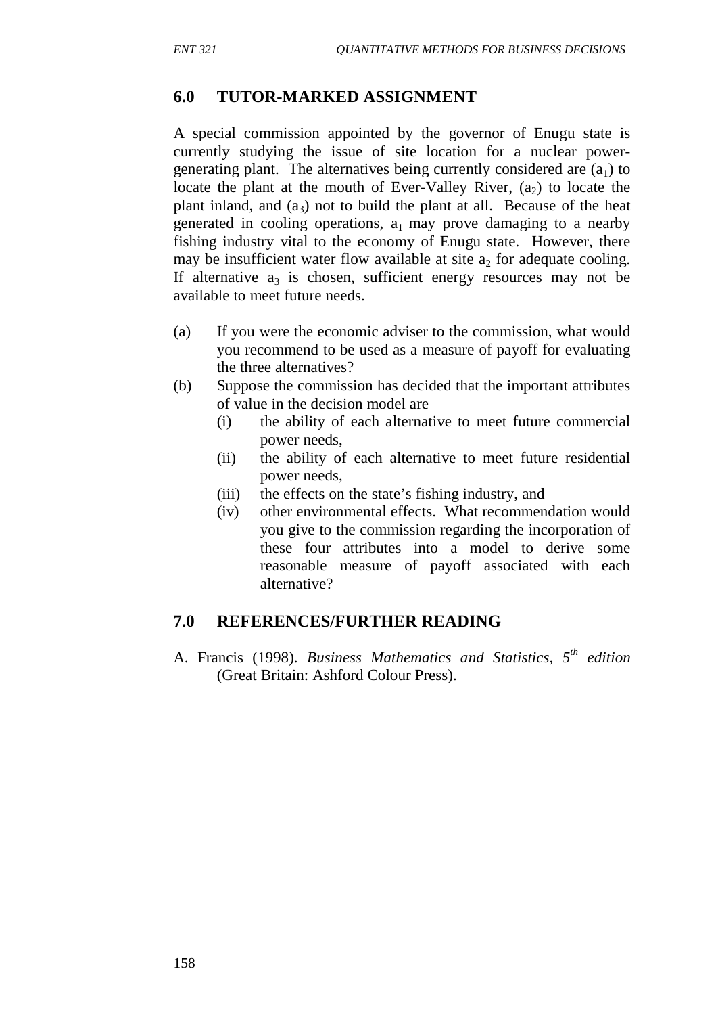#### **6.0 TUTOR-MARKED ASSIGNMENT**

A special commission appointed by the governor of Enugu state is currently studying the issue of site location for a nuclear powergenerating plant. The alternatives being currently considered are  $(a_1)$  to locate the plant at the mouth of Ever-Valley River,  $(a_2)$  to locate the plant inland, and  $(a_3)$  not to build the plant at all. Because of the heat generated in cooling operations,  $a_1$  may prove damaging to a nearby fishing industry vital to the economy of Enugu state. However, there may be insufficient water flow available at site  $a_2$  for adequate cooling. If alternative  $a_3$  is chosen, sufficient energy resources may not be available to meet future needs.

- (a) If you were the economic adviser to the commission, what would you recommend to be used as a measure of payoff for evaluating the three alternatives?
- (b) Suppose the commission has decided that the important attributes of value in the decision model are
	- (i) the ability of each alternative to meet future commercial power needs,
	- (ii) the ability of each alternative to meet future residential power needs,
	- (iii) the effects on the state's fishing industry, and
	- (iv) other environmental effects. What recommendation would you give to the commission regarding the incorporation of these four attributes into a model to derive some reasonable measure of payoff associated with each alternative?

#### **7.0 REFERENCES/FURTHER READING**

A. Francis (1998). *Business Mathematics and Statistics, 5th edition* (Great Britain: Ashford Colour Press).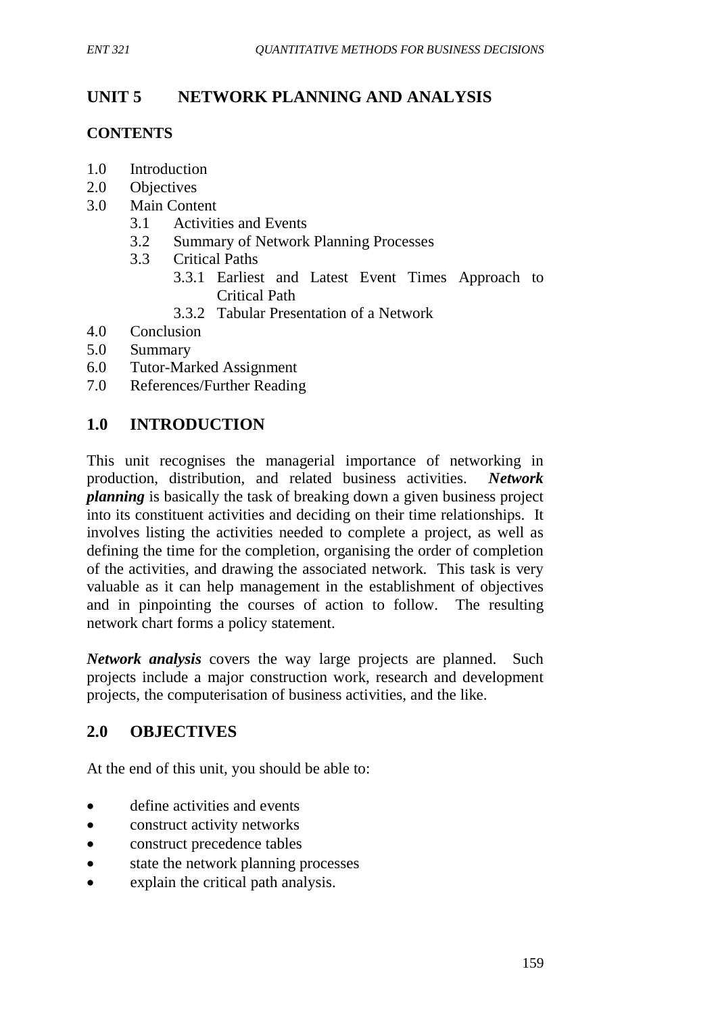# **UNIT 5 NETWORK PLANNING AND ANALYSIS**

## **CONTENTS**

- 1.0 Introduction
- 2.0 Objectives
- 3.0 Main Content
	- 3.1 Activities and Events
	- 3.2 Summary of Network Planning Processes
	- 3.3 Critical Paths
		- 3.3.1 Earliest and Latest Event Times Approach to Critical Path
		- 3.3.2 Tabular Presentation of a Network
- 4.0 Conclusion
- 5.0 Summary
- 6.0 Tutor-Marked Assignment
- 7.0 References/Further Reading

# **1.0 INTRODUCTION**

This unit recognises the managerial importance of networking in production, distribution, and related business activities. *Network planning* is basically the task of breaking down a given business project into its constituent activities and deciding on their time relationships. It involves listing the activities needed to complete a project, as well as defining the time for the completion, organising the order of completion of the activities, and drawing the associated network. This task is very valuable as it can help management in the establishment of objectives and in pinpointing the courses of action to follow. The resulting network chart forms a policy statement.

*Network analysis* covers the way large projects are planned. Such projects include a major construction work, research and development projects, the computerisation of business activities, and the like.

## **2.0 OBJECTIVES**

At the end of this unit, you should be able to:

- define activities and events
- construct activity networks
- construct precedence tables
- state the network planning processes
- explain the critical path analysis.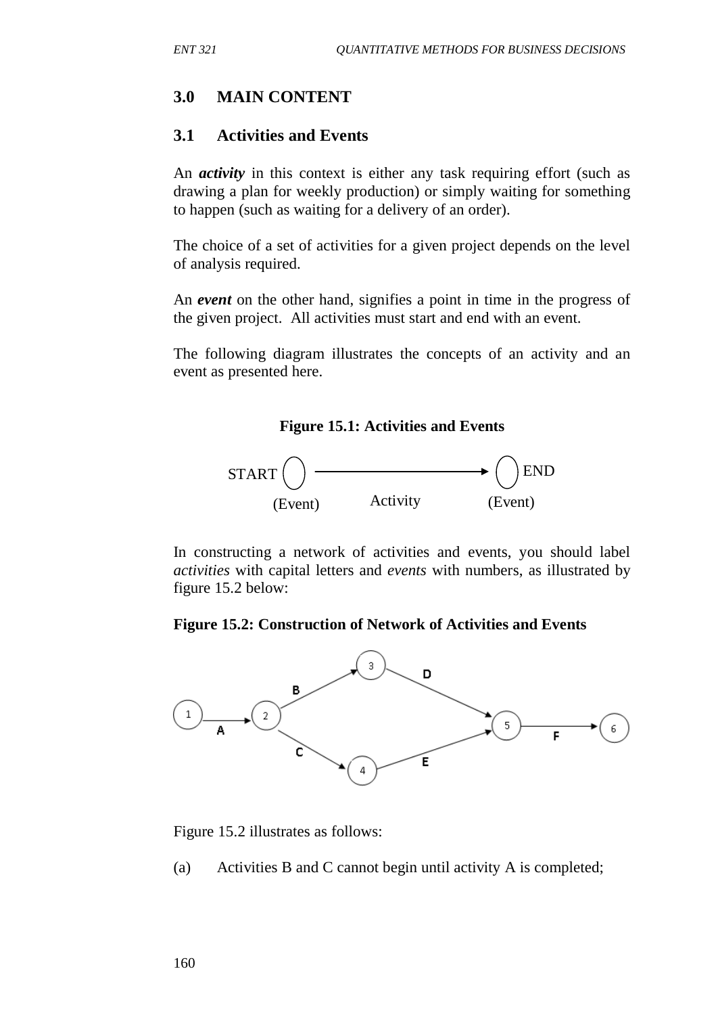### **3.0 MAIN CONTENT**

### **3.1 Activities and Events**

An *activity* in this context is either any task requiring effort (such as drawing a plan for weekly production) or simply waiting for something to happen (such as waiting for a delivery of an order).

The choice of a set of activities for a given project depends on the level of analysis required.

An *event* on the other hand, signifies a point in time in the progress of the given project. All activities must start and end with an event.

The following diagram illustrates the concepts of an activity and an event as presented here.





In constructing a network of activities and events, you should label *activities* with capital letters and *events* with numbers, as illustrated by figure 15.2 below:

#### **Figure 15.2: Construction of Network of Activities and Events**



Figure 15.2 illustrates as follows:

(a) Activities B and C cannot begin until activity A is completed;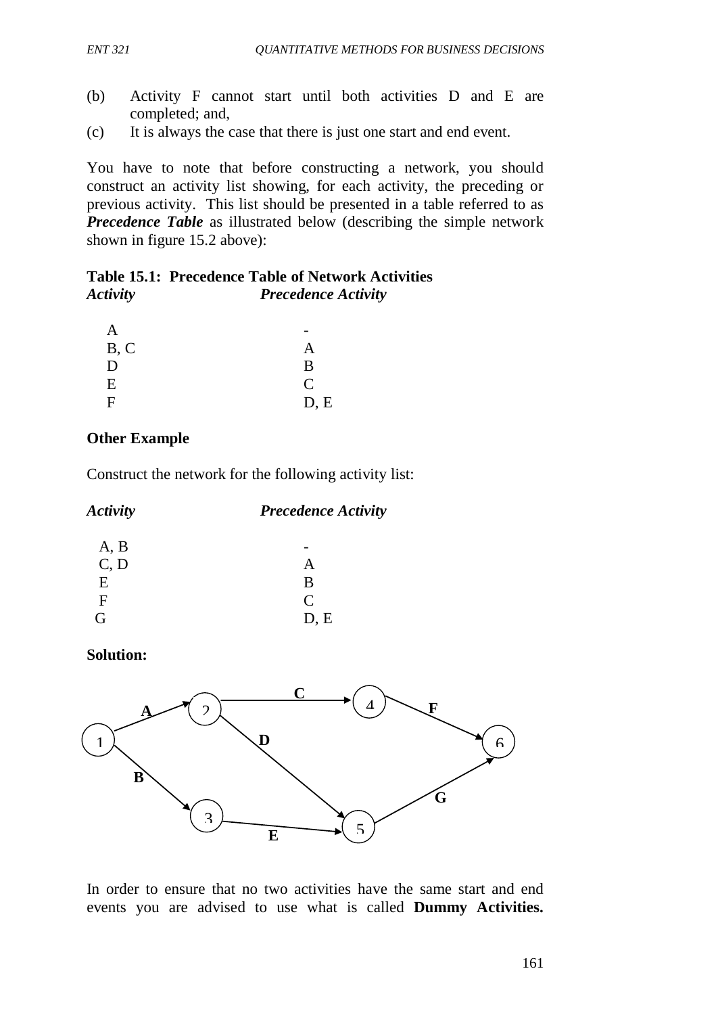- (b) Activity F cannot start until both activities D and E are completed; and,
- (c) It is always the case that there is just one start and end event.

You have to note that before constructing a network, you should construct an activity list showing, for each activity, the preceding or previous activity. This list should be presented in a table referred to as *Precedence Table* as illustrated below (describing the simple network shown in figure 15.2 above):

### **Table 15.1: Precedence Table of Network Activities** *Activity Precedence Activity*

| B, C | А             |
|------|---------------|
| D    | B             |
| Ε    | $\mathcal{C}$ |
| F    | D, E          |

### **Other Example**

Construct the network for the following activity list:

| <b>Activity</b><br><b>Precedence Activity</b> |               |
|-----------------------------------------------|---------------|
| A, B                                          |               |
| C, D                                          | A             |
| E                                             | B             |
| F                                             | $\mathcal{C}$ |
| G                                             | D, E          |

### **Solution:**



In order to ensure that no two activities have the same start and end events you are advised to use what is called **Dummy Activities.**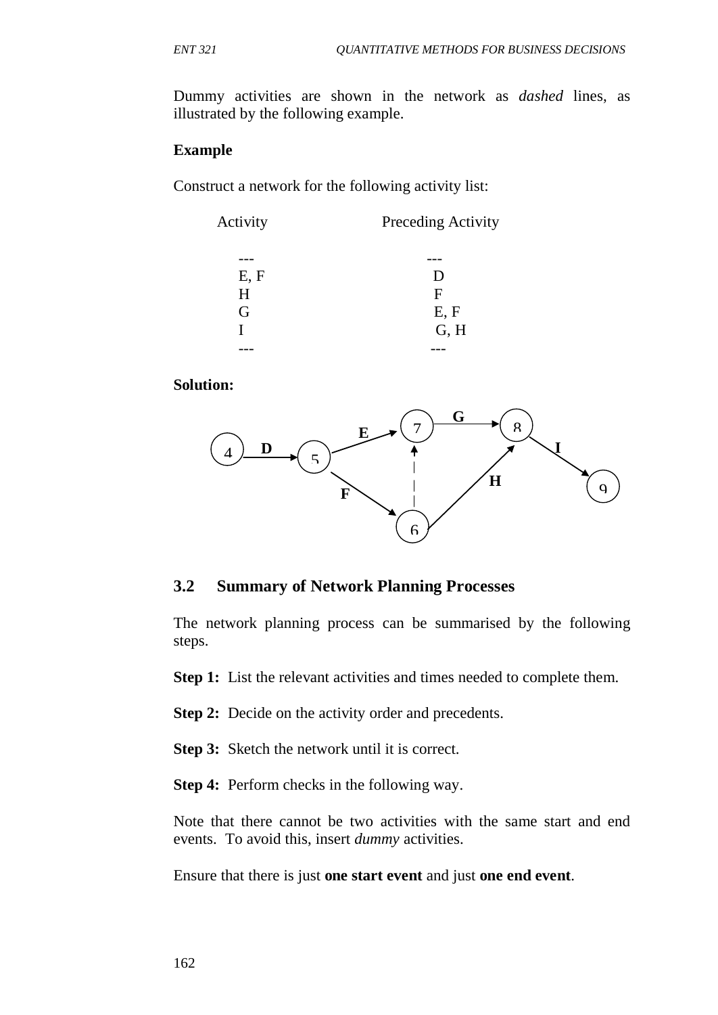Dummy activities are shown in the network as *dashed* lines, as illustrated by the following example.

#### **Example**

Construct a network for the following activity list:

| Activity | Preceding Activity |  |
|----------|--------------------|--|
|          |                    |  |
| E, F     | D                  |  |
| H        | F                  |  |
| G        | E, F               |  |
|          | G, H               |  |
|          |                    |  |

#### **Solution:**



#### **3.2 Summary of Network Planning Processes**

The network planning process can be summarised by the following steps.

**Step 1:** List the relevant activities and times needed to complete them.

**Step 2:** Decide on the activity order and precedents.

**Step 3:** Sketch the network until it is correct.

**Step 4:** Perform checks in the following way.

Note that there cannot be two activities with the same start and end events. To avoid this, insert *dummy* activities.

Ensure that there is just **one start event** and just **one end event**.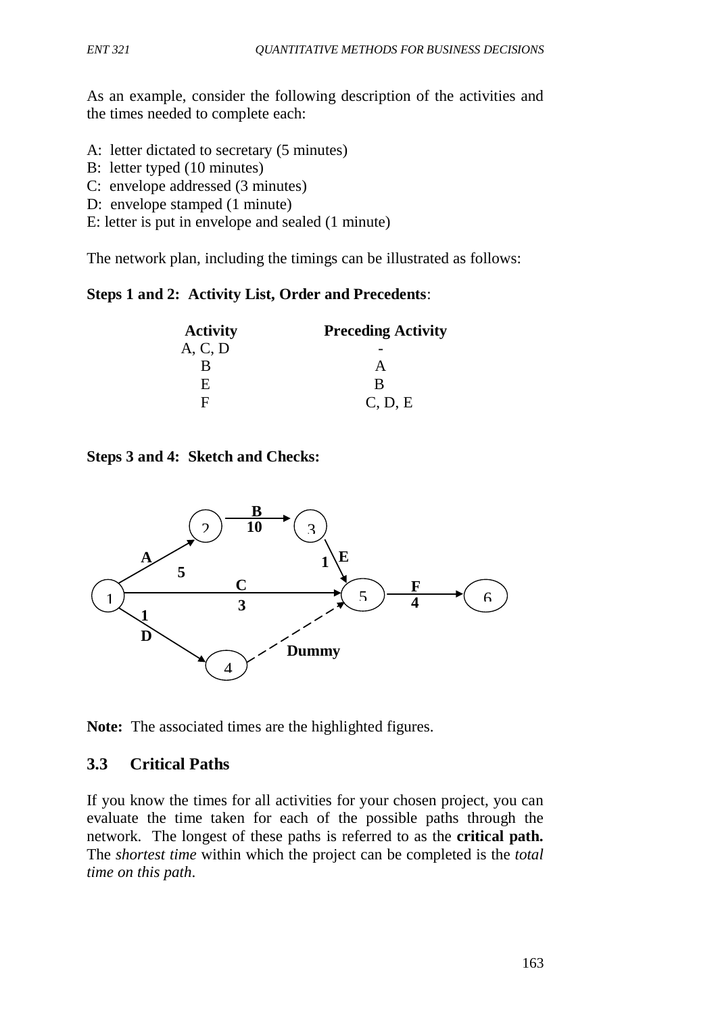As an example, consider the following description of the activities and the times needed to complete each:

- A: letter dictated to secretary (5 minutes)
- B: letter typed (10 minutes)
- C: envelope addressed (3 minutes)
- D: envelope stamped (1 minute)
- E: letter is put in envelope and sealed (1 minute)

The network plan, including the timings can be illustrated as follows:

### **Steps 1 and 2: Activity List, Order and Precedents**:

| <b>Activity</b> | <b>Preceding Activity</b> |
|-----------------|---------------------------|
| A, C, D         |                           |
| R               |                           |
| E.              | R                         |
| F               | C, D, E                   |

**Steps 3 and 4: Sketch and Checks:**



**Note:** The associated times are the highlighted figures.

## **3.3 Critical Paths**

If you know the times for all activities for your chosen project, you can evaluate the time taken for each of the possible paths through the network. The longest of these paths is referred to as the **critical path.** The *shortest time* within which the project can be completed is the *total time on this path*.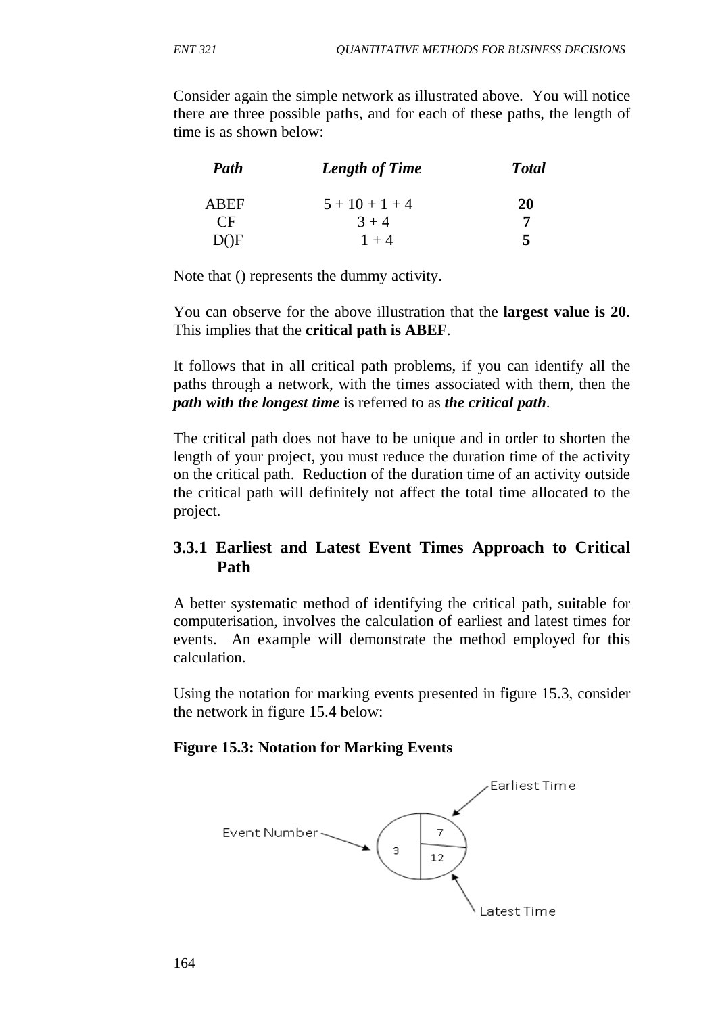Consider again the simple network as illustrated above. You will notice there are three possible paths, and for each of these paths, the length of time is as shown below:

| Path        | <b>Length of Time</b> | <b>Total</b> |
|-------------|-----------------------|--------------|
| <b>ABEF</b> | $5 + 10 + 1 + 4$      | <b>20</b>    |
| CF          | $3 + 4$               |              |
| DOF.        | $1 + 4$               | 5            |

Note that () represents the dummy activity.

You can observe for the above illustration that the **largest value is 20**. This implies that the **critical path is ABEF**.

It follows that in all critical path problems, if you can identify all the paths through a network, with the times associated with them, then the *path with the longest time* is referred to as *the critical path*.

The critical path does not have to be unique and in order to shorten the length of your project, you must reduce the duration time of the activity on the critical path. Reduction of the duration time of an activity outside the critical path will definitely not affect the total time allocated to the project.

# **3.3.1 Earliest and Latest Event Times Approach to Critical Path**

A better systematic method of identifying the critical path, suitable for computerisation, involves the calculation of earliest and latest times for events. An example will demonstrate the method employed for this calculation.

Using the notation for marking events presented in figure 15.3, consider the network in figure 15.4 below:

### **Figure 15.3: Notation for Marking Events**

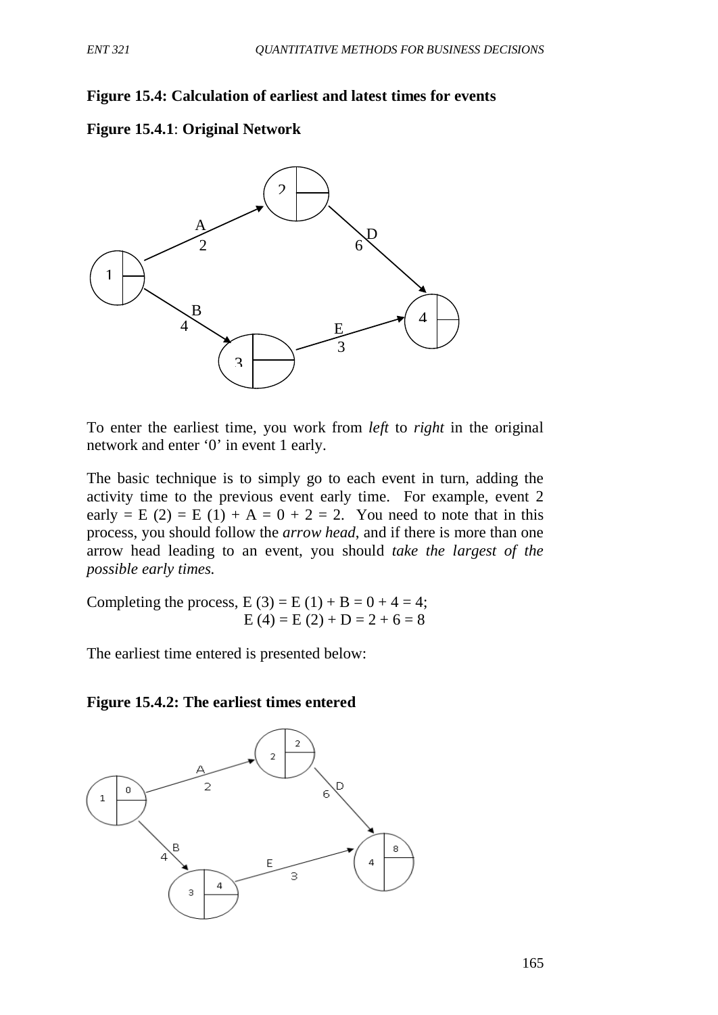### **Figure 15.4: Calculation of earliest and latest times for events**





To enter the earliest time, you work from *left* to *right* in the original network and enter '0' in event 1 early.

The basic technique is to simply go to each event in turn, adding the activity time to the previous event early time. For example, event 2 early = E (2) = E (1) + A = 0 + 2 = 2. You need to note that in this process, you should follow the *arrow head*, and if there is more than one arrow head leading to an event, you should *take the largest of the possible early times.*

Completing the process,  $E(3) = E(1) + B = 0 + 4 = 4$ ;  $E (4) = E (2) + D = 2 + 6 = 8$ 

The earliest time entered is presented below:

#### **Figure 15.4.2: The earliest times entered**

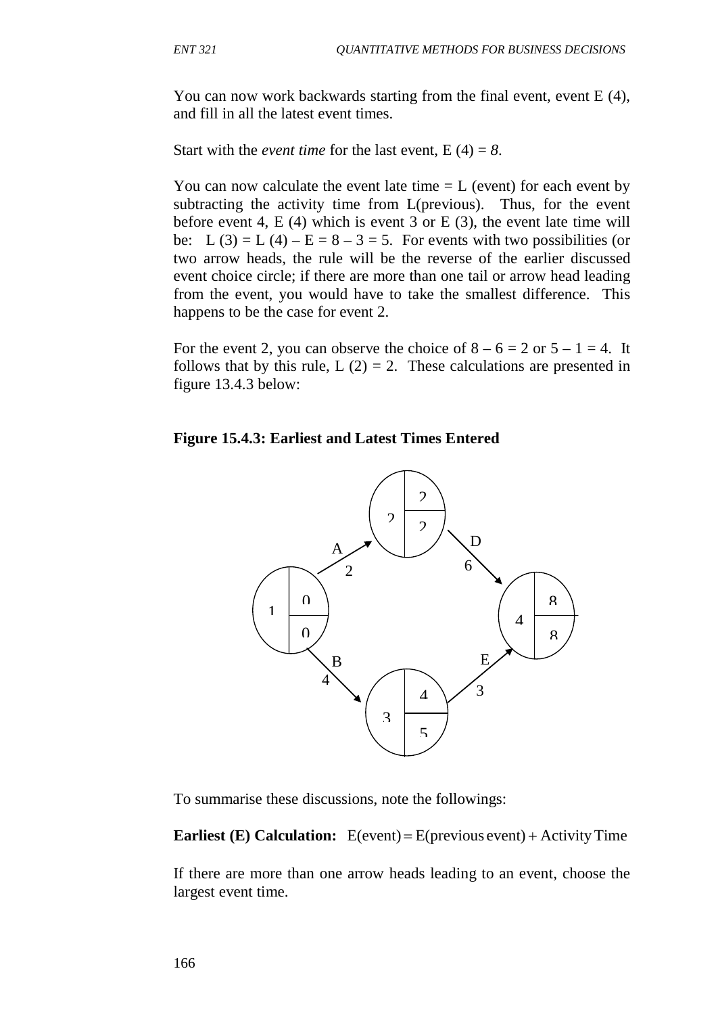You can now work backwards starting from the final event, event E (4), and fill in all the latest event times.

Start with the *event time* for the last event,  $E(4) = 8$ .

You can now calculate the event late time  $= L$  (event) for each event by subtracting the activity time from L(previous). Thus, for the event before event 4,  $E(4)$  which is event 3 or  $E(3)$ , the event late time will be: L (3) = L (4) – E =  $8 - 3 = 5$ . For events with two possibilities (or two arrow heads, the rule will be the reverse of the earlier discussed event choice circle; if there are more than one tail or arrow head leading from the event, you would have to take the smallest difference. This happens to be the case for event 2.

For the event 2, you can observe the choice of  $8 - 6 = 2$  or  $5 - 1 = 4$ . It follows that by this rule,  $L(2) = 2$ . These calculations are presented in figure 13.4.3 below:

**Figure 15.4.3: Earliest and Latest Times Entered**



To summarise these discussions, note the followings:

**Earliest (E) Calculation:** E(event) = E(previous event) + Activity Time

If there are more than one arrow heads leading to an event, choose the largest event time.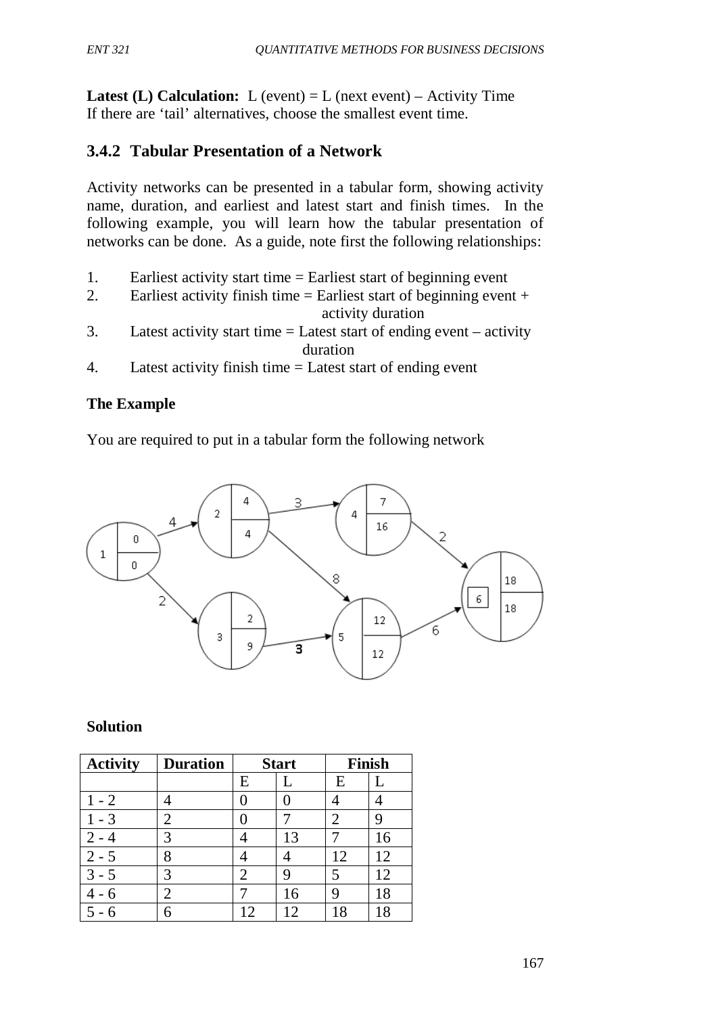**Latest (L) Calculation:** L (event) = L (next event) – Activity Time If there are 'tail' alternatives, choose the smallest event time.

# **3.4.2 Tabular Presentation of a Network**

Activity networks can be presented in a tabular form, showing activity name, duration, and earliest and latest start and finish times. In the following example, you will learn how the tabular presentation of networks can be done. As a guide, note first the following relationships:

- 1. Earliest activity start time = Earliest start of beginning event
- 2. Earliest activity finish time  $=$  Earliest start of beginning event  $+$ activity duration
- 3. Latest activity start time  $=$  Latest start of ending event  $-$  activity duration
- 4. Latest activity finish time = Latest start of ending event

## **The Example**

You are required to put in a tabular form the following network



#### **Solution**

| <b>Activity</b> | <b>Duration</b> | <b>Start</b> |    | <b>Finish</b> |    |
|-----------------|-----------------|--------------|----|---------------|----|
|                 |                 | E            |    | E             |    |
| $1 - 2$         |                 |              |    |               |    |
| - 3             |                 |              |    |               |    |
|                 |                 |              | 13 |               | 16 |
| $2 - 5$         | 8               |              |    | 12            | 12 |
| $3 - 5$         | 3               | 2            | 9  |               | 12 |
|                 | $\overline{2}$  |              | 16 |               | 18 |
|                 |                 | ာ            |    | 18            | 18 |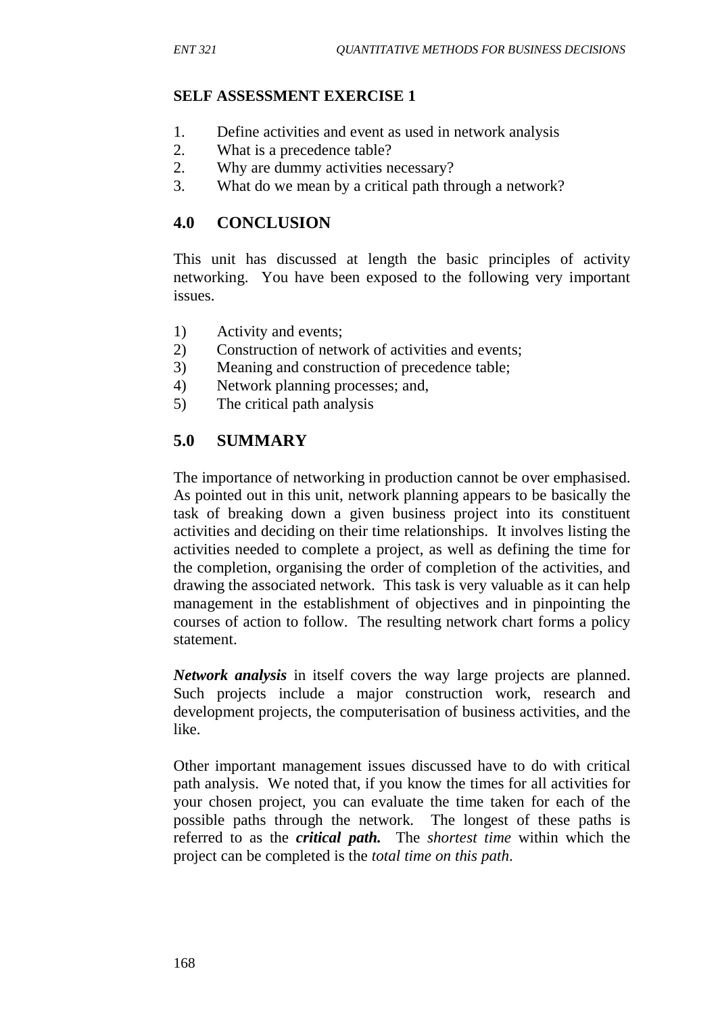### **SELF ASSESSMENT EXERCISE 1**

- 1. Define activities and event as used in network analysis
- 2. What is a precedence table?
- 2. Why are dummy activities necessary?
- 3. What do we mean by a critical path through a network?

## **4.0 CONCLUSION**

This unit has discussed at length the basic principles of activity networking. You have been exposed to the following very important issues.

- 1) Activity and events;
- 2) Construction of network of activities and events;
- 3) Meaning and construction of precedence table;
- 4) Network planning processes; and,
- 5) The critical path analysis

# **5.0 SUMMARY**

The importance of networking in production cannot be over emphasised. As pointed out in this unit, network planning appears to be basically the task of breaking down a given business project into its constituent activities and deciding on their time relationships. It involves listing the activities needed to complete a project, as well as defining the time for the completion, organising the order of completion of the activities, and drawing the associated network. This task is very valuable as it can help management in the establishment of objectives and in pinpointing the courses of action to follow. The resulting network chart forms a policy statement.

*Network analysis* in itself covers the way large projects are planned. Such projects include a major construction work, research and development projects, the computerisation of business activities, and the like.

Other important management issues discussed have to do with critical path analysis. We noted that, if you know the times for all activities for your chosen project, you can evaluate the time taken for each of the possible paths through the network. The longest of these paths is referred to as the *critical path.* The *shortest time* within which the project can be completed is the *total time on this path*.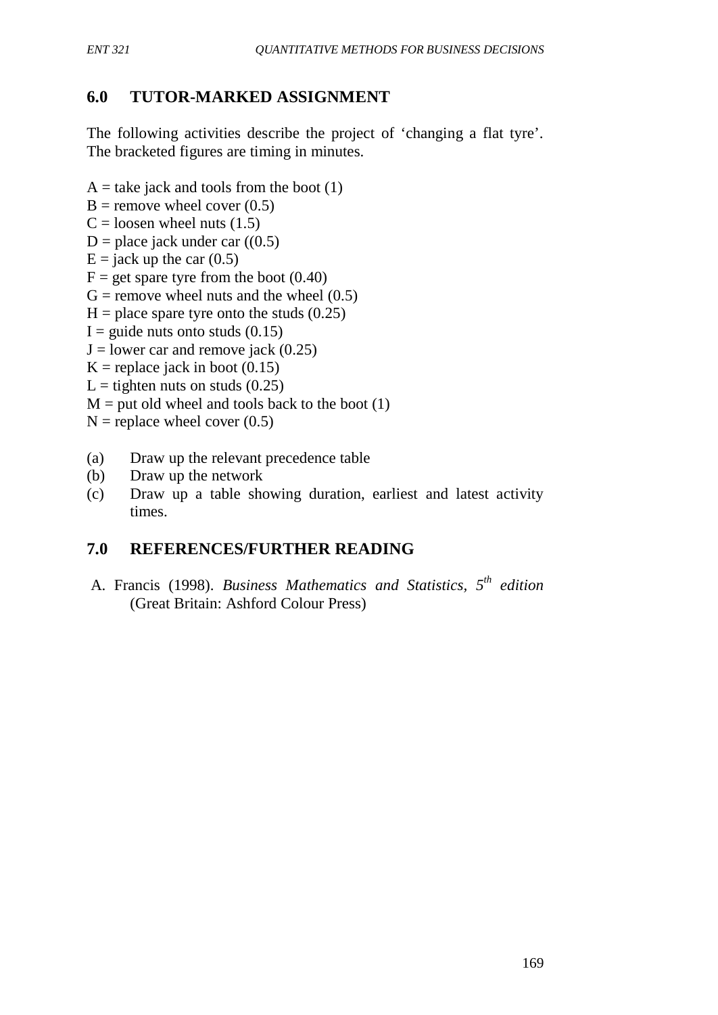# **6.0 TUTOR-MARKED ASSIGNMENT**

The following activities describe the project of 'changing a flat tyre'. The bracketed figures are timing in minutes.

- $A =$  take jack and tools from the boot (1)
- $B =$  remove wheel cover (0.5)
- $C =$ loosen wheel nuts (1.5)
- D = place jack under car  $((0.5)$
- $E =$  jack up the car  $(0.5)$
- $F = get$  spare tyre from the boot  $(0.40)$
- $G$  = remove wheel nuts and the wheel  $(0.5)$
- $H =$  place spare tyre onto the studs (0.25)
- $I =$  guide nuts onto studs  $(0.15)$
- $J =$ lower car and remove jack (0.25)
- $K =$  replace jack in boot (0.15)
- L = tighten nuts on studs  $(0.25)$
- $M =$  put old wheel and tools back to the boot (1)
- $N =$  replace wheel cover (0.5)
- (a) Draw up the relevant precedence table
- (b) Draw up the network
- (c) Draw up a table showing duration, earliest and latest activity times.

## **7.0 REFERENCES/FURTHER READING**

A. Francis (1998). *Business Mathematics and Statistics, 5th edition* (Great Britain: Ashford Colour Press)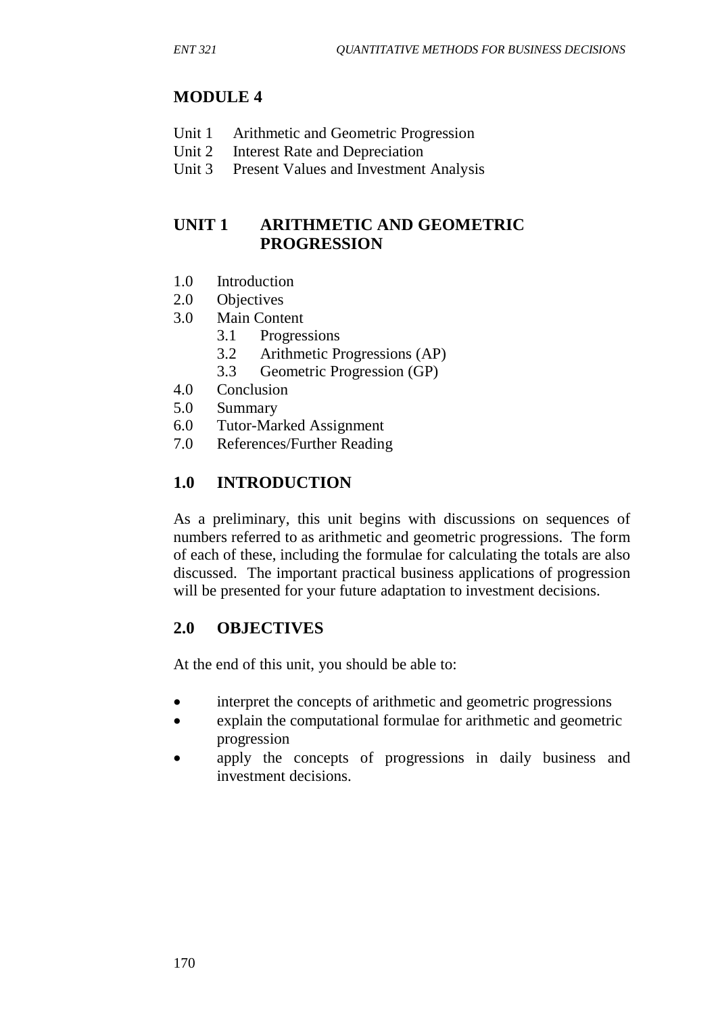# **MODULE 4**

- Unit 1 Arithmetic and Geometric Progression
- Unit 2 Interest Rate and Depreciation<br>Unit 3 Present Values and Investment
- Present Values and Investment Analysis

# **UNIT 1 ARITHMETIC AND GEOMETRIC PROGRESSION**

- 1.0 Introduction
- 2.0 Objectives
- 3.0 Main Content
	- 3.1 Progressions
	- 3.2 Arithmetic Progressions (AP)
	- 3.3 Geometric Progression (GP)
- 4.0 Conclusion
- 5.0 Summary
- 6.0 Tutor-Marked Assignment
- 7.0 References/Further Reading

# **1.0 INTRODUCTION**

As a preliminary, this unit begins with discussions on sequences of numbers referred to as arithmetic and geometric progressions. The form of each of these, including the formulae for calculating the totals are also discussed. The important practical business applications of progression will be presented for your future adaptation to investment decisions.

## **2.0 OBJECTIVES**

At the end of this unit, you should be able to:

- interpret the concepts of arithmetic and geometric progressions
- explain the computational formulae for arithmetic and geometric progression
- apply the concepts of progressions in daily business and investment decisions.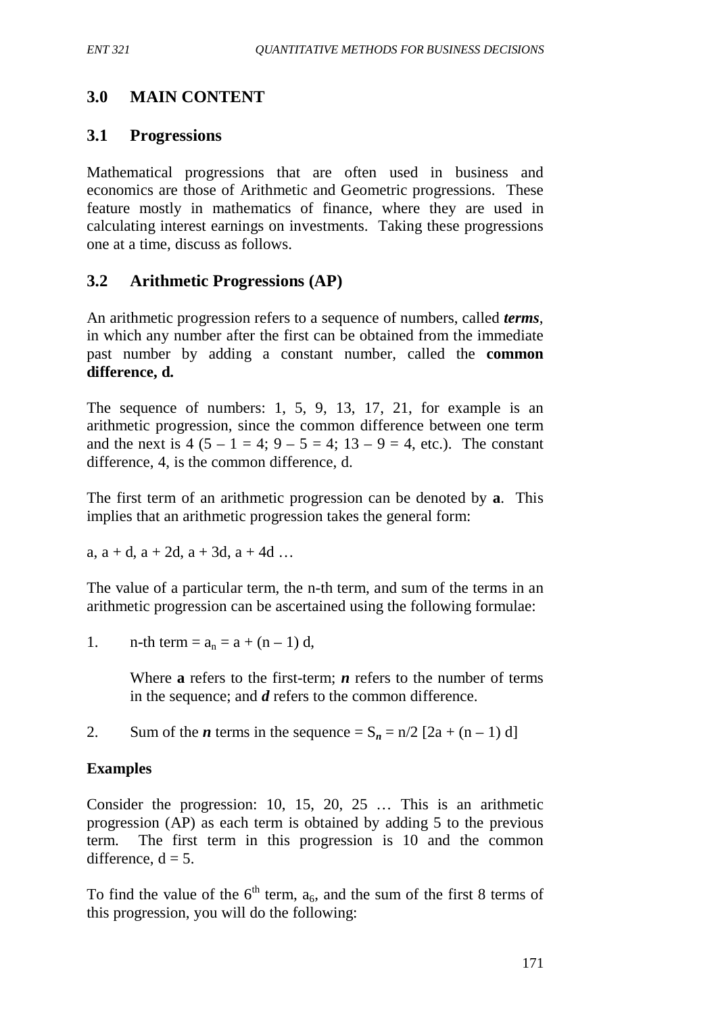# **3.0 MAIN CONTENT**

## **3.1 Progressions**

Mathematical progressions that are often used in business and economics are those of Arithmetic and Geometric progressions. These feature mostly in mathematics of finance, where they are used in calculating interest earnings on investments. Taking these progressions one at a time, discuss as follows.

## **3.2 Arithmetic Progressions (AP)**

An arithmetic progression refers to a sequence of numbers, called *terms*, in which any number after the first can be obtained from the immediate past number by adding a constant number, called the **common difference, d.**

The sequence of numbers: 1, 5, 9, 13, 17, 21, for example is an arithmetic progression, since the common difference between one term and the next is  $4 (5 - 1 = 4; 9 - 5 = 4; 13 - 9 = 4,$  etc.). The constant difference, 4, is the common difference, d.

The first term of an arithmetic progression can be denoted by **a**. This implies that an arithmetic progression takes the general form:

a,  $a + d$ ,  $a + 2d$ ,  $a + 3d$ ,  $a + 4d$  ...

The value of a particular term, the n-th term, and sum of the terms in an arithmetic progression can be ascertained using the following formulae:

1. n-th term =  $a_n = a + (n - 1) d$ ,

Where **a** refers to the first-term; *n* refers to the number of terms in the sequence; and *d* refers to the common difference.

2. Sum of the *n* terms in the sequence  $= S_n = n/2$  [2a + (n – 1) d]

### **Examples**

Consider the progression: 10, 15, 20, 25 … This is an arithmetic progression (AP) as each term is obtained by adding 5 to the previous term. The first term in this progression is 10 and the common difference,  $d = 5$ .

To find the value of the  $6<sup>th</sup>$  term,  $a<sub>6</sub>$ , and the sum of the first 8 terms of this progression, you will do the following: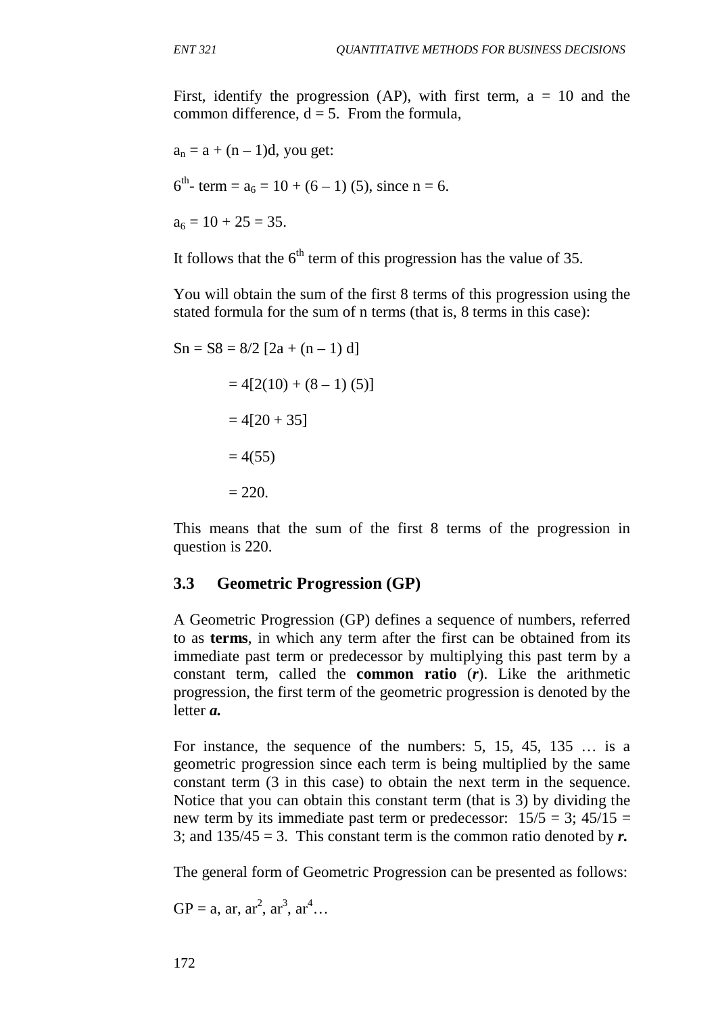First, identify the progression (AP), with first term,  $a = 10$  and the common difference,  $d = 5$ . From the formula,

$$
a_n = a + (n - 1)d, \text{ you get:}
$$
  
\n
$$
6^{th}\text{- term} = a_6 = 10 + (6 - 1)(5), \text{ since } n = 6.
$$
  
\n
$$
a_6 = 10 + 25 = 35.
$$

It follows that the  $6<sup>th</sup>$  term of this progression has the value of 35.

You will obtain the sum of the first 8 terms of this progression using the stated formula for the sum of n terms (that is, 8 terms in this case):

$$
Sn = S8 = 8/2 [2a + (n - 1) d]
$$

$$
= 4[2(10) + (8 - 1) (5)]
$$

$$
= 4[20 + 35]
$$

$$
= 4(55)
$$

$$
= 220.
$$

This means that the sum of the first 8 terms of the progression in question is 220.

## **3.3 Geometric Progression (GP)**

A Geometric Progression (GP) defines a sequence of numbers, referred to as **terms**, in which any term after the first can be obtained from its immediate past term or predecessor by multiplying this past term by a constant term, called the **common ratio** (*r*). Like the arithmetic progression, the first term of the geometric progression is denoted by the letter *a.*

For instance, the sequence of the numbers: 5, 15, 45, 135 … is a geometric progression since each term is being multiplied by the same constant term (3 in this case) to obtain the next term in the sequence. Notice that you can obtain this constant term (that is 3) by dividing the new term by its immediate past term or predecessor:  $15/5 = 3$ ;  $45/15 =$ 3; and  $135/45 = 3$ . This constant term is the common ratio denoted by  $r$ .

The general form of Geometric Progression can be presented as follows:

$$
GP = a, ar, ar^2, ar^3, ar^4...
$$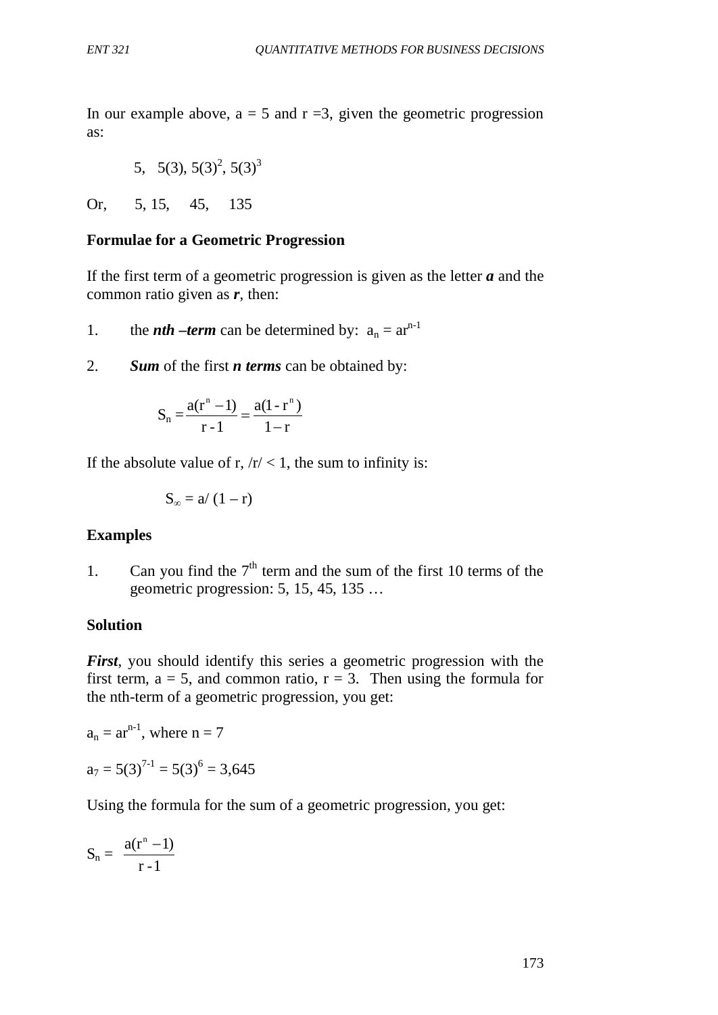In our example above,  $a = 5$  and  $r = 3$ , given the geometric progression as:

5, 
$$
5(3)
$$
,  $5(3)^2$ ,  $5(3)^3$ 

Or, 5, 15, 45, 135

### **Formulae for a Geometric Progression**

If the first term of a geometric progression is given as the letter *a* and the common ratio given as *r*, then:

1. the *nth –term* can be determined by:  $a_n = ar^{n-1}$ 

2. *Sum* of the first *n terms* can be obtained by:

$$
S_n = \frac{a(r^n - 1)}{r - 1} = \frac{a(1 - r^n)}{1 - r}
$$

If the absolute value of r,  $/r < 1$ , the sum to infinity is:

$$
S_{\infty} = a/(1-r)
$$

#### **Examples**

1. Can you find the  $7<sup>th</sup>$  term and the sum of the first 10 terms of the geometric progression: 5, 15, 45, 135 …

### **Solution**

*First*, you should identify this series a geometric progression with the first term,  $a = 5$ , and common ratio,  $r = 3$ . Then using the formula for the nth-term of a geometric progression, you get:

$$
a_n = ar^{n-1}
$$
, where  $n = 7$   
 $a_7 = 5(3)^{7-1} = 5(3)^{6} = 3,645$ 

Using the formula for the sum of a geometric progression, you get:

$$
S_n = \frac{a(r^n - 1)}{r - 1}
$$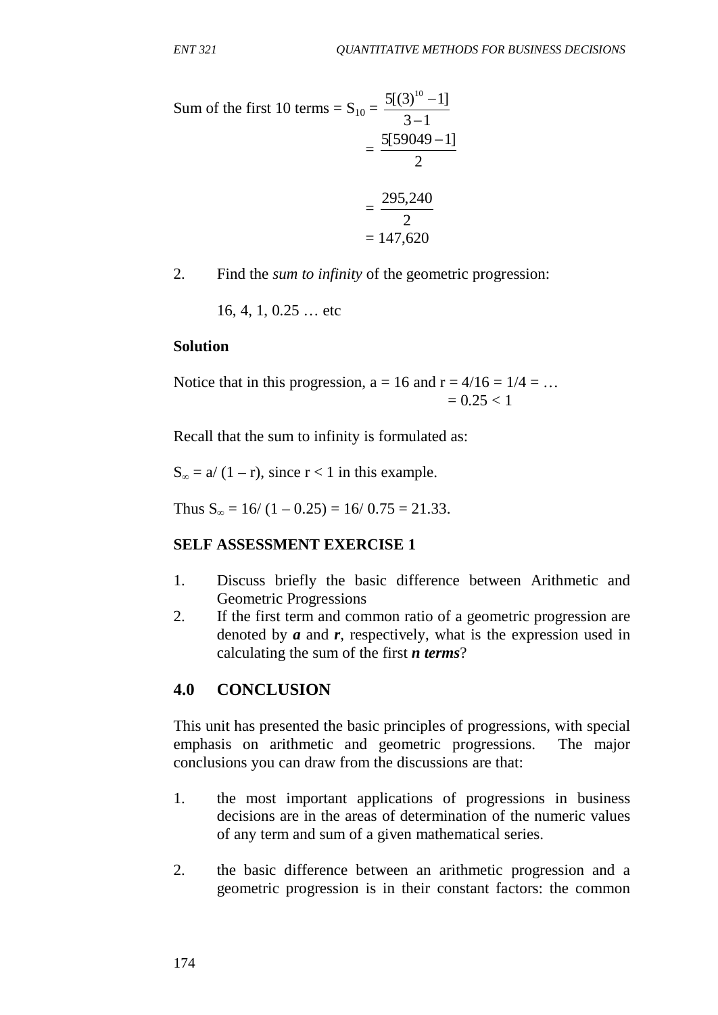Sum of the first 10 terms = 
$$
S_{10} = \frac{5[(3)^{10} - 1]}{3 - 1}
$$
  
=  $\frac{5[59049 - 1]}{2}$   
=  $\frac{295,240}{2}$   
= 147,620

2. Find the *sum to infinity* of the geometric progression:

16, 4, 1, 0.25 … etc

#### **Solution**

Notice that in this progression,  $a = 16$  and  $r = 4/16 = 1/4 = ...$  $= 0.25 < 1$ 

Recall that the sum to infinity is formulated as:

 $S_{\infty} = a/(1 - r)$ , since  $r < 1$  in this example.

Thus  $S_{\infty} = 16/(1 - 0.25) = 16/0.75 = 21.33$ .

#### **SELF ASSESSMENT EXERCISE 1**

- 1. Discuss briefly the basic difference between Arithmetic and Geometric Progressions
- 2. If the first term and common ratio of a geometric progression are denoted by *a* and *r*, respectively, what is the expression used in calculating the sum of the first *n terms*?

#### **4.0 CONCLUSION**

This unit has presented the basic principles of progressions, with special emphasis on arithmetic and geometric progressions. The major conclusions you can draw from the discussions are that:

- 1. the most important applications of progressions in business decisions are in the areas of determination of the numeric values of any term and sum of a given mathematical series.
- 2. the basic difference between an arithmetic progression and a geometric progression is in their constant factors: the common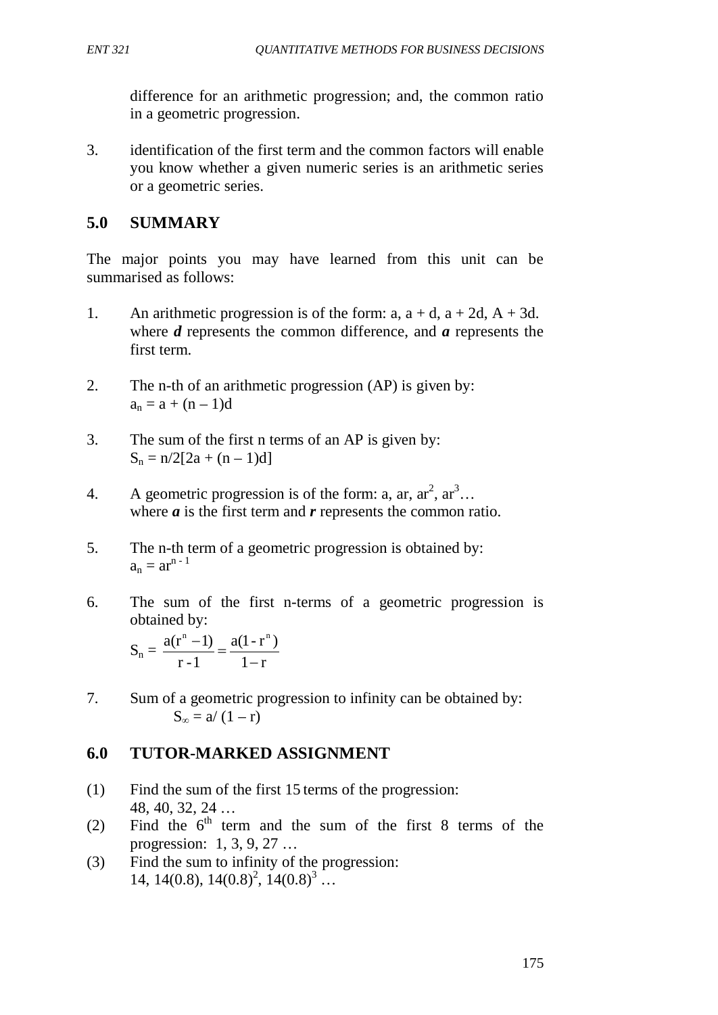difference for an arithmetic progression; and, the common ratio in a geometric progression.

3. identification of the first term and the common factors will enable you know whether a given numeric series is an arithmetic series or a geometric series.

# **5.0 SUMMARY**

The major points you may have learned from this unit can be summarised as follows:

- 1. An arithmetic progression is of the form: a,  $a + d$ ,  $a + 2d$ ,  $A + 3d$ . where *d* represents the common difference, and *a* represents the first term.
- 2. The n-th of an arithmetic progression (AP) is given by:  $a_n = a + (n - 1)d$
- 3. The sum of the first n terms of an AP is given by:  $S_n = n/2[2a + (n-1)d]$
- 4. A geometric progression is of the form: a, ar,  $ar^2$ ,  $ar^3$ ... where *a* is the first term and *r* represents the common ratio.
- 5. The n-th term of a geometric progression is obtained by:  $a_n = ar^{n-1}$
- 6. The sum of the first n-terms of a geometric progression is obtained by:

$$
S_n = \frac{a(r^n - 1)}{r - 1} = \frac{a(1 - r^n)}{1 - r}
$$

7. Sum of a geometric progression to infinity can be obtained by:  $S_{\infty} = a/(1 - r)$ 

# **6.0 TUTOR-MARKED ASSIGNMENT**

- (1) Find the sum of the first 15 terms of the progression: 48, 40, 32, 24 …
- (2) Find the  $6<sup>th</sup>$  term and the sum of the first 8 terms of the progression: 1, 3, 9, 27 …
- (3) Find the sum to infinity of the progression: 14, 14(0.8), 14(0.8)<sup>2</sup>, 14(0.8)<sup>3</sup>...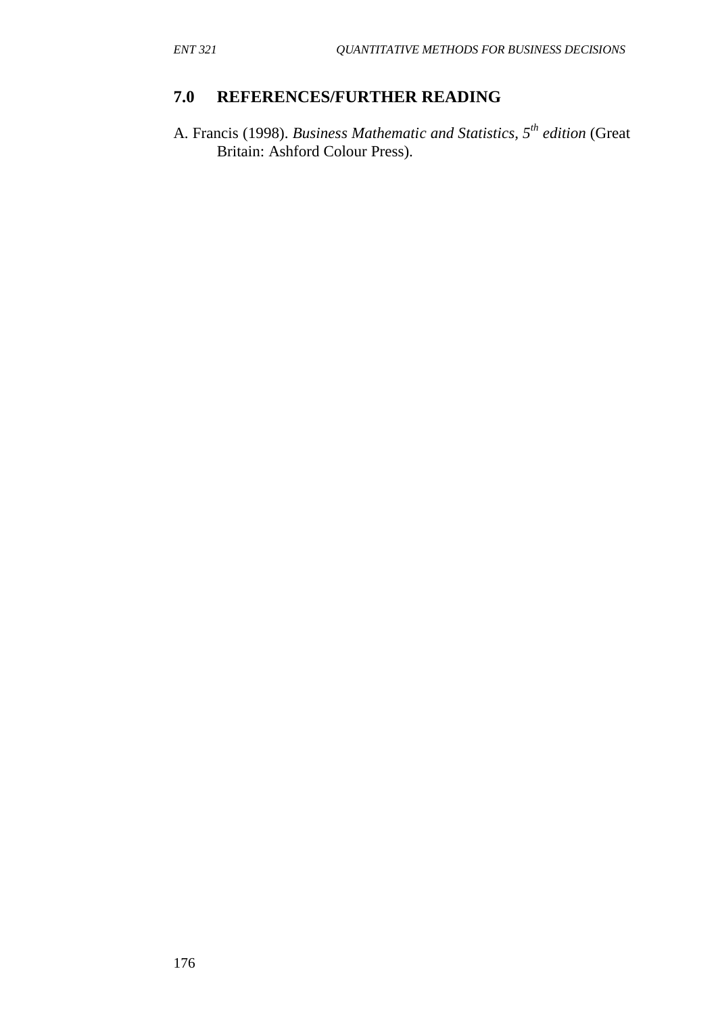# **7.0 REFERENCES/FURTHER READING**

A. Francis (1998). *Business Mathematic and Statistics, 5th edition* (Great Britain: Ashford Colour Press).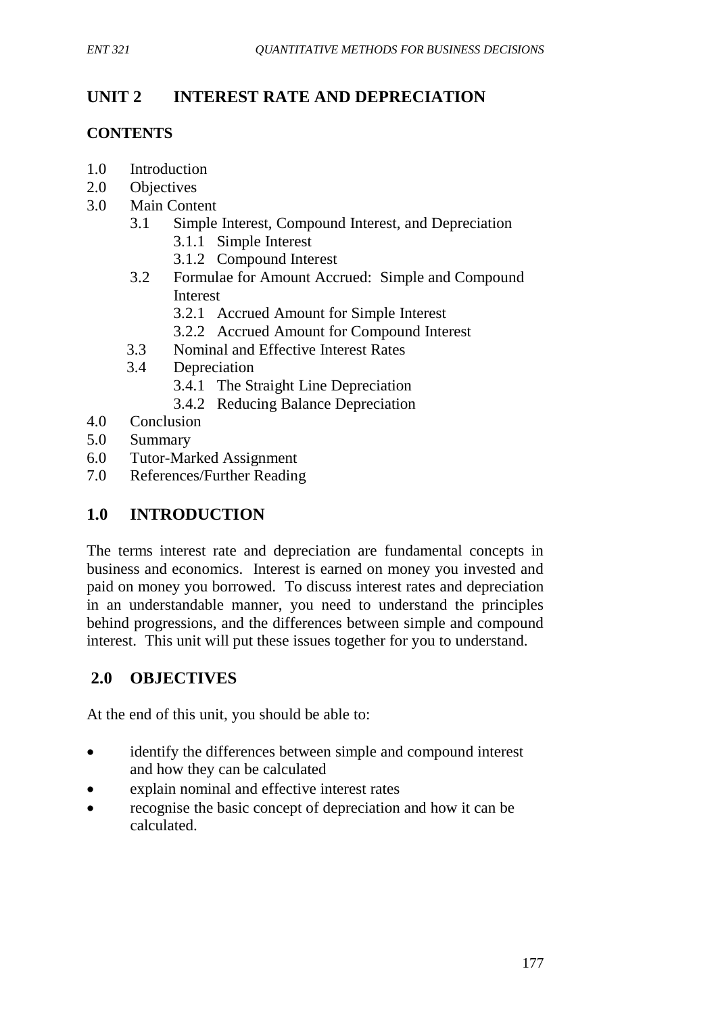# **UNIT 2 INTEREST RATE AND DEPRECIATION**

## **CONTENTS**

- 1.0 Introduction
- 2.0 Objectives
- 3.0 Main Content
	- 3.1 Simple Interest, Compound Interest, and Depreciation
		- 3.1.1 Simple Interest
		- 3.1.2 Compound Interest
	- 3.2 Formulae for Amount Accrued: Simple and Compound Interest
		- 3.2.1 Accrued Amount for Simple Interest
		- 3.2.2Accrued Amount for Compound Interest
	- 3.3 Nominal and Effective Interest Rates
	- 3.4 Depreciation
		- 3.4.1 The Straight Line Depreciation
		- 3.4.2 Reducing Balance Depreciation
- 4.0 Conclusion
- 5.0 Summary
- 6.0 Tutor-Marked Assignment
- 7.0 References/Further Reading

# **1.0 INTRODUCTION**

The terms interest rate and depreciation are fundamental concepts in business and economics. Interest is earned on money you invested and paid on money you borrowed. To discuss interest rates and depreciation in an understandable manner, you need to understand the principles behind progressions, and the differences between simple and compound interest. This unit will put these issues together for you to understand.

# **2.0 OBJECTIVES**

At the end of this unit, you should be able to:

- identify the differences between simple and compound interest and how they can be calculated
- explain nominal and effective interest rates
- recognise the basic concept of depreciation and how it can be calculated.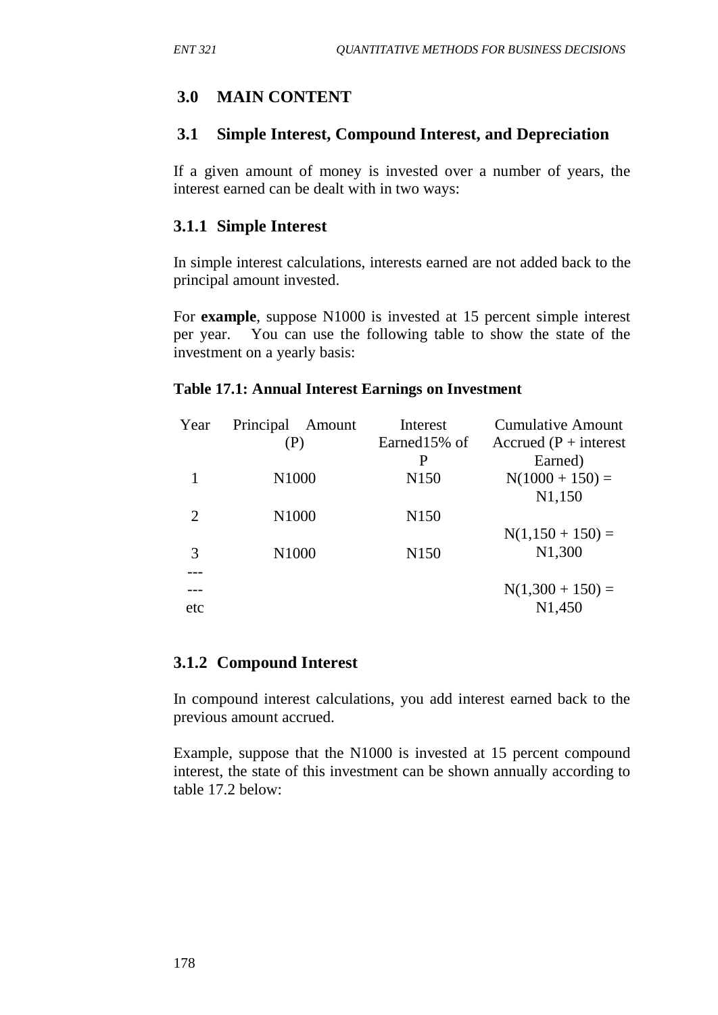# **3.0 MAIN CONTENT**

### **3.1 Simple Interest, Compound Interest, and Depreciation**

If a given amount of money is invested over a number of years, the interest earned can be dealt with in two ways:

## **3.1.1 Simple Interest**

In simple interest calculations, interests earned are not added back to the principal amount invested.

For **example**, suppose N1000 is invested at 15 percent simple interest per year. You can use the following table to show the state of the investment on a yearly basis:

#### **Table 17.1: Annual Interest Earnings on Investment**

| Year           | Principal<br>Amount | Interest          | <b>Cumulative Amount</b> |
|----------------|---------------------|-------------------|--------------------------|
|                | (P)                 | Earned15% of<br>P | Accrued $(P + interest)$ |
|                |                     |                   | Earned)                  |
|                | N <sub>1000</sub>   | N <sub>150</sub>  | $N(1000 + 150) =$        |
|                |                     |                   | N <sub>1</sub> ,150      |
| $\overline{2}$ | N <sub>1000</sub>   | N <sub>150</sub>  |                          |
|                |                     |                   | $N(1,150 + 150) =$       |
| 3              | N1000               | N <sub>150</sub>  | N <sub>1</sub> ,300      |
|                |                     |                   |                          |
|                |                     |                   | $N(1,300 + 150) =$       |
| etc            |                     |                   | N <sub>1</sub> ,450      |
|                |                     |                   |                          |

## **3.1.2 Compound Interest**

In compound interest calculations, you add interest earned back to the previous amount accrued.

Example, suppose that the N1000 is invested at 15 percent compound interest, the state of this investment can be shown annually according to table 17.2 below: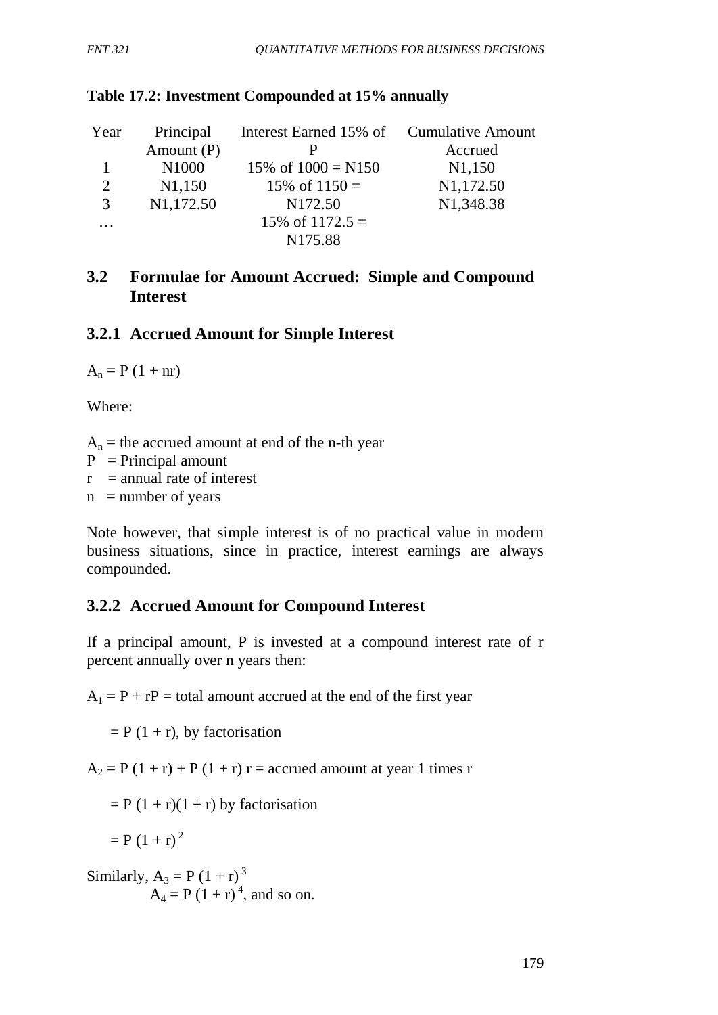| Year     | Principal              | Interest Earned 15% of Cumulative Amount |                     |
|----------|------------------------|------------------------------------------|---------------------|
|          | Amount $(P)$           |                                          | Accrued             |
|          | N1000                  | 15\% of $1000 = N150$                    | N <sub>1</sub> ,150 |
| 2        | N <sub>1</sub> ,150    | 15\% of $1150 =$                         | N1,172.50           |
| 3        | N <sub>1</sub> ,172.50 | N <sub>172.50</sub>                      | N1,348.38           |
| $\cdots$ |                        | 15\% of $1172.5 =$                       |                     |
|          |                        | N <sub>175.88</sub>                      |                     |

#### **Table 17.2: Investment Compounded at 15% annually**

### **3.2 Formulae for Amount Accrued: Simple and Compound Interest**

### **3.2.1 Accrued Amount for Simple Interest**

 $A_n = P (1 + nr)$ 

Where:

 $A_n$  = the accrued amount at end of the n-th year

 $P = Principal amount$ 

 $r =$  annual rate of interest

 $n =$  number of years

Note however, that simple interest is of no practical value in modern business situations, since in practice, interest earnings are always compounded.

## **3.2.2****Accrued Amount for Compound Interest**

If a principal amount, P is invested at a compound interest rate of r percent annually over n years then:

 $A_1 = P + rP =$  total amount accrued at the end of the first year

 $= P (1 + r)$ , by factorisation

 $A_2 = P(1 + r) + P(1 + r) r =$  accrued amount at year 1 times r

 $= P (1 + r)(1 + r)$  by factorisation

$$
= P (1+r)^2
$$

Similarly,  $A_3 = P(1 + r)^3$  $A_4 = P(1 + r)^4$ , and so on.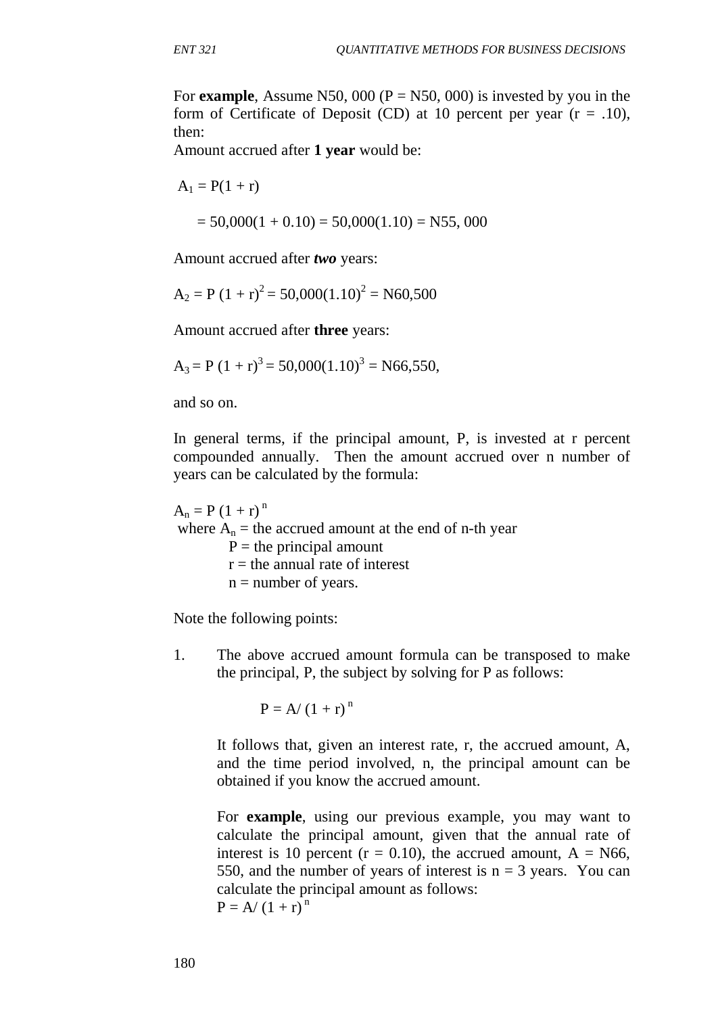For **example**, Assume N50, 000 ( $P = N50$ , 000) is invested by you in the form of Certificate of Deposit (CD) at 10 percent per year  $(r = .10)$ , then:

Amount accrued after **1 year** would be:

 $A_1 = P(1 + r)$ 

$$
= 50,000(1 + 0.10) = 50,000(1.10) = N55,000
$$

Amount accrued after *two* years:

$$
A_2 = P (1 + r)^2 = 50,000(1.10)^2 = N60,500
$$

Amount accrued after **three** years:

$$
A_3 = P (1 + r)^3 = 50,000(1.10)^3 = N66,550,
$$

and so on.

In general terms, if the principal amount, P, is invested at r percent compounded annually. Then the amount accrued over n number of years can be calculated by the formula:

 $A_n = P(1 + r)^n$ where  $A_n$  = the accrued amount at the end of n-th year  $P =$  the principal amount  $r =$  the annual rate of interest  $n =$  number of years.

Note the following points:

1. The above accrued amount formula can be transposed to make the principal, P, the subject by solving for P as follows:

$$
P = A/(1+r)^n
$$

It follows that, given an interest rate, r, the accrued amount, A, and the time period involved, n, the principal amount can be obtained if you know the accrued amount.

For **example**, using our previous example, you may want to calculate the principal amount, given that the annual rate of interest is 10 percent ( $r = 0.10$ ), the accrued amount,  $A = N66$ , 550, and the number of years of interest is  $n = 3$  years. You can calculate the principal amount as follows:  $P = A/(1 + r)^{n}$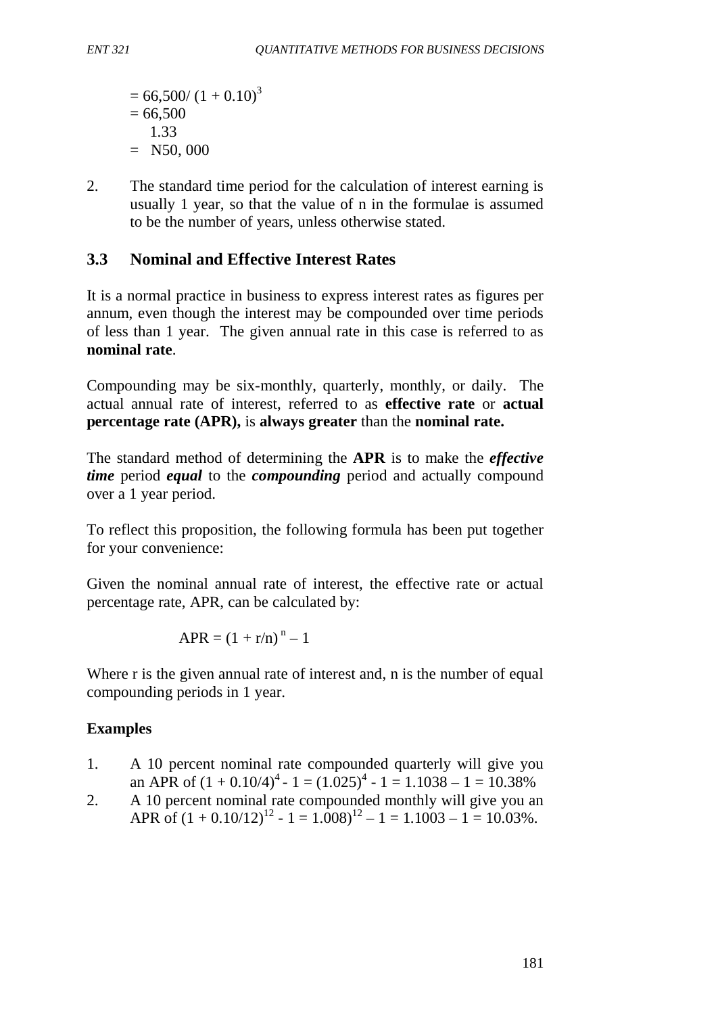$= 66,500/(1 + 0.10)^3$  $= 66,500$  1.33  $=$  N50, 000

2. The standard time period for the calculation of interest earning is usually 1 year, so that the value of n in the formulae is assumed to be the number of years, unless otherwise stated.

# **3.3 Nominal and Effective Interest Rates**

It is a normal practice in business to express interest rates as figures per annum, even though the interest may be compounded over time periods of less than 1 year. The given annual rate in this case is referred to as **nominal rate**.

Compounding may be six-monthly, quarterly, monthly, or daily. The actual annual rate of interest, referred to as **effective rate** or **actual percentage rate (APR),** is **always greater** than the **nominal rate.**

The standard method of determining the **APR** is to make the *effective time* period *equal* to the *compounding* period and actually compound over a 1 year period.

To reflect this proposition, the following formula has been put together for your convenience:

Given the nominal annual rate of interest, the effective rate or actual percentage rate, APR, can be calculated by:

$$
APR = (1 + r/n)^n - 1
$$

Where r is the given annual rate of interest and, n is the number of equal compounding periods in 1 year.

## **Examples**

- 1. A 10 percent nominal rate compounded quarterly will give you an APR of  $(1 + 0.10/4)^4 - 1 = (1.025)^4 - 1 = 1.1038 - 1 = 10.38\%$
- 2. A 10 percent nominal rate compounded monthly will give you an APR of  $(1 + 0.10/12)^{12}$  -  $1 = 1.008$  $^{12}$  -  $1 = 1.1003$  -  $1 = 10.03\%$ .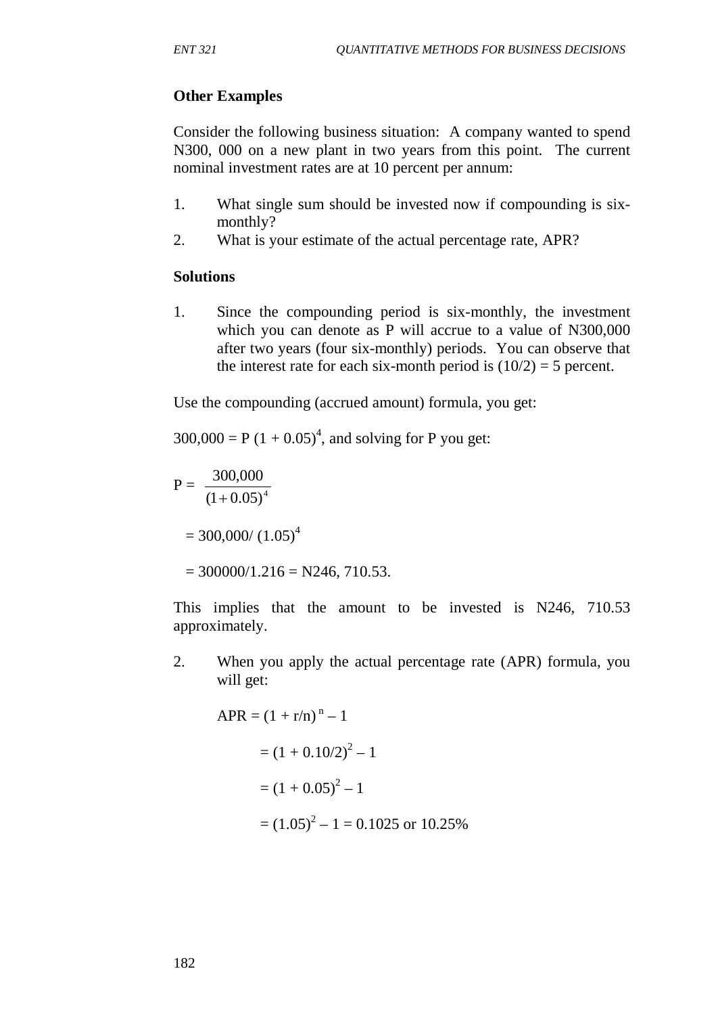### **Other Examples**

Consider the following business situation: A company wanted to spend N300, 000 on a new plant in two years from this point. The current nominal investment rates are at 10 percent per annum:

- 1. What single sum should be invested now if compounding is sixmonthly?
- 2. What is your estimate of the actual percentage rate, APR?

#### **Solutions**

1. Since the compounding period is six-monthly, the investment which you can denote as P will accrue to a value of N300,000 after two years (four six-monthly) periods. You can observe that the interest rate for each six-month period is  $(10/2) = 5$  percent.

Use the compounding (accrued amount) formula, you get:

 $300,000 = P (1 + 0.05)^4$ , and solving for P you get:

 $P = \frac{300,000}{(1 + 0.05)^4}$ +

 $= 300,000/(1.05)^4$ 

 $= 300000/1.216 = N246, 710.53.$ 

This implies that the amount to be invested is N246, 710.53 approximately.

2. When you apply the actual percentage rate (APR) formula, you will get:

 $APR = (1 + r/n)^{n} - 1$  $=(1 + 0.10/2)^2 - 1$  $=(1 + 0.05)^2 - 1$  $=(1.05)^{2} - 1 = 0.1025$  or 10.25%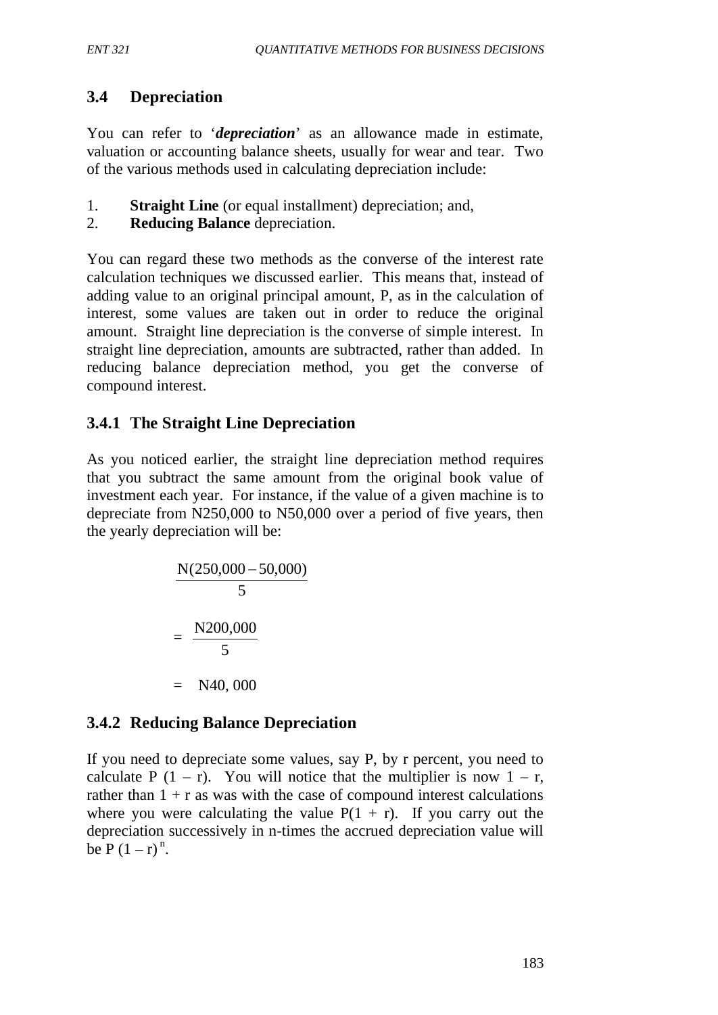# **3.4 Depreciation**

You can refer to *'depreciation'* as an allowance made in estimate, valuation or accounting balance sheets, usually for wear and tear. Two of the various methods used in calculating depreciation include:

- 1. **Straight Line** (or equal installment) depreciation; and,
- 2. **Reducing Balance** depreciation.

You can regard these two methods as the converse of the interest rate calculation techniques we discussed earlier. This means that, instead of adding value to an original principal amount, P, as in the calculation of interest, some values are taken out in order to reduce the original amount. Straight line depreciation is the converse of simple interest. In straight line depreciation, amounts are subtracted, rather than added. In reducing balance depreciation method, you get the converse of compound interest.

# **3.4.1 The Straight Line Depreciation**

As you noticed earlier, the straight line depreciation method requires that you subtract the same amount from the original book value of investment each year. For instance, if the value of a given machine is to depreciate from N250,000 to N50,000 over a period of five years, then the yearly depreciation will be:

$$
\frac{N(250,000 - 50,000)}{5}
$$
  
= 
$$
\frac{N200,000}{5}
$$
  
= N40,000

# **3.4.2 Reducing Balance Depreciation**

If you need to depreciate some values, say P, by r percent, you need to calculate P  $(1 - r)$ . You will notice that the multiplier is now  $1 - r$ , rather than  $1 + r$  as was with the case of compound interest calculations where you were calculating the value  $P(1 + r)$ . If you carry out the depreciation successively in n-times the accrued depreciation value will be  $P(1 - r)^n$ .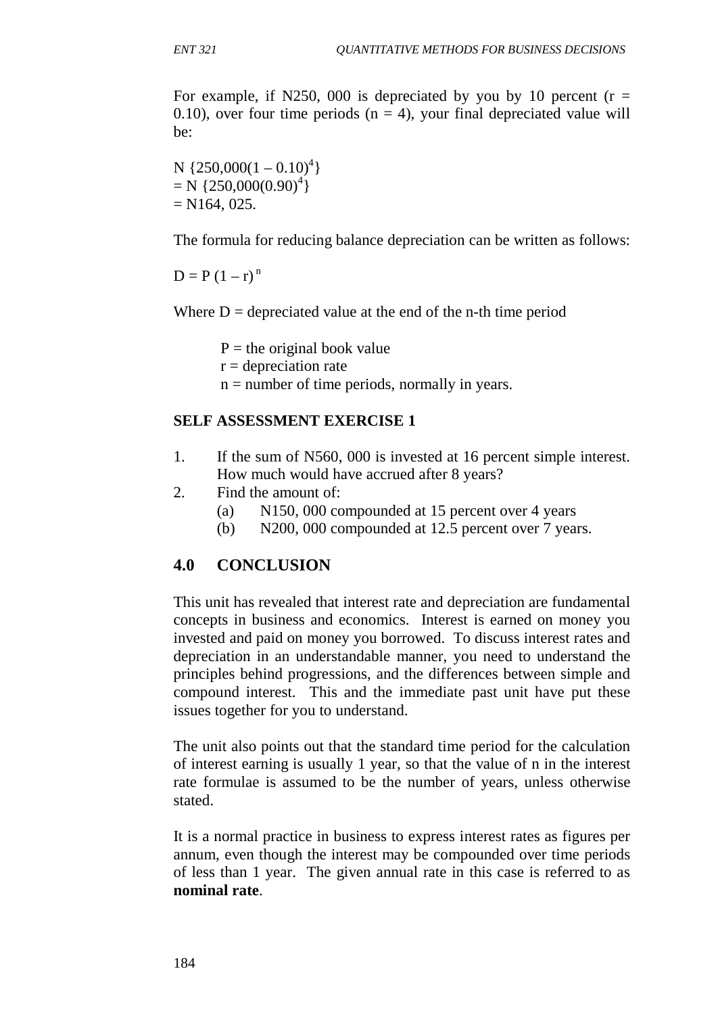For example, if N250, 000 is depreciated by you by 10 percent ( $r =$ 0.10), over four time periods ( $n = 4$ ), your final depreciated value will be:

N { $250,000(1-0.10)^4$ }  $= N \{250,000(0.90)^4\}$  $= N164, 025.$ 

The formula for reducing balance depreciation can be written as follows:

 $D = P(1 - r)^n$ 

Where  $D =$  depreciated value at the end of the n-th time period

 $P =$  the original book value

 $r =$  depreciation rate

 $n =$  number of time periods, normally in years.

#### **SELF ASSESSMENT EXERCISE 1**

- 1. If the sum of N560, 000 is invested at 16 percent simple interest. How much would have accrued after 8 years?
- 2. Find the amount of:
	- (a) N150, 000 compounded at 15 percent over 4 years
	- (b) N200, 000 compounded at 12.5 percent over 7 years.

#### **4.0 CONCLUSION**

This unit has revealed that interest rate and depreciation are fundamental concepts in business and economics. Interest is earned on money you invested and paid on money you borrowed. To discuss interest rates and depreciation in an understandable manner, you need to understand the principles behind progressions, and the differences between simple and compound interest. This and the immediate past unit have put these issues together for you to understand.

The unit also points out that the standard time period for the calculation of interest earning is usually 1 year, so that the value of n in the interest rate formulae is assumed to be the number of years, unless otherwise stated.

It is a normal practice in business to express interest rates as figures per annum, even though the interest may be compounded over time periods of less than 1 year. The given annual rate in this case is referred to as **nominal rate**.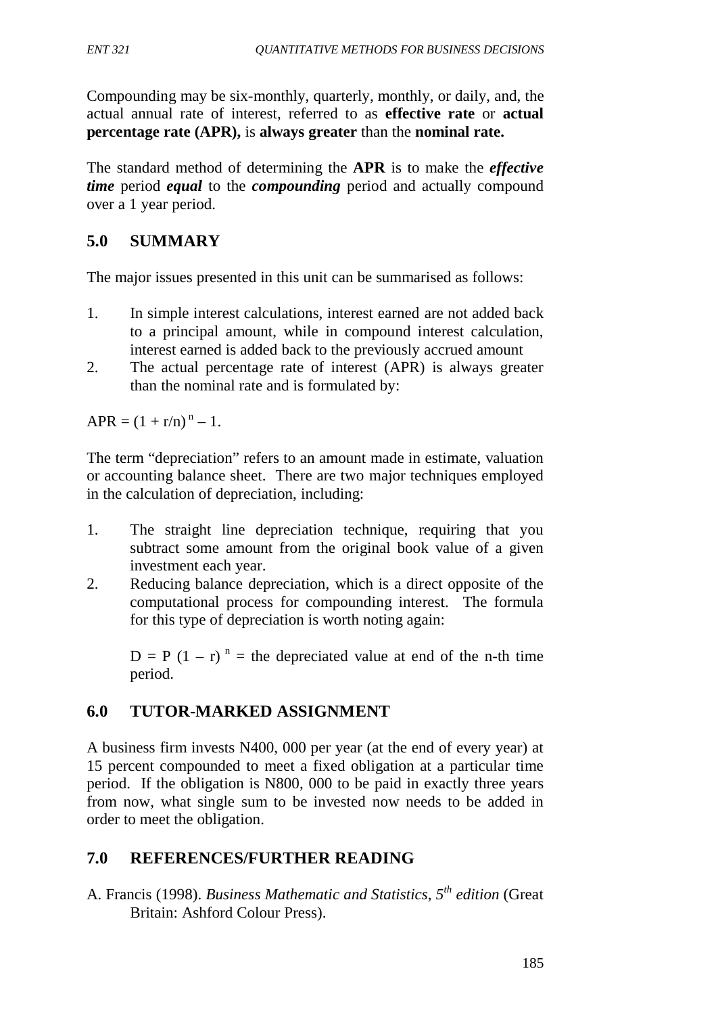Compounding may be six-monthly, quarterly, monthly, or daily, and, the actual annual rate of interest, referred to as **effective rate** or **actual percentage rate (APR),** is **always greater** than the **nominal rate.**

The standard method of determining the **APR** is to make the *effective time* period *equal* to the *compounding* period and actually compound over a 1 year period.

# **5.0 SUMMARY**

The major issues presented in this unit can be summarised as follows:

- 1. In simple interest calculations, interest earned are not added back to a principal amount, while in compound interest calculation, interest earned is added back to the previously accrued amount
- 2. The actual percentage rate of interest (APR) is always greater than the nominal rate and is formulated by:

 $APR = (1 + r/n)^n - 1.$ 

The term "depreciation" refers to an amount made in estimate, valuation or accounting balance sheet. There are two major techniques employed in the calculation of depreciation, including:

- 1. The straight line depreciation technique, requiring that you subtract some amount from the original book value of a given investment each year.
- 2. Reducing balance depreciation, which is a direct opposite of the computational process for compounding interest. The formula for this type of depreciation is worth noting again:

 $D = P (1 - r)^n$  = the depreciated value at end of the n-th time period.

# **6.0 TUTOR-MARKED ASSIGNMENT**

A business firm invests N400, 000 per year (at the end of every year) at 15 percent compounded to meet a fixed obligation at a particular time period. If the obligation is N800, 000 to be paid in exactly three years from now, what single sum to be invested now needs to be added in order to meet the obligation.

# **7.0 REFERENCES/FURTHER READING**

A. Francis (1998). *Business Mathematic and Statistics, 5th edition* (Great Britain: Ashford Colour Press).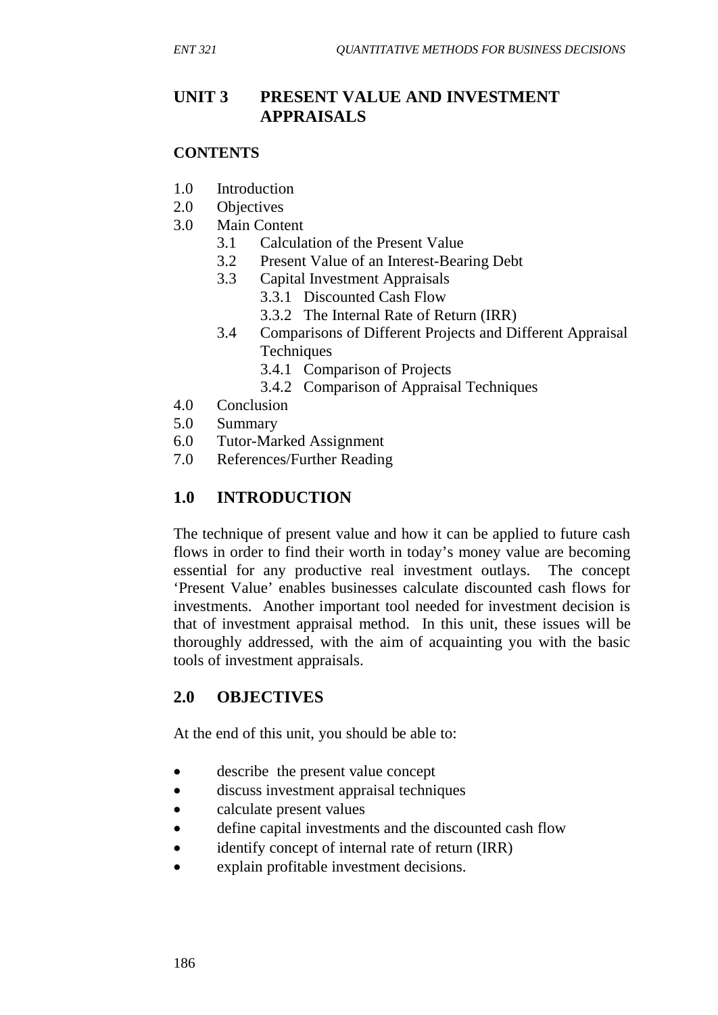## **UNIT 3 PRESENT VALUE AND INVESTMENT APPRAISALS**

#### **CONTENTS**

- 1.0 Introduction
- 2.0 Objectives
- 3.0 Main Content
	- 3.1 Calculation of the Present Value
	- 3.2 Present Value of an Interest-Bearing Debt
	- 3.3 Capital Investment Appraisals
		- 3.3.1 Discounted Cash Flow
		- 3.3.2 The Internal Rate of Return (IRR)
	- 3.4 Comparisons of Different Projects and Different Appraisal **Techniques** 
		- 3.4.1 Comparison of Projects
		- 3.4.2 Comparison of Appraisal Techniques
- 4.0 Conclusion
- 5.0 Summary
- 6.0 Tutor-Marked Assignment
- 7.0 References/Further Reading

# **1.0 INTRODUCTION**

The technique of present value and how it can be applied to future cash flows in order to find their worth in today's money value are becoming essential for any productive real investment outlays. The concept 'Present Value' enables businesses calculate discounted cash flows for investments. Another important tool needed for investment decision is that of investment appraisal method. In this unit, these issues will be thoroughly addressed, with the aim of acquainting you with the basic tools of investment appraisals.

## **2.0 OBJECTIVES**

At the end of this unit, you should be able to:

- describe the present value concept
- discuss investment appraisal techniques
- calculate present values
- define capital investments and the discounted cash flow
- identify concept of internal rate of return (IRR)
- explain profitable investment decisions.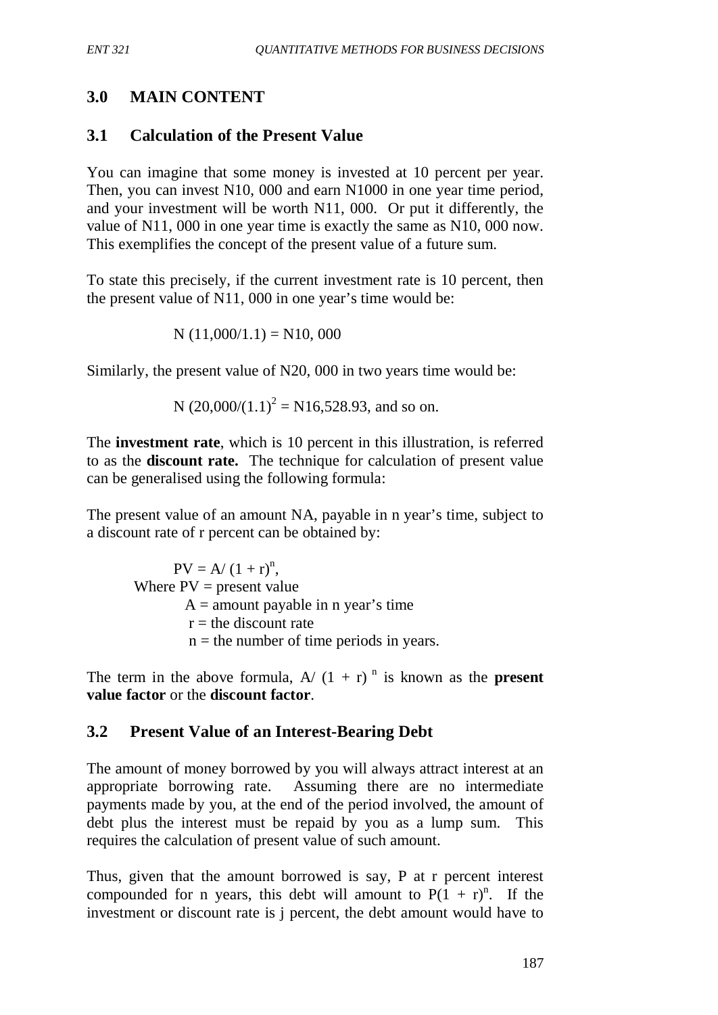## **3.0 MAIN CONTENT**

## **3.1 Calculation of the Present Value**

You can imagine that some money is invested at 10 percent per year. Then, you can invest N10, 000 and earn N1000 in one year time period, and your investment will be worth N11, 000. Or put it differently, the value of N11, 000 in one year time is exactly the same as N10, 000 now. This exemplifies the concept of the present value of a future sum.

To state this precisely, if the current investment rate is 10 percent, then the present value of N11, 000 in one year's time would be:

$$
N(11,000/1.1) = N10,000
$$

Similarly, the present value of N20, 000 in two years time would be:

N (20,000/(1.1)<sup>2</sup> = N16,528.93, and so on.

The **investment rate**, which is 10 percent in this illustration, is referred to as the **discount rate.**The technique for calculation of present value can be generalised using the following formula:

The present value of an amount NA, payable in n year's time, subject to a discount rate of r percent can be obtained by:

 $PV = A/(1 + r)^n$ , Where  $PV = present value$  $A =$  amount payable in n year's time  $r =$  the discount rate  $n =$  the number of time periods in years.

The term in the above formula,  $A/(1 + r)^n$  is known as the **present value factor** or the **discount factor**.

#### **3.2 Present Value of an Interest-Bearing Debt**

The amount of money borrowed by you will always attract interest at an appropriate borrowing rate. Assuming there are no intermediate payments made by you, at the end of the period involved, the amount of debt plus the interest must be repaid by you as a lump sum. This requires the calculation of present value of such amount.

Thus, given that the amount borrowed is say, P at r percent interest compounded for n years, this debt will amount to  $P(1 + r)^n$ . If the investment or discount rate is j percent, the debt amount would have to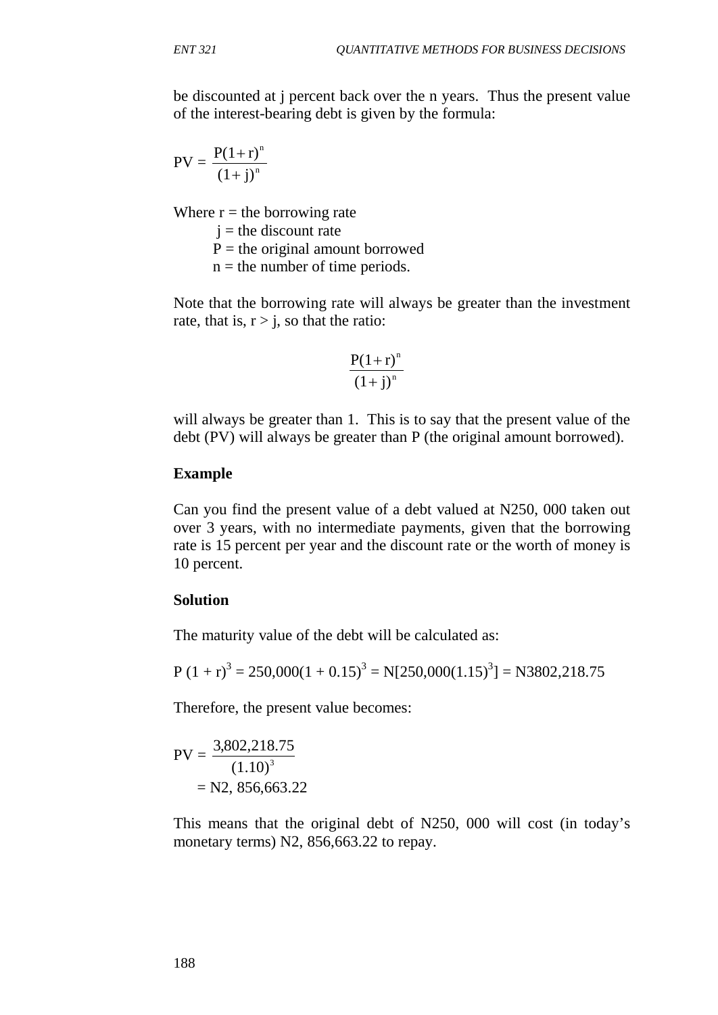be discounted at j percent back over the n years. Thus the present value of the interest-bearing debt is given by the formula:

$$
PV = \frac{P(1+r)^n}{(1+j)^n}
$$

Where  $r =$  the borrowing rate

 $i =$  the discount rate

 $P =$  the original amount borrowed

 $n =$  the number of time periods.

Note that the borrowing rate will always be greater than the investment rate, that is,  $r > j$ , so that the ratio:

$$
\frac{P(1+r)^n}{(1+j)^n}
$$

will always be greater than 1. This is to say that the present value of the debt (PV) will always be greater than P (the original amount borrowed).

#### **Example**

Can you find the present value of a debt valued at N250, 000 taken out over 3 years, with no intermediate payments, given that the borrowing rate is 15 percent per year and the discount rate or the worth of money is 10 percent.

#### **Solution**

The maturity value of the debt will be calculated as:

$$
P(1 + r)^3 = 250,000(1 + 0.15)^3 = N[250,000(1.15)^3] = N3802,218.75
$$

Therefore, the present value becomes:

$$
PV = \frac{3,802,218.75}{(1.10)^3}
$$

$$
= N2, 856,663.22
$$

This means that the original debt of N250, 000 will cost (in today's monetary terms) N2, 856, 663.22 to repay.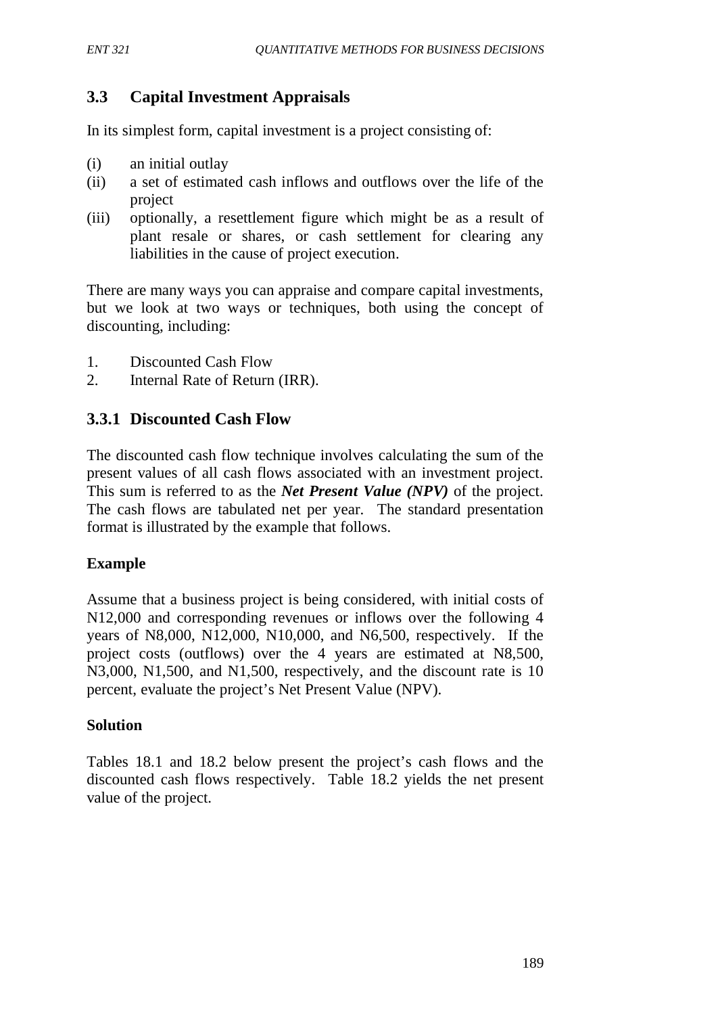## **3.3 Capital Investment Appraisals**

In its simplest form, capital investment is a project consisting of:

- (i) an initial outlay
- (ii) a set of estimated cash inflows and outflows over the life of the project
- (iii) optionally, a resettlement figure which might be as a result of plant resale or shares, or cash settlement for clearing any liabilities in the cause of project execution.

There are many ways you can appraise and compare capital investments, but we look at two ways or techniques, both using the concept of discounting, including:

- 1. Discounted Cash Flow
- 2. Internal Rate of Return (IRR).

### **3.3.1 Discounted Cash Flow**

The discounted cash flow technique involves calculating the sum of the present values of all cash flows associated with an investment project. This sum is referred to as the *Net Present Value (NPV)* of the project. The cash flows are tabulated net per year. The standard presentation format is illustrated by the example that follows.

#### **Example**

Assume that a business project is being considered, with initial costs of N12,000 and corresponding revenues or inflows over the following 4 years of N8,000, N12,000, N10,000, and N6,500, respectively. If the project costs (outflows) over the 4 years are estimated at N8,500, N3,000, N1,500, and N1,500, respectively, and the discount rate is 10 percent, evaluate the project's Net Present Value (NPV).

#### **Solution**

Tables 18.1 and 18.2 below present the project's cash flows and the discounted cash flows respectively. Table 18.2 yields the net present value of the project.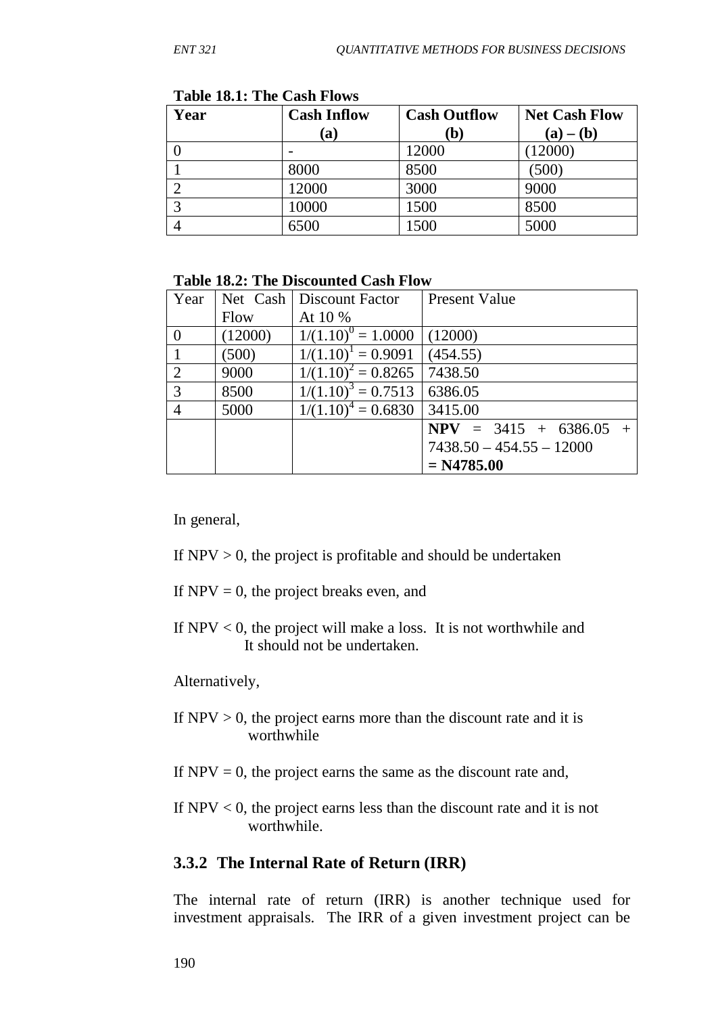| Year              | <b>Cash Inflow</b> | <b>Cash Outflow</b> | <b>Net Cash Flow</b> |
|-------------------|--------------------|---------------------|----------------------|
|                   | (a)                | $\mathbf{(b)}$      | $(a) - (b)$          |
|                   |                    | 12000               | 12000)               |
|                   | 8000               | 8500                | (500)                |
| ◠                 | 12000              | 3000                | 9000                 |
| $\mathbf{\Omega}$ | 10000              | 1500                | 8500                 |
|                   | 6500               | 1500                | 5000                 |

**Table 18.1: The Cash Flows**

#### **Table 18.2: The Discounted Cash Flow**

| Year           |         | Net Cash   Discount Factor      | <b>Present Value</b>       |
|----------------|---------|---------------------------------|----------------------------|
|                | Flow    | At 10 %                         |                            |
| $\theta$       | (12000) | $1/(1.10)^{0} = 1.0000$ (12000) |                            |
|                | (500)   | $1/(1.10)^1 = 0.9091$           | (454.55)                   |
| 2              | 9000    | $1/(1.10)^2 = 0.8265$           | 7438.50                    |
| 3              | 8500    | $1/(1.10)^3 = 0.7513$           | 6386.05                    |
| $\overline{4}$ | 5000    | $1/(1.10)^4 = 0.6830$ 3415.00   |                            |
|                |         |                                 | $NPV = 3415 + 6386.05 +$   |
|                |         |                                 | $7438.50 - 454.55 - 12000$ |
|                |         |                                 | $= N4785.00$               |

In general,

- If  $NPV > 0$ , the project is profitable and should be undertaken
- If  $NPV = 0$ , the project breaks even, and
- If  $NPV < 0$ , the project will make a loss. It is not worthwhile and It should not be undertaken.

Alternatively,

- If  $NPV > 0$ , the project earns more than the discount rate and it is worthwhile
- If  $NPV = 0$ , the project earns the same as the discount rate and,
- If NPV < 0, the project earns less than the discount rate and it is not worthwhile.

#### **3.3.2 The Internal Rate of Return (IRR)**

The internal rate of return (IRR) is another technique used for investment appraisals. The IRR of a given investment project can be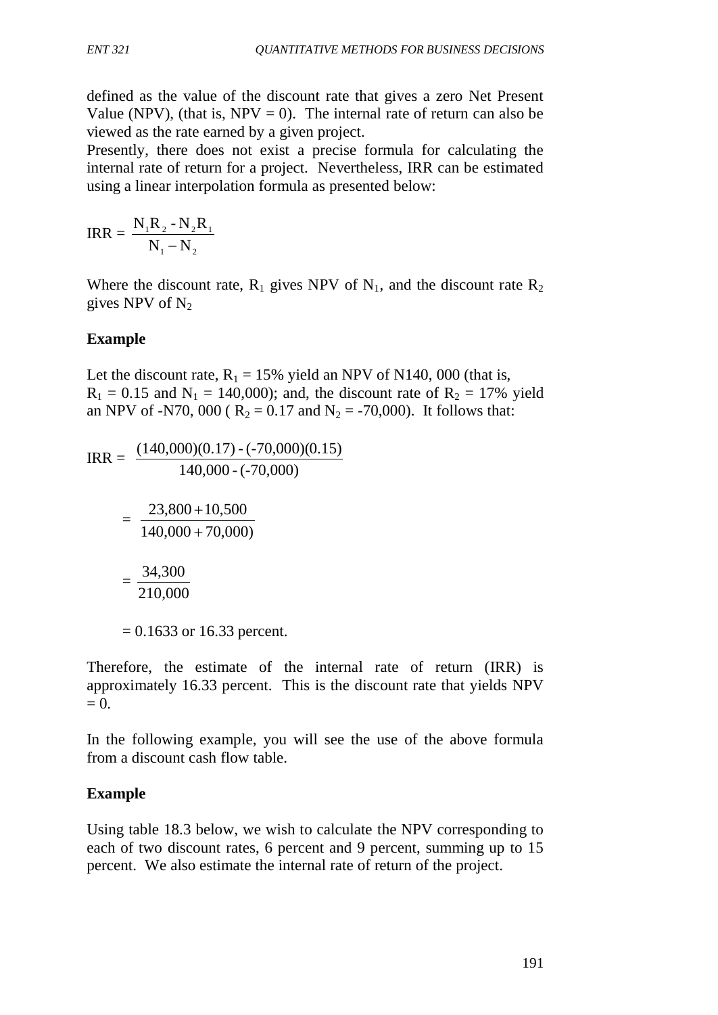defined as the value of the discount rate that gives a zero Net Present Value (NPV), (that is, NPV = 0). The internal rate of return can also be viewed as the rate earned by a given project.

Presently, there does not exist a precise formula for calculating the internal rate of return for a project. Nevertheless, IRR can be estimated using a linear interpolation formula as presented below:

$$
IRR = \frac{N_1R_2 - N_2R_1}{N_1 - N_2}
$$

Where the discount rate,  $R_1$  gives NPV of  $N_1$ , and the discount rate  $R_2$ gives NPV of  $N_2$ 

## **Example**

Let the discount rate,  $R_1 = 15\%$  yield an NPV of N140, 000 (that is,  $R_1 = 0.15$  and  $N_1 = 140,000$ ; and, the discount rate of  $R_2 = 17\%$  yield an NPV of -N70, 000 ( $R_2 = 0.17$  and  $N_2 = -70,000$ ). It follows that:

 $\text{IRR} =$ 140,000 - (-70,000)  $(140,000)(0.17)$  - (-70,000) $(0.15)$  $\equiv$  $140,000 + 70,000$  $23,800 + 10,500$ + +  $\gamma_{\rm eff}$  = 210,000 34,300  $= 0.1633$  or 16.33 percent.

Therefore, the estimate of the internal rate of return (IRR) is approximately 16.33 percent. This is the discount rate that yields NPV  $= 0.$ 

In the following example, you will see the use of the above formula from a discount cash flow table.

## **Example**

Using table 18.3 below, we wish to calculate the NPV corresponding to each of two discount rates, 6 percent and 9 percent, summing up to 15 percent. We also estimate the internal rate of return of the project.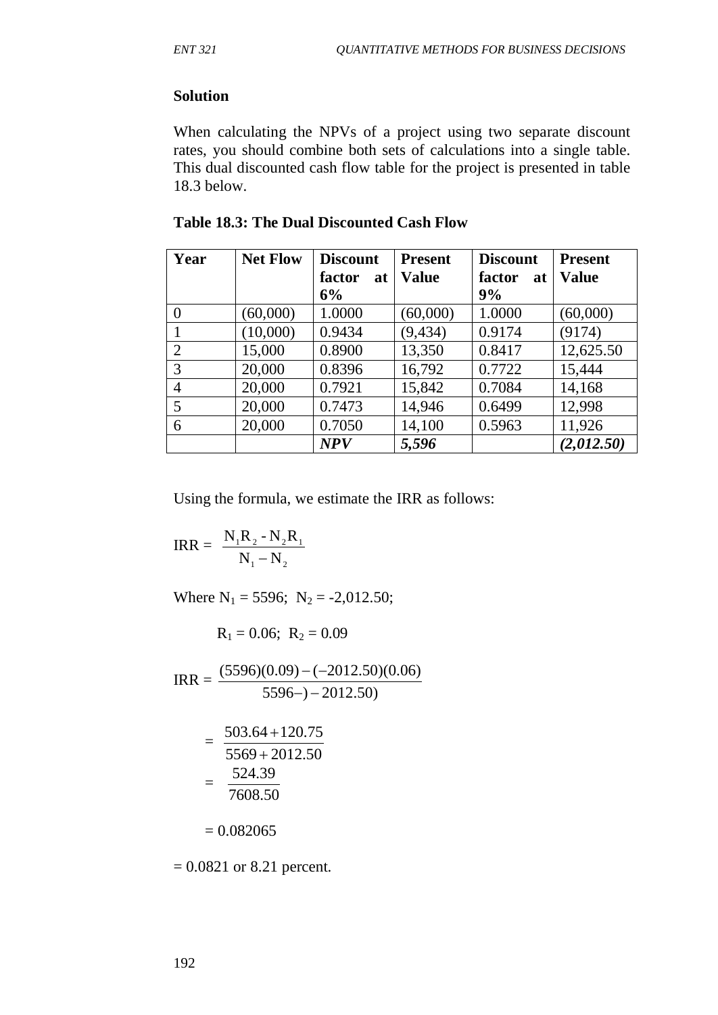#### **Solution**

When calculating the NPVs of a project using two separate discount rates, you should combine both sets of calculations into a single table. This dual discounted cash flow table for the project is presented in table 18.3 below.

| Year     | <b>Net Flow</b> | <b>Discount</b> | <b>Present</b> | <b>Discount</b> | <b>Present</b> |
|----------|-----------------|-----------------|----------------|-----------------|----------------|
|          |                 | factor<br>at    | Value          | factor<br>at    | <b>Value</b>   |
|          |                 | 6%              |                | 9%              |                |
| $\theta$ | (60,000)        | 1.0000          | (60,000)       | 1.0000          | (60,000)       |
|          | (10,000)        | 0.9434          | (9, 434)       | 0.9174          | (9174)         |
| 2        | 15,000          | 0.8900          | 13,350         | 0.8417          | 12,625.50      |
| 3        | 20,000          | 0.8396          | 16,792         | 0.7722          | 15,444         |
| 4        | 20,000          | 0.7921          | 15,842         | 0.7084          | 14,168         |
| 5        | 20,000          | 0.7473          | 14,946         | 0.6499          | 12,998         |
| 6        | 20,000          | 0.7050          | 14,100         | 0.5963          | 11,926         |
|          |                 | <b>NPV</b>      | 5,596          |                 | (2,012.50)     |

**Table 18.3: The Dual Discounted Cash Flow**

Using the formula, we estimate the IRR as follows:

$$
IRR = \frac{N_1 R_2 - N_2 R_1}{N_1 - N_2}
$$

Where  $N_1 = 5596$ ;  $N_2 = -2,012.50$ ;

 $R_1 = 0.06$ ;  $R_2 = 0.09$ 

 $\text{IRR} =$  $5596 - (-2012.50)$  $(5596)(0.09) - (-2012.50)(0.06)$  $-$ )  $-(-$ 

$$
= \frac{503.64 + 120.75}{5569 + 2012.50}
$$

$$
= \frac{524.39}{7608.50}
$$

$$
=0.082065
$$

 $= 0.0821$  or 8.21 percent.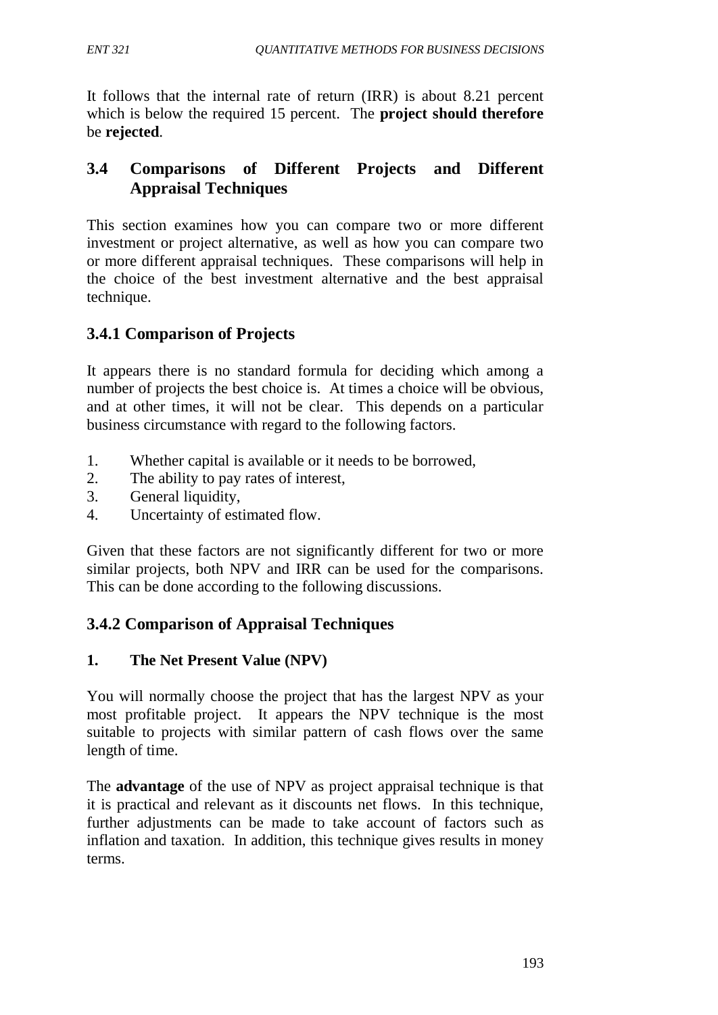It follows that the internal rate of return (IRR) is about 8.21 percent which is below the required 15 percent. The **project should therefore** be **rejected**.

# **3.4 Comparisons of Different Projects and Different Appraisal Techniques**

This section examines how you can compare two or more different investment or project alternative, as well as how you can compare two or more different appraisal techniques. These comparisons will help in the choice of the best investment alternative and the best appraisal technique.

# **3.4.1 Comparison of Projects**

It appears there is no standard formula for deciding which among a number of projects the best choice is. At times a choice will be obvious, and at other times, it will not be clear. This depends on a particular business circumstance with regard to the following factors.

- 1. Whether capital is available or it needs to be borrowed,
- 2. The ability to pay rates of interest,
- 3. General liquidity,
- 4. Uncertainty of estimated flow.

Given that these factors are not significantly different for two or more similar projects, both NPV and IRR can be used for the comparisons. This can be done according to the following discussions.

# **3.4.2 Comparison of Appraisal Techniques**

## **1. The Net Present Value (NPV)**

You will normally choose the project that has the largest NPV as your most profitable project. It appears the NPV technique is the most suitable to projects with similar pattern of cash flows over the same length of time.

The **advantage** of the use of NPV as project appraisal technique is that it is practical and relevant as it discounts net flows. In this technique, further adjustments can be made to take account of factors such as inflation and taxation. In addition, this technique gives results in money terms.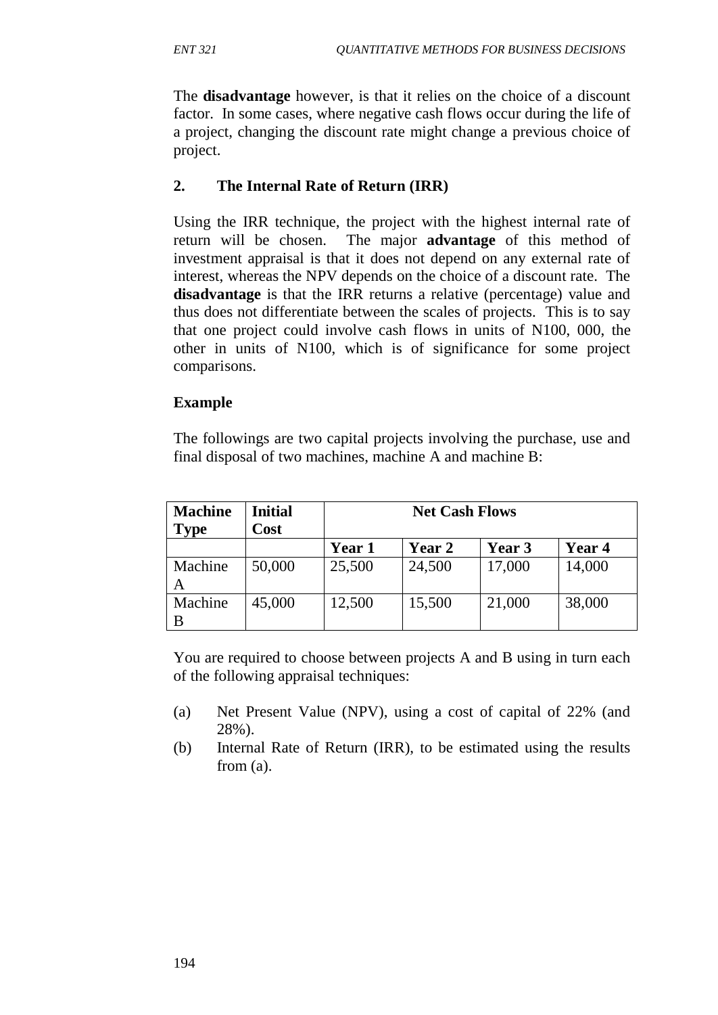The **disadvantage** however, is that it relies on the choice of a discount factor. In some cases, where negative cash flows occur during the life of a project, changing the discount rate might change a previous choice of project.

### **2. The Internal Rate of Return (IRR)**

Using the IRR technique, the project with the highest internal rate of return will be chosen. The major **advantage** of this method of investment appraisal is that it does not depend on any external rate of interest, whereas the NPV depends on the choice of a discount rate. The **disadvantage** is that the IRR returns a relative (percentage) value and thus does not differentiate between the scales of projects. This is to say that one project could involve cash flows in units of N100, 000, the other in units of N100, which is of significance for some project comparisons.

### **Example**

The followings are two capital projects involving the purchase, use and final disposal of two machines, machine A and machine B:

| <b>Machine</b> | <b>Initial</b> | <b>Net Cash Flows</b> |               |        |        |
|----------------|----------------|-----------------------|---------------|--------|--------|
| <b>Type</b>    | Cost           |                       |               |        |        |
|                |                | Year 1                | <b>Year 2</b> | Year 3 | Year 4 |
| Machine        | 50,000         | 25,500                | 24,500        | 17,000 | 14,000 |
| A              |                |                       |               |        |        |
| Machine        | 45,000         | 12,500                | 15,500        | 21,000 | 38,000 |
| B              |                |                       |               |        |        |

You are required to choose between projects A and B using in turn each of the following appraisal techniques:

- (a) Net Present Value (NPV), using a cost of capital of 22% (and 28%).
- (b) Internal Rate of Return (IRR), to be estimated using the results from (a).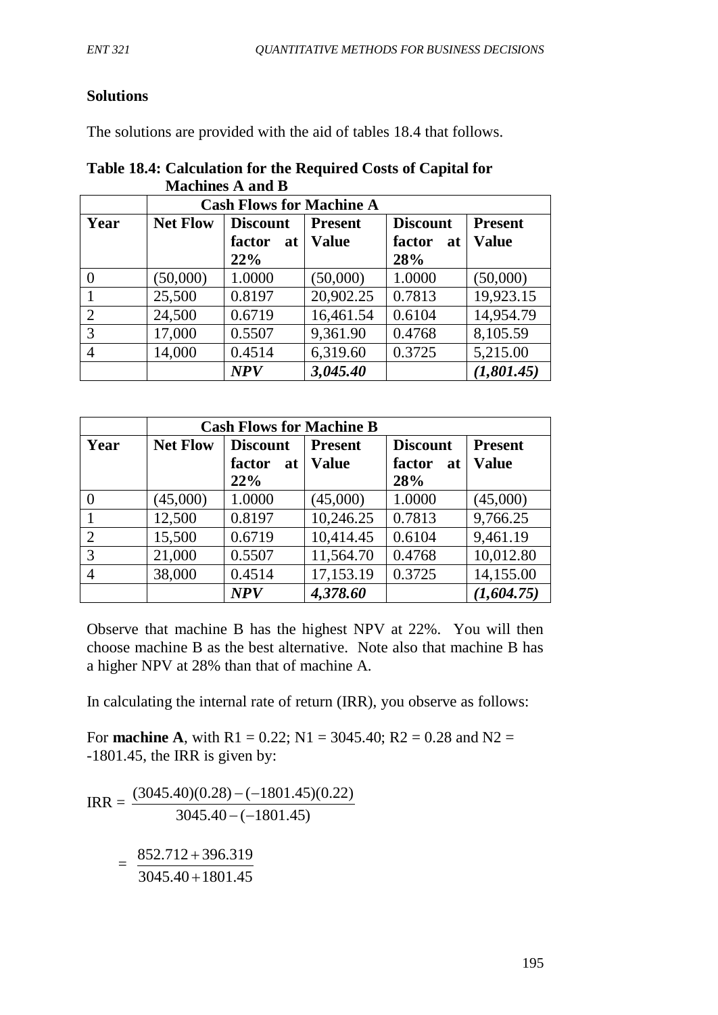## **Solutions**

The solutions are provided with the aid of tables 18.4 that follows.

### **Table 18.4: Calculation for the Required Costs of Capital for Machines A and B**

|                | <b>Cash Flows for Machine A</b> |                 |                |                 |                |
|----------------|---------------------------------|-----------------|----------------|-----------------|----------------|
| Year           | <b>Net Flow</b>                 | <b>Discount</b> | <b>Present</b> | <b>Discount</b> | <b>Present</b> |
|                |                                 | factor<br>at    | <b>Value</b>   | factor<br>at    | <b>Value</b>   |
|                |                                 | 22%             |                | 28%             |                |
|                | (50,000)                        | 1.0000          | (50,000)       | 1.0000          | (50,000)       |
|                | 25,500                          | 0.8197          | 20,902.25      | 0.7813          | 19,923.15      |
| $\overline{2}$ | 24,500                          | 0.6719          | 16,461.54      | 0.6104          | 14,954.79      |
| 3              | 17,000                          | 0.5507          | 9,361.90       | 0.4768          | 8,105.59       |
| 4              | 14,000                          | 0.4514          | 6,319.60       | 0.3725          | 5,215.00       |
|                |                                 | <b>NPV</b>      | 3,045.40       |                 | (1,801.45)     |

|      | <b>Cash Flows for Machine B</b> |                 |                |                 |                |  |
|------|---------------------------------|-----------------|----------------|-----------------|----------------|--|
| Year | <b>Net Flow</b>                 | <b>Discount</b> | <b>Present</b> | <b>Discount</b> | <b>Present</b> |  |
|      |                                 | factor<br>at    | <b>Value</b>   | factor<br>at    | <b>Value</b>   |  |
|      |                                 | 22%             |                | 28%             |                |  |
|      | (45,000)                        | 1.0000          | (45,000)       | 1.0000          | (45,000)       |  |
|      | 12,500                          | 0.8197          | 10,246.25      | 0.7813          | 9,766.25       |  |
| 2    | 15,500                          | 0.6719          | 10,414.45      | 0.6104          | 9,461.19       |  |
| 3    | 21,000                          | 0.5507          | 11,564.70      | 0.4768          | 10,012.80      |  |
| 4    | 38,000                          | 0.4514          | 17,153.19      | 0.3725          | 14,155.00      |  |
|      |                                 | <b>NPV</b>      | 4,378.60       |                 | (1,604.75)     |  |

Observe that machine B has the highest NPV at 22%. You will then choose machine B as the best alternative. Note also that machine B has a higher NPV at 28% than that of machine A.

In calculating the internal rate of return (IRR), you observe as follows:

For **machine A**, with R1 = 0.22; N1 = 3045.40; R2 = 0.28 and N2 = -1801.45, the IRR is given by:

 $\text{IRR} =$  $3045.40 - (-1801.45)$  $(3045.40)(0.28) - (-1801.45)(0.22)$  $-( -( =$  $3045.40 + 1801.45$ 852.712 + 396.319 + +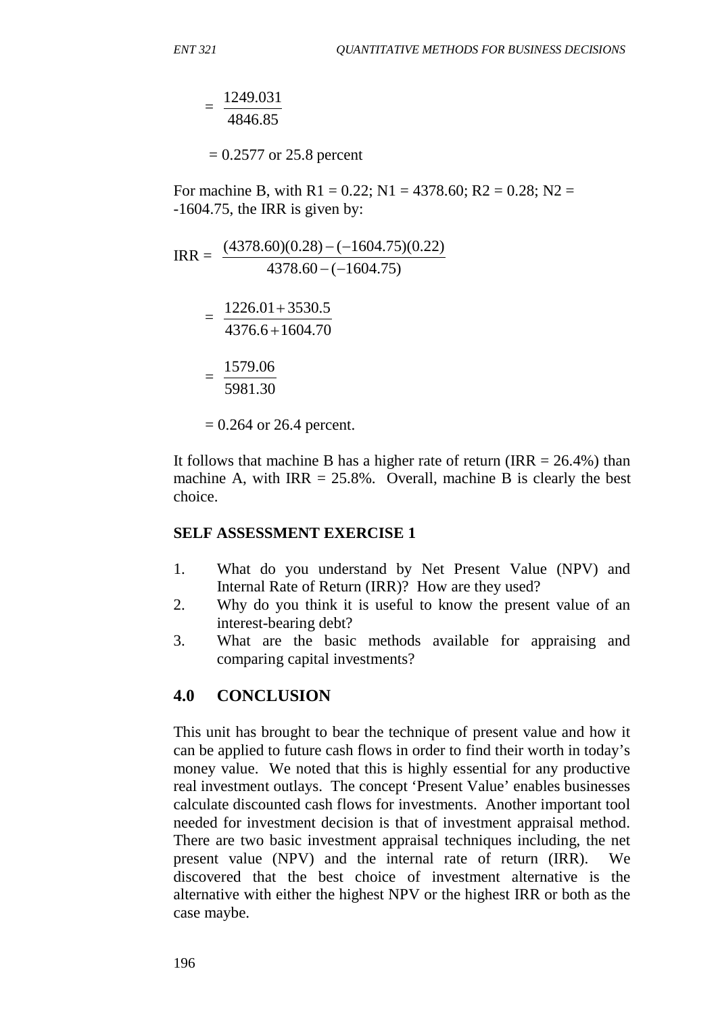$=$ 4846.85 1249.031

 $= 0.2577$  or 25.8 percent

For machine B, with  $R1 = 0.22$ ;  $N1 = 4378.60$ ;  $R2 = 0.28$ ;  $N2 =$ -1604.75, the IRR is given by:

$$
IRR = \frac{(4378.60)(0.28) - (-1604.75)(0.22)}{4378.60 - (-1604.75)}
$$
  
= 
$$
\frac{1226.01 + 3530.5}{4376.6 + 1604.70}
$$
  
= 
$$
\frac{1579.06}{5981.30}
$$
  
= 0.264 or 26.4 percent.

It follows that machine B has a higher rate of return (IRR  $= 26.4\%$ ) than machine A, with  $IRR = 25.8\%$ . Overall, machine B is clearly the best choice.

#### **SELF ASSESSMENT EXERCISE 1**

- 1. What do you understand by Net Present Value (NPV) and Internal Rate of Return (IRR)? How are they used?
- 2. Why do you think it is useful to know the present value of an interest-bearing debt?
- 3. What are the basic methods available for appraising and comparing capital investments?

#### **4.0 CONCLUSION**

This unit has brought to bear the technique of present value and how it can be applied to future cash flows in order to find their worth in today's money value. We noted that this is highly essential for any productive real investment outlays. The concept 'Present Value' enables businesses calculate discounted cash flows for investments. Another important tool needed for investment decision is that of investment appraisal method. There are two basic investment appraisal techniques including, the net present value (NPV) and the internal rate of return (IRR). We discovered that the best choice of investment alternative is the alternative with either the highest NPV or the highest IRR or both as the case maybe.